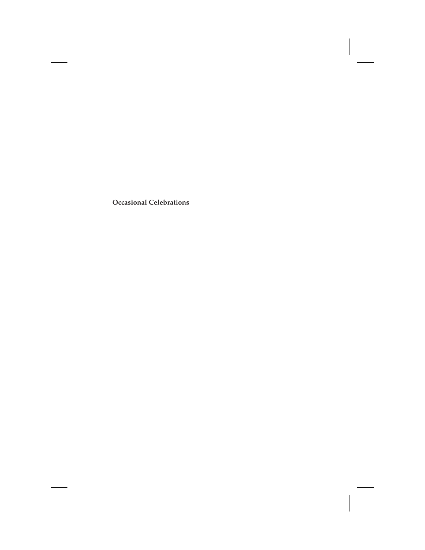**Occasional Celebrations**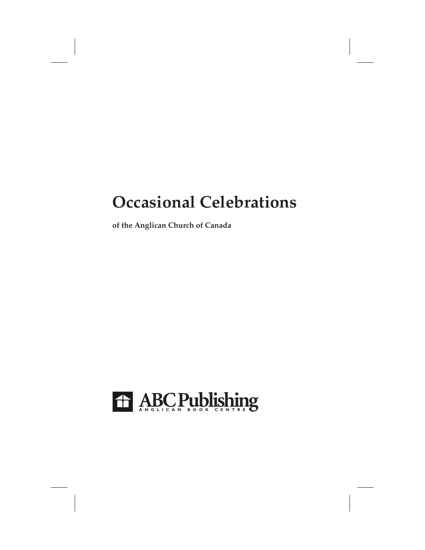# **Occasional Celebrations**

**of the Anglican Church of Canada**

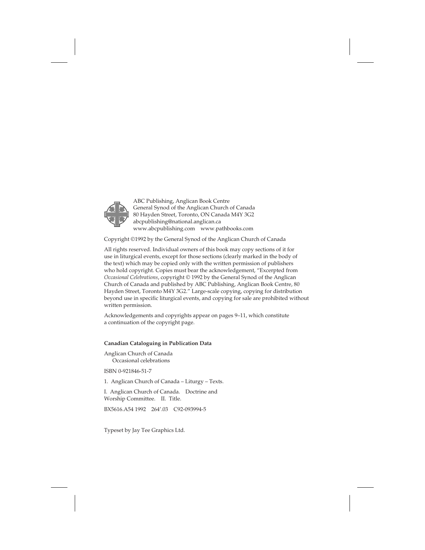

ABC Publishing, Anglican Book Centre General Synod of the Anglican Church of Canada 80 Hayden Street, Toronto, ON Canada M4Y 3G2 abcpublishing@national.anglican.ca www.abcpublishing.com www.pathbooks.com

Copyright ©1992 by the General Synod of the Anglican Church of Canada

All rights reserved. Individual owners of this book may copy sections of it for use in liturgical events, except for those sections (clearly marked in the body of the text) which may be copied only with the written permission of publishers who hold copyright. Copies must bear the acknowledgement, "Excerpted from *Occasional Celebrations*, copyright © 1992 by the General Synod of the Anglican Church of Canada and published by ABC Publishing, Anglican Book Centre, 80 Hayden Street, Toronto M4Y 3G2." Large-scale copying, copying for distribution beyond use in specific liturgical events, and copying for sale are prohibited without written permission.

Acknowledgements and copyrights appear on pages 9–11, which constitute a continuation of the copyright page.

#### **Canadian Cataloguing in Publication Data**

Anglican Church of Canada Occasional celebrations

ISBN 0-921846-51-7

1. Anglican Church of Canada – Liturgy – Texts.

I. Anglican Church of Canada. Doctrine and Worship Committee. II. Title.

BX5616.A54 1992 264'.03 C92-093994-5

Typeset by Jay Tee Graphics Ltd.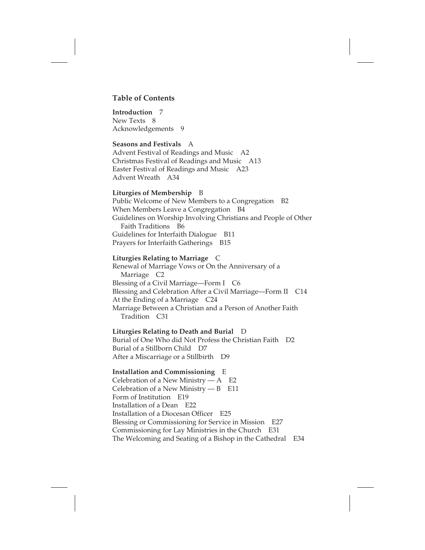#### **Table of Contents**

**[Introduction](#page-6-0)** 7 [New Texts 8](#page-7-0) [Acknowledgements 9](#page-8-0)

#### **[Seasons and Festivals](#page-12-0)** A

[Advent Festival of Readings and Music A2](#page-13-0) [Christmas Festival of Readings and Music A13](#page-24-0) [Easter Festival of Readings and Music A23](#page-34-0) [Advent Wreath A34](#page-45-0)

#### **[Liturgies of Membership](#page-46-0)** B

[Public Welcome of New Members to a Congregation B2](#page-47-0) [When Members Leave a Congregation B4](#page-49-0) [Guidelines on Worship Involving Christians and People of Other](#page-51-0) Faith Traditions B6 [Guidelines for Interfaith Dialogue B11](#page-56-0) [Prayers for Interfaith Gatherings B15](#page-60-0)

#### **[Liturgies Relating to Marriage](#page-64-0)** C

[Renewal of Marriage Vows or On the Anniversary of a](#page-65-0) Marriage C2 [Blessing of a Civil Marriage—Form I C6](#page-69-0) [Blessing and Celebration After a Civil Marriage—Form II C14](#page-77-0) [At the Ending of a Marriage C24](#page-87-0) [Marriage Between a Christian and a Person of Another Faith](#page-94-0) Tradition C31

#### **[Liturgies Relating to Death and Burial](#page-106-0)** D

[Burial of One Who did Not Profess the Christian Faith D2](#page-107-0) [Burial of a Stillborn Child D7](#page-112-0) [After a Miscarriage or a Stillbirth D9](#page-114-0)

#### **[Installation and Commissioning](#page-118-0)** E

Celebration of a New Ministry  $-A$  E2 Celebration of a New Ministry —  $B$  E11 [Form of Institution E19](#page-136-0) [Installation of a Dean E22](#page-139-0) [Installation of a Diocesan Officer E25](#page-142-0) [Blessing or Commissioning for Service in Mission E27](#page-144-0) [Commissioning for Lay Ministries in the Church E31](#page-148-0) [The Welcoming and Seating of a Bishop in the Cathedral E34](#page-151-0)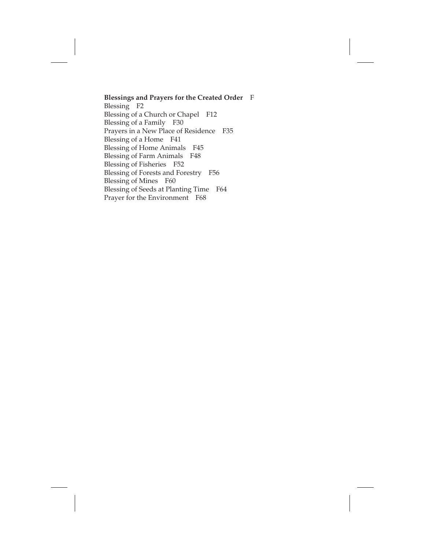**[Blessings and Prayers for the Created Order](#page-158-0)** F [Blessing F2](#page-159-0) [Blessing of a Church or Chapel F12](#page-169-0) [Blessing of a Family F30](#page-187-0) [Prayers in a New Place of Residence F35](#page-192-0) [Blessing of a Home F41](#page-198-0) [Blessing of Home Animals F45](#page-202-0) [Blessing of Farm Animals F48](#page-205-0) [Blessing of Fisheries F52](#page-209-0) [Blessing of Forests and Forestry F56](#page-213-0) [Blessing of Mines F60](#page-217-0) [Blessing of Seeds at Planting Time F64](#page-221-0) [Prayer for the Environment F68](#page-225-0)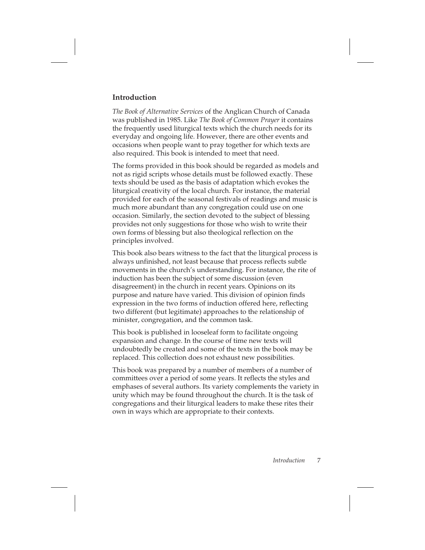## <span id="page-6-0"></span>**Introduction**

*The Book of Alternative Services* of the Anglican Church of Canada was published in 1985. Like *The Book of Common Prayer* it contains the frequently used liturgical texts which the church needs for its everyday and ongoing life. However, there are other events and occasions when people want to pray together for which texts are also required. This book is intended to meet that need.

The forms provided in this book should be regarded as models and not as rigid scripts whose details must be followed exactly. These texts should be used as the basis of adaptation which evokes the liturgical creativity of the local church. For instance, the material provided for each of the seasonal festivals of readings and music is much more abundant than any congregation could use on one occasion. Similarly, the section devoted to the subject of blessing provides not only suggestions for those who wish to write their own forms of blessing but also theological reflection on the principles involved.

This book also bears witness to the fact that the liturgical process is always unfinished, not least because that process reflects subtle movements in the church's understanding. For instance, the rite of induction has been the subject of some discussion (even disagreement) in the church in recent years. Opinions on its purpose and nature have varied. This division of opinion finds expression in the two forms of induction offered here, reflecting two different (but legitimate) approaches to the relationship of minister, congregation, and the common task.

This book is published in looseleaf form to facilitate ongoing expansion and change. In the course of time new texts will undoubtedly be created and some of the texts in the book may be replaced. This collection does not exhaust new possibilities.

This book was prepared by a number of members of a number of committees over a period of some years. It reflects the styles and emphases of several authors. Its variety complements the variety in unity which may be found throughout the church. It is the task of congregations and their liturgical leaders to make these rites their own in ways which are appropriate to their contexts.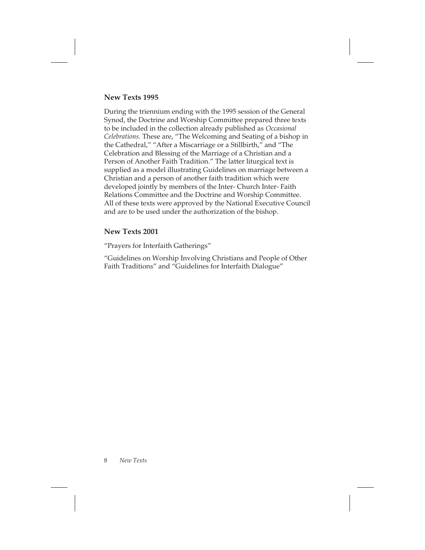#### <span id="page-7-0"></span>**New Texts 1995**

During the triennium ending with the 1995 session of the General Synod, the Doctrine and Worship Committee prepared three texts to be included in the collection already published as *Occasional Celebrations.* These are, "The Welcoming and Seating of a bishop in the Cathedral," "After a Miscarriage or a Stillbirth," and "The Celebration and Blessing of the Marriage of a Christian and a Person of Another Faith Tradition." The latter liturgical text is supplied as a model illustrating Guidelines on marriage between a Christian and a person of another faith tradition which were developed jointly by members of the Inter- Church Inter- Faith Relations Committee and the Doctrine and Worship Committee. All of these texts were approved by the National Executive Council and are to be used under the authorization of the bishop.

#### **New Texts 2001**

"Prayers for Interfaith Gatherings"

"Guidelines on Worship Involving Christians and People of Other Faith Traditions" and "Guidelines for Interfaith Dialogue"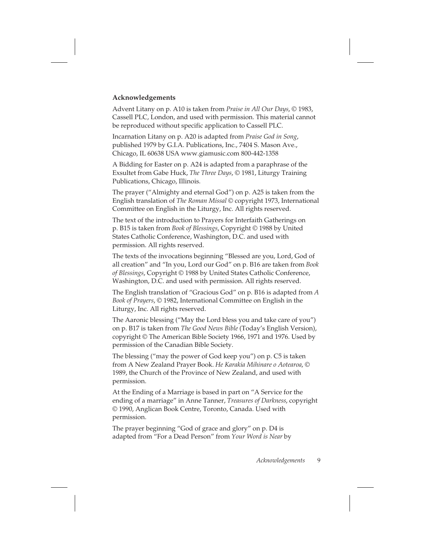### <span id="page-8-0"></span>**Acknowledgements**

Advent Litany on p. A10 is taken from *Praise in All Our Days*, © 1983, Cassell PLC, London, and used with permission. This material cannot be reproduced without specific application to Cassell PLC.

Incarnation Litany on p. A20 is adapted from *Praise God in Song*, published 1979 by G.I.A. Publications, Inc., 7404 S. Mason Ave., Chicago, IL 60638 USA www.giamusic.com 800-442-1358

A Bidding for Easter on p. A24 is adapted from a paraphrase of the Exsultet from Gabe Huck, *The Three Days*, © 1981, Liturgy Training Publications, Chicago, Illinois.

The prayer ("Almighty and eternal God") on p. A25 is taken from the English translation of *The Roman Missal* © copyright 1973, International Committee on English in the Liturgy, Inc. All rights reserved.

The text of the introduction to Prayers for Interfaith Gatherings on p. B15 is taken from *Book of Blessings*, Copyright © 1988 by United States Catholic Conference, Washington, D.C. and used with permission. All rights reserved.

The texts of the invocations beginning "Blessed are you, Lord, God of all creation" and "In you, Lord our God" on p. B16 are taken from *Book of Blessings*, Copyright © 1988 by United States Catholic Conference, Washington, D.C. and used with permission. All rights reserved.

The English translation of "Gracious God" on p. B16 is adapted from *A Book of Prayers*, © 1982, International Committee on English in the Liturgy, Inc. All rights reserved.

The Aaronic blessing ("May the Lord bless you and take care of you") on p. B17 is taken from *The Good News Bible* (Today's English Version), copyright © The American Bible Society 1966, 1971 and 1976. Used by permission of the Canadian Bible Society.

The blessing ("may the power of God keep you") on p. C5 is taken from A New Zealand Prayer Book. *He Karakia Mihinare o Aotearoa*, © 1989, the Church of the Province of New Zealand, and used with permission.

At the Ending of a Marriage is based in part on "A Service for the ending of a marriage" in Anne Tanner, *Treasures of Darkness*, copyright © 1990, Anglican Book Centre, Toronto, Canada. Used with permission.

The prayer beginning "God of grace and glory" on p. D4 is adapted from "For a Dead Person" from *Your Word is Near* by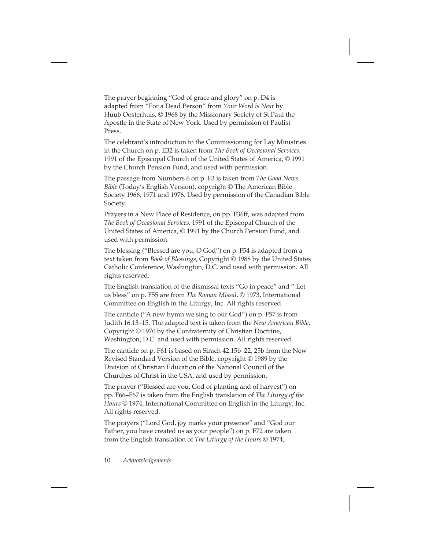The prayer beginning "God of grace and glory" on p. D4 is adapted from "For a Dead Person" from *Your Word is Near* by Huub Oosterhuis, © 1968 by the Missionary Society of St Paul the Apostle in the State of New York. Used by permission of Paulist Press.

The celebrant's introduction to the Commissioning for Lay Ministries in the Church on p. E32 is taken from *The Book of Occasional Services*. 1991 of the Episcopal Church of the United States of America, © 1991 by the Church Pension Fund, and used with permission.

The passage from Numbers 6 on p. F3 is taken from *The Good News Bible* (Today's English Version), copyright © The American Bible Society 1966, 1971 and 1976. Used by permission of the Canadian Bible Society.

Prayers in a New Place of Residence, on pp. F36ff, was adapted from *The Book of Occasional Services*. 1991 of the Episcopal Church of the United States of America, © 1991 by the Church Pension Fund, and used with permission.

The blessing ("Blessed are you, O God") on p. F54 is adapted from a text taken from *Book of Blessings*, Copyright © 1988 by the United States Catholic Conference, Washington, D.C. and used with permission. All rights reserved.

The English translation of the dismissal texts "Go in peace" and " Let us bless" on p. F55 are from *The Roman Missal*, © 1973, International Committee on English in the Liturgy, Inc. All rights reserved.

The canticle ("A new hymn we sing to our God") on p. F57 is from Judith 16.13–15. The adapted text is taken from the *New American Bible*, Copyright © 1970 by the Confraternity of Christian Doctrine, Washington, D.C. and used with permission. All rights reserved.

The canticle on p. F61 is based on Sirach 42.15b–22, 25b from the New Revised Standard Version of the Bible, copyright © 1989 by the Division of Christian Education of the National Council of the Churches of Christ in the USA, and used by permission.

The prayer ("Blessed are you, God of planting and of harvest") on pp. F66–F67 is taken from the English translation of *The Liturgy of the Hours* © 1974, International Committee on English in the Liturgy, Inc. All rights reserved.

The prayers ("Lord God, joy marks your presence" and "God our Father, you have created us as your people") on p. F72 are taken from the English translation of *The Liturgy of the Hours* © 1974,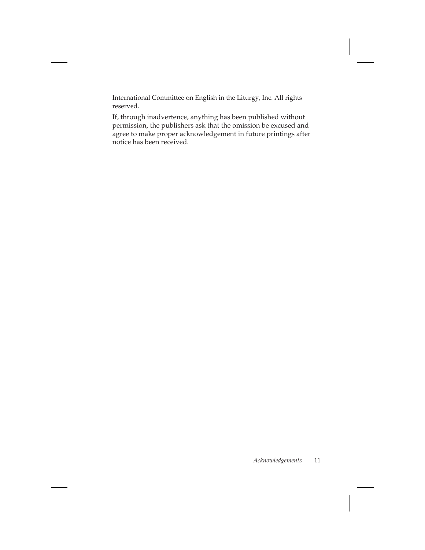International Committee on English in the Liturgy, Inc. All rights reserved.

If, through inadvertence, anything has been published without permission, the publishers ask that the omission be excused and agree to make proper acknowledgement in future printings after notice has been received.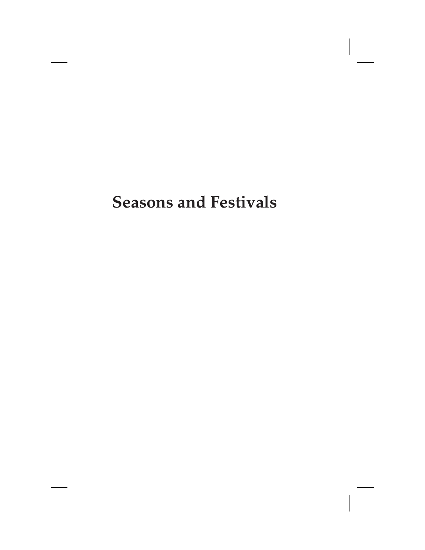# <span id="page-12-0"></span>**Seasons and Festivals**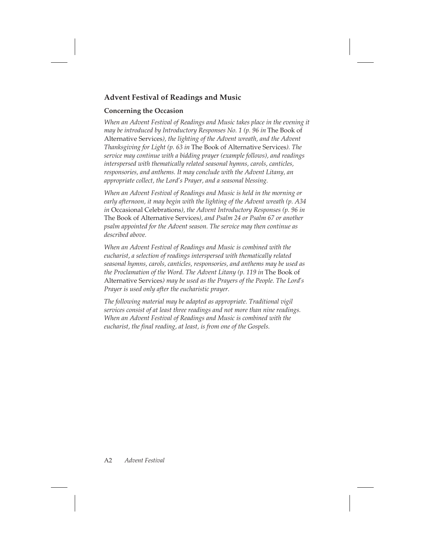## <span id="page-13-0"></span>**Advent Festival of Readings and Music**

### **Concerning the Occasion**

*When an Advent Festival of Readings and Music takes place in the evening it may be introduced by Introductory Responses No. 1 (p. 96 in* The Book of Alternative Services*), the lighting of the Advent wreath, and the Advent Thanksgiving for Light (p. 63 in* The Book of Alternative Services*). The service may continue with a bidding prayer (example follows), and readings interspersed with thematically related seasonal hymns, carols, canticles, responsories, and anthems. It may conclude with the Advent Litany, an appropriate collect, the Lord's Prayer, and a seasonal blessing.*

*When an Advent Festival of Readings and Music is held in the morning or early afternoon, it may begin with the lighting of the Advent wreath (p. A34 in* Occasional Celebrations*), the Advent Introductory Responses (p. 96 in* The Book of Alternative Services*), and Psalm 24 or Psalm 67 or another psalm appointed for the Advent season. The service may then continue as described above.*

*When an Advent Festival of Readings and Music is combined with the eucharist, a selection of readings interspersed with thematically related seasonal hymns, carols, canticles, responsories, and anthems may be used as the Proclamation of the Word. The Advent Litany (p. 119 in* The Book of Alternative Services*) may be used as the Prayers of the People. The Lord's Prayer is used only after the eucharistic prayer.*

*The following material may be adapted as appropriate. Traditional vigil services consist of at least three readings and not more than nine readings. When an Advent Festival of Readings and Music is combined with the eucharist, the final reading, at least, is from one of the Gospels.*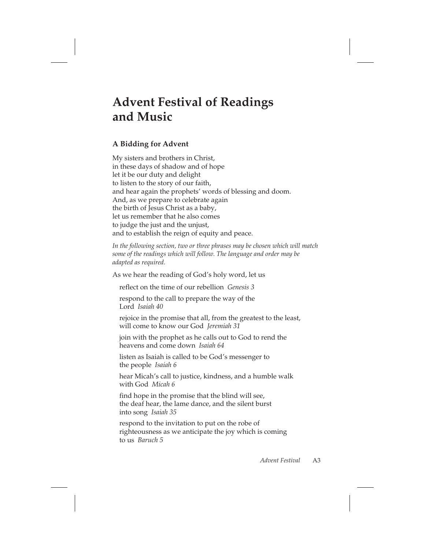# **Advent Festival of Readings and Music**

## **A Bidding for Advent**

My sisters and brothers in Christ, in these days of shadow and of hope let it be our duty and delight to listen to the story of our faith, and hear again the prophets' words of blessing and doom. And, as we prepare to celebrate again the birth of Jesus Christ as a baby, let us remember that he also comes to judge the just and the unjust, and to establish the reign of equity and peace.

*In the following section, two or three phrases may be chosen which will match some of the readings which will follow. The language and order may be adapted as required.*

As we hear the reading of God's holy word, let us

reflect on the time of our rebellion *Genesis 3*

respond to the call to prepare the way of the Lord *Isaiah 40*

rejoice in the promise that all, from the greatest to the least, will come to know our God *Jeremiah 31*

join with the prophet as he calls out to God to rend the heavens and come down *Isaiah 64*

listen as Isaiah is called to be God's messenger to the people *Isaiah 6*

hear Micah's call to justice, kindness, and a humble walk with God *Micah 6*

find hope in the promise that the blind will see, the deaf hear, the lame dance, and the silent burst into song *Isaiah 35*

respond to the invitation to put on the robe of righteousness as we anticipate the joy which is coming to us *Baruch 5*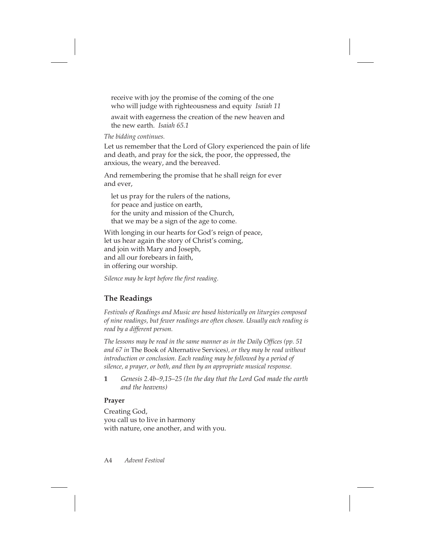receive with joy the promise of the coming of the one who will judge with righteousness and equity *Isaiah 11*

await with eagerness the creation of the new heaven and the new earth. *Isaiah 65.1*

### *The bidding continues.*

Let us remember that the Lord of Glory experienced the pain of life and death, and pray for the sick, the poor, the oppressed, the anxious, the weary, and the bereaved.

And remembering the promise that he shall reign for ever and ever,

let us pray for the rulers of the nations, for peace and justice on earth, for the unity and mission of the Church, that we may be a sign of the age to come.

With longing in our hearts for God's reign of peace, let us hear again the story of Christ's coming, and join with Mary and Joseph, and all our forebears in faith, in offering our worship.

*Silence may be kept before the first reading.*

# **The Readings**

*Festivals of Readings and Music are based historically on liturgies composed of nine readings, but fewer readings are often chosen. Usually each reading is read by a different person.*

*The lessons may be read in the same manner as in the Daily Offices (pp. 51 and 67 in* The Book of Alternative Services*), or they may be read without introduction or conclusion. Each reading may be followed by a period of silence, a prayer, or both, and then by an appropriate musical response.*

**1** *Genesis 2.4b–9,15–25 (In the day that the Lord God made the earth and the heavens)*

## **Prayer**

Creating God, you call us to live in harmony with nature, one another, and with you.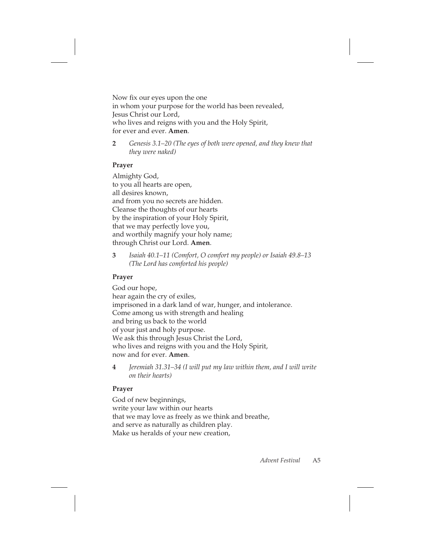Now fix our eyes upon the one in whom your purpose for the world has been revealed, Jesus Christ our Lord, who lives and reigns with you and the Holy Spirit, for ever and ever. **Amen**.

**2** *Genesis 3.1–20 (The eyes of both were opened, and they knew that they were naked)*

#### **Prayer**

Almighty God, to you all hearts are open, all desires known, and from you no secrets are hidden. Cleanse the thoughts of our hearts by the inspiration of your Holy Spirit, that we may perfectly love you, and worthily magnify your holy name; through Christ our Lord. **Amen**.

**3** *Isaiah 40.1–11 (Comfort, O comfort my people) or Isaiah 49.8–13 (The Lord has comforted his people)*

### **Prayer**

God our hope, hear again the cry of exiles, imprisoned in a dark land of war, hunger, and intolerance. Come among us with strength and healing and bring us back to the world of your just and holy purpose. We ask this through Jesus Christ the Lord, who lives and reigns with you and the Holy Spirit, now and for ever. **Amen**.

**4** *Jeremiah 31.31–34 (I will put my law within them, and I will write on their hearts)*

#### **Prayer**

God of new beginnings, write your law within our hearts that we may love as freely as we think and breathe, and serve as naturally as children play. Make us heralds of your new creation,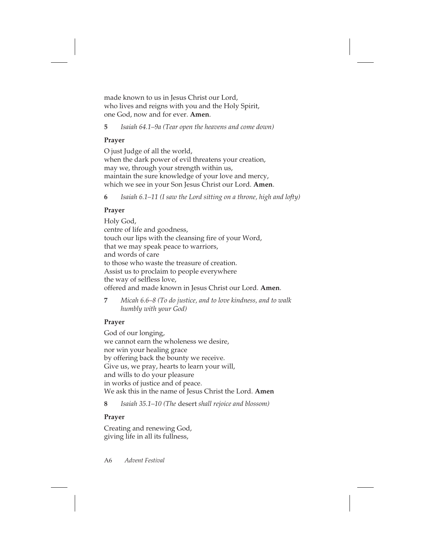made known to us in Jesus Christ our Lord, who lives and reigns with you and the Holy Spirit, one God, now and for ever. **Amen**.

**5** *Isaiah 64.1–9a (Tear open the heavens and come down)*

## **Prayer**

O just Judge of all the world, when the dark power of evil threatens your creation, may we, through your strength within us, maintain the sure knowledge of your love and mercy, which we see in your Son Jesus Christ our Lord. **Amen**.

**6** *Isaiah 6.1–11 (I saw the Lord sitting on a throne, high and lofty)*

# **Prayer**

Holy God, centre of life and goodness, touch our lips with the cleansing fire of your Word, that we may speak peace to warriors, and words of care to those who waste the treasure of creation. Assist us to proclaim to people everywhere the way of selfless love, offered and made known in Jesus Christ our Lord. **Amen**.

**7** *Micah 6.6–8 (To do justice, and to love kindness, and to walk humbly with your God)*

# **Prayer**

God of our longing, we cannot earn the wholeness we desire, nor win your healing grace by offering back the bounty we receive. Give us, we pray, hearts to learn your will, and wills to do your pleasure in works of justice and of peace. We ask this in the name of Jesus Christ the Lord. **Amen**

**8** *Isaiah 35.1–10 (The* desert *shall rejoice and blossom)*

# **Prayer**

Creating and renewing God, giving life in all its fullness,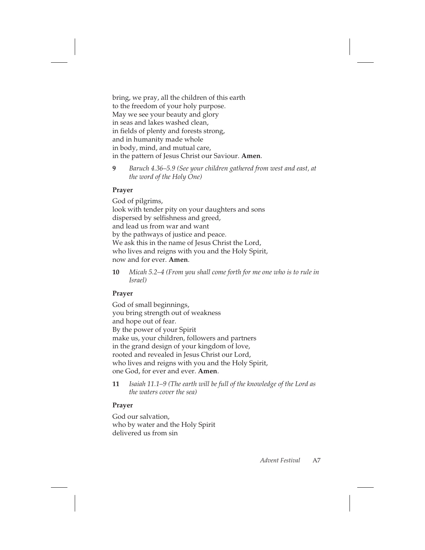bring, we pray, all the children of this earth to the freedom of your holy purpose. May we see your beauty and glory in seas and lakes washed clean, in fields of plenty and forests strong, and in humanity made whole in body, mind, and mutual care, in the pattern of Jesus Christ our Saviour. **Amen**.

#### **Prayer**

God of pilgrims, look with tender pity on your daughters and sons dispersed by selfishness and greed, and lead us from war and want by the pathways of justice and peace. We ask this in the name of Jesus Christ the Lord, who lives and reigns with you and the Holy Spirit, now and for ever. **Amen**.

#### **Prayer**

God of small beginnings, you bring strength out of weakness and hope out of fear. By the power of your Spirit make us, your children, followers and partners in the grand design of your kingdom of love, rooted and revealed in Jesus Christ our Lord, who lives and reigns with you and the Holy Spirit, one God, for ever and ever. **Amen**.

**11** *Isaiah 11.1–9 (The earth will be full of the knowledge of the Lord as the waters cover the sea)*

#### **Prayer**

God our salvation, who by water and the Holy Spirit delivered us from sin

**<sup>9</sup>** *Baruch 4.36–5.9 (See your children gathered from west and east, at the word of the Holy One)*

**<sup>10</sup>** *Micah 5.2–4 (From you shall come forth for me one who is to rule in Israel)*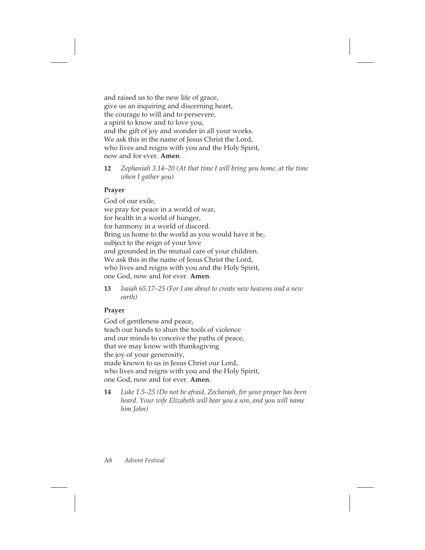and raised us to the new life of grace, give us an inquiring and discerning heart, the courage to will and to persevere, a spirit to know and to love you, and the gift of joy and wonder in all your works. We ask this in the name of Jesus Christ the Lord, who lives and reigns with you and the Holy Spirit, now and for ever. **Amen**.

**12** *Zephaniah 3.14–20 (At that time I will bring you home, at the time when I gather you)*

#### **Prayer**

God of our exile, we pray for peace in a world of war, for health in a world of hunger, for harmony in a world of discord. Bring us home to the world as you would have it be, subject to the reign of your love and grounded in the mutual care of your children. We ask this in the name of Jesus Christ the Lord, who lives and reigns with you and the Holy Spirit, one God, now and for ever. **Amen**.

**13** *Isaiah 65.17–25 (For I am about to create new heavens and a new earth)*

#### **Prayer**

God of gentleness and peace, teach our hands to shun the tools of violence and our minds to conceive the paths of peace, that we may know with thanksgiving the joy of your generosity, made known to us in Jesus Christ our Lord, who lives and reigns with you and the Holy Spirit, one God, now and for ever. **Amen**.

**14** *Luke 1.5–25 (Do not be afraid, Zechariah, for your prayer has been heard. Your wife Elizabeth will bear you a son, and you will name him John)*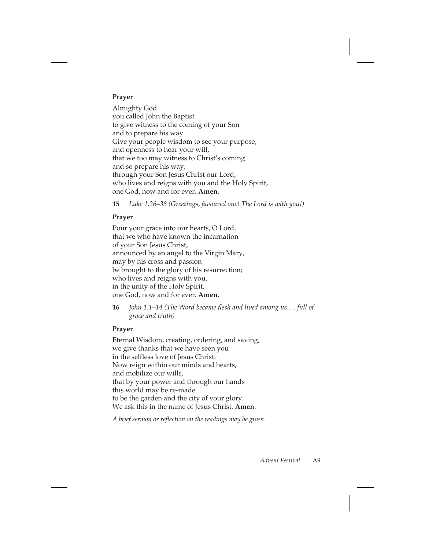## **Prayer**

Almighty God you called John the Baptist to give witness to the coming of your Son and to prepare his way. Give your people wisdom to see your purpose, and openness to hear your will, that we too may witness to Christ's coming and so prepare his way; through your Son Jesus Christ our Lord, who lives and reigns with you and the Holy Spirit, one God, now and for ever. **Amen**.

**15** *Luke 1.26–38 (Greetings, favoured one! The Lord is with you!)*

## **Prayer**

Pour your grace into our hearts, O Lord, that we who have known the incarnation of your Son Jesus Christ, announced by an angel to the Virgin Mary, may by his cross and passion be brought to the glory of his resurrection; who lives and reigns with you, in the unity of the Holy Spirit, one God, now and for ever. **Amen**.

**16** *John 1.1–14 (The Word became flesh and lived among us … full of grace and truth)*

## **Prayer**

Eternal Wisdom, creating, ordering, and saving, we give thanks that we have seen you in the selfless love of Jesus Christ. Now reign within our minds and hearts, and mobilize our wills, that by your power and through our hands this world may be re-made to be the garden and the city of your glory. We ask this in the name of Jesus Christ. **Amen**.

*A brief sermon or reflection on the readings may be given.*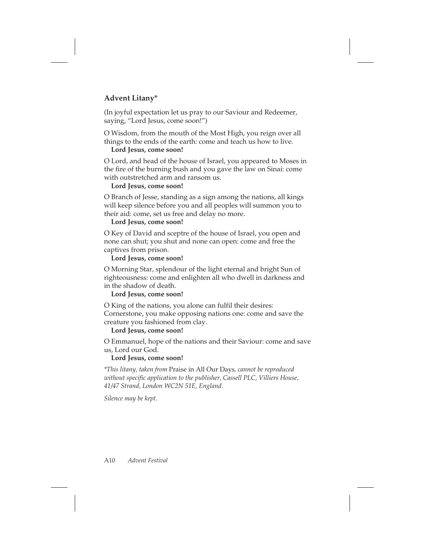## **Advent Litany\***

(In joyful expectation let us pray to our Saviour and Redeemer, saying, "Lord Jesus, come soon!")

O Wisdom, from the mouth of the Most High, you reign over all things to the ends of the earth: come and teach us how to live.

#### **Lord Jesus, come soon!**

O Lord, and head of the house of Israel, you appeared to Moses in the fire of the burning bush and you gave the law on Sinai: come with outstretched arm and ransom us.

#### **Lord Jesus, come soon!**

O Branch of Jesse, standing as a sign among the nations, all kings will keep silence before you and all peoples will summon you to their aid: come, set us free and delay no more.

#### **Lord Jesus, come soon!**

O Key of David and sceptre of the house of Israel, you open and none can shut; you shut and none can open: come and free the captives from prison.

#### **Lord Jesus, come soon!**

O Morning Star, splendour of the light eternal and bright Sun of righteousness: come and enlighten all who dwell in darkness and in the shadow of death.

#### **Lord Jesus, come soon!**

O King of the nations, you alone can fulfil their desires: Cornerstone, you make opposing nations one: come and save the creature you fashioned from clay.

#### **Lord Jesus, come soon!**

O Emmanuel, hope of the nations and their Saviour: come and save us, Lord our God.

#### **Lord Jesus, come soon!**

*\*This litany, taken from* Praise in All Our Days*, cannot be reproduced without specific application to the publisher, Cassell PLC, Villiers House, 41/47 Strand, London WC2N 51E, England.*

*Silence may be kept.*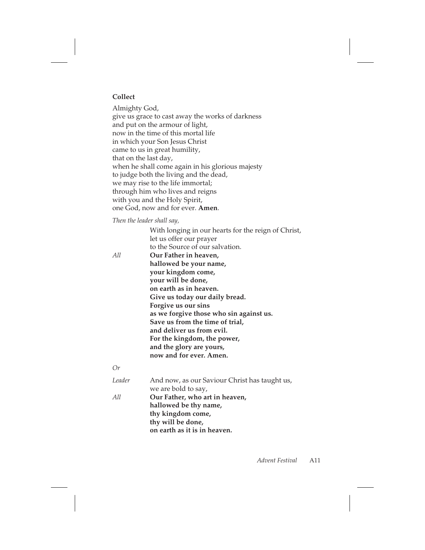#### **Collect**

Almighty God, give us grace to cast away the works of darkness and put on the armour of light, now in the time of this mortal life in which your Son Jesus Christ came to us in great humility, that on the last day, when he shall come again in his glorious majesty to judge both the living and the dead, we may rise to the life immortal; through him who lives and reigns with you and the Holy Spirit, one God, now and for ever. **Amen**.

#### *Then the leader shall say,*

|        | With longing in our hearts for the reign of Christ, |
|--------|-----------------------------------------------------|
|        | let us offer our prayer                             |
|        | to the Source of our salvation.                     |
| All    | Our Father in heaven,                               |
|        | hallowed be your name,                              |
|        | your kingdom come,                                  |
|        | your will be done,                                  |
|        | on earth as in heaven.                              |
|        | Give us today our daily bread.                      |
|        | Forgive us our sins                                 |
|        | as we forgive those who sin against us.             |
|        | Save us from the time of trial,                     |
|        | and deliver us from evil.                           |
|        | For the kingdom, the power,                         |
|        | and the glory are yours,                            |
|        | now and for ever. Amen.                             |
| Or     |                                                     |
| Leader | And now, as our Saviour Christ has taught us,       |
|        | we are bold to say,                                 |
| All    | Our Father, who art in heaven,                      |
|        | hallowed be thy name,                               |
|        | thy kingdom come,                                   |
|        | thy will be done,                                   |
|        | on earth as it is in heaven.                        |
|        |                                                     |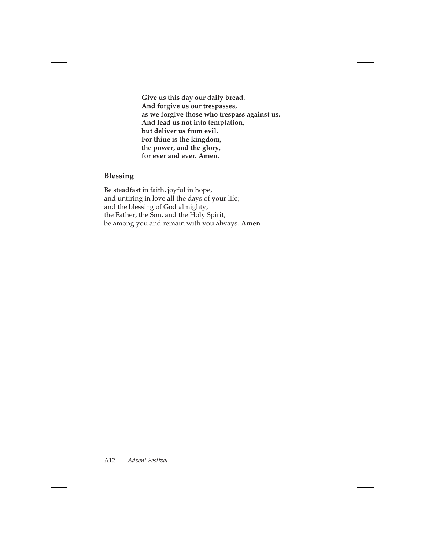**Give us this day our daily bread. And forgive us our trespasses, as we forgive those who trespass against us. And lead us not into temptation, but deliver us from evil. For thine is the kingdom, the power, and the glory, for ever and ever. Amen**.

#### **Blessing**

Be steadfast in faith, joyful in hope, and untiring in love all the days of your life; and the blessing of God almighty, the Father, the Son, and the Holy Spirit, be among you and remain with you always. **Amen**.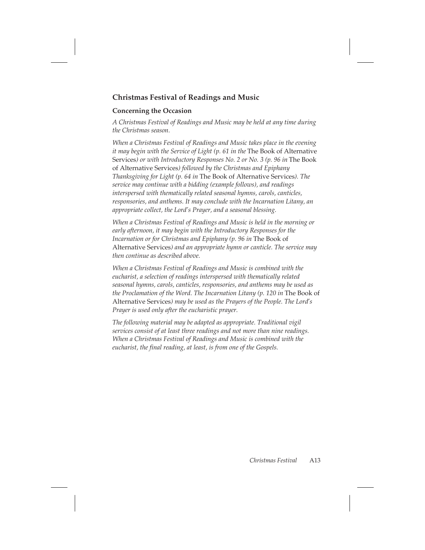## <span id="page-24-0"></span>**Christmas Festival of Readings and Music**

#### **Concerning the Occasion**

*A Christmas Festival of Readings and Music may be held at any time during the Christmas season.*

*When a Christmas Festival of Readings and Music takes place in the evening it may begin with the Service of Light (p. 61 in the* The Book of Alternative Services*) or with Introductory Responses No. 2 or No. 3 (p. 96 in* The Book of Alternative Services*) followed by the Christmas and Epiphany Thanksgiving for Light (p. 64 in* The Book of Alternative Services*). The service may continue with a bidding (example follows), and readings interspersed with thematically related seasonal hymns, carols, canticles, responsories, and anthems. It may conclude with the Incarnation Litany, an appropriate collect, the Lord's Prayer, and a seasonal blessing.*

*When a Christmas Festival of Readings and Music is held in the morning or early afternoon, it may begin with the Introductory Responses for the Incarnation or for Christmas and Epiphany (p. 96 in* The Book of Alternative Services*) and an appropriate hymn or canticle. The service may then continue as described above.*

*When a Christmas Festival of Readings and Music is combined with the eucharist, a selection of readings interspersed with thematically related seasonal hymns, carols, canticles, responsories, and anthems may be used as the Proclamation of the Word. The Incarnation Litany (p. 120 in* The Book of Alternative Services*) may be used as the Prayers of the People. The Lord's Prayer is used only after the eucharistic prayer.*

*The following material may be adapted as appropriate. Traditional vigil services consist of at least three readings and not more than nine readings. When a Christmas Festival of Readings and Music is combined with the eucharist, the final reading, at least, is from one of the Gospels.*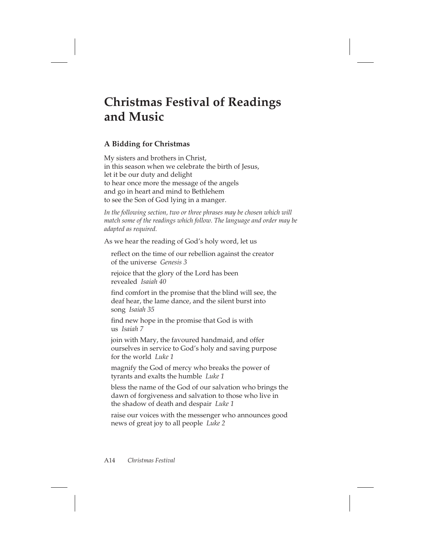# **Christmas Festival of Readings and Music**

## **A Bidding for Christmas**

My sisters and brothers in Christ, in this season when we celebrate the birth of Jesus, let it be our duty and delight to hear once more the message of the angels and go in heart and mind to Bethlehem to see the Son of God lying in a manger.

*In the following section, two or three phrases may be chosen which will match some of the readings which follow. The language and order may be adapted as required.*

As we hear the reading of God's holy word, let us

reflect on the time of our rebellion against the creator of the universe *Genesis 3*

rejoice that the glory of the Lord has been revealed *Isaiah 40*

find comfort in the promise that the blind will see, the deaf hear, the lame dance, and the silent burst into song *Isaiah 35*

find new hope in the promise that God is with us *Isaiah 7*

join with Mary, the favoured handmaid, and offer ourselves in service to God's holy and saving purpose for the world *Luke 1*

magnify the God of mercy who breaks the power of tyrants and exalts the humble *Luke 1*

bless the name of the God of our salvation who brings the dawn of forgiveness and salvation to those who live in the shadow of death and despair *Luke 1*

raise our voices with the messenger who announces good news of great joy to all people *Luke 2*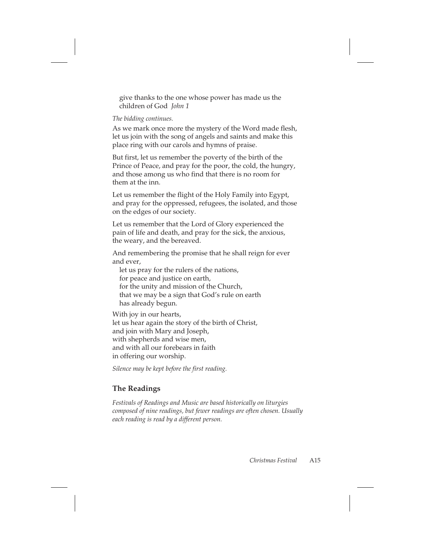give thanks to the one whose power has made us the children of God *John 1*

*The bidding continues.*

As we mark once more the mystery of the Word made flesh, let us join with the song of angels and saints and make this place ring with our carols and hymns of praise.

But first, let us remember the poverty of the birth of the Prince of Peace, and pray for the poor, the cold, the hungry, and those among us who find that there is no room for them at the inn.

Let us remember the flight of the Holy Family into Egypt, and pray for the oppressed, refugees, the isolated, and those on the edges of our society.

Let us remember that the Lord of Glory experienced the pain of life and death, and pray for the sick, the anxious, the weary, and the bereaved.

And remembering the promise that he shall reign for ever and ever,

let us pray for the rulers of the nations, for peace and justice on earth, for the unity and mission of the Church, that we may be a sign that God's rule on earth has already begun.

With joy in our hearts, let us hear again the story of the birth of Christ, and join with Mary and Joseph, with shepherds and wise men, and with all our forebears in faith in offering our worship.

*Silence may be kept before the first reading.*

## **The Readings**

*Festivals of Readings and Music are based historically on liturgies composed of nine readings, but fewer readings are often chosen. Usually each reading is read by a different person.*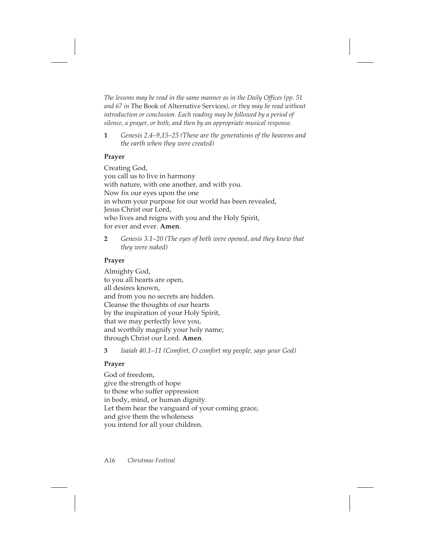*The lessons may be read in the same manner as in the Daily Offices (pp. 51 and 67 in* The Book of Alternative Services*), or they may be read without introduction or conclusion. Each reading may be followed by a period of silence, a prayer, or both, and then by an appropriate musical response.*

**1** *Genesis 2.4–9,15–25 (These are the generations of the heavens and the earth when they were created)*

## **Prayer**

Creating God, you call us to live in harmony with nature, with one another, and with you. Now fix our eyes upon the one in whom your purpose for our world has been revealed, Jesus Christ our Lord, who lives and reigns with you and the Holy Spirit, for ever and ever. **Amen**.

**2** *Genesis 3.1–20 (The eyes of both were opened, and they knew that they were naked)*

## **Prayer**

Almighty God, to you all hearts are open, all desires known, and from you no secrets are hidden. Cleanse the thoughts of our hearts by the inspiration of your Holy Spirit, that we may perfectly love you, and worthily magnify your holy name; through Christ our Lord. **Amen**.

**3** *Isaiah 40.1–11 (Comfort, O comfort my people, says your God)*

## **Prayer**

God of freedom, give the strength of hope to those who suffer oppression in body, mind, or human dignity. Let them hear the vanguard of your coming grace, and give them the wholeness you intend for all your children.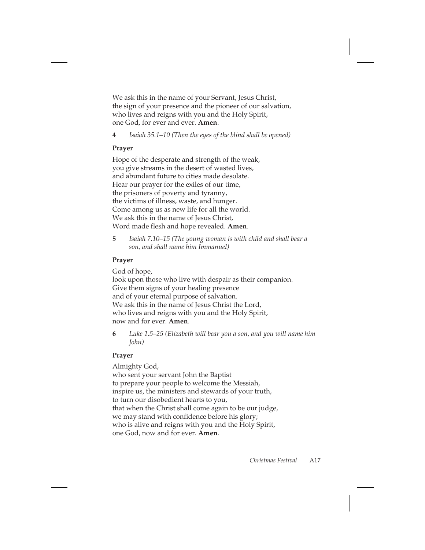We ask this in the name of your Servant, Jesus Christ, the sign of your presence and the pioneer of our salvation, who lives and reigns with you and the Holy Spirit, one God, for ever and ever. **Amen**.

**4** *Isaiah 35.1–10 (Then the eyes of the blind shall be opened)*

## **Prayer**

Hope of the desperate and strength of the weak, you give streams in the desert of wasted lives, and abundant future to cities made desolate. Hear our prayer for the exiles of our time, the prisoners of poverty and tyranny, the victims of illness, waste, and hunger. Come among us as new life for all the world. We ask this in the name of Jesus Christ, Word made flesh and hope revealed. **Amen**.

**5** *Isaiah 7.10–15 (The young woman is with child and shall bear a son, and shall name him Immanuel)*

## **Prayer**

God of hope, look upon those who live with despair as their companion. Give them signs of your healing presence and of your eternal purpose of salvation. We ask this in the name of Jesus Christ the Lord, who lives and reigns with you and the Holy Spirit, now and for ever. **Amen**.

**6** *Luke 1.5–25 (Elizabeth will bear you a son, and you will name him John)*

## **Prayer**

Almighty God, who sent your servant John the Baptist to prepare your people to welcome the Messiah, inspire us, the ministers and stewards of your truth, to turn our disobedient hearts to you, that when the Christ shall come again to be our judge, we may stand with confidence before his glory; who is alive and reigns with you and the Holy Spirit, one God, now and for ever. **Amen**.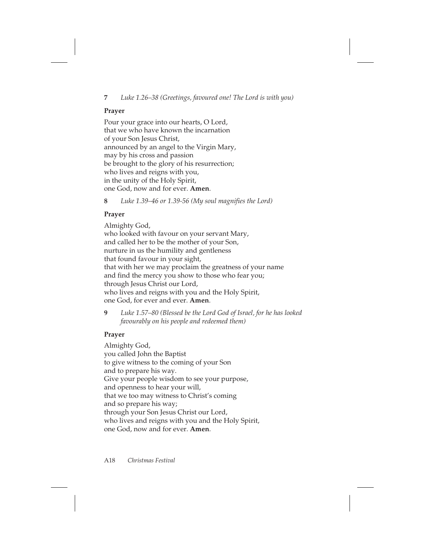## **Prayer**

Pour your grace into our hearts, O Lord, that we who have known the incarnation of your Son Jesus Christ, announced by an angel to the Virgin Mary, may by his cross and passion be brought to the glory of his resurrection; who lives and reigns with you, in the unity of the Holy Spirit, one God, now and for ever. **Amen**.

**8** *Luke 1.39–46 or 1.39-56 (My soul magnifies the Lord)*

## **Prayer**

Almighty God, who looked with favour on your servant Mary, and called her to be the mother of your Son, nurture in us the humility and gentleness that found favour in your sight, that with her we may proclaim the greatness of your name and find the mercy you show to those who fear you; through Jesus Christ our Lord, who lives and reigns with you and the Holy Spirit, one God, for ever and ever. **Amen**.

**9** *Luke 1.57–80 (Blessed be the Lord God of Israel, for he has looked favourably on his people and redeemed them)*

## **Prayer**

Almighty God, you called John the Baptist to give witness to the coming of your Son and to prepare his way. Give your people wisdom to see your purpose, and openness to hear your will, that we too may witness to Christ's coming and so prepare his way; through your Son Jesus Christ our Lord, who lives and reigns with you and the Holy Spirit, one God, now and for ever. **Amen**.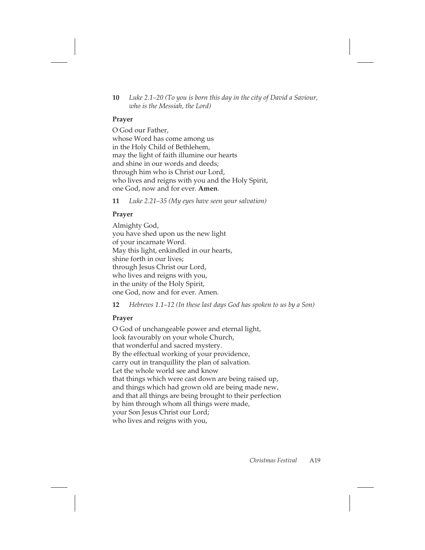**10** *Luke 2.1–20 (To you is born this day in the city of David a Saviour, who is the Messiah, the Lord)*

### **Prayer**

O God our Father, whose Word has come among us in the Holy Child of Bethlehem, may the light of faith illumine our hearts and shine in our words and deeds; through him who is Christ our Lord, who lives and reigns with you and the Holy Spirit, one God, now and for ever. **Amen**.

**11** *Luke 2.21–35 (My eyes have seen your salvation)*

## **Prayer**

Almighty God, you have shed upon us the new light of your incarnate Word. May this light, enkindled in our hearts, shine forth in our lives; through Jesus Christ our Lord, who lives and reigns with you, in the unity of the Holy Spirit, one God, now and for ever. Amen.

**12** *Hebrews 1.1–12 (In these last days God has spoken to us by a Son)*

## **Prayer**

O God of unchangeable power and eternal light, look favourably on your whole Church, that wonderful and sacred mystery. By the effectual working of your providence, carry out in tranquillity the plan of salvation. Let the whole world see and know that things which were cast down are being raised up, and things which had grown old are being made new, and that all things are being brought to their perfection by him through whom all things were made, your Son Jesus Christ our Lord; who lives and reigns with you,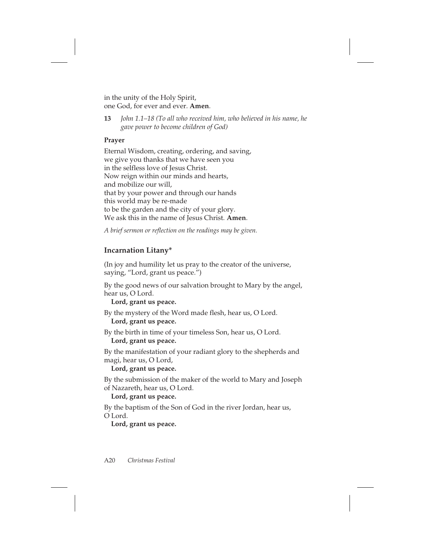in the unity of the Holy Spirit, one God, for ever and ever. **Amen**.

**13** *John 1.1–18 (To all who received him, who believed in his name, he gave power to become children of God)*

## **Prayer**

Eternal Wisdom, creating, ordering, and saving, we give you thanks that we have seen you in the selfless love of Jesus Christ. Now reign within our minds and hearts, and mobilize our will, that by your power and through our hands this world may be re-made to be the garden and the city of your glory. We ask this in the name of Jesus Christ. **Amen**.

*A brief sermon or reflection on the readings may be given.*

## **Incarnation Litany\***

(In joy and humility let us pray to the creator of the universe, saying, "Lord, grant us peace.")

By the good news of our salvation brought to Mary by the angel, hear us, O Lord.

**Lord, grant us peace.**

By the mystery of the Word made flesh, hear us, O Lord. **Lord, grant us peace.**

By the birth in time of your timeless Son, hear us, O Lord. **Lord, grant us peace.**

By the manifestation of your radiant glory to the shepherds and magi, hear us, O Lord,

**Lord, grant us peace.**

By the submission of the maker of the world to Mary and Joseph of Nazareth, hear us, O Lord.

**Lord, grant us peace.**

By the baptism of the Son of God in the river Jordan, hear us, O Lord.

**Lord, grant us peace.**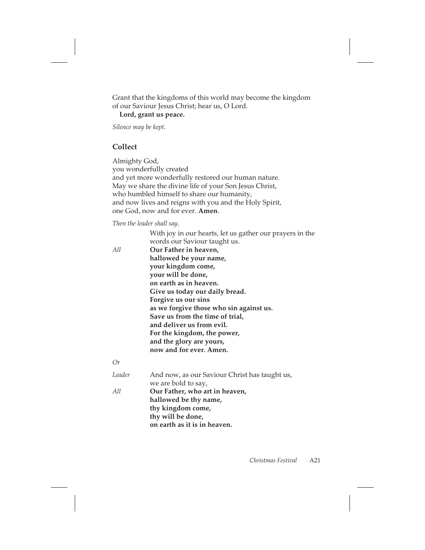Grant that the kingdoms of this world may become the kingdom of our Saviour Jesus Christ; hear us, O Lord.

#### **Lord, grant us peace.**

*Silence may be kept.*

## **Collect**

Almighty God, you wonderfully created and yet more wonderfully restored our human nature. May we share the divine life of your Son Jesus Christ, who humbled himself to share our humanity, and now lives and reigns with you and the Holy Spirit, one God, now and for ever. **Amen**.

*Then the leader shall say,*

|        | With joy in our hearts, let us gather our prayers in the<br>words our Saviour taught us. |
|--------|------------------------------------------------------------------------------------------|
| All    | Our Father in heaven,                                                                    |
|        | hallowed be your name,                                                                   |
|        | your kingdom come,                                                                       |
|        | your will be done,                                                                       |
|        | on earth as in heaven.                                                                   |
|        | Give us today our daily bread.                                                           |
|        | Forgive us our sins                                                                      |
|        | as we forgive those who sin against us.                                                  |
|        | Save us from the time of trial,                                                          |
|        | and deliver us from evil.                                                                |
|        | For the kingdom, the power,                                                              |
|        | and the glory are yours,                                                                 |
|        | now and for ever. Amen.                                                                  |
| Or     |                                                                                          |
| Leader | And now, as our Saviour Christ has taught us,<br>we are bold to say,                     |
| All    | Our Father, who art in heaven,                                                           |
|        | hallowed be thy name,                                                                    |
|        | thy kingdom come,                                                                        |
|        | thy will be done,                                                                        |
|        | on earth as it is in heaven.                                                             |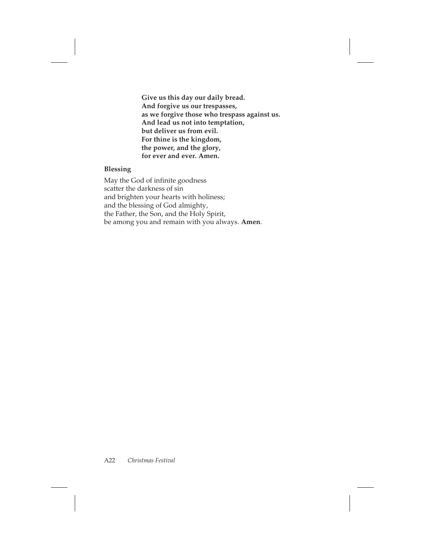**Give us this day our daily bread. And forgive us our trespasses, as we forgive those who trespass against us. And lead us not into temptation, but deliver us from evil. For thine is the kingdom, the power, and the glory, for ever and ever. Amen.**

#### **Blessing**

May the God of infinite goodness scatter the darkness of sin and brighten your hearts with holiness; and the blessing of God almighty, the Father, the Son, and the Holy Spirit, be among you and remain with you always. **Amen**.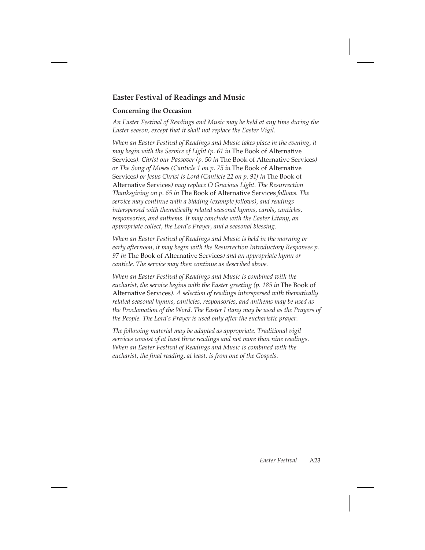## <span id="page-34-0"></span>**Easter Festival of Readings and Music**

#### **Concerning the Occasion**

*An Easter Festival of Readings and Music may be held at any time during the Easter season, except that it shall not replace the Easter Vigil.*

*When an Easter Festival of Readings and Music takes place in the evening, it may begin with the Service of Light (p. 61 in* The Book of Alternative Services*). Christ our Passover (p. 50 in* The Book of Alternative Services*) or The Song of Moses (Canticle 1 on p. 75 in* The Book of Alternative Services*) or Jesus Christ is Lord (Canticle 22 on p. 91f in* The Book of Alternative Services*) may replace O Gracious Light. The Resurrection Thanksgiving on p. 65 in* The Book of Alternative Services *follows. The service may continue with a bidding (example follows), and readings interspersed with thematically related seasonal hymns, carols, canticles, responsories, and anthems. It may conclude with the Easter Litany, an appropriate collect, the Lord's Prayer, and a seasonal blessing.*

*When an Easter Festival of Readings and Music is held in the morning or early afternoon, it may begin with the Resurrection Introductory Responses p. 97 in* The Book of Alternative Services*) and an appropriate hymn or canticle. The service may then continue as described above.*

*When an Easter Festival of Readings and Music is combined with the eucharist, the service begins with the Easter greeting (p. 185 in* The Book of Alternative Services*). A selection of readings interspersed with thematically related seasonal hymns, canticles, responsories, and anthems may be used as the Proclamation of the Word. The Easter Litany may be used as the Prayers of the People. The Lord's Prayer is used only after the eucharistic prayer.*

*The following material may be adapted as appropriate. Traditional vigil services consist of at least three readings and not more than nine readings. When an Easter Festival of Readings and Music is combined with the eucharist, the final reading, at least, is from one of the Gospels.*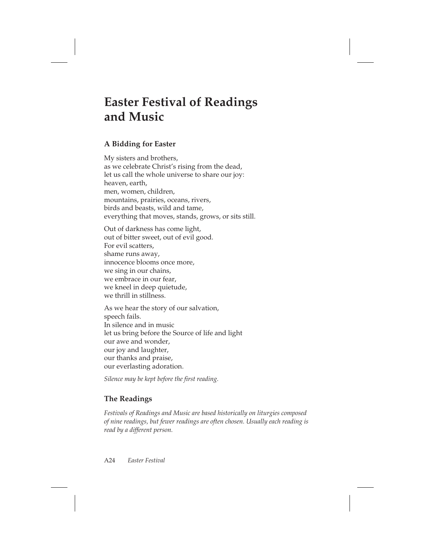# **Easter Festival of Readings and Music**

## **A Bidding for Easter**

My sisters and brothers, as we celebrate Christ's rising from the dead, let us call the whole universe to share our joy: heaven, earth, men, women, children, mountains, prairies, oceans, rivers, birds and beasts, wild and tame, everything that moves, stands, grows, or sits still.

Out of darkness has come light, out of bitter sweet, out of evil good. For evil scatters, shame runs away, innocence blooms once more, we sing in our chains, we embrace in our fear, we kneel in deep quietude, we thrill in stillness.

As we hear the story of our salvation, speech fails. In silence and in music let us bring before the Source of life and light our awe and wonder, our joy and laughter, our thanks and praise, our everlasting adoration.

*Silence may be kept before the first reading.*

# **The Readings**

*Festivals of Readings and Music are based historically on liturgies composed of nine readings, but fewer readings are often chosen. Usually each reading is read by a different person.*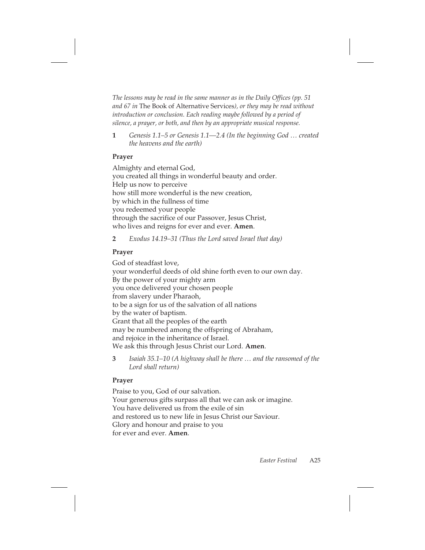*The lessons may be read in the same manner as in the Daily Offices (pp. 51 and 67 in* The Book of Alternative Services*), or they may be read without introduction or conclusion. Each reading maybe followed by a period of silence, a prayer, or both, and then by an appropriate musical response.*

**1** *Genesis 1.1–5 or Genesis 1.1—2.4 (In the beginning God … created the heavens and the earth)*

### **Prayer**

Almighty and eternal God, you created all things in wonderful beauty and order. Help us now to perceive how still more wonderful is the new creation, by which in the fullness of time you redeemed your people through the sacrifice of our Passover, Jesus Christ, who lives and reigns for ever and ever. **Amen**.

**2** *Exodus 14.19–31 (Thus the Lord saved Israel that day)*

### **Prayer**

God of steadfast love, your wonderful deeds of old shine forth even to our own day. By the power of your mighty arm you once delivered your chosen people from slavery under Pharaoh, to be a sign for us of the salvation of all nations by the water of baptism. Grant that all the peoples of the earth may be numbered among the offspring of Abraham, and rejoice in the inheritance of Israel. We ask this through Jesus Christ our Lord. **Amen**.

**3** *Isaiah 35.1–10 (A highway shall be there … and the ransomed of the Lord shall return)*

### **Prayer**

Praise to you, God of our salvation. Your generous gifts surpass all that we can ask or imagine. You have delivered us from the exile of sin and restored us to new life in Jesus Christ our Saviour. Glory and honour and praise to you for ever and ever. **Amen**.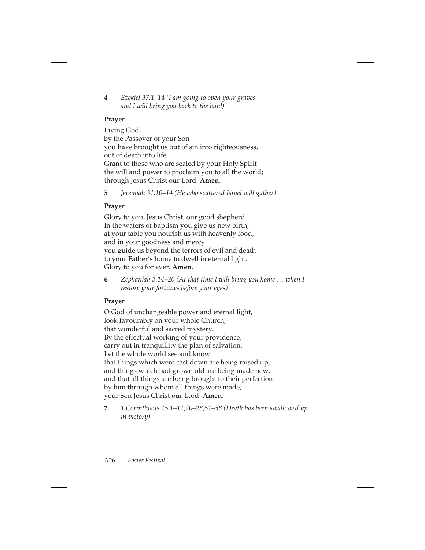**4** *Ezekiel 37.1–14 (I am going to open your graves. and I will bring you back to the land)*

## **Prayer**

Living God, by the Passover of your Son you have brought us out of sin into righteousness, out of death into life. Grant to those who are sealed by your Holy Spirit the will and power to proclaim you to all the world; through Jesus Christ our Lord. **Amen**.

**5** *Jeremiah 31.10–14 (He who scattered Israel will gather)*

## **Prayer**

Glory to you, Jesus Christ, our good shepherd. In the waters of baptism you give us new birth, at your table you nourish us with heavenly food, and in your goodness and mercy you guide us beyond the terrors of evil and death to your Father's home to dwell in eternal light. Glory to you for ever. **Amen**.

**6** *Zephaniah 3.14–20 (At that time I will bring you home … when I restore your fortunes before your eyes)*

## **Prayer**

O God of unchangeable power and eternal light, look favourably on your whole Church, that wonderful and sacred mystery. By the effectual working of your providence, carry out in tranquillity the plan of salvation. Let the whole world see and know that things which were cast down are being raised up, and things which had grown old are being made new, and that all things are being brought to their perfection by him through whom all things were made, your Son Jesus Christ our Lord. **Amen**.

**7** *1 Corinthians 15.1–11,20–28,51–58 (Death has been swallowed up in victory)*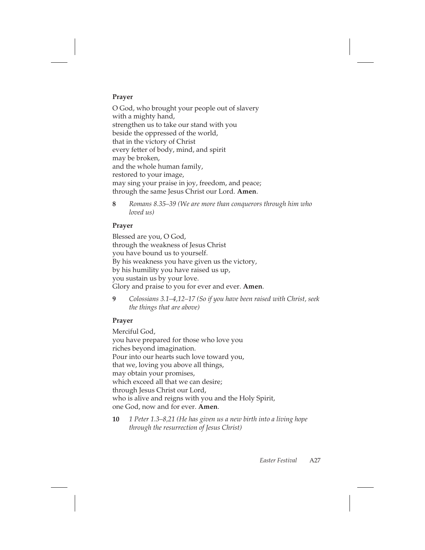### **Prayer**

O God, who brought your people out of slavery with a mighty hand, strengthen us to take our stand with you beside the oppressed of the world, that in the victory of Christ every fetter of body, mind, and spirit may be broken, and the whole human family, restored to your image, may sing your praise in joy, freedom, and peace; through the same Jesus Christ our Lord. **Amen**.

**8** *Romans 8.35–39 (We are more than conquerors through him who loved us)*

## **Prayer**

Blessed are you, O God, through the weakness of Jesus Christ you have bound us to yourself. By his weakness you have given us the victory, by his humility you have raised us up, you sustain us by your love. Glory and praise to you for ever and ever. **Amen**.

**9** *Colossians 3.1–4,12–17 (So if you have been raised with Christ, seek the things that are above)*

### **Prayer**

Merciful God, you have prepared for those who love you riches beyond imagination. Pour into our hearts such love toward you, that we, loving you above all things, may obtain your promises, which exceed all that we can desire; through Jesus Christ our Lord, who is alive and reigns with you and the Holy Spirit, one God, now and for ever. **Amen**.

**10** *1 Peter 1.3–8,21 (He has given us a new birth into a living hope through the resurrection of Jesus Christ)*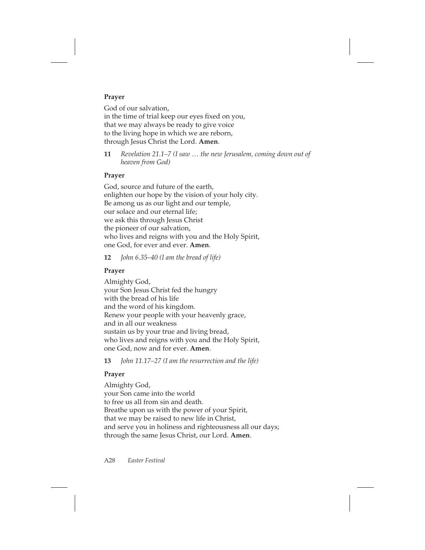### **Prayer**

God of our salvation, in the time of trial keep our eyes fixed on you, that we may always be ready to give voice to the living hope in which we are reborn, through Jesus Christ the Lord. **Amen**.

## **Prayer**

God, source and future of the earth, enlighten our hope by the vision of your holy city. Be among us as our light and our temple, our solace and our eternal life; we ask this through Jesus Christ the pioneer of our salvation, who lives and reigns with you and the Holy Spirit, one God, for ever and ever. **Amen**.

**12** *John 6.35–40 (I am the bread of life)*

## **Prayer**

Almighty God, your Son Jesus Christ fed the hungry with the bread of his life and the word of his kingdom. Renew your people with your heavenly grace, and in all our weakness sustain us by your true and living bread, who lives and reigns with you and the Holy Spirit, one God, now and for ever. **Amen**.

**13** *John 11.17–27 (I am the resurrection and the life)*

## **Prayer**

Almighty God, your Son came into the world to free us all from sin and death. Breathe upon us with the power of your Spirit, that we may be raised to new life in Christ, and serve you in holiness and righteousness all our days; through the same Jesus Christ, our Lord. **Amen**.

**<sup>11</sup>** *Revelation 21.1–7 (I saw … the new Jerusalem, coming down out of heaven from God)*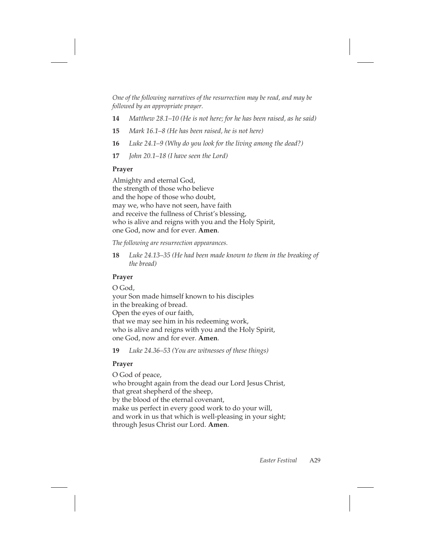*One of the following narratives of the resurrection may be read, and may be followed by an appropriate prayer.*

- **14** *Matthew 28.1–10 (He is not here; for he has been raised, as he said)*
- **15** *Mark 16.1–8 (He has been raised, he is not here)*
- **16** *Luke 24.1–9 (Why do you look for the living among the dead?)*
- **17** *John 20.1–18 (I have seen the Lord)*

## **Prayer**

Almighty and eternal God, the strength of those who believe and the hope of those who doubt, may we, who have not seen, have faith and receive the fullness of Christ's blessing, who is alive and reigns with you and the Holy Spirit, one God, now and for ever. **Amen**.

*The following are resurrection appearances.*

**18** *Luke 24.13–35 (He had been made known to them in the breaking of the bread)*

## **Prayer**

O God,

your Son made himself known to his disciples in the breaking of bread.

Open the eyes of our faith,

that we may see him in his redeeming work, who is alive and reigns with you and the Holy Spirit, one God, now and for ever. **Amen**.

**19** *Luke 24.36–53 (You are witnesses of these things)*

## **Prayer**

O God of peace, who brought again from the dead our Lord Jesus Christ, that great shepherd of the sheep, by the blood of the eternal covenant, make us perfect in every good work to do your will, and work in us that which is well-pleasing in your sight; through Jesus Christ our Lord. **Amen**.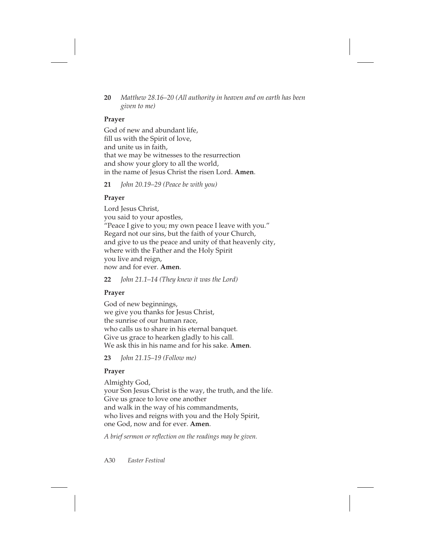**20** *Matthew 28.16–20 (All authority in heaven and on earth has been given to me)*

## **Prayer**

God of new and abundant life, fill us with the Spirit of love, and unite us in faith, that we may be witnesses to the resurrection and show your glory to all the world, in the name of Jesus Christ the risen Lord. **Amen**.

**21** *John 20.19–29 (Peace be with you)*

## **Prayer**

Lord Jesus Christ, you said to your apostles, "Peace I give to you; my own peace I leave with you." Regard not our sins, but the faith of your Church, and give to us the peace and unity of that heavenly city, where with the Father and the Holy Spirit you live and reign, now and for ever. **Amen**.

**22** *John 21.1–14 (They knew it was the Lord)*

## **Prayer**

God of new beginnings, we give you thanks for Jesus Christ, the sunrise of our human race, who calls us to share in his eternal banquet. Give us grace to hearken gladly to his call. We ask this in his name and for his sake. **Amen**.

**23** *John 21.15–19 (Follow me)*

## **Prayer**

Almighty God, your Son Jesus Christ is the way, the truth, and the life. Give us grace to love one another and walk in the way of his commandments, who lives and reigns with you and the Holy Spirit, one God, now and for ever. **Amen**.

*A brief sermon or reflection on the readings may be given.*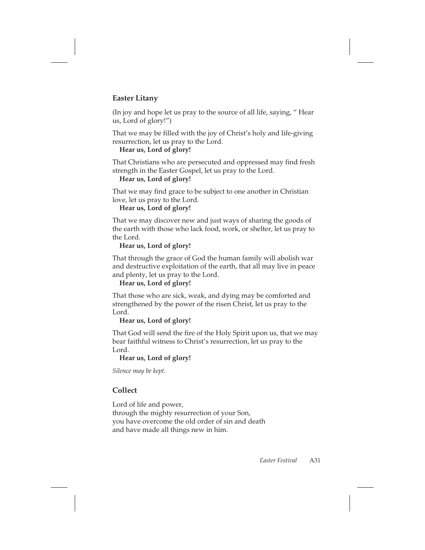## **Easter Litany**

(In joy and hope let us pray to the source of all life, saying, " Hear us, Lord of glory!")

That we may be filled with the joy of Christ's holy and life-giving resurrection, let us pray to the Lord.

### **Hear us, Lord of glory!**

That Christians who are persecuted and oppressed may find fresh strength in the Easter Gospel, let us pray to the Lord.

### **Hear us, Lord of glory!**

That we may find grace to be subject to one another in Christian love, let us pray to the Lord.

### **Hear us, Lord of glory!**

That we may discover new and just ways of sharing the goods of the earth with those who lack food, work, or shelter, let us pray to the Lord.

### **Hear us, Lord of glory!**

That through the grace of God the human family will abolish war and destructive exploitation of the earth, that all may live in peace and plenty, let us pray to the Lord.

### **Hear us, Lord of glory!**

That those who are sick, weak, and dying may be comforted and strengthened by the power of the risen Christ, let us pray to the Lord.

### **Hear us, Lord of glory!**

That God will send the fire of the Holy Spirit upon us, that we may bear faithful witness to Christ's resurrection, let us pray to the Lord.

### **Hear us, Lord of glory!**

*Silence may be kept.*

## **Collect**

Lord of life and power, through the mighty resurrection of your Son, you have overcome the old order of sin and death and have made all things new in him.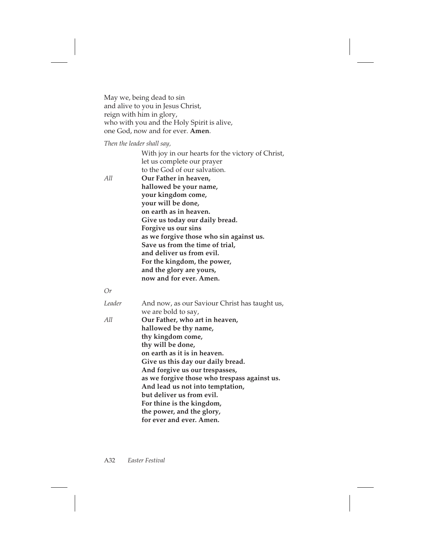May we, being dead to sin and alive to you in Jesus Christ, reign with him in glory, who with you and the Holy Spirit is alive, one God, now and for ever. **Amen**.

*Then the leader shall say,*

|        | With joy in our hearts for the victory of Christ,<br>let us complete our prayer<br>to the God of our salvation. |
|--------|-----------------------------------------------------------------------------------------------------------------|
| All    | Our Father in heaven,                                                                                           |
|        | hallowed be your name,                                                                                          |
|        | your kingdom come,                                                                                              |
|        | your will be done,                                                                                              |
|        | on earth as in heaven.                                                                                          |
|        | Give us today our daily bread.                                                                                  |
|        | Forgive us our sins                                                                                             |
|        | as we forgive those who sin against us.                                                                         |
|        | Save us from the time of trial,                                                                                 |
|        | and deliver us from evil.                                                                                       |
|        | For the kingdom, the power,                                                                                     |
|        | and the glory are yours,                                                                                        |
|        | now and for ever. Amen.                                                                                         |
| Or     |                                                                                                                 |
| Leader | And now, as our Saviour Christ has taught us,                                                                   |
| All    | we are bold to say,                                                                                             |
|        | Our Father, who art in heaven,                                                                                  |
|        | hallowed be thy name,                                                                                           |
|        | thy kingdom come,                                                                                               |
|        | thy will be done,<br>on earth as it is in heaven.                                                               |
|        | Give us this day our daily bread.                                                                               |
|        | And forgive us our trespasses,                                                                                  |
|        | as we forgive those who trespass against us.                                                                    |
|        | And lead us not into temptation,                                                                                |
|        | but deliver us from evil.                                                                                       |
|        | For thine is the kingdom,                                                                                       |
|        | the power, and the glory,                                                                                       |
|        | for ever and ever. Amen.                                                                                        |
|        |                                                                                                                 |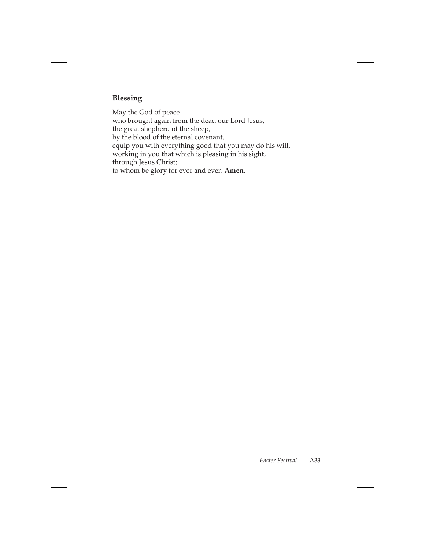## **Blessing**

May the God of peace who brought again from the dead our Lord Jesus, the great shepherd of the sheep, by the blood of the eternal covenant, equip you with everything good that you may do his will, working in you that which is pleasing in his sight, through Jesus Christ; to whom be glory for ever and ever. **Amen**.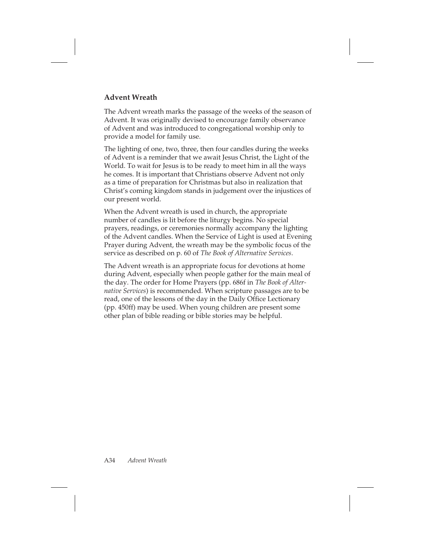## **Advent Wreath**

The Advent wreath marks the passage of the weeks of the season of Advent. It was originally devised to encourage family observance of Advent and was introduced to congregational worship only to provide a model for family use.

The lighting of one, two, three, then four candles during the weeks of Advent is a reminder that we await Jesus Christ, the Light of the World. To wait for Jesus is to be ready to meet him in all the ways he comes. It is important that Christians observe Advent not only as a time of preparation for Christmas but also in realization that Christ's coming kingdom stands in judgement over the injustices of our present world.

When the Advent wreath is used in church, the appropriate number of candles is lit before the liturgy begins. No special prayers, readings, or ceremonies normally accompany the lighting of the Advent candles. When the Service of Light is used at Evening Prayer during Advent, the wreath may be the symbolic focus of the service as described on p. 60 of *The Book of Alternative Services*.

The Advent wreath is an appropriate focus for devotions at home during Advent, especially when people gather for the main meal of the day. The order for Home Prayers (pp. 686f in *The Book of Alternative Services*) is recommended. When scripture passages are to be read, one of the lessons of the day in the Daily Office Lectionary (pp. 450ff) may be used. When young children are present some other plan of bible reading or bible stories may be helpful.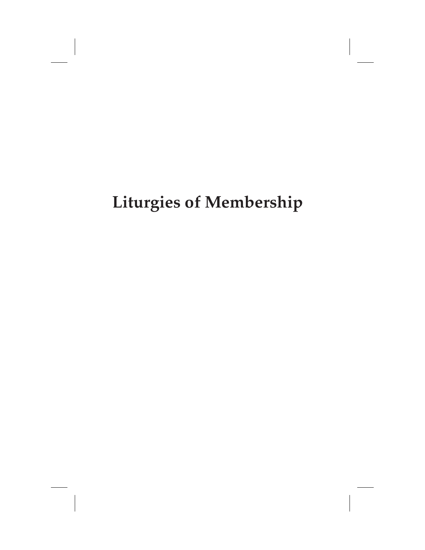# **Liturgies of Membership**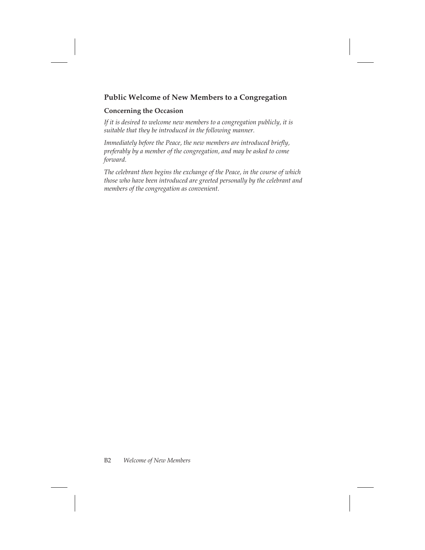## **Public Welcome of New Members to a Congregation**

### **Concerning the Occasion**

*If it is desired to welcome new members to a congregation publicly, it is suitable that they be introduced in the following manner.*

*Immediately before the Peace, the new members are introduced briefly, preferably by a member of the congregation, and may be asked to come forward.*

*The celebrant then begins the exchange of the Peace, in the course of which those who have been introduced are greeted personally by the celebrant and members of the congregation as convenient.*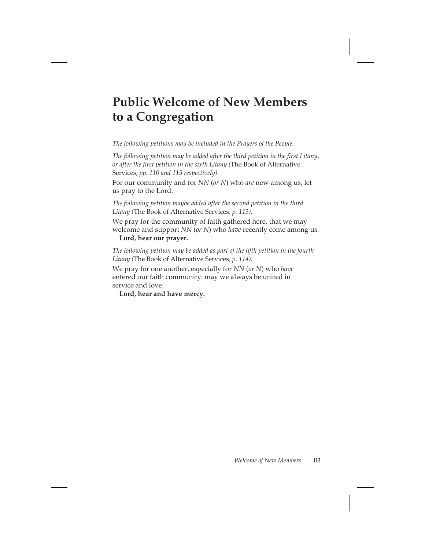## **Public Welcome of New Members to a Congregation**

*The following petitions may be included in the Prayers of the People.*

*The following petition may be added after the third petition in the first Litany, or after the first petition in the sixth Litany (*The Book of Alternative Services*, pp. 110 and 115 respectively).*

For our community and for *NN* (*or N*) who *are* new among us, let us pray to the Lord.

*The following petition maybe added after the second petition in the third Litany (*The Book of Alternative Services*, p. 113).*

We pray for the community of faith gathered here, that we may welcome and support *NN* (*or N*) who *have* recently come among us.

#### **Lord, hear our prayer.**

*The following petition may be added as part of the fifth petition in the fourth Litany (*The Book of Alternative Services*, p. 114).*

We pray for one another, especially for *NN* (*or N*) who *have* entered our faith community: may we always be united in service and love.

**Lord, hear and have mercy.**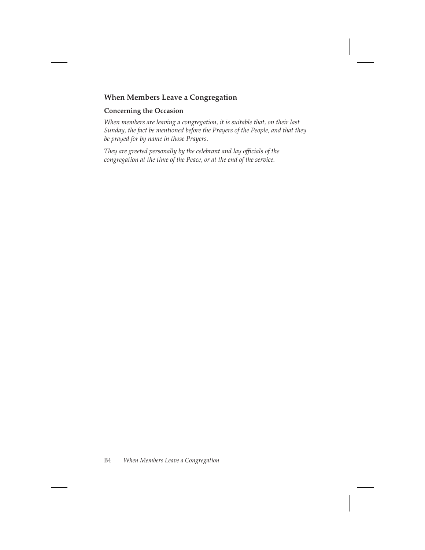## **When Members Leave a Congregation**

### **Concerning the Occasion**

*When members are leaving a congregation, it is suitable that, on their last Sunday, the fact be mentioned before the Prayers of the People, and that they be prayed for by name in those Prayers.*

*They are greeted personally by the celebrant and lay officials of the congregation at the time of the Peace, or at the end of the service.*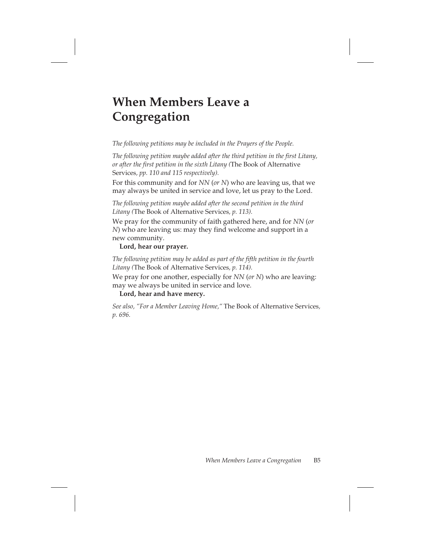## **When Members Leave a Congregation**

*The following petitions may be included in the Prayers of the People.*

*The following petition maybe added after the third petition in the first Litany, or after the first petition in the sixth Litany (*The Book of Alternative Services*, pp. 110 and 115 respectively).*

For this community and for *NN* (*or N*) who are leaving us, that we may always be united in service and love, let us pray to the Lord.

*The following petition maybe added after the second petition in the third Litany (*The Book of Alternative Services*, p. 113).*

We pray for the community of faith gathered here, and for *NN* (*or N*) who are leaving us: may they find welcome and support in a new community.

#### **Lord, hear our prayer.**

*The following petition may be added as part of the fifth petition in the fourth Litany (*The Book of Alternative Services*, p. 114).*

We pray for one another, especially for *NN* (*or N*) who are leaving: may we always be united in service and love.

**Lord, hear and have mercy.**

*See also, "For a Member Leaving Home,"* The Book of Alternative Services*, p. 696.*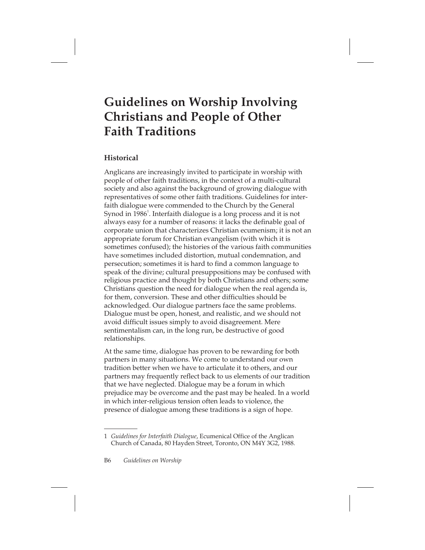## **Guidelines on Worship Involving Christians and People of Other Faith Traditions**

## **Historical**

Anglicans are increasingly invited to participate in worship with people of other faith traditions, in the context of a multi-cultural society and also against the background of growing dialogue with representatives of some other faith traditions. Guidelines for interfaith dialogue were commended to the Church by the General Synod in 1986 $^1$ . Interfaith dialogue is a long process and it is not always easy for a number of reasons: it lacks the definable goal of corporate union that characterizes Christian ecumenism; it is not an appropriate forum for Christian evangelism (with which it is sometimes confused); the histories of the various faith communities have sometimes included distortion, mutual condemnation, and persecution; sometimes it is hard to find a common language to speak of the divine; cultural presuppositions may be confused with religious practice and thought by both Christians and others; some Christians question the need for dialogue when the real agenda is, for them, conversion. These and other difficulties should be acknowledged. Our dialogue partners face the same problems. Dialogue must be open, honest, and realistic, and we should not avoid difficult issues simply to avoid disagreement. Mere sentimentalism can, in the long run, be destructive of good relationships.

At the same time, dialogue has proven to be rewarding for both partners in many situations. We come to understand our own tradition better when we have to articulate it to others, and our partners may frequently reflect back to us elements of our tradition that we have neglected. Dialogue may be a forum in which prejudice may be overcome and the past may be healed. In a world in which inter-religious tension often leads to violence, the presence of dialogue among these traditions is a sign of hope.

<sup>1</sup> *Guidelines for Interfaith Dialogue*, Ecumenical Office of the Anglican Church of Canada, 80 Hayden Street, Toronto, ON M4Y 3G2, 1988.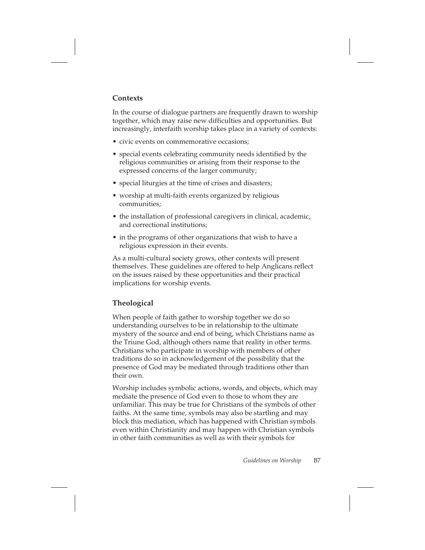## **Contexts**

In the course of dialogue partners are frequently drawn to worship together, which may raise new difficulties and opportunities. But increasingly, interfaith worship takes place in a variety of contexts:

- civic events on commemorative occasions;
- special events celebrating community needs identified by the religious communities or arising from their response to the expressed concerns of the larger community;
- special liturgies at the time of crises and disasters;
- worship at multi-faith events organized by religious communities;
- the installation of professional caregivers in clinical, academic, and correctional institutions;
- in the programs of other organizations that wish to have a religious expression in their events.

As a multi-cultural society grows, other contexts will present themselves. These guidelines are offered to help Anglicans reflect on the issues raised by these opportunities and their practical implications for worship events.

## **Theological**

When people of faith gather to worship together we do so understanding ourselves to be in relationship to the ultimate mystery of the source and end of being, which Christians name as the Triune God, although others name that reality in other terms. Christians who participate in worship with members of other traditions do so in acknowledgement of the possibility that the presence of God may be mediated through traditions other than their own.

Worship includes symbolic actions, words, and objects, which may mediate the presence of God even to those to whom they are unfamiliar. This may be true for Christians of the symbols of other faiths. At the same time, symbols may also be startling and may block this mediation, which has happened with Christian symbols even within Christianity and may happen with Christian symbols in other faith communities as well as with their symbols for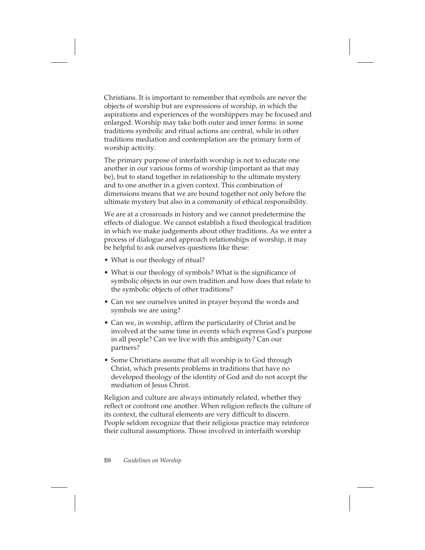Christians. It is important to remember that symbols are never the objects of worship but are expressions of worship, in which the aspirations and experiences of the worshippers may be focused and enlarged. Worship may take both outer and inner forms: in some traditions symbolic and ritual actions are central, while in other traditions mediation and contemplation are the primary form of worship activity.

The primary purpose of interfaith worship is not to educate one another in our various forms of worship (important as that may be), but to stand together in relationship to the ultimate mystery and to one another in a given context. This combination of dimensions means that we are bound together not only before the ultimate mystery but also in a community of ethical responsibility.

We are at a crossroads in history and we cannot predetermine the effects of dialogue. We cannot establish a fixed theological tradition in which we make judgements about other traditions. As we enter a process of dialogue and approach relationships of worship, it may be helpful to ask ourselves questions like these:

- What is our theology of ritual?
- What is our theology of symbols? What is the significance of symbolic objects in our own tradition and how does that relate to the symbolic objects of other traditions?
- Can we see ourselves united in prayer beyond the words and symbols we are using?
- Can we, in worship, affirm the particularity of Christ and be involved at the same time in events which express God's purpose in all people? Can we live with this ambiguity? Can our partners?
- Some Christians assume that all worship is to God through Christ, which presents problems in traditions that have no developed theology of the identity of God and do not accept the mediation of Jesus Christ.

Religion and culture are always intimately related, whether they reflect or confront one another. When religion reflects the culture of its context, the cultural elements are very difficult to discern. People seldom recognize that their religious practice may reinforce their cultural assumptions. Those involved in interfaith worship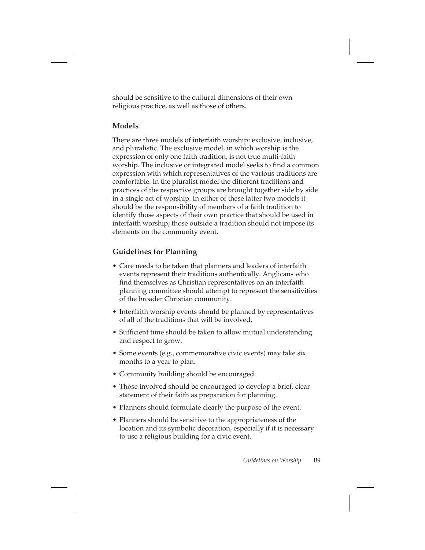should be sensitive to the cultural dimensions of their own religious practice, as well as those of others.

## **Models**

There are three models of interfaith worship: exclusive, inclusive, and pluralistic. The exclusive model, in which worship is the expression of only one faith tradition, is not true multi-faith worship. The inclusive or integrated model seeks to find a common expression with which representatives of the various traditions are comfortable. In the pluralist model the different traditions and practices of the respective groups are brought together side by side in a single act of worship. In either of these latter two models it should be the responsibility of members of a faith tradition to identify those aspects of their own practice that should be used in interfaith worship; those outside a tradition should not impose its elements on the community event.

## **Guidelines for Planning**

- Care needs to be taken that planners and leaders of interfaith events represent their traditions authentically. Anglicans who find themselves as Christian representatives on an interfaith planning committee should attempt to represent the sensitivities of the broader Christian community.
- Interfaith worship events should be planned by representatives of all of the traditions that will be involved.
- Sufficient time should be taken to allow mutual understanding and respect to grow.
- Some events (e.g., commemorative civic events) may take six months to a year to plan.
- Community building should be encouraged.
- Those involved should be encouraged to develop a brief, clear statement of their faith as preparation for planning.
- Planners should formulate clearly the purpose of the event.
- Planners should be sensitive to the appropriateness of the location and its symbolic decoration, especially if it is necessary to use a religious building for a civic event.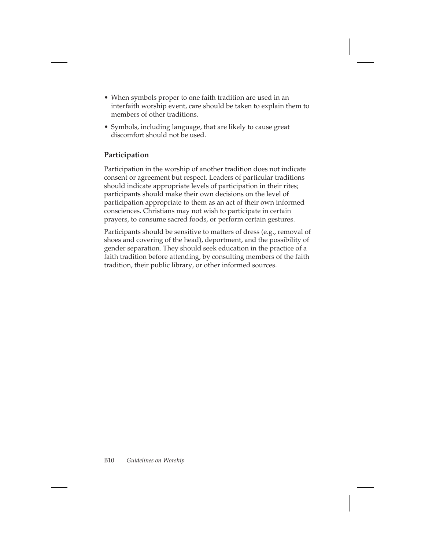- When symbols proper to one faith tradition are used in an interfaith worship event, care should be taken to explain them to members of other traditions.
- Symbols, including language, that are likely to cause great discomfort should not be used.

## **Participation**

Participation in the worship of another tradition does not indicate consent or agreement but respect. Leaders of particular traditions should indicate appropriate levels of participation in their rites; participants should make their own decisions on the level of participation appropriate to them as an act of their own informed consciences. Christians may not wish to participate in certain prayers, to consume sacred foods, or perform certain gestures.

Participants should be sensitive to matters of dress (e.g., removal of shoes and covering of the head), deportment, and the possibility of gender separation. They should seek education in the practice of a faith tradition before attending, by consulting members of the faith tradition, their public library, or other informed sources.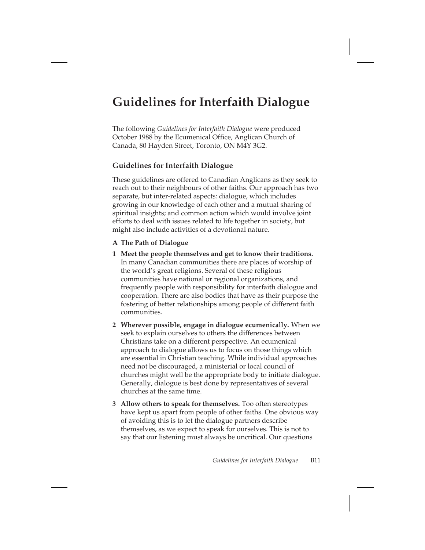## **Guidelines for Interfaith Dialogue**

The following *Guidelines for Interfaith Dialogue* were produced October 1988 by the Ecumenical Office, Anglican Church of Canada, 80 Hayden Street, Toronto, ON M4Y 3G2.

## **Guidelines for Interfaith Dialogue**

These guidelines are offered to Canadian Anglicans as they seek to reach out to their neighbours of other faiths. Our approach has two separate, but inter-related aspects: dialogue, which includes growing in our knowledge of each other and a mutual sharing of spiritual insights; and common action which would involve joint efforts to deal with issues related to life together in society, but might also include activities of a devotional nature.

#### **A The Path of Dialogue**

- **1 Meet the people themselves and get to know their traditions.** In many Canadian communities there are places of worship of the world's great religions. Several of these religious communities have national or regional organizations, and frequently people with responsibility for interfaith dialogue and cooperation. There are also bodies that have as their purpose the fostering of better relationships among people of different faith communities.
- **2 Wherever possible, engage in dialogue ecumenically.** When we seek to explain ourselves to others the differences between Christians take on a different perspective. An ecumenical approach to dialogue allows us to focus on those things which are essential in Christian teaching. While individual approaches need not be discouraged, a ministerial or local council of churches might well be the appropriate body to initiate dialogue. Generally, dialogue is best done by representatives of several churches at the same time.
- **3 Allow others to speak for themselves.** Too often stereotypes have kept us apart from people of other faiths. One obvious way of avoiding this is to let the dialogue partners describe themselves, as we expect to speak for ourselves. This is not to say that our listening must always be uncritical. Our questions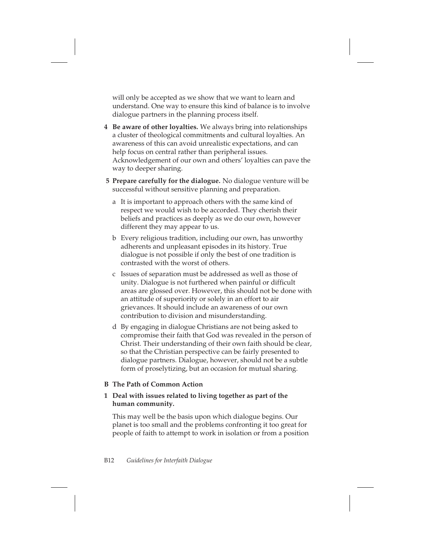will only be accepted as we show that we want to learn and understand. One way to ensure this kind of balance is to involve dialogue partners in the planning process itself.

- **4 Be aware of other loyalties.** We always bring into relationships a cluster of theological commitments and cultural loyalties. An awareness of this can avoid unrealistic expectations, and can help focus on central rather than peripheral issues. Acknowledgement of our own and others' loyalties can pave the way to deeper sharing.
- **5 Prepare carefully for the dialogue.** No dialogue venture will be successful without sensitive planning and preparation.
	- a It is important to approach others with the same kind of respect we would wish to be accorded. They cherish their beliefs and practices as deeply as we do our own, however different they may appear to us.
	- b Every religious tradition, including our own, has unworthy adherents and unpleasant episodes in its history. True dialogue is not possible if only the best of one tradition is contrasted with the worst of others.
	- c Issues of separation must be addressed as well as those of unity. Dialogue is not furthered when painful or difficult areas are glossed over. However, this should not be done with an attitude of superiority or solely in an effort to air grievances. It should include an awareness of our own contribution to division and misunderstanding.
	- d By engaging in dialogue Christians are not being asked to compromise their faith that God was revealed in the person of Christ. Their understanding of their own faith should be clear, so that the Christian perspective can be fairly presented to dialogue partners. Dialogue, however, should not be a subtle form of proselytizing, but an occasion for mutual sharing.

#### **B The Path of Common Action**

#### **1 Deal with issues related to living together as part of the human community.**

This may well be the basis upon which dialogue begins. Our planet is too small and the problems confronting it too great for people of faith to attempt to work in isolation or from a position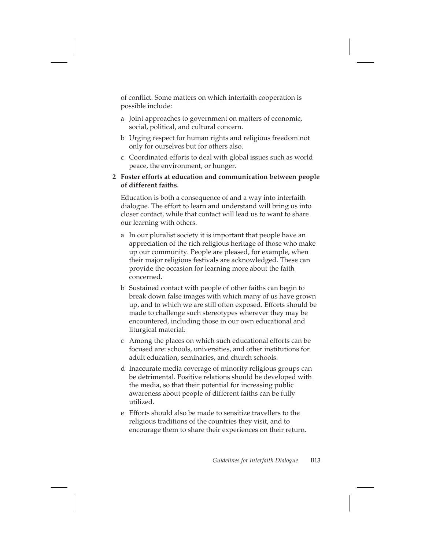of conflict. Some matters on which interfaith cooperation is possible include:

- a Joint approaches to government on matters of economic, social, political, and cultural concern.
- b Urging respect for human rights and religious freedom not only for ourselves but for others also.
- c Coordinated efforts to deal with global issues such as world peace, the environment, or hunger.

#### **2 Foster efforts at education and communication between people of different faiths.**

Education is both a consequence of and a way into interfaith dialogue. The effort to learn and understand will bring us into closer contact, while that contact will lead us to want to share our learning with others.

- a In our pluralist society it is important that people have an appreciation of the rich religious heritage of those who make up our community. People are pleased, for example, when their major religious festivals are acknowledged. These can provide the occasion for learning more about the faith concerned.
- b Sustained contact with people of other faiths can begin to break down false images with which many of us have grown up, and to which we are still often exposed. Efforts should be made to challenge such stereotypes wherever they may be encountered, including those in our own educational and liturgical material.
- c Among the places on which such educational efforts can be focused are: schools, universities, and other institutions for adult education, seminaries, and church schools.
- d Inaccurate media coverage of minority religious groups can be detrimental. Positive relations should be developed with the media, so that their potential for increasing public awareness about people of different faiths can be fully utilized.
- e Efforts should also be made to sensitize travellers to the religious traditions of the countries they visit, and to encourage them to share their experiences on their return.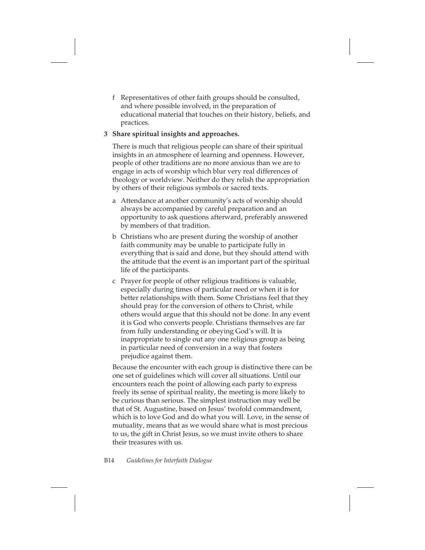f Representatives of other faith groups should be consulted, and where possible involved, in the preparation of educational material that touches on their history, beliefs, and practices.

### **3 Share spiritual insights and approaches.**

There is much that religious people can share of their spiritual insights in an atmosphere of learning and openness. However, people of other traditions are no more anxious than we are to engage in acts of worship which blur very real differences of theology or worldview. Neither do they relish the appropriation by others of their religious symbols or sacred texts.

- a Attendance at another community's acts of worship should always be accompanied by careful preparation and an opportunity to ask questions afterward, preferably answered by members of that tradition.
- b Christians who are present during the worship of another faith community may be unable to participate fully in everything that is said and done, but they should attend with the attitude that the event is an important part of the spiritual life of the participants.
- c Prayer for people of other religious traditions is valuable, especially during times of particular need or when it is for better relationships with them. Some Christians feel that they should pray for the conversion of others to Christ, while others would argue that this should not be done. In any event it is God who converts people. Christians themselves are far from fully understanding or obeying God's will. It is inappropriate to single out any one religious group as being in particular need of conversion in a way that fosters prejudice against them.

Because the encounter with each group is distinctive there can be one set of guidelines which will cover all situations. Until our encounters reach the point of allowing each party to express freely its sense of spiritual reality, the meeting is more likely to be curious than serious. The simplest instruction may well be that of St. Augustine, based on Jesus' twofold commandment, which is to love God and do what you will. Love, in the sense of mutuality, means that as we would share what is most precious to us, the gift in Christ Jesus, so we must invite others to share their treasures with us.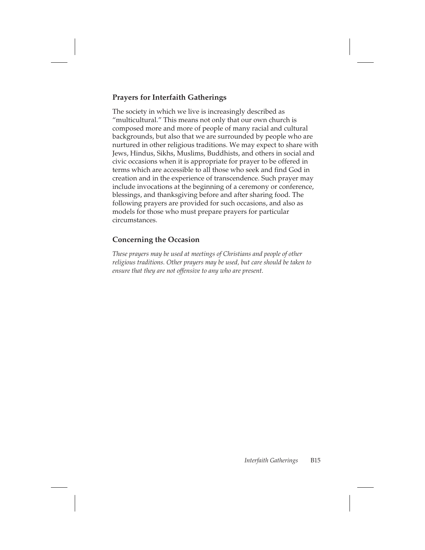## **Prayers for Interfaith Gatherings**

The society in which we live is increasingly described as "multicultural." This means not only that our own church is composed more and more of people of many racial and cultural backgrounds, but also that we are surrounded by people who are nurtured in other religious traditions. We may expect to share with Jews, Hindus, Sikhs, Muslims, Buddhists, and others in social and civic occasions when it is appropriate for prayer to be offered in terms which are accessible to all those who seek and find God in creation and in the experience of transcendence. Such prayer may include invocations at the beginning of a ceremony or conference, blessings, and thanksgiving before and after sharing food. The following prayers are provided for such occasions, and also as models for those who must prepare prayers for particular circumstances.

## **Concerning the Occasion**

*These prayers may be used at meetings of Christians and people of other religious traditions. Other prayers may be used, but care should be taken to ensure that they are not offensive to any who are present.*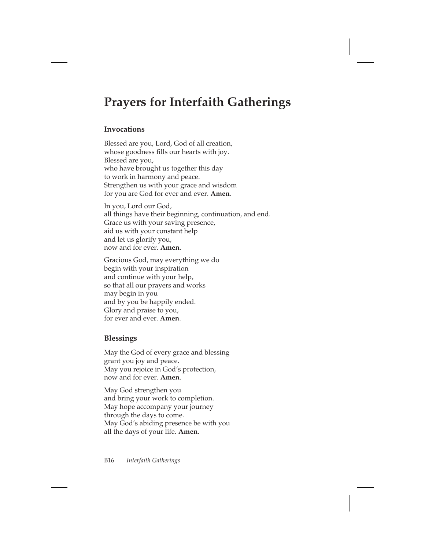## **Prayers for Interfaith Gatherings**

### **Invocations**

Blessed are you, Lord, God of all creation, whose goodness fills our hearts with joy. Blessed are you, who have brought us together this day to work in harmony and peace. Strengthen us with your grace and wisdom for you are God for ever and ever. **Amen**.

In you, Lord our God, all things have their beginning, continuation, and end. Grace us with your saving presence, aid us with your constant help and let us glorify you, now and for ever. **Amen**.

Gracious God, may everything we do begin with your inspiration and continue with your help, so that all our prayers and works may begin in you and by you be happily ended. Glory and praise to you, for ever and ever. **Amen**.

## **Blessings**

May the God of every grace and blessing grant you joy and peace. May you rejoice in God's protection, now and for ever. **Amen**.

May God strengthen you and bring your work to completion. May hope accompany your journey through the days to come. May God's abiding presence be with you all the days of your life. **Amen**.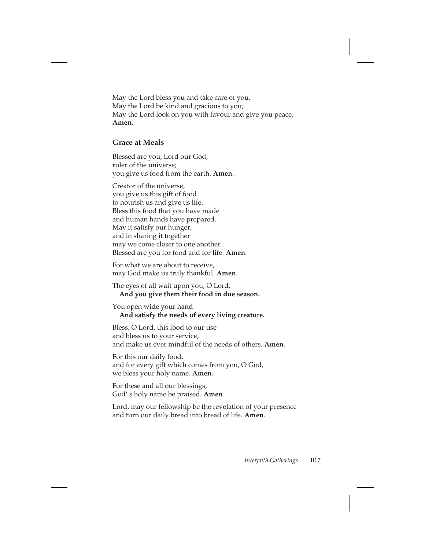May the Lord bless you and take care of you. May the Lord be kind and gracious to you; May the Lord look on you with favour and give you peace. **Amen**.

### **Grace at Meals**

Blessed are you, Lord our God, ruler of the universe; you give us food from the earth. **Amen**.

Creator of the universe, you give us this gift of food to nourish us and give us life. Bless this food that you have made and human hands have prepared. May it satisfy our hunger, and in sharing it together may we come closer to one another. Blessed are you for food and for life. **Amen**.

For what we are about to receive, may God make us truly thankful. **Amen**.

The eyes of all wait upon you, O Lord, **And you give them their food in due season.**

You open wide your hand **And satisfy the needs of every living creature.**

Bless, O Lord, this food to our use and bless us to your service, and make us ever mindful of the needs of others. **Amen**.

For this our daily food, and for every gift which comes from you, O God, we bless your holy name. **Amen**.

For these and all our blessings, God' s holy name be praised. **Amen**.

Lord, may our fellowship be the revelation of your presence and turn our daily bread into bread of life. **Amen**.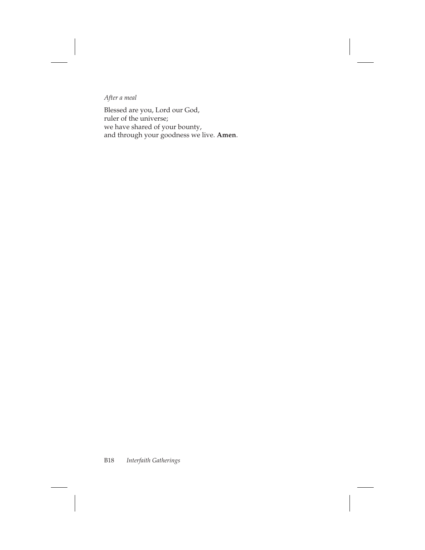*After a meal*

Blessed are you, Lord our God, ruler of the universe; we have shared of your bounty, and through your goodness we live. **Amen**.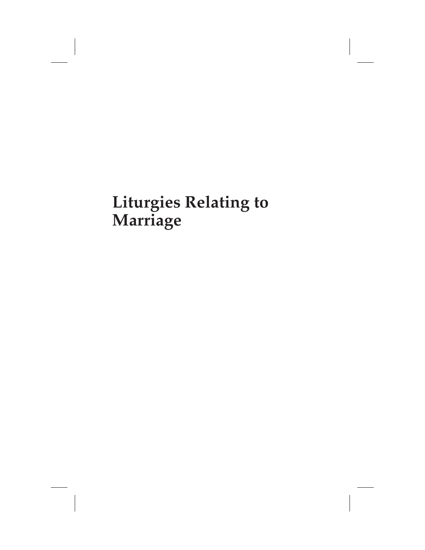# **Liturgies Relating to Marriage**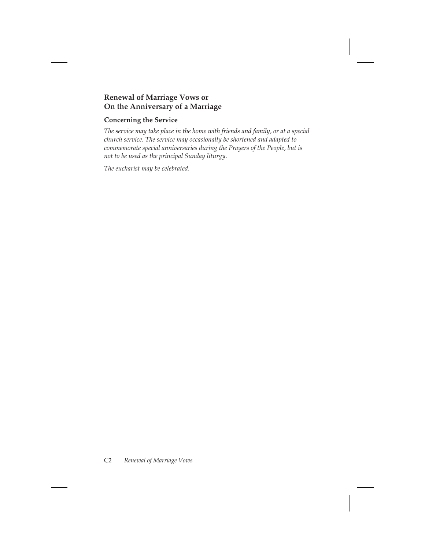## **Renewal of Marriage Vows or On the Anniversary of a Marriage**

### **Concerning the Service**

*The service may take place in the home with friends and family, or at a special church service. The service may occasionally be shortened and adapted to commemorate special anniversaries during the Prayers of the People, but is not to be used as the principal Sunday liturgy.*

*The eucharist may be celebrated.*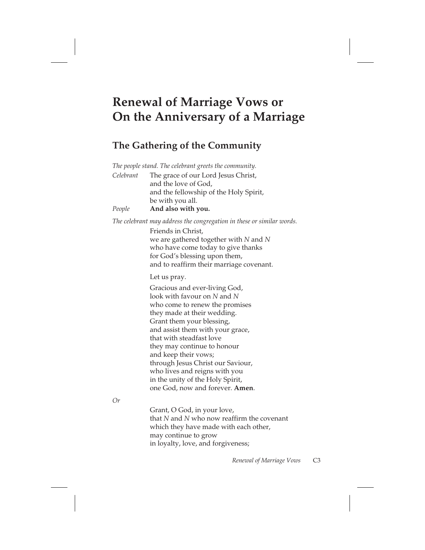## **Renewal of Marriage Vows or On the Anniversary of a Marriage**

## **The Gathering of the Community**

|           | The people stand. The celebrant greets the community.                                                                                                                                                                                                                                                                                                                                                                          |
|-----------|--------------------------------------------------------------------------------------------------------------------------------------------------------------------------------------------------------------------------------------------------------------------------------------------------------------------------------------------------------------------------------------------------------------------------------|
| Celebrant | The grace of our Lord Jesus Christ,<br>and the love of God,                                                                                                                                                                                                                                                                                                                                                                    |
|           | and the fellowship of the Holy Spirit,<br>be with you all.                                                                                                                                                                                                                                                                                                                                                                     |
| People    | And also with you.                                                                                                                                                                                                                                                                                                                                                                                                             |
|           | The celebrant may address the congregation in these or similar words.<br>Friends in Christ,<br>we are gathered together with $N$ and $N$<br>who have come today to give thanks<br>for God's blessing upon them,<br>and to reaffirm their marriage covenant.                                                                                                                                                                    |
|           | Let us pray.                                                                                                                                                                                                                                                                                                                                                                                                                   |
|           | Gracious and ever-living God,<br>look with favour on N and N<br>who come to renew the promises<br>they made at their wedding.<br>Grant them your blessing,<br>and assist them with your grace,<br>that with steadfast love<br>they may continue to honour<br>and keep their vows;<br>through Jesus Christ our Saviour,<br>who lives and reigns with you<br>in the unity of the Holy Spirit,<br>one God, now and forever. Amen. |
| Or        |                                                                                                                                                                                                                                                                                                                                                                                                                                |
|           | Grant, O God, in your love,<br>that $N$ and $N$ who now reaffirm the covenant<br>which they have made with each other,<br>may continue to grow<br>in loyalty, love, and forgiveness;                                                                                                                                                                                                                                           |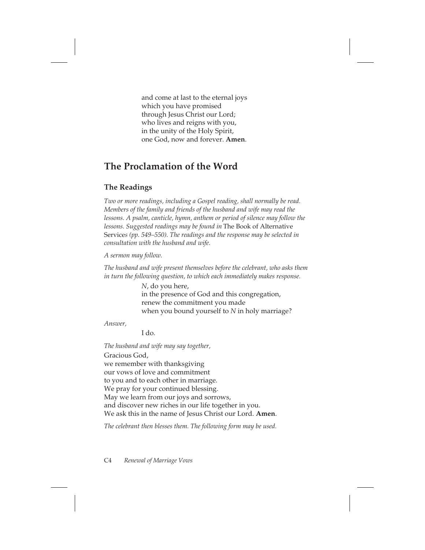and come at last to the eternal joys which you have promised through Jesus Christ our Lord; who lives and reigns with you, in the unity of the Holy Spirit, one God, now and forever. **Amen**.

## **The Proclamation of the Word**

## **The Readings**

*Two or more readings, including a Gospel reading, shall normally be read. Members of the family and friends of the husband and wife may read the lessons. A psalm, canticle, hymn, anthem or period of silence may follow the lessons. Suggested readings may be found in* The Book of Alternative Service*s (pp. 549–550). The readings and the response may be selected in consultation with the husband and wife.*

*A sermon may follow.*

*The husband and wife present themselves before the celebrant, who asks them in turn the following question, to which each immediately makes response.*

> *N*, do you here, in the presence of God and this congregation, renew the commitment you made when you bound yourself to *N* in holy marriage?

*Answer,*

I do.

*The husband and wife may say together,*

Gracious God, we remember with thanksgiving our vows of love and commitment to you and to each other in marriage. We pray for your continued blessing. May we learn from our joys and sorrows, and discover new riches in our life together in you. We ask this in the name of Jesus Christ our Lord. **Amen**.

*The celebrant then blesses them. The following form may be used.*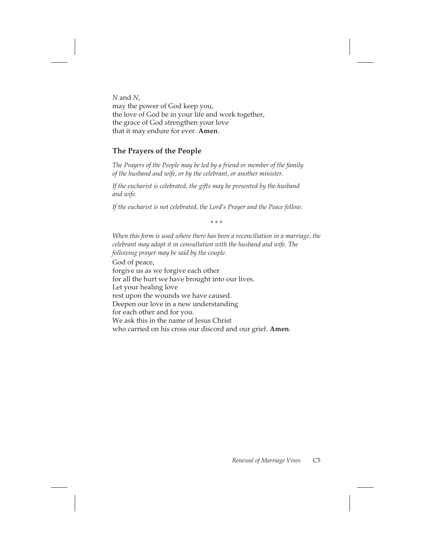*N* and *N*, may the power of God keep you, the love of God be in your life and work together, the grace of God strengthen your love that it may endure for ever. **Amen**.

## **The Prayers of the People**

*The Prayers of the People may be led by a friend or member of the family of the husband and wife, or by the celebrant, or another minister.*

*If the eucharist is celebrated, the gifts may be presented by the husband and wife.*

*If the eucharist is not celebrated, the Lord's Prayer and the Peace follow.*

\* \* \*

*When this form is used where there has been a reconciliation in a marriage, the celebrant may adapt it in consultation with the husband and wife. The following prayer may be said by the couple.*

God of peace,

forgive us as we forgive each other

for all the hurt we have brought into our lives.

Let your healing love

rest upon the wounds we have caused.

Deepen our love in a new understanding

for each other and for you.

We ask this in the name of Jesus Christ

who carried on his cross our discord and our grief. **Amen**.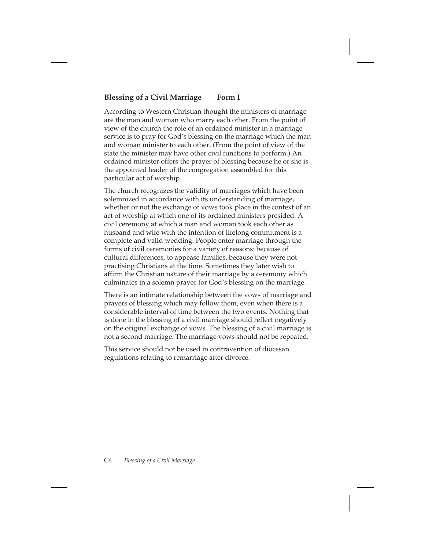## **Blessing of a Civil Marriage Form I**

According to Western Christian thought the ministers of marriage are the man and woman who marry each other. From the point of view of the church the role of an ordained minister in a marriage service is to pray for God's blessing on the marriage which the man and woman minister to each other. (From the point of view of the state the minister may have other civil functions to perform.) An ordained minister offers the prayer of blessing because he or she is the appointed leader of the congregation assembled for this particular act of worship.

The church recognizes the validity of marriages which have been solemnized in accordance with its understanding of marriage, whether or not the exchange of vows took place in the context of an act of worship at which one of its ordained ministers presided. A civil ceremony at which a man and woman took each other as husband and wife with the intention of lifelong commitment is a complete and valid wedding. People enter marriage through the forms of civil ceremonies for a variety of reasons: because of cultural differences, to appease families, because they were not practising Christians at the time. Sometimes they later wish to affirm the Christian nature of their marriage by a ceremony which culminates in a solemn prayer for God's blessing on the marriage.

There is an intimate relationship between the vows of marriage and prayers of blessing which may follow them, even when there is a considerable interval of time between the two events. Nothing that is done in the blessing of a civil marriage should reflect negatively on the original exchange of vows. The blessing of a civil marriage is not a second marriage. The marriage vows should not be repeated.

This service should not be used in contravention of diocesan regulations relating to remarriage after divorce.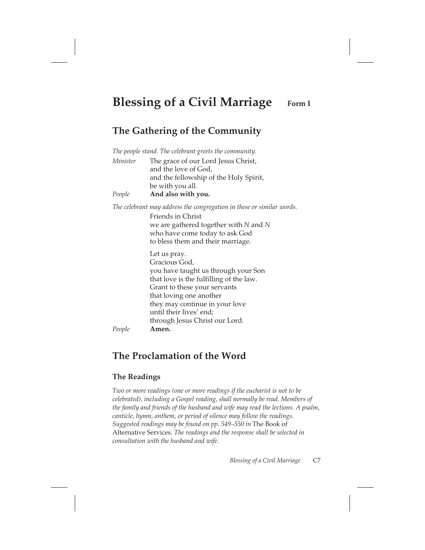## **Blessing of a Civil Marriage** Form I

## **The Gathering of the Community**

|          | The people stand. The celebrant greets the community. |  |
|----------|-------------------------------------------------------|--|
| Minister | The grace of our Lord Jesus Christ,                   |  |
|          | and the love of God,                                  |  |
|          | and the fellowship of the Holy Spirit,                |  |
|          | be with you all.                                      |  |
| People   | And also with you.                                    |  |
|          |                                                       |  |

*The celebrant may address the congregation in these or similar words.*

Friends in Christ we are gathered together with *N* and *N* who have come today to ask God to bless them and their marriage.

Let us pray. Gracious God, you have taught us through your Son that love is the fulfilling of the law. Grant to these your servants that loving one another they may continue in your love until their lives' end; through Jesus Christ our Lord.

*People* **Amen.**

## **The Proclamation of the Word**

### **The Readings**

*Two or more readings (one or more readings if the eucharist is not to be celebrated), including a Gospel reading, shall normally be read. Members of the family and friends of the husband and wife may read the lections. A psalm, canticle, hymn, anthem, or period of silence may follow the readings. Suggested readings may be found on pp. 549–550 in* The Book of Alternative Services*. The readings and the response shall be selected in consultation with the husband and wife.*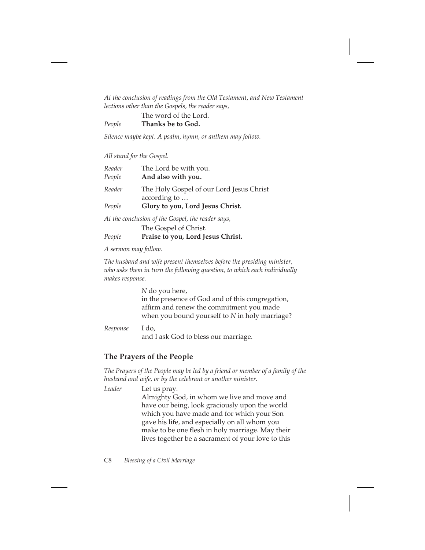*At the conclusion of readings from the Old Testament, and New Testament lections other than the Gospels, the reader says,*

The word of the Lord.

*People* **Thanks be to God.**

*Silence maybe kept. A psalm, hymn, or anthem may follow.*

*All stand for the Gospel.*

| Reader<br>People | The Lord be with you.<br>And also with you.                       |
|------------------|-------------------------------------------------------------------|
| Reader           | The Holy Gospel of our Lord Jesus Christ<br>according to $\ldots$ |
| People           | Glory to you, Lord Jesus Christ.                                  |

*At the conclusion of the Gospel, the reader says,*

The Gospel of Christ. *People* **Praise to you, Lord Jesus Christ.**

*A sermon may follow.*

*The husband and wife present themselves before the presiding minister, who asks them in turn the following question, to which each individually makes response.*

> *N* do you here, in the presence of God and of this congregation, affirm and renew the commitment you made when you bound yourself to *N* in holy marriage?

*Response* I do, and I ask God to bless our marriage.

## **The Prayers of the People**

*The Prayers of the People may be led by a friend or member of a family of the husband and wife, or by the celebrant or another minister.*

*Leader* Let us pray. Almighty God, in whom we live and move and have our being, look graciously upon the world which you have made and for which your Son gave his life, and especially on all whom you make to be one flesh in holy marriage. May their lives together be a sacrament of your love to this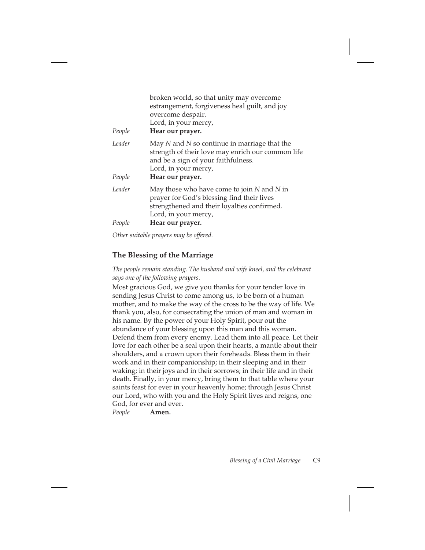| People           | broken world, so that unity may overcome<br>estrangement, forgiveness heal guilt, and joy<br>overcome despair.<br>Lord, in your mercy,<br>Hear our prayer.                               |
|------------------|------------------------------------------------------------------------------------------------------------------------------------------------------------------------------------------|
| Leader<br>People | May $N$ and $N$ so continue in marriage that the<br>strength of their love may enrich our common life<br>and be a sign of your faithfulness.<br>Lord, in your mercy,<br>Hear our prayer. |
|                  |                                                                                                                                                                                          |
| Leader           | May those who have come to join $N$ and $N$ in<br>prayer for God's blessing find their lives<br>strengthened and their loyalties confirmed.<br>Lord, in your mercy,                      |
| People           | Hear our prayer.                                                                                                                                                                         |

*Other suitable prayers may be offered.*

### **The Blessing of the Marriage**

*The people remain standing. The husband and wife kneel, and the celebrant says one of the following prayers.*

Most gracious God, we give you thanks for your tender love in sending Jesus Christ to come among us, to be born of a human mother, and to make the way of the cross to be the way of life. We thank you, also, for consecrating the union of man and woman in his name. By the power of your Holy Spirit, pour out the abundance of your blessing upon this man and this woman. Defend them from every enemy. Lead them into all peace. Let their love for each other be a seal upon their hearts, a mantle about their shoulders, and a crown upon their foreheads. Bless them in their work and in their companionship; in their sleeping and in their waking; in their joys and in their sorrows; in their life and in their death. Finally, in your mercy, bring them to that table where your saints feast for ever in your heavenly home; through Jesus Christ our Lord, who with you and the Holy Spirit lives and reigns, one God, for ever and ever.

*People* **Amen.**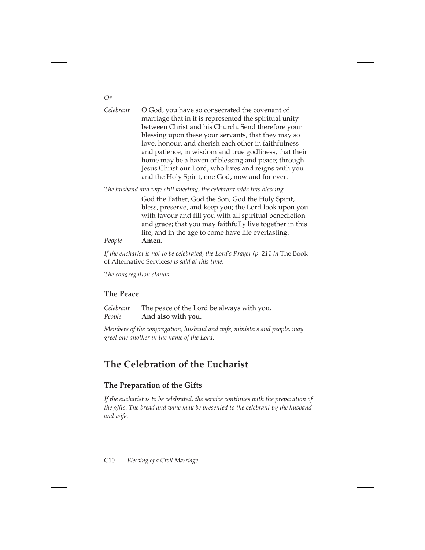*Celebrant* O God, you have so consecrated the covenant of marriage that in it is represented the spiritual unity between Christ and his Church. Send therefore your blessing upon these your servants, that they may so love, honour, and cherish each other in faithfulness and patience, in wisdom and true godliness, that their home may be a haven of blessing and peace; through Jesus Christ our Lord, who lives and reigns with you and the Holy Spirit, one God, now and for ever.

*The husband and wife still kneeling, the celebrant adds this blessing.*

God the Father, God the Son, God the Holy Spirit, bless, preserve, and keep you; the Lord look upon you with favour and fill you with all spiritual benediction and grace; that you may faithfully live together in this life, and in the age to come have life everlasting.

*People* **Amen.**

*If the eucharist is not to be celebrated, the Lord's Prayer (p. 211 in* The Book of Alternative Services*) is said at this time.*

*The congregation stands.*

### **The Peace**

*Celebrant* The peace of the Lord be always with you. *People* **And also with you.**

*Members of the congregation, husband and wife, ministers and people, may greet one another in the name of the Lord.*

### **The Celebration of the Eucharist**

### **The Preparation of the Gifts**

*If the eucharist is to be celebrated, the service continues with the preparation of the gifts. The bread and wine may be presented to the celebrant by the husband and wife.*

*Or*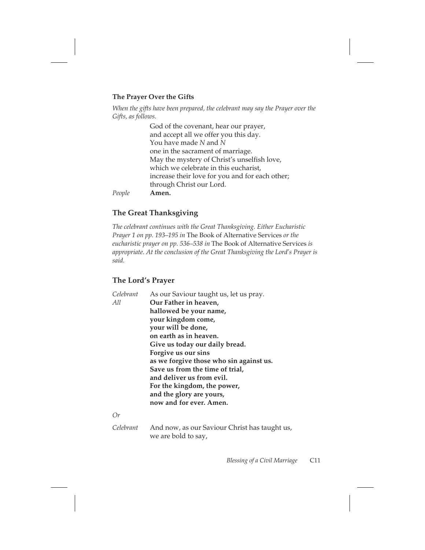### **The Prayer Over the Gifts**

*When the gifts have been prepared, the celebrant may say the Prayer over the Gifts, as follows.*

God of the covenant, hear our prayer, and accept all we offer you this day. You have made *N* and *N* one in the sacrament of marriage. May the mystery of Christ's unselfish love, which we celebrate in this eucharist, increase their love for you and for each other; through Christ our Lord. *People* **Amen.**

### **The Great Thanksgiving**

*The celebrant continues with the Great Thanksgiving. Either Eucharistic Prayer 1 on pp. 193–195 in* The Book of Alternative Services *or the eucharistic prayer on pp. 536–538 in* The Book of Alternative Services *is appropriate. At the conclusion of the Great Thanksgiving the Lord's Prayer is said.*

### **The Lord's Prayer**

| Celebrant | As our Saviour taught us, let us pray.  |
|-----------|-----------------------------------------|
| All       | Our Father in heaven,                   |
|           | hallowed be your name,                  |
|           | your kingdom come,                      |
|           | your will be done,                      |
|           | on earth as in heaven.                  |
|           | Give us today our daily bread.          |
|           | Forgive us our sins                     |
|           | as we forgive those who sin against us. |
|           | Save us from the time of trial,         |
|           | and deliver us from evil.               |
|           | For the kingdom, the power,             |
|           | and the glory are yours,                |
|           | now and for ever. Amen.                 |
|           |                                         |

*Or*

*Celebrant* And now, as our Saviour Christ has taught us, we are bold to say,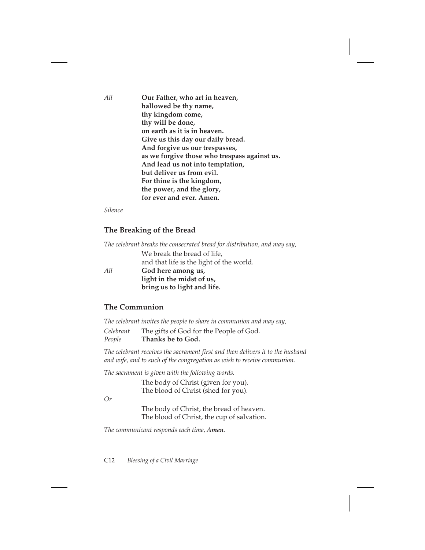*All* **Our Father, who art in heaven, hallowed be thy name, thy kingdom come, thy will be done, on earth as it is in heaven. Give us this day our daily bread. And forgive us our trespasses, as we forgive those who trespass against us. And lead us not into temptation, but deliver us from evil. For thine is the kingdom, the power, and the glory, for ever and ever. Amen.**

*Silence*

### **The Breaking of the Bread**

*The celebrant breaks the consecrated bread for distribution, and may say,*

We break the bread of life, and that life is the light of the world. *All* **God here among us, light in the midst of us, bring us to light and life.**

### **The Communion**

*The celebrant invites the people to share in communion and may say,*

*Celebrant* The gifts of God for the People of God. *People* **Thanks be to God.**

*The celebrant receives the sacrament first and then delivers it to the husband and wife, and to such of the congregation as wish to receive communion.*

*The sacrament is given with the following words.*

The body of Christ (given for you). The blood of Christ (shed for you).

*Or*

The body of Christ, the bread of heaven. The blood of Christ, the cup of salvation.

*The communicant responds each time, Amen.*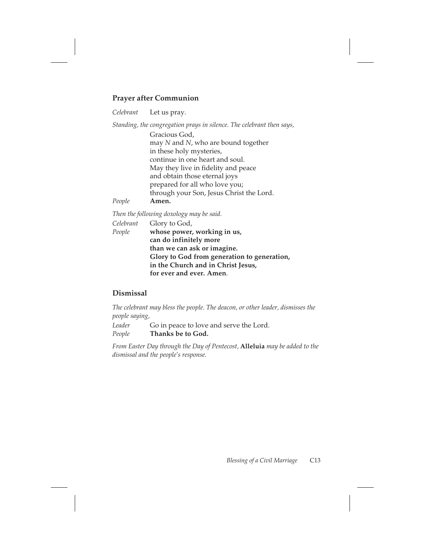### **Prayer after Communion**

*Celebrant* Let us pray.

*Standing, the congregation prays in silence. The celebrant then says,*

Gracious God, may *N* and *N*, who are bound together in these holy mysteries, continue in one heart and soul. May they live in fidelity and peace and obtain those eternal joys prepared for all who love you; through your Son, Jesus Christ the Lord. *People* **Amen.**

*Then the following doxology may be said.*

|           | Then the following abxology may be said.    |
|-----------|---------------------------------------------|
| Celebrant | Glory to God,                               |
| People    | whose power, working in us,                 |
|           | can do infinitely more                      |
|           | than we can ask or imagine.                 |
|           | Glory to God from generation to generation, |
|           | in the Church and in Christ Jesus,          |
|           | for ever and ever. Amen.                    |

### **Dismissal**

*The celebrant may bless the people. The deacon, or other leader, dismisses the people saying,*

| Leader | Go in peace to love and serve the Lord. |
|--------|-----------------------------------------|
| People | Thanks be to God.                       |

*From Easter Day through the Day of Pentecost,* **Alleluia** *may be added to the dismissal and the people's response.*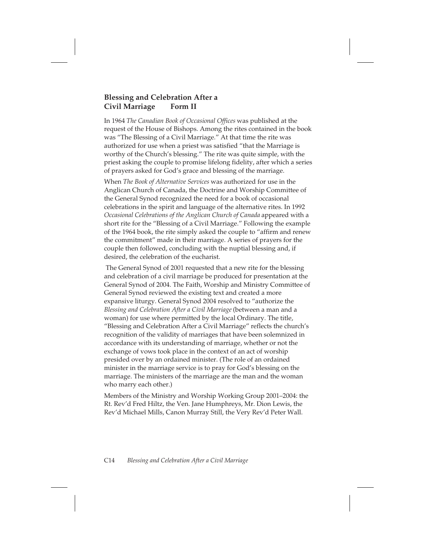### **Blessing and Celebration After a Civil Marriage Form II**

In 1964 *The Canadian Book of Occasional Offices* was published at the request of the House of Bishops. Among the rites contained in the book was "The Blessing of a Civil Marriage." At that time the rite was authorized for use when a priest was satisfied "that the Marriage is worthy of the Church's blessing." The rite was quite simple, with the priest asking the couple to promise lifelong fidelity, after which a series of prayers asked for God's grace and blessing of the marriage.

When *The Book of Alternative Services* was authorized for use in the Anglican Church of Canada, the Doctrine and Worship Committee of the General Synod recognized the need for a book of occasional celebrations in the spirit and language of the alternative rites. In 1992 *Occasional Celebrations of the Anglican Church of Canada* appeared with a short rite for the "Blessing of a Civil Marriage." Following the example of the 1964 book, the rite simply asked the couple to "affirm and renew the commitment" made in their marriage. A series of prayers for the couple then followed, concluding with the nuptial blessing and, if desired, the celebration of the eucharist.

The General Synod of 2001 requested that a new rite for the blessing and celebration of a civil marriage be produced for presentation at the General Synod of 2004. The Faith, Worship and Ministry Committee of General Synod reviewed the existing text and created a more expansive liturgy. General Synod 2004 resolved to "authorize the *Blessing and Celebration After a Civil Marriage* (between a man and a woman) for use where permitted by the local Ordinary. The title, "Blessing and Celebration After a Civil Marriage" reflects the church's recognition of the validity of marriages that have been solemnized in accordance with its understanding of marriage, whether or not the exchange of vows took place in the context of an act of worship presided over by an ordained minister. (The role of an ordained minister in the marriage service is to pray for God's blessing on the marriage. The ministers of the marriage are the man and the woman who marry each other.)

Members of the Ministry and Worship Working Group 2001–2004: the Rt. Rev'd Fred Hiltz, the Ven. Jane Humphreys, Mr. Dion Lewis, the Rev'd Michael Mills, Canon Murray Still, the Very Rev'd Peter Wall.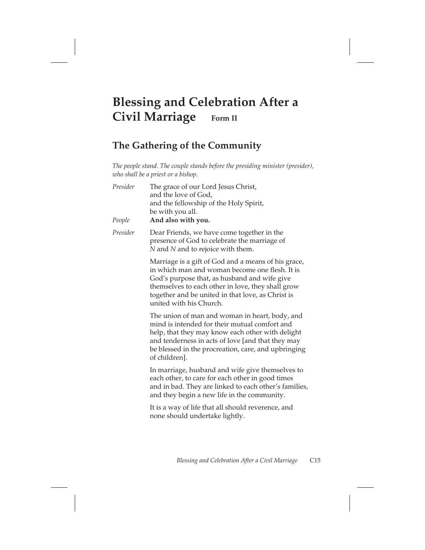## **Blessing and Celebration After a Civil Marriage Form II**

### **The Gathering of the Community**

*The people stand. The couple stands before the presiding minister (presider), who shall be a priest or a bishop.*

| Presider<br>People | The grace of our Lord Jesus Christ,<br>and the love of God,<br>and the fellowship of the Holy Spirit,<br>be with you all.<br>And also with you.                                                                                                                                            |
|--------------------|--------------------------------------------------------------------------------------------------------------------------------------------------------------------------------------------------------------------------------------------------------------------------------------------|
| Presider           | Dear Friends, we have come together in the<br>presence of God to celebrate the marriage of<br>N and N and to rejoice with them.                                                                                                                                                            |
|                    | Marriage is a gift of God and a means of his grace,<br>in which man and woman become one flesh. It is<br>God's purpose that, as husband and wife give<br>themselves to each other in love, they shall grow<br>together and be united in that love, as Christ is<br>united with his Church. |
|                    | The union of man and woman in heart, body, and<br>mind is intended for their mutual comfort and<br>help, that they may know each other with delight<br>and tenderness in acts of love [and that they may<br>be blessed in the procreation, care, and upbringing<br>of children].           |
|                    | In marriage, husband and wife give themselves to<br>each other, to care for each other in good times<br>and in bad. They are linked to each other's families,<br>and they begin a new life in the community.                                                                               |
|                    | It is a way of life that all should reverence, and<br>none should undertake lightly.                                                                                                                                                                                                       |
|                    |                                                                                                                                                                                                                                                                                            |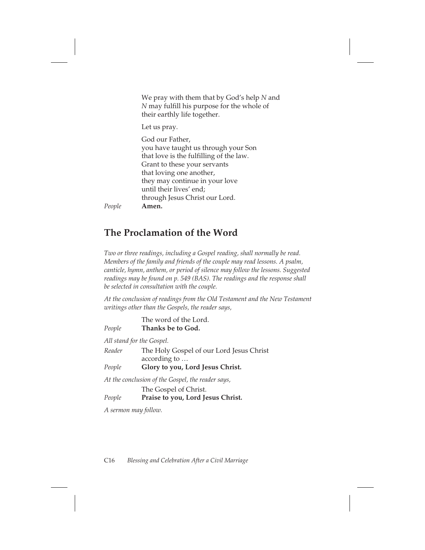|        | We pray with them that by God's help N and<br>N may fulfill his purpose for the whole of<br>their earthly life together. |
|--------|--------------------------------------------------------------------------------------------------------------------------|
|        | Let us pray.                                                                                                             |
|        | God our Father,<br>you have taught us through your Son                                                                   |
|        | that love is the fulfilling of the law.                                                                                  |
|        | Grant to these your servants                                                                                             |
|        | that loving one another,<br>they may continue in your love                                                               |
|        | until their lives' end;                                                                                                  |
|        | through Jesus Christ our Lord.                                                                                           |
| People | Amen.                                                                                                                    |

### **The Proclamation of the Word**

*Two or three readings, including a Gospel reading, shall normally be read. Members of the family and friends of the couple may read lessons. A psalm, canticle, hymn, anthem, or period of silence may follow the lessons. Suggested readings may be found on p. 549 (BAS). The readings and the response shall be selected in consultation with the couple.*

*At the conclusion of readings from the Old Testament and the New Testament writings other than the Gospels, the reader says,*

|        | The word of the Lord.                             |
|--------|---------------------------------------------------|
| People | Thanks be to God.                                 |
|        | All stand for the Gospel.                         |
| Reader | The Holy Gospel of our Lord Jesus Christ          |
|        | according to                                      |
| People | Glory to you, Lord Jesus Christ.                  |
|        | At the conclusion of the Gospel, the reader says, |
|        | The Gospel of Christ.                             |

*People* **Praise to you, Lord Jesus Christ.**

*A sermon may follow.*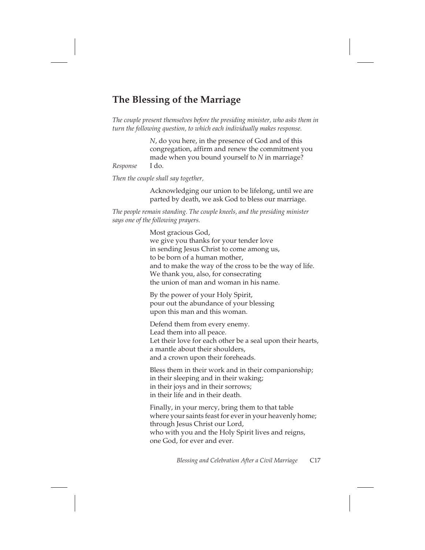### **The Blessing of the Marriage**

*The couple present themselves before the presiding minister, who asks them in turn the following question, to which each individually makes response.*

> *N*, do you here, in the presence of God and of this congregation, affirm and renew the commitment you made when you bound yourself to *N* in marriage?

*Response* I do.

*Then the couple shall say together,*

Acknowledging our union to be lifelong, until we are parted by death, we ask God to bless our marriage.

*The people remain standing. The couple kneels, and the presiding minister says one of the following prayers.*

> Most gracious God, we give you thanks for your tender love in sending Jesus Christ to come among us, to be born of a human mother, and to make the way of the cross to be the way of life. We thank you, also, for consecrating the union of man and woman in his name.

By the power of your Holy Spirit, pour out the abundance of your blessing upon this man and this woman.

Defend them from every enemy. Lead them into all peace. Let their love for each other be a seal upon their hearts, a mantle about their shoulders, and a crown upon their foreheads.

Bless them in their work and in their companionship; in their sleeping and in their waking; in their joys and in their sorrows; in their life and in their death.

Finally, in your mercy, bring them to that table where your saints feast for ever in your heavenly home; through Jesus Christ our Lord, who with you and the Holy Spirit lives and reigns, one God, for ever and ever.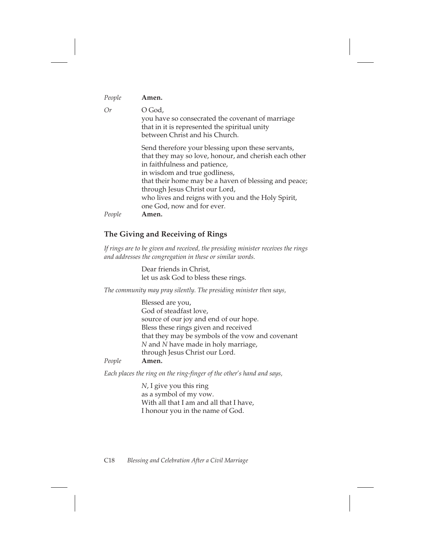| People | Amen.                                                                                                                                                                                                                                                                                                                                                       |
|--------|-------------------------------------------------------------------------------------------------------------------------------------------------------------------------------------------------------------------------------------------------------------------------------------------------------------------------------------------------------------|
| Or     | O God.<br>you have so consecrated the covenant of marriage<br>that in it is represented the spiritual unity<br>between Christ and his Church.                                                                                                                                                                                                               |
|        | Send therefore your blessing upon these servants,<br>that they may so love, honour, and cherish each other<br>in faithfulness and patience,<br>in wisdom and true godliness,<br>that their home may be a haven of blessing and peace;<br>through Jesus Christ our Lord,<br>who lives and reigns with you and the Holy Spirit,<br>one God, now and for ever. |
| People | Amen.                                                                                                                                                                                                                                                                                                                                                       |

### **The Giving and Receiving of Rings**

*If rings are to be given and received, the presiding minister receives the rings and addresses the congregation in these or similar words.*

> Dear friends in Christ, let us ask God to bless these rings.

*The community may pray silently. The presiding minister then says,*

Blessed are you, God of steadfast love, source of our joy and end of our hope. Bless these rings given and received that they may be symbols of the vow and covenant *N* and *N* have made in holy marriage, through Jesus Christ our Lord.

*People* **Amen.**

*Each places the ring on the ring-finger of the other's hand and says,*

*N*, I give you this ring as a symbol of my vow. With all that I am and all that I have, I honour you in the name of God.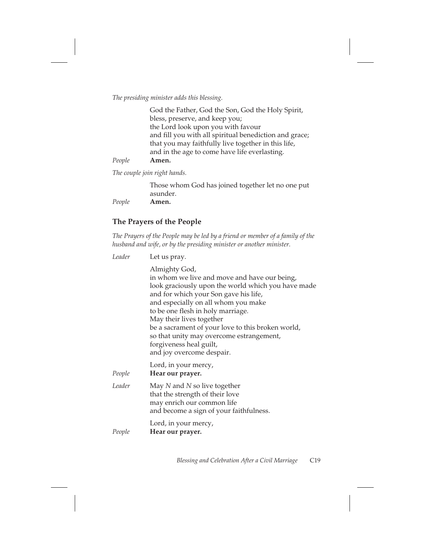*The presiding minister adds this blessing.*

God the Father, God the Son, God the Holy Spirit, bless, preserve, and keep you; the Lord look upon you with favour and fill you with all spiritual benediction and grace; that you may faithfully live together in this life, and in the age to come have life everlasting.

*People* **Amen.**

*The couple join right hands.*

Those whom God has joined together let no one put asunder. *People* **Amen.**

### **The Prayers of the People**

*The Prayers of the People may be led by a friend or member of a family of the husband and wife, or by the presiding minister or another minister.*

*Leader* Let us pray.

|        | Almighty God,<br>in whom we live and move and have our being,<br>look graciously upon the world which you have made<br>and for which your Son gave his life,<br>and especially on all whom you make<br>to be one flesh in holy marriage.<br>May their lives together<br>be a sacrament of your love to this broken world,<br>so that unity may overcome estrangement,<br>forgiveness heal guilt,<br>and joy overcome despair. |
|--------|-------------------------------------------------------------------------------------------------------------------------------------------------------------------------------------------------------------------------------------------------------------------------------------------------------------------------------------------------------------------------------------------------------------------------------|
| People | Lord, in your mercy,<br>Hear our prayer.                                                                                                                                                                                                                                                                                                                                                                                      |
| Leader | May $N$ and $N$ so live together<br>that the strength of their love<br>may enrich our common life<br>and become a sign of your faithfulness.                                                                                                                                                                                                                                                                                  |
| People | Lord, in your mercy,<br>Hear our prayer.                                                                                                                                                                                                                                                                                                                                                                                      |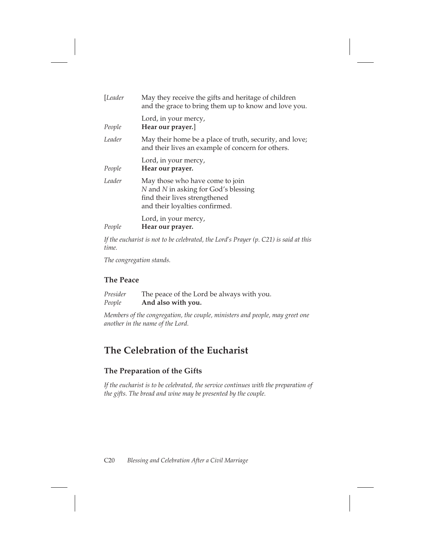| [Leader | May they receive the gifts and heritage of children<br>and the grace to bring them up to know and love you.                                |
|---------|--------------------------------------------------------------------------------------------------------------------------------------------|
| People  | Lord, in your mercy,<br>Hear our prayer.]                                                                                                  |
| Leader  | May their home be a place of truth, security, and love;<br>and their lives an example of concern for others.                               |
| People  | Lord, in your mercy,<br>Hear our prayer.                                                                                                   |
| Leader  | May those who have come to join<br>N and N in asking for God's blessing<br>find their lives strengthened<br>and their loyalties confirmed. |
| People  | Lord, in your mercy,<br>Hear our prayer.                                                                                                   |

*If the eucharist is not to be celebrated, the Lord's Prayer (p. C21) is said at this time.*

*The congregation stands.*

#### **The Peace**

*Presider* The peace of the Lord be always with you.<br>*People* **And also with you.** *People* **And also with you.**

*Members of the congregation, the couple, ministers and people, may greet one another in the name of the Lord.*

### **The Celebration of the Eucharist**

### **The Preparation of the Gifts**

*If the eucharist is to be celebrated, the service continues with the preparation of the gifts. The bread and wine may be presented by the couple.*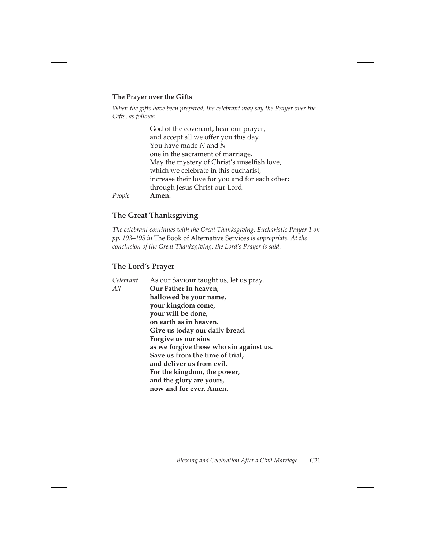#### **The Prayer over the Gifts**

*When the gifts have been prepared, the celebrant may say the Prayer over the Gifts, as follows.*

God of the covenant, hear our prayer, and accept all we offer you this day. You have made *N* and *N* one in the sacrament of marriage. May the mystery of Christ's unselfish love, which we celebrate in this eucharist, increase their love for you and for each other; through Jesus Christ our Lord. *People* **Amen.**

**The Great Thanksgiving**

*The celebrant continues with the Great Thanksgiving. Eucharistic Prayer 1 on pp. 193–195 in* The Book of Alternative Services *is appropriate. At the conclusion of the Great Thanksgiving, the Lord's Prayer is said.*

### **The Lord's Prayer**

| Celebrant | As our Saviour taught us, let us pray.  |
|-----------|-----------------------------------------|
| All       | Our Father in heaven,                   |
|           | hallowed be your name,                  |
|           | your kingdom come,                      |
|           | your will be done,                      |
|           | on earth as in heaven.                  |
|           | Give us today our daily bread.          |
|           | Forgive us our sins                     |
|           | as we forgive those who sin against us. |
|           | Save us from the time of trial,         |
|           | and deliver us from evil.               |
|           | For the kingdom, the power,             |
|           | and the glory are yours,                |
|           | now and for ever. Amen.                 |
|           |                                         |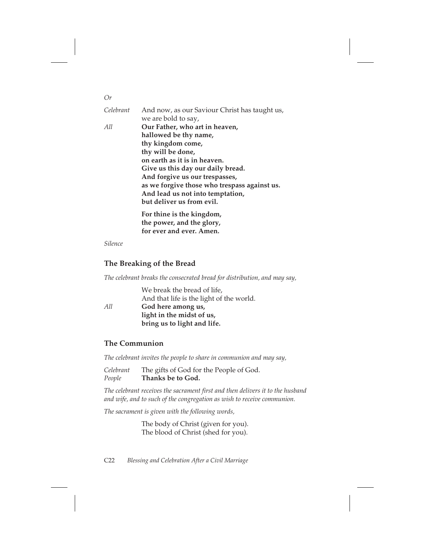| Celebrant | And now, as our Saviour Christ has taught us,<br>we are bold to say,                                                                                                                                                                                                                         |
|-----------|----------------------------------------------------------------------------------------------------------------------------------------------------------------------------------------------------------------------------------------------------------------------------------------------|
| All       | Our Father, who art in heaven,<br>hallowed be thy name,<br>thy kingdom come,<br>thy will be done,<br>on earth as it is in heaven.<br>Give us this day our daily bread.<br>And forgive us our trespasses,<br>as we forgive those who trespass against us.<br>And lead us not into temptation, |
|           | but deliver us from evil.<br>For thine is the kingdom,<br>the power, and the glory,<br>for ever and ever. Amen.                                                                                                                                                                              |
|           |                                                                                                                                                                                                                                                                                              |

*Silence*

*Or*

### **The Breaking of the Bread**

*The celebrant breaks the consecrated bread for distribution, and may say,*

|     | We break the bread of life,              |
|-----|------------------------------------------|
|     | And that life is the light of the world. |
| All | God here among us,                       |
|     | light in the midst of us,                |
|     | bring us to light and life.              |

### **The Communion**

*The celebrant invites the people to share in communion and may say,*

*Celebrant* The gifts of God for the People of God. *People* **Thanks be to God.**

*The celebrant receives the sacrament first and then delivers it to the husband and wife, and to such of the congregation as wish to receive communion.*

*The sacrament is given with the following words,*

The body of Christ (given for you). The blood of Christ (shed for you).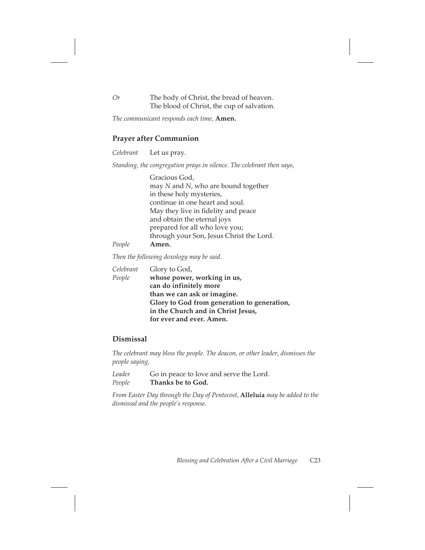*Or* The body of Christ, the bread of heaven. The blood of Christ, the cup of salvation.

*The communicant responds each time,* **Amen.**

### **Prayer after Communion**

*Celebrant* Let us pray.

*Standing, the congregation prays in silence. The celebrant then says,*

Gracious God, may *N* and *N*, who are bound together in these holy mysteries, continue in one heart and soul. May they live in fidelity and peace and obtain the eternal joys prepared for all who love you; through your Son, Jesus Christ the Lord. *People* **Amen.**

*Then the following doxology may be said.*

| Celebrant | Glory to God,                               |
|-----------|---------------------------------------------|
| People    | whose power, working in us,                 |
|           | can do infinitely more                      |
|           | than we can ask or imagine.                 |
|           | Glory to God from generation to generation, |
|           | in the Church and in Christ Jesus,          |
|           | for ever and ever. Amen.                    |

### **Dismissal**

*The celebrant may bless the people. The deacon, or other leader, dismisses the people saying,*

| Leader | Go in peace to love and serve the Lord. |
|--------|-----------------------------------------|
| People | Thanks be to God.                       |

*From Easter Day through the Day of Pentecost,* **Alleluia** *may be added to the dismissal and the people's response.*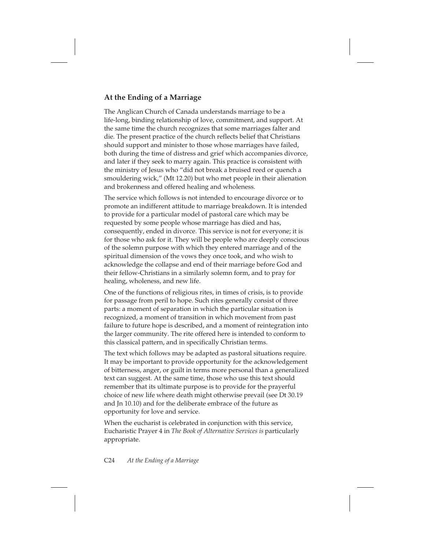### **At the Ending of a Marriage**

The Anglican Church of Canada understands marriage to be a life-long, binding relationship of love, commitment, and support. At the same time the church recognizes that some marriages falter and die. The present practice of the church reflects belief that Christians should support and minister to those whose marriages have failed, both during the time of distress and grief which accompanies divorce, and later if they seek to marry again. This practice is consistent with the ministry of Jesus who "did not break a bruised reed or quench a smouldering wick," (Mt 12.20) but who met people in their alienation and brokenness and offered healing and wholeness.

The service which follows is not intended to encourage divorce or to promote an indifferent attitude to marriage breakdown. It is intended to provide for a particular model of pastoral care which may be requested by some people whose marriage has died and has, consequently, ended in divorce. This service is not for everyone; it is for those who ask for it. They will be people who are deeply conscious of the solemn purpose with which they entered marriage and of the spiritual dimension of the vows they once took, and who wish to acknowledge the collapse and end of their marriage before God and their fellow-Christians in a similarly solemn form, and to pray for healing, wholeness, and new life.

One of the functions of religious rites, in times of crisis, is to provide for passage from peril to hope. Such rites generally consist of three parts: a moment of separation in which the particular situation is recognized, a moment of transition in which movement from past failure to future hope is described, and a moment of reintegration into the larger community. The rite offered here is intended to conform to this classical pattern, and in specifically Christian terms.

The text which follows may be adapted as pastoral situations require. It may be important to provide opportunity for the acknowledgement of bitterness, anger, or guilt in terms more personal than a generalized text can suggest. At the same time, those who use this text should remember that its ultimate purpose is to provide for the prayerful choice of new life where death might otherwise prevail (see Dt 30.19 and Jn 10.10) and for the deliberate embrace of the future as opportunity for love and service.

When the eucharist is celebrated in conjunction with this service, Eucharistic Prayer 4 in *The Book of Alternative Services is* particularly appropriate.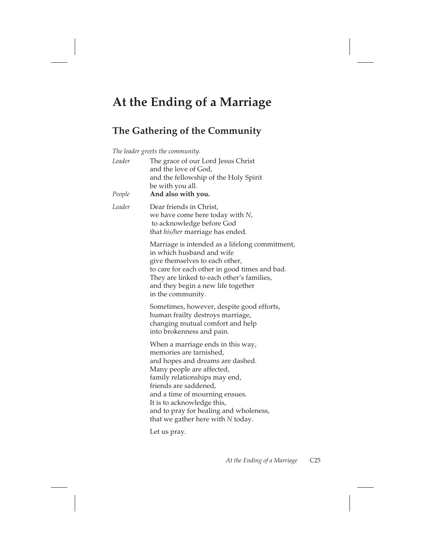## **At the Ending of a Marriage**

### **The Gathering of the Community**

|                  | The leader greets the community.                                                                                                                                                                                                                                                                                                         |
|------------------|------------------------------------------------------------------------------------------------------------------------------------------------------------------------------------------------------------------------------------------------------------------------------------------------------------------------------------------|
| Leader<br>People | The grace of our Lord Jesus Christ<br>and the love of God,<br>and the fellowship of the Holy Spirit<br>be with you all.<br>And also with you.                                                                                                                                                                                            |
| Leader           | Dear friends in Christ,<br>we have come here today with $N$ ,<br>to acknowledge before God<br>that <i>his/her</i> marriage has ended.                                                                                                                                                                                                    |
|                  | Marriage is intended as a lifelong commitment,<br>in which husband and wife<br>give themselves to each other,<br>to care for each other in good times and bad.<br>They are linked to each other's families,<br>and they begin a new life together<br>in the community.                                                                   |
|                  | Sometimes, however, despite good efforts,<br>human frailty destroys marriage,<br>changing mutual comfort and help<br>into brokenness and pain.                                                                                                                                                                                           |
|                  | When a marriage ends in this way,<br>memories are tarnished.<br>and hopes and dreams are dashed.<br>Many people are affected,<br>family relationships may end,<br>friends are saddened,<br>and a time of mourning ensues.<br>It is to acknowledge this,<br>and to pray for healing and wholeness,<br>that we gather here with $N$ today. |
|                  | Let us pray.                                                                                                                                                                                                                                                                                                                             |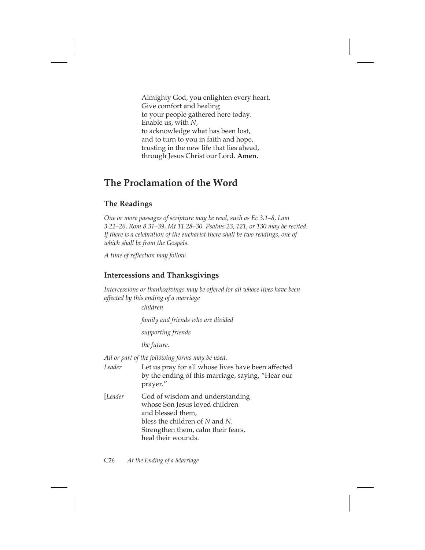Almighty God, you enlighten every heart. Give comfort and healing to your people gathered here today. Enable us, with *N*, to acknowledge what has been lost, and to turn to you in faith and hope, trusting in the new life that lies ahead, through Jesus Christ our Lord. **Amen**.

### **The Proclamation of the Word**

### **The Readings**

*One or more passages of scripture may be read, such as Ec 3.1–8, Lam 3.22–26, Rom 8.31–39, Mt 11.28–30. Psalms 23, 121, or 130 may be recited. If there is a celebration of the eucharist there shall be two readings, one of which shall be from the Gospels.*

*A time of reflection may follow.*

### **Intercessions and Thanksgivings**

*Intercessions or thanksgivings may be offered for all whose lives have been affected by this ending of a marriage*

*children*

*family and friends who are divided*

*supporting friends*

*the future.*

*All or part of the following forms may be used.*

*Leader* Let us pray for all whose lives have been affected by the ending of this marriage, saying, "Hear our prayer."

[*Leader* God of wisdom and understanding whose Son Jesus loved children and blessed them, bless the children of *N* and *N*. Strengthen them, calm their fears, heal their wounds.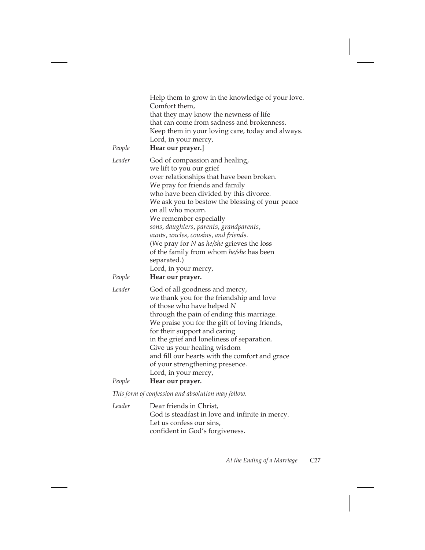| People | Help them to grow in the knowledge of your love.<br>Comfort them,<br>that they may know the newness of life<br>that can come from sadness and brokenness.<br>Keep them in your loving care, today and always.<br>Lord, in your mercy,<br>Hear our prayer.]                                                                                                                                                                                                                                                       |
|--------|------------------------------------------------------------------------------------------------------------------------------------------------------------------------------------------------------------------------------------------------------------------------------------------------------------------------------------------------------------------------------------------------------------------------------------------------------------------------------------------------------------------|
| Leader | God of compassion and healing,<br>we lift to you our grief<br>over relationships that have been broken.<br>We pray for friends and family<br>who have been divided by this divorce.<br>We ask you to bestow the blessing of your peace<br>on all who mourn.<br>We remember especially<br>sons, daughters, parents, grandparents,<br>aunts, uncles, cousins, and friends.<br>(We pray for $N$ as <i>he/she</i> grieves the loss<br>of the family from whom he/she has been<br>separated.)<br>Lord, in your mercy, |
| People | Hear our prayer.                                                                                                                                                                                                                                                                                                                                                                                                                                                                                                 |
| Leader | God of all goodness and mercy,<br>we thank you for the friendship and love<br>of those who have helped N<br>through the pain of ending this marriage.<br>We praise you for the gift of loving friends,<br>for their support and caring<br>in the grief and loneliness of separation.<br>Give us your healing wisdom<br>and fill our hearts with the comfort and grace<br>of your strengthening presence.<br>Lord, in your mercy,                                                                                 |
| People | Hear our prayer.                                                                                                                                                                                                                                                                                                                                                                                                                                                                                                 |

*This form of confession and absolution may follow.*

*Leader* Dear friends in Christ, God is steadfast in love and infinite in mercy. Let us confess our sins, confident in God's forgiveness.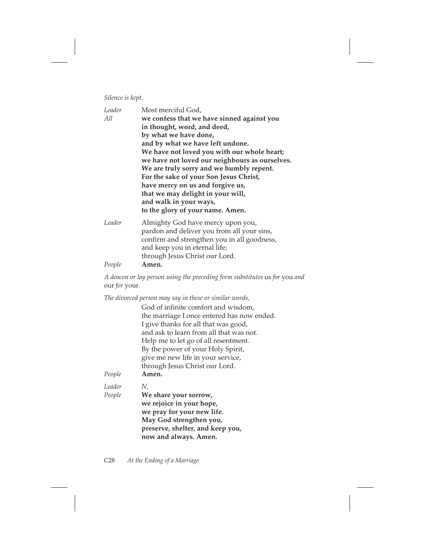#### *Silence is kept.*

| We have not loved you with our whole heart;    |
|------------------------------------------------|
| we have not loved our neighbours as ourselves. |
|                                                |
|                                                |
|                                                |
|                                                |
|                                                |
|                                                |
|                                                |
|                                                |
|                                                |
|                                                |
|                                                |
|                                                |
|                                                |

*A deacon or lay person using the preceding form substitutes* us *for* you *and* our *for* your*.*

*The divorced person may say in these or similar words,*

| People           | God of infinite comfort and wisdom,<br>the marriage I once entered has now ended.<br>I give thanks for all that was good,<br>and ask to learn from all that was not.<br>Help me to let go of all resentment.<br>By the power of your Holy Spirit,<br>give me new life in your service,<br>through Jesus Christ our Lord.<br>Amen. |
|------------------|-----------------------------------------------------------------------------------------------------------------------------------------------------------------------------------------------------------------------------------------------------------------------------------------------------------------------------------|
| Leader<br>People | N,<br>We share your sorrow,<br>we rejoice in your hope,<br>we pray for your new life.<br>May God strengthen you,<br>preserve, shelter, and keep you,<br>now and always. Amen.                                                                                                                                                     |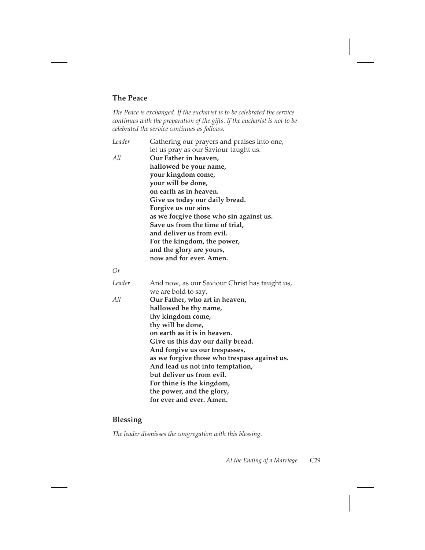### **The Peace**

*The Peace is exchanged. If the eucharist is to be celebrated the service continues with the preparation of the gifts. If the eucharist is not to be celebrated the service continues as follows.*

| Leader | Gathering our prayers and praises into one,   |
|--------|-----------------------------------------------|
|        | let us pray as our Saviour taught us.         |
| All    | Our Father in heaven,                         |
|        | hallowed be your name,                        |
|        | your kingdom come,                            |
|        | your will be done,                            |
|        | on earth as in heaven.                        |
|        | Give us today our daily bread.                |
|        | Forgive us our sins                           |
|        | as we forgive those who sin against us.       |
|        | Save us from the time of trial,               |
|        | and deliver us from evil.                     |
|        | For the kingdom, the power,                   |
|        | and the glory are yours,                      |
|        | now and for ever. Amen.                       |
| Or     |                                               |
| Leader | And now, as our Saviour Christ has taught us, |
|        | we are bold to say,                           |
| All    | Our Father, who art in heaven,                |
|        | hallowed be thy name,                         |
|        | thy kingdom come,                             |
|        | thy will be done,                             |
|        | on earth as it is in heaven.                  |
|        | Give us this day our daily bread.             |
|        | And forgive us our trespasses,                |
|        | as we forgive those who trespass against us.  |
|        | And lead us not into temptation,              |
|        | but deliver us from evil.                     |
|        | For thine is the kingdom,                     |
|        | the power, and the glory,                     |
|        | for ever and ever. Amen.                      |

### **Blessing**

*The leader dismisses the congregation with this blessing.*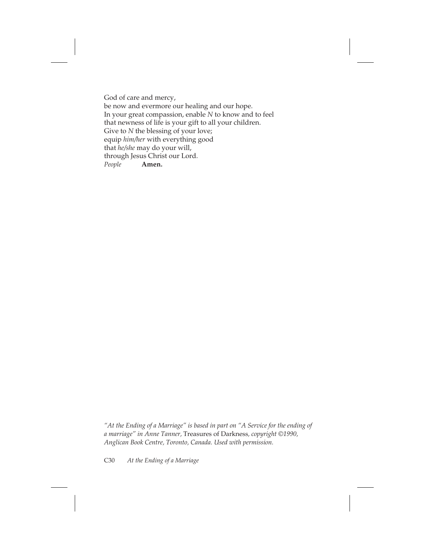God of care and mercy, be now and evermore our healing and our hope. In your great compassion, enable *N* to know and to feel that newness of life is your gift to all your children. Give to *N* the blessing of your love; equip *him/her* with everything good that *he/she* may do your will, through Jesus Christ our Lord. *People* **Amen.**

*"At the Ending of a Marriage" is based in part on "A Service for the ending of a marriage" in Anne Tanner,* Treasures of Darkness*, copyright ©1990, Anglican Book Centre, Toronto, Canada. Used with permission.*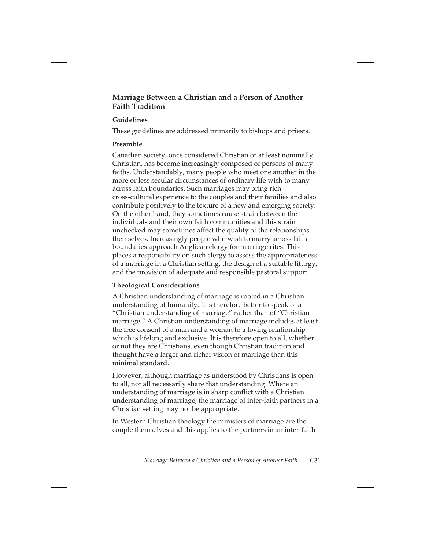### **Marriage Between a Christian and a Person of Another Faith Tradition**

### **Guidelines**

These guidelines are addressed primarily to bishops and priests.

#### **Preamble**

Canadian society, once considered Christian or at least nominally Christian, has become increasingly composed of persons of many faiths. Understandably, many people who meet one another in the more or less secular circumstances of ordinary life wish to many across faith boundaries. Such marriages may bring rich cross-cultural experience to the couples and their families and also contribute positively to the texture of a new and emerging society. On the other hand, they sometimes cause strain between the individuals and their own faith communities and this strain unchecked may sometimes affect the quality of the relationships themselves. Increasingly people who wish to marry across faith boundaries approach Anglican clergy for marriage rites. This places a responsibility on such clergy to assess the appropriateness of a marriage in a Christian setting, the design of a suitable liturgy, and the provision of adequate and responsible pastoral support.

### **Theological Considerations**

A Christian understanding of marriage is rooted in a Christian understanding of humanity. It is therefore better to speak of a "Christian understanding of marriage" rather than of "Christian marriage." A Christian understanding of marriage includes at least the free consent of a man and a woman to a loving relationship which is lifelong and exclusive. It is therefore open to all, whether or not they are Christians, even though Christian tradition and thought have a larger and richer vision of marriage than this minimal standard.

However, although marriage as understood by Christians is open to all, not all necessarily share that understanding. Where an understanding of marriage is in sharp conflict with a Christian understanding of marriage, the marriage of inter-faith partners in a Christian setting may not be appropriate.

In Western Christian theology the ministers of marriage are the couple themselves and this applies to the partners in an inter-faith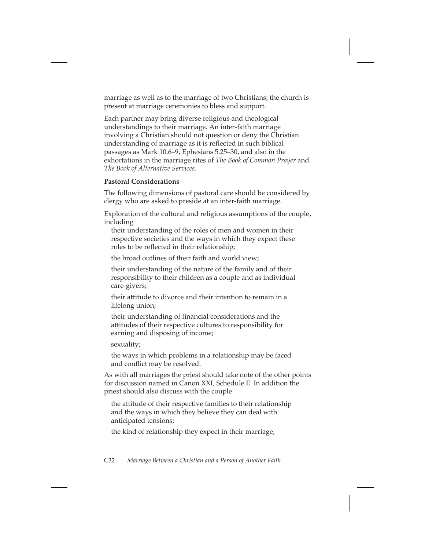marriage as well as to the marriage of two Christians; the church is present at marriage ceremonies to bless and support.

Each partner may bring diverse religious and theological understandings to their marriage. An inter-faith marriage involving a Christian should not question or deny the Christian understanding of marriage as it is reflected in such biblical passages as Mark 10.6–9, Ephesians 5.25–30, and also in the exhortations in the marriage rites of *The Book of Common Prayer* and *The Book of Alternative Services*.

### **Pastoral Considerations**

The following dimensions of pastoral care should be considered by clergy who are asked to preside at an inter-faith marriage.

Exploration of the cultural and religious assumptions of the couple, including

their understanding of the roles of men and women in their respective societies and the ways in which they expect these roles to be reflected in their relationship;

the broad outlines of their faith and world view;

their understanding of the nature of the family and of their responsibility to their children as a couple and as individual care-givers;

their attitude to divorce and their intention to remain in a lifelong union;

their understanding of financial considerations and the attitudes of their respective cultures to responsibility for earning and disposing of income;

sexuality;

the ways in which problems in a relationship may be faced and conflict may be resolved.

As with all marriages the priest should take note of the other points for discussion named in Canon XXI, Schedule E. In addition the priest should also discuss with the couple

the attitude of their respective families to their relationship and the ways in which they believe they can deal with anticipated tensions;

the kind of relationship they expect in their marriage;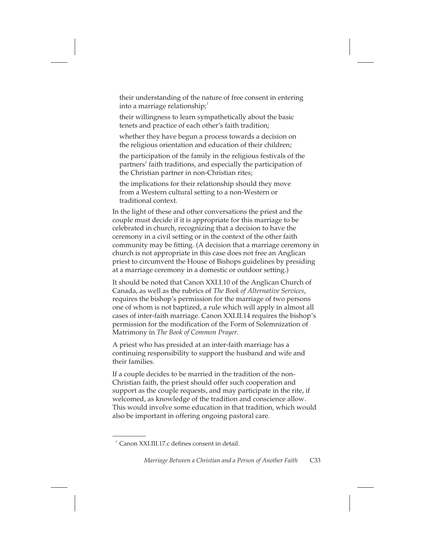their understanding of the nature of free consent in entering into a marriage relationship; $<sup>1</sup>$ </sup>

their willingness to learn sympathetically about the basic tenets and practice of each other's faith tradition;

whether they have begun a process towards a decision on the religious orientation and education of their children;

the participation of the family in the religious festivals of the partners' faith traditions, and especially the participation of the Christian partner in non-Christian rites;

the implications for their relationship should they move from a Western cultural setting to a non-Western or traditional context.

In the light of these and other conversations the priest and the couple must decide if it is appropriate for this marriage to be celebrated in church, recognizing that a decision to have the ceremony in a civil setting or in the context of the other faith community may be fitting. (A decision that a marriage ceremony in church is not appropriate in this case does not free an Anglican priest to circumvent the House of Bishops guidelines by presiding at a marriage ceremony in a domestic or outdoor setting.)

It should be noted that Canon XXI.I.10 of the Anglican Church of Canada, as well as the rubrics of *The Book of Alternative Services*, requires the bishop's permission for the marriage of two persons one of whom is not baptized, a rule which will apply in almost all cases of inter-faith marriage. Canon XXI.II.14 requires the bishop's permission for the modification of the Form of Solemnization of Matrimony in *The Book of Common Prayer*.

A priest who has presided at an inter-faith marriage has a continuing responsibility to support the husband and wife and their families.

If a couple decides to be married in the tradition of the non-Christian faith, the priest should offer such cooperation and support as the couple requests, and may participate in the rite, if welcomed, as knowledge of the tradition and conscience allow. This would involve some education in that tradition, which would also be important in offering ongoing pastoral care.

 $1.$  Canon XXLIII.17. $c$  defines consent in detail.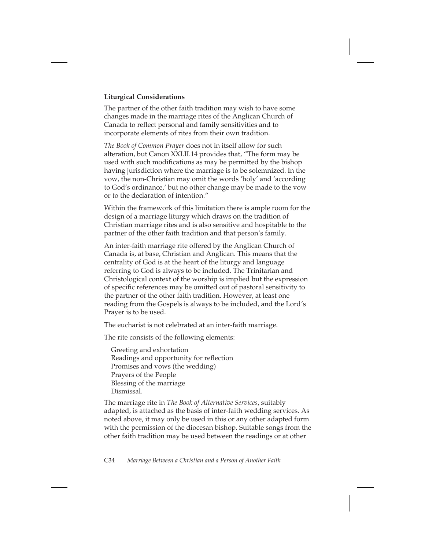### **Liturgical Considerations**

The partner of the other faith tradition may wish to have some changes made in the marriage rites of the Anglican Church of Canada to reflect personal and family sensitivities and to incorporate elements of rites from their own tradition.

*The Book of Common Prayer* does not in itself allow for such alteration, but Canon XXI.II.14 provides that, "The form may be used with such modifications as may be permitted by the bishop having jurisdiction where the marriage is to be solemnized. In the vow, the non-Christian may omit the words 'holy' and 'according to God's ordinance,' but no other change may be made to the vow or to the declaration of intention."

Within the framework of this limitation there is ample room for the design of a marriage liturgy which draws on the tradition of Christian marriage rites and is also sensitive and hospitable to the partner of the other faith tradition and that person's family.

An inter-faith marriage rite offered by the Anglican Church of Canada is, at base, Christian and Anglican. This means that the centrality of God is at the heart of the liturgy and language referring to God is always to be included. The Trinitarian and Christological context of the worship is implied but the expression of specific references may be omitted out of pastoral sensitivity to the partner of the other faith tradition. However, at least one reading from the Gospels is always to be included, and the Lord's Prayer is to be used.

The eucharist is not celebrated at an inter-faith marriage.

The rite consists of the following elements:

Greeting and exhortation Readings and opportunity for reflection Promises and vows (the wedding) Prayers of the People Blessing of the marriage Dismissal.

The marriage rite in *The Book of Alternative Services*, suitably adapted, is attached as the basis of inter-faith wedding services. As noted above, it may only be used in this or any other adapted form with the permission of the diocesan bishop. Suitable songs from the other faith tradition may be used between the readings or at other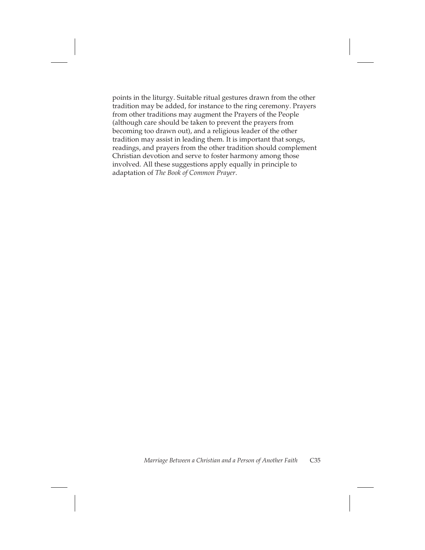points in the liturgy. Suitable ritual gestures drawn from the other tradition may be added, for instance to the ring ceremony. Prayers from other traditions may augment the Prayers of the People (although care should be taken to prevent the prayers from becoming too drawn out), and a religious leader of the other tradition may assist in leading them. It is important that songs, readings, and prayers from the other tradition should complement Christian devotion and serve to foster harmony among those involved. All these suggestions apply equally in principle to adaptation of *The Book of Common Prayer*.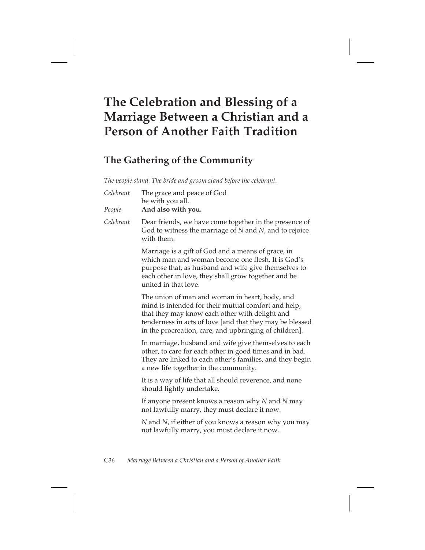## **The Celebration and Blessing of a Marriage Between a Christian and a Person of Another Faith Tradition**

### **The Gathering of the Community**

*The people stand. The bride and groom stand before the celebrant.*

*Celebrant* The grace and peace of God be with you all. *People* **And also with you.** *Celebrant* Dear friends, we have come together in the presence of God to witness the marriage of *N* and *N*, and to rejoice with them. Marriage is a gift of God and a means of grace, in which man and woman become one flesh. It is God's purpose that, as husband and wife give themselves to each other in love, they shall grow together and be united in that love. The union of man and woman in heart, body, and mind is intended for their mutual comfort and help, that they may know each other with delight and tenderness in acts of love [and that they may be blessed in the procreation, care, and upbringing of children]. In marriage, husband and wife give themselves to each other, to care for each other in good times and in bad. They are linked to each other's families, and they begin a new life together in the community. It is a way of life that all should reverence, and none should lightly undertake. If anyone present knows a reason why *N* and *N* may not lawfully marry, they must declare it now. *N* and *N*, if either of you knows a reason why you may not lawfully marry, you must declare it now.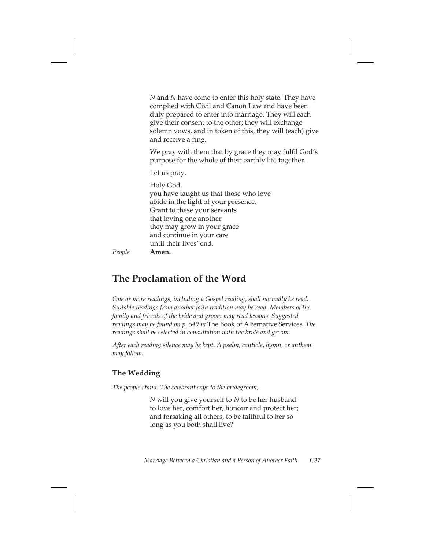*N* and *N* have come to enter this holy state. They have complied with Civil and Canon Law and have been duly prepared to enter into marriage. They will each give their consent to the other; they will exchange solemn vows, and in token of this, they will (each) give and receive a ring.

We pray with them that by grace they may fulfil God's purpose for the whole of their earthly life together.

Let us pray.

Holy God, you have taught us that those who love abide in the light of your presence. Grant to these your servants that loving one another they may grow in your grace and continue in your care until their lives' end. *People* **Amen.**

### **The Proclamation of the Word**

*One or more readings, including a Gospel reading, shall normally be read. Suitable readings from another faith tradition may be read. Members of the family and friends of the bride and groom may read lessons. Suggested readings may be found on p. 549 in* The Book of Alternative Services*. The readings shall be selected in consultation with the bride and groom.*

*After each reading silence may be kept. A psalm, canticle, hymn, or anthem may follow.*

### **The Wedding**

*The people stand. The celebrant says to the bridegroom,*

*N* will you give yourself to *N* to be her husband: to love her, comfort her, honour and protect her; and forsaking all others, to be faithful to her so long as you both shall live?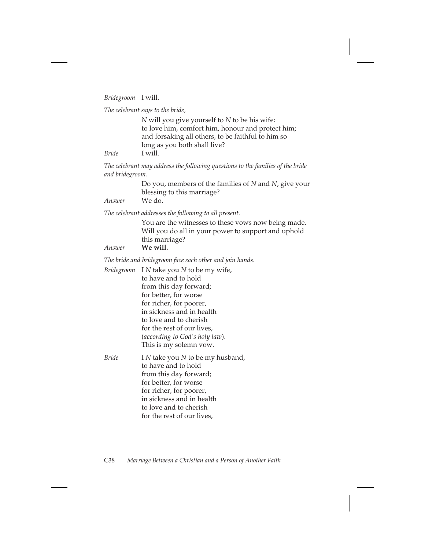*Bridegroom* I will.

*The celebrant says to the bride,*

*N* will you give yourself to *N* to be his wife: to love him, comfort him, honour and protect him; and forsaking all others, to be faithful to him so long as you both shall live?

*Bride* I will.

*The celebrant may address the following questions to the families of the bride and bridegroom.*

|        | Do you, members of the families of $N$ and $N$ , give your |
|--------|------------------------------------------------------------|
|        | blessing to this marriage?                                 |
| Answer | We do.                                                     |

*The celebrant addresses the following to all present.*

You are the witnesses to these vows now being made. Will you do all in your power to support and uphold this marriage?

*Answer* **We will.**

*The bride and bridegroom face each other and join hands.*

| Bridegroom          | I N take you N to be my wife,    |
|---------------------|----------------------------------|
|                     | to have and to hold              |
|                     | from this day forward;           |
|                     | for better, for worse            |
|                     | for richer, for poorer,          |
|                     | in sickness and in health        |
|                     | to love and to cherish           |
|                     | for the rest of our lives.       |
|                     | (according to God's holy law).   |
|                     | This is my solemn vow.           |
| <i><u>Bride</u></i> | I N take you N to be my husband, |
|                     | to have and to hold              |
|                     | from this day forward;           |
|                     | for better, for worse            |
|                     | for richer, for poorer,          |
|                     | in sickness and in health        |
|                     | to love and to cherish           |
|                     | for the rest of our lives,       |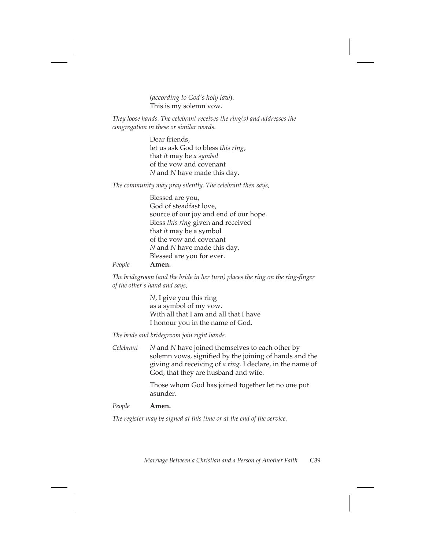(*according to God's holy law*). This is my solemn vow.

*They loose hands. The celebrant receives the ring(s) and addresses the congregation in these or similar words.*

> Dear friends, let us ask God to bless *this ring*, that *it* may be *a symbol* of the vow and covenant *N* and *N* have made this day.

*The community may pray silently. The celebrant then says,*

Blessed are you, God of steadfast love, source of our joy and end of our hope. Bless *this ring* given and received that *it* may be a symbol of the vow and covenant *N* and *N* have made this day. Blessed are you for ever.

#### *People* **Amen.**

*The bridegroom (and the bride in her turn) places the ring on the ring-finger of the other's hand and says,*

> *N*, I give you this ring as a symbol of my vow. With all that I am and all that I have I honour you in the name of God.

*The bride and bridegroom join right hands.*

*Celebrant N* and *N* have joined themselves to each other by solemn vows, signified by the joining of hands and the giving and receiving of *a ring*. I declare, in the name of God, that they are husband and wife.

> Those whom God has joined together let no one put asunder.

#### *People* **Amen.**

*The register may be signed at this time or at the end of the service.*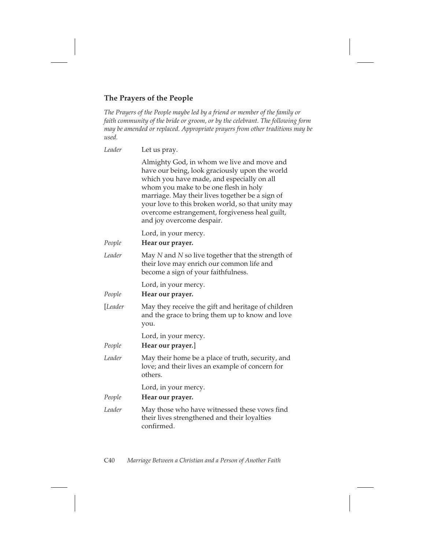### **The Prayers of the People**

*The Prayers of the People maybe led by a friend or member of the family or faith community of the bride or groom, or by the celebrant. The following form may be amended or replaced. Appropriate prayers from other traditions may be used.*

*Leader* Let us pray. Almighty God, in whom we live and move and have our being, look graciously upon the world which you have made, and especially on all whom you make to be one flesh in holy marriage. May their lives together be a sign of your love to this broken world, so that unity may overcome estrangement, forgiveness heal guilt, and joy overcome despair. Lord, in your mercy. *People* **Hear our prayer.** *Leader* May *N* and *N* so live together that the strength of their love may enrich our common life and become a sign of your faithfulness. Lord, in your mercy. *People* **Hear our prayer.** [*Leader* May they receive the gift and heritage of children and the grace to bring them up to know and love you. Lord, in your mercy. *People* **Hear our prayer.**] *Leader* May their home be a place of truth, security, and love; and their lives an example of concern for others. Lord, in your mercy. *People* **Hear our prayer.** *Leader* May those who have witnessed these vows find their lives strengthened and their loyalties confirmed.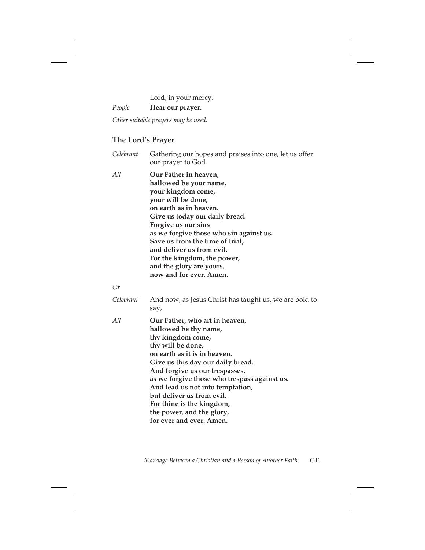Lord, in your mercy.

*People* **Hear our prayer.**

*Other suitable prayers may be used.*

### **The Lord's Prayer**

| Celebrant | Gathering our hopes and praises into one, let us offer<br>our prayer to God.                                                                                                                                                                                                                                                                                                                                    |
|-----------|-----------------------------------------------------------------------------------------------------------------------------------------------------------------------------------------------------------------------------------------------------------------------------------------------------------------------------------------------------------------------------------------------------------------|
| All       | Our Father in heaven,<br>hallowed be your name,<br>your kingdom come,<br>your will be done,<br>on earth as in heaven.<br>Give us today our daily bread.<br>Forgive us our sins<br>as we forgive those who sin against us.<br>Save us from the time of trial,<br>and deliver us from evil.<br>For the kingdom, the power,<br>and the glory are yours,<br>now and for ever. Amen.                                 |
| Or        |                                                                                                                                                                                                                                                                                                                                                                                                                 |
| Celebrant | And now, as Jesus Christ has taught us, we are bold to<br>say,                                                                                                                                                                                                                                                                                                                                                  |
| All       | Our Father, who art in heaven,<br>hallowed be thy name,<br>thy kingdom come,<br>thy will be done,<br>on earth as it is in heaven.<br>Give us this day our daily bread.<br>And forgive us our trespasses,<br>as we forgive those who trespass against us.<br>And lead us not into temptation,<br>but deliver us from evil.<br>For thine is the kingdom,<br>the power, and the glory,<br>for ever and ever. Amen. |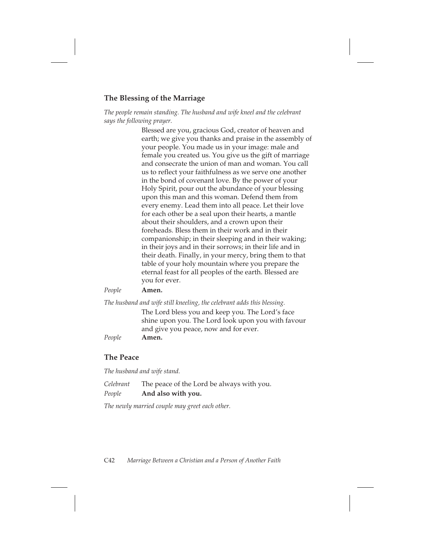### **The Blessing of the Marriage**

*The people remain standing. The husband and wife kneel and the celebrant says the following prayer.*

> Blessed are you, gracious God, creator of heaven and earth; we give you thanks and praise in the assembly of your people. You made us in your image: male and female you created us. You give us the gift of marriage and consecrate the union of man and woman. You call us to reflect your faithfulness as we serve one another in the bond of covenant love. By the power of your Holy Spirit, pour out the abundance of your blessing upon this man and this woman. Defend them from every enemy. Lead them into all peace. Let their love for each other be a seal upon their hearts, a mantle about their shoulders, and a crown upon their foreheads. Bless them in their work and in their companionship; in their sleeping and in their waking; in their joys and in their sorrows; in their life and in their death. Finally, in your mercy, bring them to that table of your holy mountain where you prepare the eternal feast for all peoples of the earth. Blessed are you for ever.

*People* **Amen.**

*The husband and wife still kneeling, the celebrant adds this blessing.*

The Lord bless you and keep you. The Lord's face shine upon you. The Lord look upon you with favour and give you peace, now and for ever.

*People* **Amen.**

### **The Peace**

*The husband and wife stand.*

*Celebrant* The peace of the Lord be always with you. *People* **And also with you.**

*The newly married couple may greet each other.*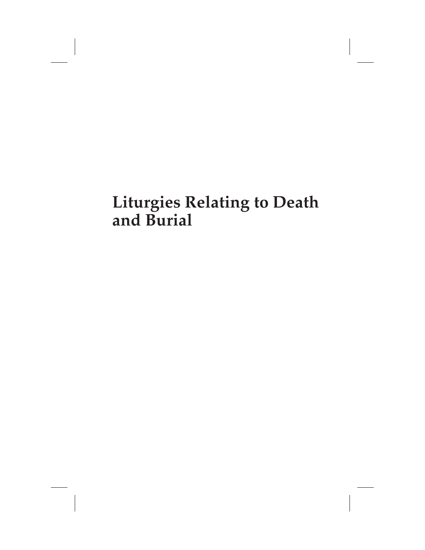# **Liturgies Relating to Death and Burial**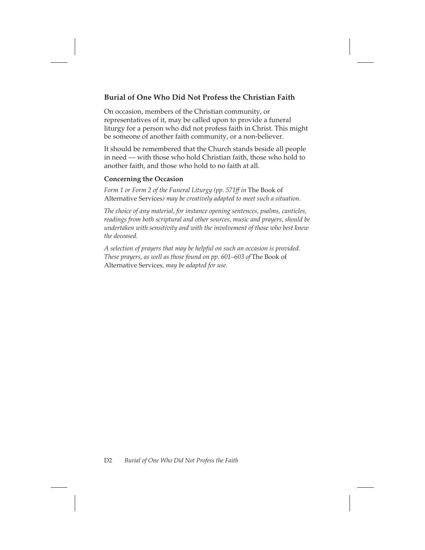### **Burial of One Who Did Not Profess the Christian Faith**

On occasion, members of the Christian community, or representatives of it, may be called upon to provide a funeral liturgy for a person who did not profess faith in Christ. This might be someone of another faith community, or a non-believer.

It should be remembered that the Church stands beside all people in need — with those who hold Christian faith, those who hold to another faith, and those who hold to no faith at all.

#### **Concerning the Occasion**

*Form 1 or Form 2 of the Funeral Liturgy (pp. 571ff in* The Book of Alternative Services*) may be creatively adapted to meet such a situation.*

*The choice of any material, for instance opening sentences, psalms, canticles, readings from both scriptural and other sources, music and prayers, should be undertaken with sensitivity and with the involvement of those who best knew the deceased.*

*A selection of prayers that may be helpful on such an occasion is provided. These prayers, as well as those found on pp. 601–603 of* The Book of Alternative Services*, may be adapted for use.*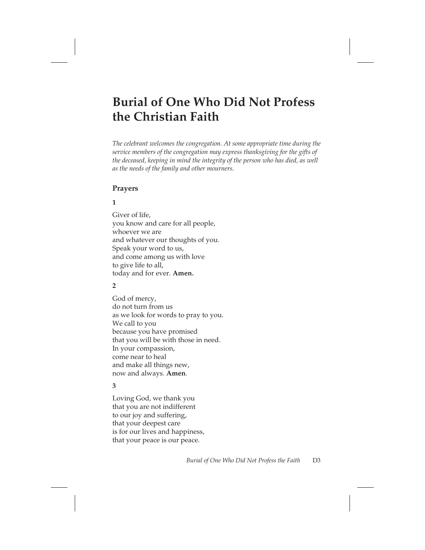# **Burial of One Who Did Not Profess the Christian Faith**

*The celebrant welcomes the congregation. At some appropriate time during the service members of the congregation may express thanksgiving for the gifts of the deceased, keeping in mind the integrity of the person who has died, as well as the needs of the family and other mourners.*

#### **Prayers**

#### **1**

Giver of life, you know and care for all people, whoever we are and whatever our thoughts of you. Speak your word to us, and come among us with love to give life to all, today and for ever. **Amen.**

#### **2**

God of mercy, do not turn from us as we look for words to pray to you. We call to you because you have promised that you will be with those in need. In your compassion, come near to heal and make all things new, now and always. **Amen**.

#### **3**

Loving God, we thank you that you are not indifferent to our joy and suffering, that your deepest care is for our lives and happiness, that your peace is our peace.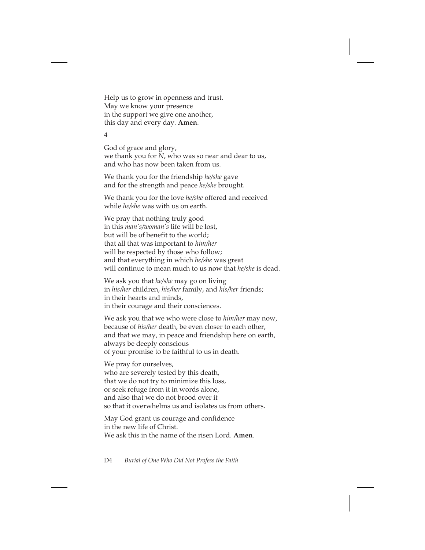Help us to grow in openness and trust. May we know your presence in the support we give one another, this day and every day. **Amen**.

#### **4**

God of grace and glory, we thank you for *N*, who was so near and dear to us, and who has now been taken from us.

We thank you for the friendship *he/she* gave and for the strength and peace *he/she* brought.

We thank you for the love *he/she* offered and received while *he/she* was with us on earth.

We pray that nothing truly good in this *man's/woman's* life will be lost, but will be of benefit to the world; that all that was important to *him/her* will be respected by those who follow; and that everything in which *he/she* was great will continue to mean much to us now that *he/she* is dead.

We ask you that *he/she* may go on living in *his/her* children, *his/her* family, and *his/her* friends; in their hearts and minds, in their courage and their consciences.

We ask you that we who were close to *him/her* may now, because of *his/her* death, be even closer to each other, and that we may, in peace and friendship here on earth, always be deeply conscious of your promise to be faithful to us in death.

We pray for ourselves, who are severely tested by this death, that we do not try to minimize this loss, or seek refuge from it in words alone, and also that we do not brood over it so that it overwhelms us and isolates us from others.

May God grant us courage and confidence in the new life of Christ. We ask this in the name of the risen Lord. **Amen**.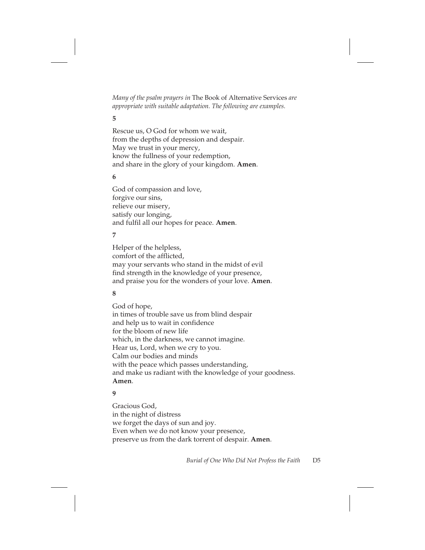*Many of the psalm prayers in* The Book of Alternative Services *are appropriate with suitable adaptation. The following are examples.*

#### **5**

Rescue us, O God for whom we wait, from the depths of depression and despair. May we trust in your mercy, know the fullness of your redemption, and share in the glory of your kingdom. **Amen**.

#### **6**

God of compassion and love, forgive our sins, relieve our misery, satisfy our longing, and fulfil all our hopes for peace. **Amen**.

#### **7**

Helper of the helpless, comfort of the afflicted, may your servants who stand in the midst of evil find strength in the knowledge of your presence, and praise you for the wonders of your love. **Amen**.

#### **8**

God of hope, in times of trouble save us from blind despair and help us to wait in confidence for the bloom of new life which, in the darkness, we cannot imagine. Hear us, Lord, when we cry to you. Calm our bodies and minds with the peace which passes understanding, and make us radiant with the knowledge of your goodness. **Amen**.

#### **9**

Gracious God, in the night of distress we forget the days of sun and joy. Even when we do not know your presence, preserve us from the dark torrent of despair. **Amen**.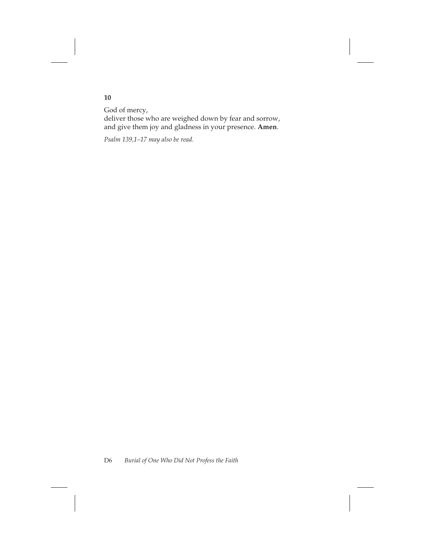God of mercy, deliver those who are weighed down by fear and sorrow, and give them joy and gladness in your presence. **Amen**.

*Psalm 139,1–17 may also be read.*

# **10**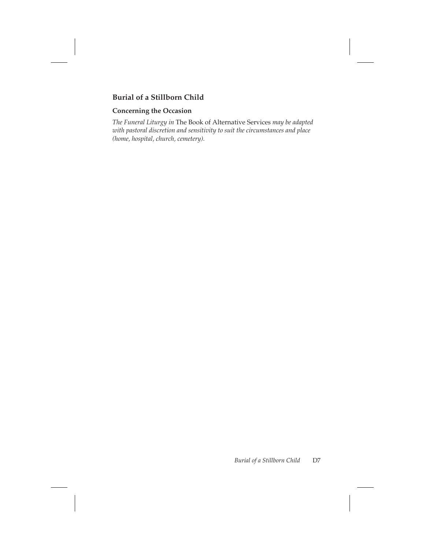### **Burial of a Stillborn Child**

#### **Concerning the Occasion**

*The Funeral Liturgy in* The Book of Alternative Services *may be adapted with pastoral discretion and sensitivity to suit the circumstances and place (home, hospital, church, cemetery).*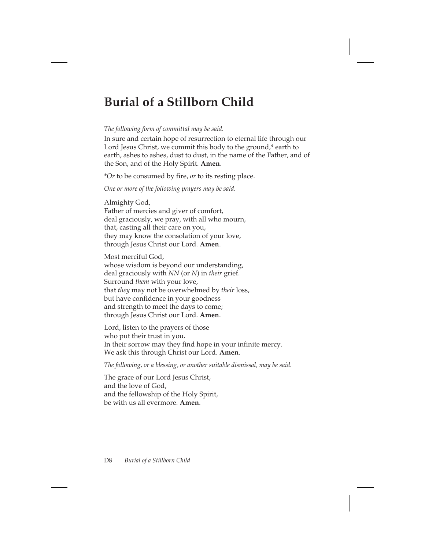# **Burial of a Stillborn Child**

#### *The following form of committal may be said.*

In sure and certain hope of resurrection to eternal life through our Lord Jesus Christ, we commit this body to the ground,\* earth to earth, ashes to ashes, dust to dust, in the name of the Father, and of the Son, and of the Holy Spirit. **Amen**.

\**Or* to be consumed by fire, *or* to its resting place.

*One or more of the following prayers may be said.*

Almighty God, Father of mercies and giver of comfort, deal graciously, we pray, with all who mourn, that, casting all their care on you, they may know the consolation of your love, through Jesus Christ our Lord. **Amen**.

Most merciful God, whose wisdom is beyond our understanding, deal graciously with *NN* (or *N*) in *their* grief. Surround *them* with your love, that *they* may not be overwhelmed by *their* loss, but have confidence in your goodness and strength to meet the days to come; through Jesus Christ our Lord. **Amen**.

Lord, listen to the prayers of those who put their trust in you. In their sorrow may they find hope in your infinite mercy. We ask this through Christ our Lord. **Amen**.

*The following, or a blessing, or another suitable dismissal, may be said.*

The grace of our Lord Jesus Christ, and the love of God, and the fellowship of the Holy Spirit, be with us all evermore. **Amen**.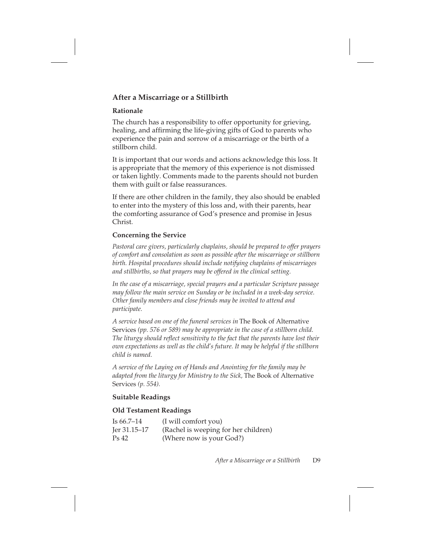# **After a Miscarriage or a Stillbirth**

### **Rationale**

The church has a responsibility to offer opportunity for grieving, healing, and affirming the life-giving gifts of God to parents who experience the pain and sorrow of a miscarriage or the birth of a stillborn child.

It is important that our words and actions acknowledge this loss. It is appropriate that the memory of this experience is not dismissed or taken lightly. Comments made to the parents should not burden them with guilt or false reassurances.

If there are other children in the family, they also should be enabled to enter into the mystery of this loss and, with their parents, hear the comforting assurance of God's presence and promise in Jesus Christ.

### **Concerning the Service**

*Pastoral care givers, particularly chaplains, should be prepared to offer prayers of comfort and consolation as soon as possible after the miscarriage or stillborn birth. Hospital procedures should include notifying chaplains of miscarriages and stillbirths, so that prayers may be offered in the clinical setting.*

*In the case of a miscarriage, special prayers and a particular Scripture passage may follow the main service on Sunday or be included in a week-day service. Other family members and close friends may be invited to attend and participate.*

*A service based on one of the funeral services in* The Book of Alternative Services *(pp. 576 or 589) may be appropriate in the case of a stillborn child. The liturgy should reflect sensitivity to the fact that the parents have lost their own expectations as well as the child's future. It may be helpful if the stillborn child is named.*

*A service of the Laying on of Hands and Anointing for the family may be adapted from the liturgy for Ministry to the Sick,* The Book of Alternative Services *(p. 554).*

### **Suitable Readings**

#### **Old Testament Readings**

| Is $66.7 - 14$   | (I will comfort you)                 |
|------------------|--------------------------------------|
| Jer $31.15 - 17$ | (Rachel is weeping for her children) |
| Ps 42            | (Where now is your God?)             |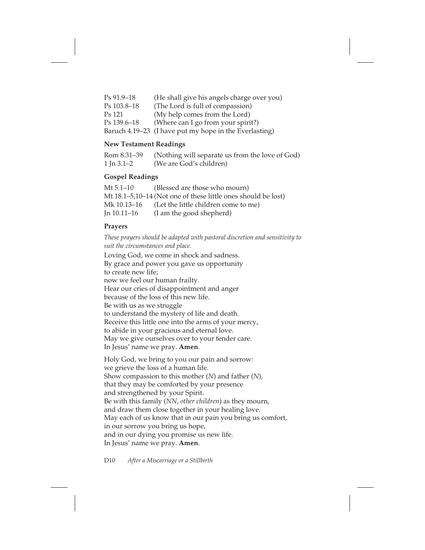| $Ps\,91.9-18$ | (He shall give his angels charge over you)             |
|---------------|--------------------------------------------------------|
| Ps 103.8-18   | (The Lord is full of compassion)                       |
| Ps 121        | (My help comes from the Lord)                          |
| $Ps$ 139.6–18 | (Where can I go from your spirit?)                     |
|               | Baruch 4.19–23 (I have put my hope in the Everlasting) |

#### **New Testament Readings**

| Rom 8.31–39  | (Nothing will separate us from the love of God) |
|--------------|-------------------------------------------------|
| 1 Jn $3.1-2$ | (We are God's children)                         |

#### **Gospel Readings**

| $Mt 5.1-10$     | (Blessed are those who mourn)                                 |
|-----------------|---------------------------------------------------------------|
|                 | Mt 18.1–5,10–14 (Not one of these little ones should be lost) |
| Mk 10.13–16     | (Let the little children come to me)                          |
| In $10.11 - 16$ | (I am the good shepherd)                                      |

#### **Prayers**

*These prayers should be adapted with pastoral discretion and sensitivity to suit the circumstances and place.*

Loving God, we come in shock and sadness. By grace and power you gave us opportunity to create new life; now we feel our human frailty. Hear our cries of disappointment and anger because of the loss of this new life. Be with us as we struggle to understand the mystery of life and death. Receive this little one into the arms of your mercy, to abide in your gracious and eternal love. May we give ourselves over to your tender care. In Jesus' name we pray. **Amen**. Holy God, we bring to you our pain and sorrow: we grieve the loss of a human life. Show compassion to this mother (*N*) and father (*N*), that they may be comforted by your presence and strengthened by your Spirit. Be with this family (*NN*, *other children*) as they mourn, and draw them close together in your healing love. May each of us know that in our pain you bring us comfort, in our sorrow you bring us hope, and in our dying you promise us new life. In Jesus' name we pray. **Amen**.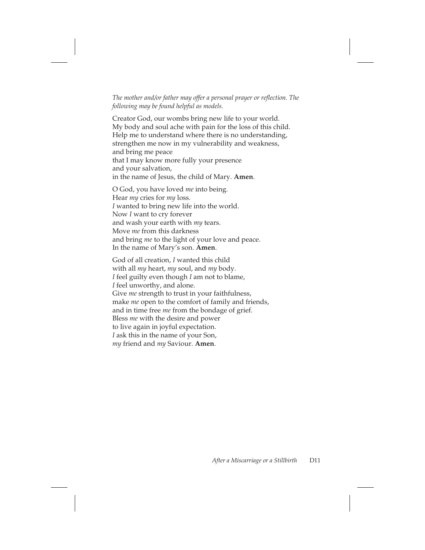*The mother and/or father may offer a personal prayer or reflection. The following may be found helpful as models.*

Creator God, our wombs bring new life to your world. My body and soul ache with pain for the loss of this child. Help me to understand where there is no understanding, strengthen me now in my vulnerability and weakness, and bring me peace that I may know more fully your presence and your salvation, in the name of Jesus, the child of Mary. **Amen**.

O God, you have loved *me* into being. Hear *my* cries for *my* loss. *I* wanted to bring new life into the world. Now *I* want to cry forever and wash your earth with *my* tears. Move *me* from this darkness and bring *me* to the light of your love and peace. In the name of Mary's son. **Amen**.

God of all creation, *I* wanted this child with all *my* heart, *my* soul, and *my* body. *I* feel guilty even though *I* am not to blame, *I* feel unworthy, and alone. Give *me* strength to trust in your faithfulness, make *me* open to the comfort of family and friends, and in time free *me* from the bondage of grief. Bless *me* with the desire and power to live again in joyful expectation. *I* ask this in the name of your Son, *my* friend and *my* Saviour. **Amen**.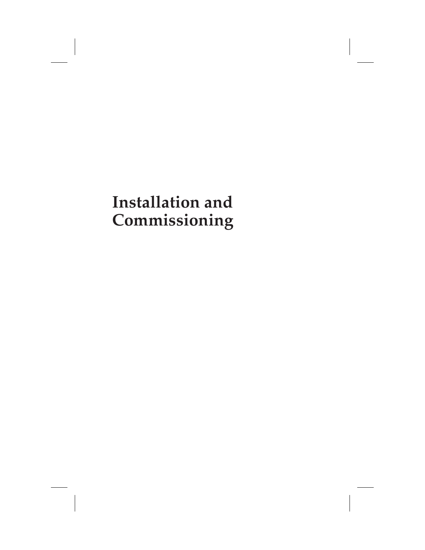# **Installation and Commissioning**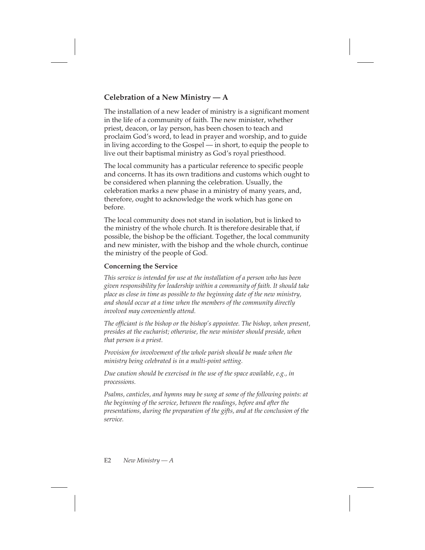# **Celebration of a New Ministry — A**

The installation of a new leader of ministry is a significant moment in the life of a community of faith. The new minister, whether priest, deacon, or lay person, has been chosen to teach and proclaim God's word, to lead in prayer and worship, and to guide in living according to the Gospel — in short, to equip the people to live out their baptismal ministry as God's royal priesthood.

The local community has a particular reference to specific people and concerns. It has its own traditions and customs which ought to be considered when planning the celebration. Usually, the celebration marks a new phase in a ministry of many years, and, therefore, ought to acknowledge the work which has gone on before.

The local community does not stand in isolation, but is linked to the ministry of the whole church. It is therefore desirable that, if possible, the bishop be the officiant. Together, the local community and new minister, with the bishop and the whole church, continue the ministry of the people of God.

#### **Concerning the Service**

*This service is intended for use at the installation of a person who has been given responsibility for leadership within a community of faith. It should take place as close in time as possible to the beginning date of the new ministry, and should occur at a time when the members of the community directly involved may conveniently attend.*

*The officiant is the bishop or the bishop's appointee. The bishop, when present, presides at the eucharist; otherwise, the new minister should preside, when that person is a priest.*

*Provision for involvement of the whole parish should be made when the ministry being celebrated is in a multi-point setting.*

*Due caution should be exercised in the use of the space available, e.g., in processions.*

*Psalms, canticles, and hymns may be sung at some of the following points: at the beginning of the service, between the readings, before and after the presentations, during the preparation of the gifts, and at the conclusion of the service.*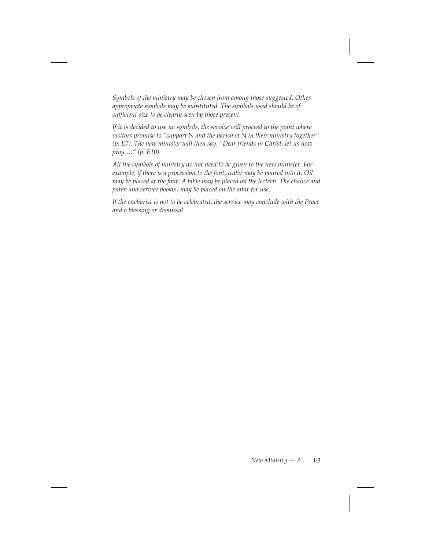*Symbols of the ministry may be chosen from among those suggested. Other appropriate symbols may be substituted. The symbols used should be of sufficient size to be clearly seen by those present.*

*If it is decided to use no symbols, the service will proceed to the point where visitors promise to "support* N *and the parish of* N *in their ministry together" (p. E7). The new minister will then say, "Dear friends in Christ, let us now pray …" (p. E10).*

*All the symbols of ministry do not need to be given to the new minister. For example, if there is a procession to the font, water may be poured into it. Oil may be placed at the font. A bible may be placed on the lectern. The chalice and paten and service book(s) may be placed on the altar for use.*

*If the eucharist is not to be celebrated, the service may conclude with the Peace and a blessing or dismissal.*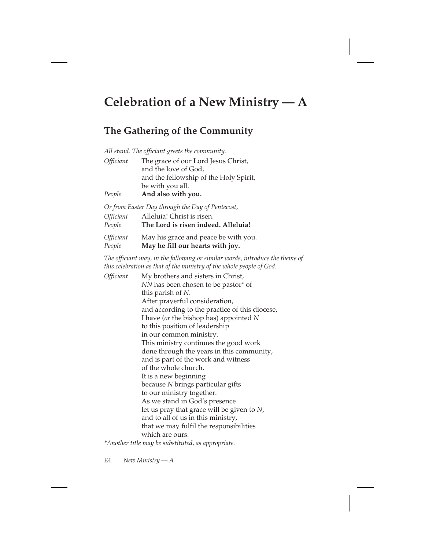# **Celebration of a New Ministry — A**

# **The Gathering of the Community**

|                         | All stand. The officiant greets the community.   |
|-------------------------|--------------------------------------------------|
| <i><b>Officiant</b></i> | The grace of our Lord Jesus Christ,              |
|                         | and the love of God,                             |
|                         | and the fellowship of the Holy Spirit,           |
|                         | be with you all.                                 |
| People                  | And also with you.                               |
|                         | Or from Easter Day through the Day of Pentecost, |
| Officiant               | Alleluia! Christ is risen.                       |

| People                  | The Lord is risen indeed. Alleluia!  |
|-------------------------|--------------------------------------|
| <i><b>Officiant</b></i> | May his grace and peace be with you. |

*People* **May he fill our hearts with joy.**

*The officiant may, in the following or similar words, introduce the theme of this celebration as that of the ministry of the whole people of God.*

*Officiant* My brothers and sisters in Christ, *NN* has been chosen to be pastor\* of this parish of *N*. After prayerful consideration, and according to the practice of this diocese, I have (*or* the bishop has) appointed *N* to this position of leadership in our common ministry. This ministry continues the good work done through the years in this community, and is part of the work and witness of the whole church. It is a new beginning because *N* brings particular gifts to our ministry together. As we stand in God's presence let us pray that grace will be given to *N*, and to all of us in this ministry, that we may fulfil the responsibilities which are ours.

*\*Another title may be substituted, as appropriate.*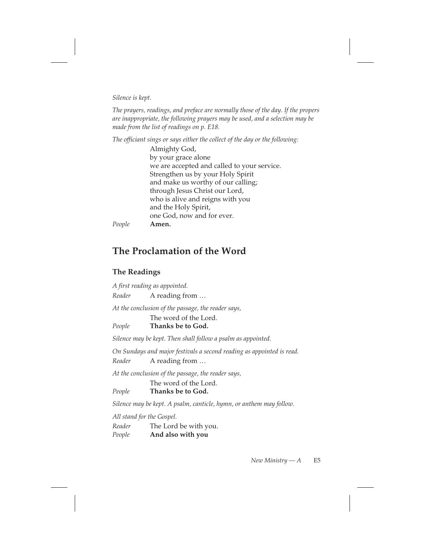*Silence is kept.*

*The prayers, readings, and preface are normally those of the day. If the propers are inappropriate, the following prayers may be used, and a selection may be made from the list of readings on p. E18.*

*The officiant sings or says either the collect of the day or the following:*

Almighty God, by your grace alone we are accepted and called to your service. Strengthen us by your Holy Spirit and make us worthy of our calling; through Jesus Christ our Lord, who is alive and reigns with you and the Holy Spirit, one God, now and for ever. *People* **Amen.**

**The Proclamation of the Word**

## **The Readings**

*A first reading as appointed. Reader* A reading from … *At the conclusion of the passage, the reader says,* The word of the Lord. *People* **Thanks be to God.** *Silence may be kept. Then shall follow a psalm as appointed. On Sundays and major festivals a second reading as appointed is read.*

*Reader* A reading from …

*At the conclusion of the passage, the reader says,*

The word of the Lord.

*People* **Thanks be to God.**

*Silence may be kept. A psalm, canticle, hymn, or anthem may follow.*

*All stand for the Gospel.*

*Reader* The Lord be with you. *People* **And also with you**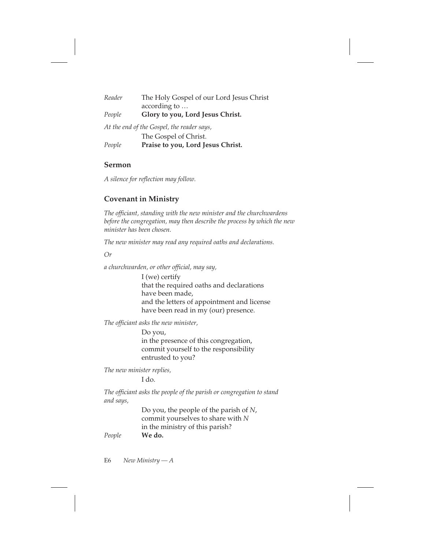| Reader | The Holy Gospel of our Lord Jesus Christ   |
|--------|--------------------------------------------|
|        | according to                               |
| People | Glory to you, Lord Jesus Christ.           |
|        | At the end of the Gospel, the reader says, |
|        | The Gospel of Christ.                      |
| People | Praise to you, Lord Jesus Christ.          |

#### **Sermon**

*A silence for reflection may follow.*

#### **Covenant in Ministry**

*The officiant, standing with the new minister and the churchwardens before the congregation, may then describe the process by which the new minister has been chosen.*

*The new minister may read any required oaths and declarations.*

*Or*

*a churchwarden, or other official, may say,*

I (we) certify that the required oaths and declarations have been made, and the letters of appointment and license have been read in my (our) presence.

*The officiant asks the new minister,*

Do you, in the presence of this congregation, commit yourself to the responsibility entrusted to you?

*The new minister replies,*

I do.

*The officiant asks the people of the parish or congregation to stand and says,*

Do you, the people of the parish of *N*, commit yourselves to share with *N* in the ministry of this parish? *People* **We do.**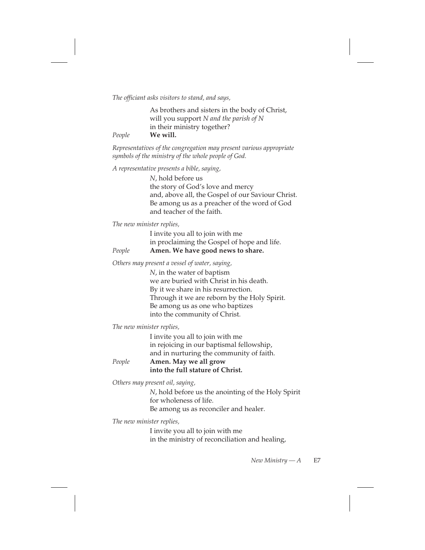*The officiant asks visitors to stand, and says,*

As brothers and sisters in the body of Christ, will you support *N and the parish of N* in their ministry together? *People* **We will.**

*Representatives of the congregation may present various appropriate symbols of the ministry of the whole people of God.*

*A representative presents a bible, saying,*

*N*, hold before us the story of God's love and mercy and, above all, the Gospel of our Saviour Christ. Be among us as a preacher of the word of God and teacher of the faith.

*The new minister replies,*

I invite you all to join with me in proclaiming the Gospel of hope and life. *People* **Amen. We have good news to share.**

*Others may present a vessel of water, saying,*

*N*, in the water of baptism we are buried with Christ in his death. By it we share in his resurrection. Through it we are reborn by the Holy Spirit. Be among us as one who baptizes into the community of Christ.

*The new minister replies,*

I invite you all to join with me in rejoicing in our baptismal fellowship, and in nurturing the community of faith.

#### *People* **Amen. May we all grow into the full stature of Christ.**

*Others may present oil, saying,*

*N*, hold before us the anointing of the Holy Spirit for wholeness of life. Be among us as reconciler and healer.

*The new minister replies,*

I invite you all to join with me in the ministry of reconciliation and healing,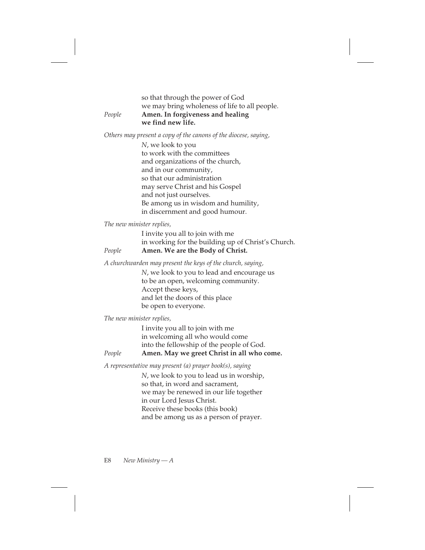|        | so that through the power of God              |
|--------|-----------------------------------------------|
|        | we may bring wholeness of life to all people. |
| People | Amen. In forgiveness and healing              |
|        | we find new life.                             |

*Others may present a copy of the canons of the diocese, saying,*

*N*, we look to you to work with the committees and organizations of the church, and in our community, so that our administration may serve Christ and his Gospel and not just ourselves. Be among us in wisdom and humility, in discernment and good humour.

*The new minister replies,*

I invite you all to join with me in working for the building up of Christ's Church. *People* **Amen. We are the Body of Christ.**

*A churchwarden may present the keys of the church, saying,*

*N*, we look to you to lead and encourage us to be an open, welcoming community. Accept these keys, and let the doors of this place be open to everyone.

*The new minister replies,*

I invite you all to join with me in welcoming all who would come into the fellowship of the people of God. *People* **Amen. May we greet Christ in all who come.**

*A representative may present (a) prayer book(s), saying*

*N*, we look to you to lead us in worship, so that, in word and sacrament, we may be renewed in our life together in our Lord Jesus Christ. Receive these books (this book) and be among us as a person of prayer.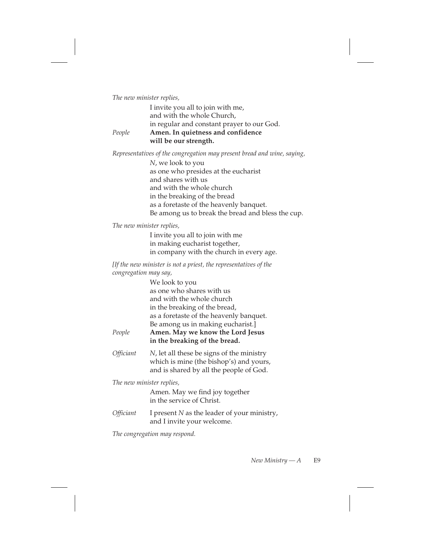*The new minister replies,*

|        | I invite you all to join with me,          |
|--------|--------------------------------------------|
|        | and with the whole Church,                 |
|        | in regular and constant prayer to our God. |
| People | Amen. In quietness and confidence          |
|        | will be our strength.                      |
|        |                                            |

*Representatives of the congregation may present bread and wine, saying,*

*N*, we look to you as one who presides at the eucharist and shares with us and with the whole church in the breaking of the bread as a foretaste of the heavenly banquet. Be among us to break the bread and bless the cup.

*The new minister replies,*

I invite you all to join with me in making eucharist together, in company with the church in every age.

*[If the new minister is not a priest, the representatives of the congregation may say,*

|                         | We look to you                                                                                                                  |
|-------------------------|---------------------------------------------------------------------------------------------------------------------------------|
|                         | as one who shares with us                                                                                                       |
|                         | and with the whole church                                                                                                       |
|                         | in the breaking of the bread,                                                                                                   |
|                         | as a foretaste of the heavenly banquet.                                                                                         |
|                         | Be among us in making eucharist.]                                                                                               |
| People                  | Amen. May we know the Lord Jesus                                                                                                |
|                         | in the breaking of the bread.                                                                                                   |
| Officiant               | N, let all these be signs of the ministry<br>which is mine (the bishop's) and yours,<br>and is shared by all the people of God. |
|                         | The new minister replies,                                                                                                       |
|                         | Amen. May we find joy together<br>in the service of Christ.                                                                     |
| <i><b>Officiant</b></i> | I present N as the leader of your ministry,<br>and I invite your welcome.                                                       |

*The congregation may respond.*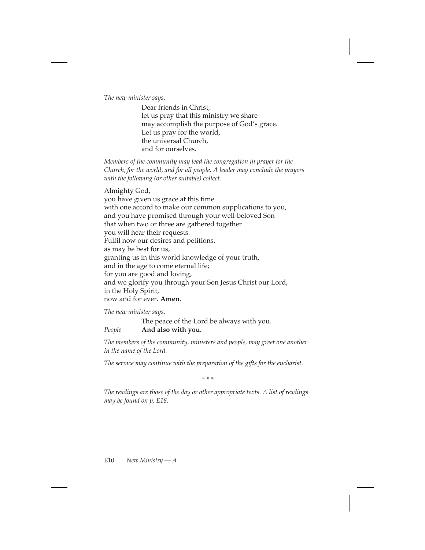*The new minister says,*

Dear friends in Christ, let us pray that this ministry we share may accomplish the purpose of God's grace. Let us pray for the world, the universal Church, and for ourselves.

*Members of the community may lead the congregation in prayer for the Church, for the world, and for all people. A leader may conclude the prayers with the following (or other suitable) collect.*

Almighty God,

you have given us grace at this time with one accord to make our common supplications to you, and you have promised through your well-beloved Son that when two or three are gathered together you will hear their requests. Fulfil now our desires and petitions, as may be best for us, granting us in this world knowledge of your truth, and in the age to come eternal life; for you are good and loving, and we glorify you through your Son Jesus Christ our Lord, in the Holy Spirit,

now and for ever. **Amen**.

*The new minister says,*

The peace of the Lord be always with you.

#### *People* **And also with you.**

*The members of the community, ministers and people, may greet one another in the name of the Lord.*

*The service may continue with the preparation of the gifts for the eucharist.*

\* \* \*

*The readings are those of the day or other appropriate texts. A list of readings may be found on p. E18.*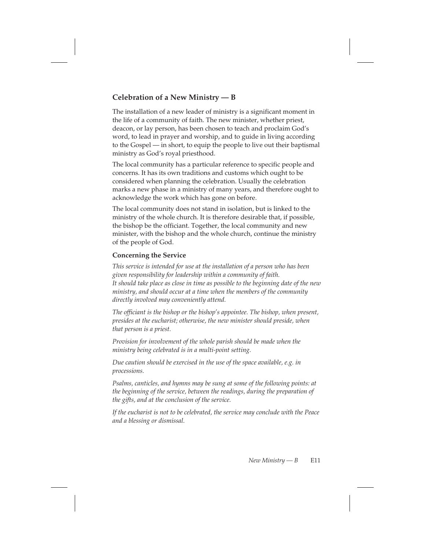# **Celebration of a New Ministry — B**

The installation of a new leader of ministry is a significant moment in the life of a community of faith. The new minister, whether priest, deacon, or lay person, has been chosen to teach and proclaim God's word, to lead in prayer and worship, and to guide in living according to the Gospel — in short, to equip the people to live out their baptismal ministry as God's royal priesthood.

The local community has a particular reference to specific people and concerns. It has its own traditions and customs which ought to be considered when planning the celebration. Usually the celebration marks a new phase in a ministry of many years, and therefore ought to acknowledge the work which has gone on before.

The local community does not stand in isolation, but is linked to the ministry of the whole church. It is therefore desirable that, if possible, the bishop be the officiant. Together, the local community and new minister, with the bishop and the whole church, continue the ministry of the people of God.

#### **Concerning the Service**

*This service is intended for use at the installation of a person who has been given responsibility for leadership within a community of faith. It should take place as close in time as possible to the beginning date of the new ministry, and should occur at a time when the members of the community directly involved may conveniently attend.*

*The officiant is the bishop or the bishop's appointee. The bishop, when present, presides at the eucharist; otherwise, the new minister should preside, when that person is a priest.*

*Provision for involvement of the whole parish should be made when the ministry being celebrated is in a multi-point setting.*

*Due caution should be exercised in the use of the space available, e.g. in processions.*

*Psalms, canticles, and hymns may be sung at some of the following points: at the beginning of the service, between the readings, during the preparation of the gifts, and at the conclusion of the service.*

*If the eucharist is not to be celebrated, the service may conclude with the Peace and a blessing or dismissal.*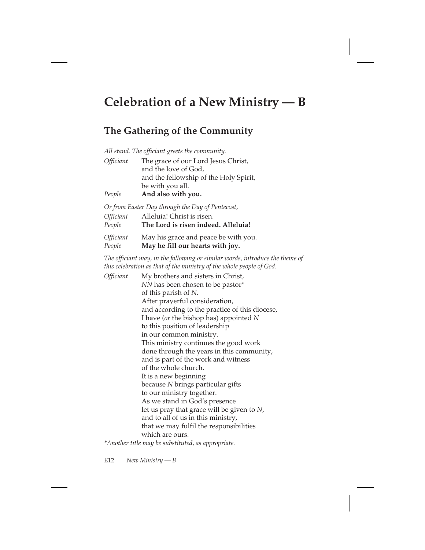# **Celebration of a New Ministry — B**

# **The Gathering of the Community**

|                         | All stand. The officiant greets the community.   |
|-------------------------|--------------------------------------------------|
| <i><b>Officiant</b></i> | The grace of our Lord Jesus Christ,              |
|                         | and the love of God,                             |
|                         | and the fellowship of the Holy Spirit,           |
|                         | be with you all.                                 |
| People                  | And also with you.                               |
|                         | Or from Easter Day through the Day of Pentecost, |
| Officiant               | Alleluia! Christ is risen.                       |

| People                  | The Lord is risen indeed. Alleluia!  |
|-------------------------|--------------------------------------|
| <i><b>Officiant</b></i> | May his grace and peace be with you. |
| People                  | May he fill our hearts with joy.     |

*The officiant may, in the following or similar words, introduce the theme of this celebration as that of the ministry of the whole people of God.*

*Officiant* My brothers and sisters in Christ, *NN* has been chosen to be pastor\* of this parish of *N*. After prayerful consideration, and according to the practice of this diocese, I have (*or* the bishop has) appointed *N* to this position of leadership in our common ministry. This ministry continues the good work done through the years in this community, and is part of the work and witness of the whole church. It is a new beginning because *N* brings particular gifts to our ministry together. As we stand in God's presence let us pray that grace will be given to *N*, and to all of us in this ministry, that we may fulfil the responsibilities which are ours.

*\*Another title may be substituted, as appropriate.*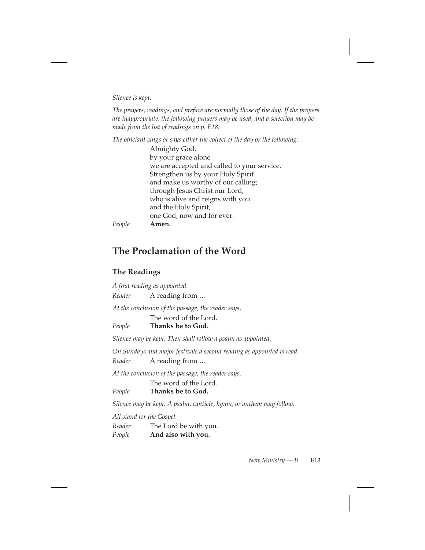*Silence is kept.*

*The prayers, readings, and preface are normally those of the day. If the propers are inappropriate, the following prayers may be used, and a selection may be made from the list of readings on p. E18.*

*The officiant sings or says either the collect of the day or the following:*

Almighty God, by your grace alone we are accepted and called to your service. Strengthen us by your Holy Spirit and make us worthy of our calling; through Jesus Christ our Lord, who is alive and reigns with you and the Holy Spirit, one God, now and for ever. *People* **Amen.**

**The Proclamation of the Word**

## **The Readings**

*A first reading as appointed. Reader* A reading from … *At the conclusion of the passage, the reader says,* The word of the Lord. *People* **Thanks be to God.** *Silence may be kept. Then shall follow a psalm as appointed. On Sundays and major festivals a second reading as appointed is read.*

*Reader* A reading from …

*At the conclusion of the passage, the reader says,*

The word of the Lord.

*People* **Thanks be to God.**

*Silence may be kept. A psalm, canticle, hymn, or anthem may follow.*

*All stand for the Gospel.*

*Reader* The Lord be with you. *People* **And also with you.**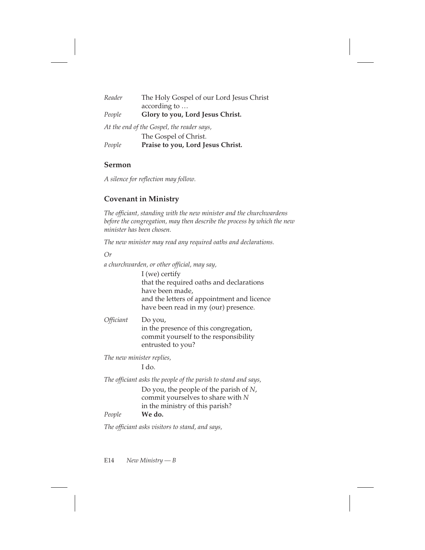| Reader | The Holy Gospel of our Lord Jesus Christ   |
|--------|--------------------------------------------|
|        | according to                               |
| People | Glory to you, Lord Jesus Christ.           |
|        | At the end of the Gospel, the reader says, |
|        | The Gospel of Christ.                      |
| People | Praise to you, Lord Jesus Christ.          |

#### **Sermon**

*A silence for reflection may follow.*

## **Covenant in Ministry**

*The officiant, standing with the new minister and the churchwardens before the congregation, may then describe the process by which the new minister has been chosen.*

*The new minister may read any required oaths and declarations.*

*Or*

*a churchwarden, or other official, may say,*

I (we) certify that the required oaths and declarations have been made, and the letters of appointment and licence have been read in my (our) presence.

*Officiant* Do you, in the presence of this congregation, commit yourself to the responsibility entrusted to you?

*The new minister replies,*

I do.

*The officiant asks the people of the parish to stand and says,*

Do you, the people of the parish of *N*, commit yourselves to share with *N* in the ministry of this parish?

*People* **We do.**

*The officiant asks visitors to stand, and says,*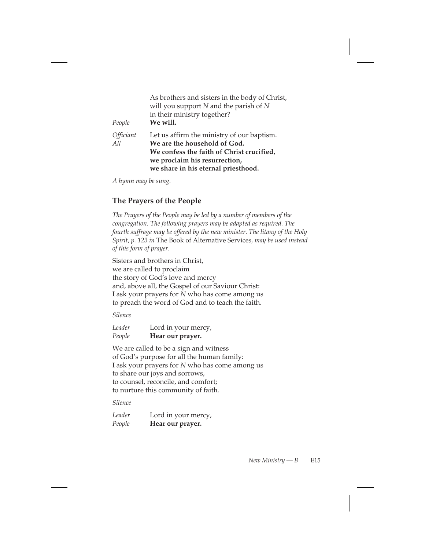| People                         | As brothers and sisters in the body of Christ,<br>will you support $N$ and the parish of $N$<br>in their ministry together?<br>We will.                                                         |
|--------------------------------|-------------------------------------------------------------------------------------------------------------------------------------------------------------------------------------------------|
| <i><b>Officiant</b></i><br>All | Let us affirm the ministry of our baptism.<br>We are the household of God.<br>We confess the faith of Christ crucified,<br>we proclaim his resurrection,<br>we share in his eternal priesthood. |

*A hymn may be sung.*

## **The Prayers of the People**

*The Prayers of the People may be led by a number of members of the congregation. The following prayers may be adapted as required. The fourth suffrage may be offered by the new minister. The litany of the Holy Spirit, p. 123 in* The Book of Alternative Services*, may be used instead of this form of prayer.*

Sisters and brothers in Christ, we are called to proclaim the story of God's love and mercy and, above all, the Gospel of our Saviour Christ: I ask your prayers for *N* who has come among us to preach the word of God and to teach the faith.

*Silence*

| Leader | Lord in your mercy, |
|--------|---------------------|
| People | Hear our prayer.    |

We are called to be a sign and witness of God's purpose for all the human family: I ask your prayers for *N* who has come among us to share our joys and sorrows, to counsel, reconcile, and comfort; to nurture this community of faith.

*Silence*

| Leader | Lord in your mercy, |
|--------|---------------------|
| People | Hear our prayer.    |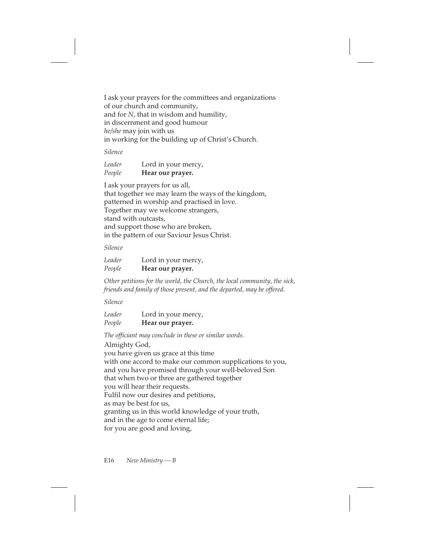I ask your prayers for the committees and organizations of our church and community, and for *N*, that in wisdom and humility, in discernment and good humour *he/she* may join with us in working for the building up of Christ's Church.

*Silence*

*Leader* Lord in your mercy, *People* **Hear our prayer.**

I ask your prayers for us all, that together we may learn the ways of the kingdom, patterned in worship and practised in love. Together may we welcome strangers, stand with outcasts, and support those who are broken, in the pattern of our Saviour Jesus Christ.

*Silence*

| Leader | Lord in your mercy, |
|--------|---------------------|
| People | Hear our prayer.    |

*Other petitions for the world, the Church, the local community, the sick, friends and family of those present, and the departed, may be offered.*

*Silence*

| Leader | Lord in your mercy, |
|--------|---------------------|
| People | Hear our prayer.    |

*The officiant may conclude in these or similar words.*

Almighty God,

you have given us grace at this time

with one accord to make our common supplications to you,

and you have promised through your well-beloved Son

that when two or three are gathered together

you will hear their requests.

Fulfil now our desires and petitions,

as may be best for us,

granting us in this world knowledge of your truth,

and in the age to come eternal life;

for you are good and loving,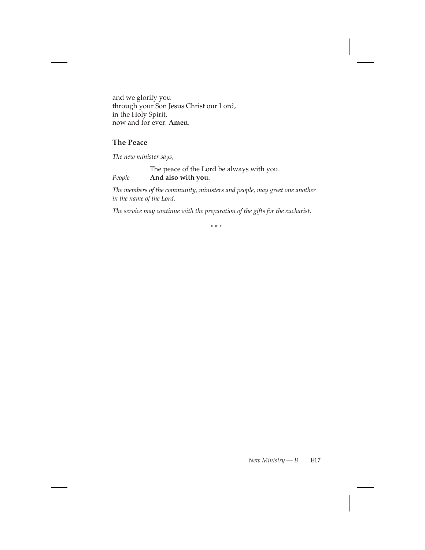and we glorify you through your Son Jesus Christ our Lord, in the Holy Spirit, now and for ever. **Amen**.

#### **The Peace**

*The new minister says,*

#### The peace of the Lord be always with you. *People* **And also with you.**

*The members of the community, ministers and people, may greet one another in the name of the Lord.*

*The service may continue with the preparation of the gifts for the eucharist.*

\* \* \*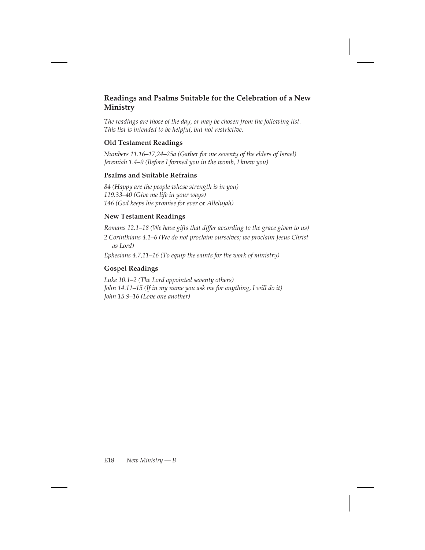## **Readings and Psalms Suitable for the Celebration of a New Ministry**

*The readings are those of the day, or may be chosen from the following list. This list is intended to be helpful, but not restrictive.*

#### **Old Testament Readings**

*Numbers 11.16–17,24–25a (Gather for me seventy of the elders of Israel) Jeremiah 1.4–9 (Before I formed you in the womb, I knew you)*

#### **Psalms and Suitable Refrains**

*84 (Happy are the people whose strength is in you) 119.33–40 (Give me life in your ways) 146 (God keeps his promise for ever* or *Allelujah)*

#### **New Testament Readings**

*Romans 12.1–18 (We have gifts that differ according to the grace given to us) 2 Corinthians 4.1–6 (We do not proclaim ourselves; we proclaim Jesus Christ as Lord) Ephesians 4.7,11–16 (To equip the saints for the work of ministry)*

#### **Gospel Readings**

*Luke 10.1–2 (The Lord appointed seventy others) John 14.11–15 (If in my name you ask me for anything, I will do it) John 15.9–16 (Love one another)*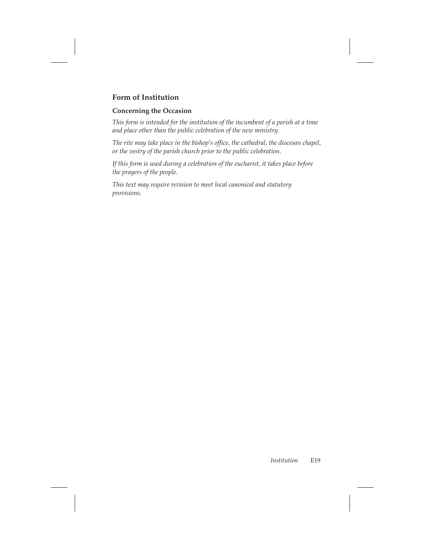## **Form of Institution**

#### **Concerning the Occasion**

*This form is intended for the institution of the incumbent of a parish at a time and place other than the public celebration of the new ministry.*

*The rite may take place in the bishop's office, the cathedral, the diocesan chapel, or the vestry of the parish church prior to the public celebration.*

*If this form is used during a celebration of the eucharist, it takes place before the prayers of the people.*

*This text may require revision to meet local canonical and statutory provisions.*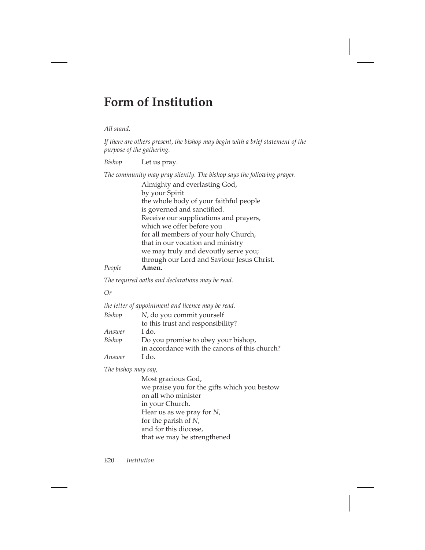# **Form of Institution**

#### *All stand.*

*If there are others present, the bishop may begin with a brief statement of the purpose of the gathering.*

*Bishop* Let us pray.

*The community may pray silently. The bishop says the following prayer.*

Almighty and everlasting God, by your Spirit the whole body of your faithful people is governed and sanctified. Receive our supplications and prayers, which we offer before you for all members of your holy Church, that in our vocation and ministry we may truly and devoutly serve you; through our Lord and Saviour Jesus Christ.

*People* **Amen.**

*The required oaths and declarations may be read.*

*Or*

|        | the letter of appointment and licence may be read. |
|--------|----------------------------------------------------|
| Bishop | N, do you commit yourself                          |
|        | to this trust and responsibility?                  |
| Answer | I do.                                              |
| Bishop | Do you promise to obey your bishop,                |
|        | in accordance with the canons of this church?      |
| Answer | I do.                                              |

*The bishop may say,*

Most gracious God, we praise you for the gifts which you bestow on all who minister in your Church. Hear us as we pray for *N*, for the parish of *N*, and for this diocese, that we may be strengthened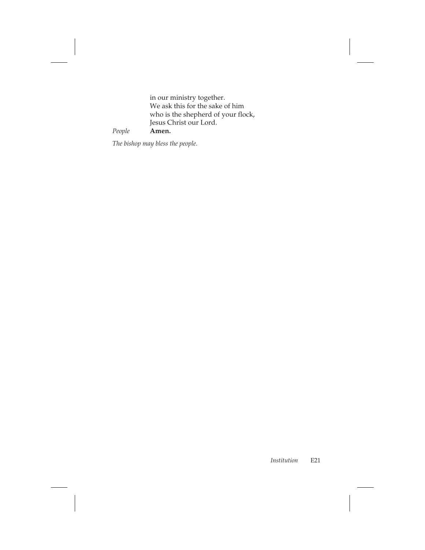in our ministry together. We ask this for the sake of him who is the shepherd of your flock, Jesus Christ our Lord. *People* **Amen.**

*The bishop may bless the people.*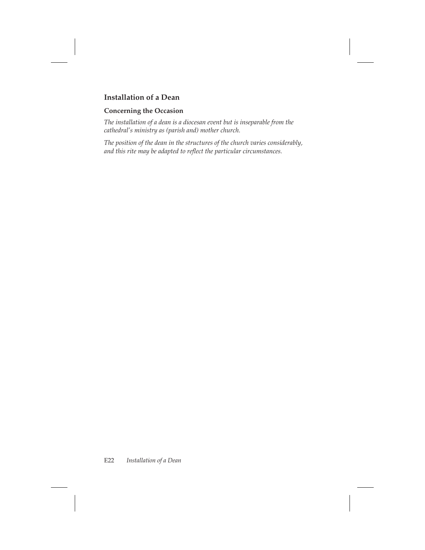# **Installation of a Dean**

#### **Concerning the Occasion**

*The installation of a dean is a diocesan event but is inseparable from the cathedral's ministry as (parish and) mother church.*

*The position of the dean in the structures of the church varies considerably, and this rite may be adapted to reflect the particular circumstances.*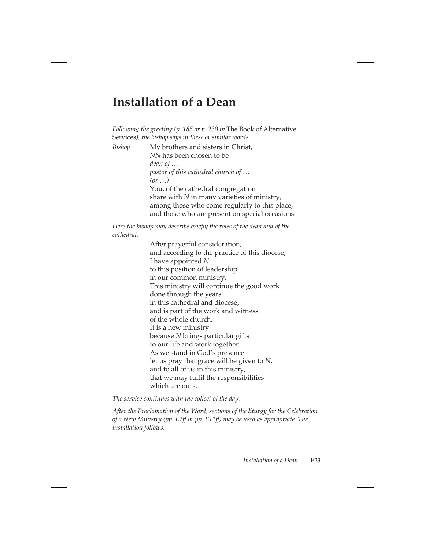# **Installation of a Dean**

*Following the greeting (p. 185 or p. 230 in* The Book of Alternative Services*), the bishop says in these or similar words.*

*Bishop* My brothers and sisters in Christ, *NN* has been chosen to be *dean of … pastor of this cathedral church of … (or …)* You, of the cathedral congregation share with *N* in many varieties of ministry, among those who come regularly to this place, and those who are present on special occasions.

*Here the bishop may describe briefly the roles of the dean and of the cathedral.*

> After prayerful consideration, and according to the practice of this diocese, I have appointed *N* to this position of leadership in our common ministry. This ministry will continue the good work done through the years in this cathedral and diocese, and is part of the work and witness of the whole church. It is a new ministry because *N* brings particular gifts to our life and work together. As we stand in God's presence let us pray that grace will be given to *N*, and to all of us in this ministry, that we may fulfil the responsibilities which are ours.

*The service continues with the collect of the day.*

*After the Proclamation of the Word, sections of the liturgy for the Celebration of a New Ministry (pp. E2ff or pp. E11ff) may be used as appropriate. The installation follows.*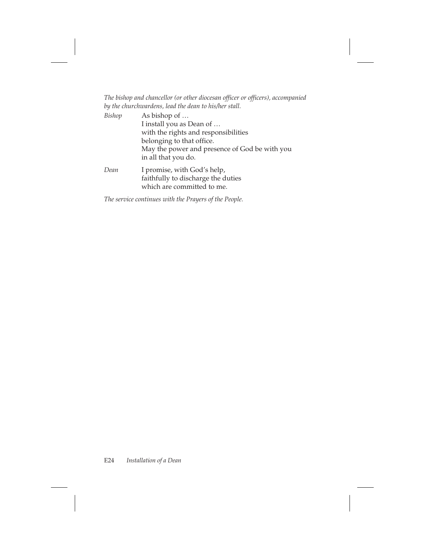*The bishop and chancellor (or other diocesan officer or officers), accompanied by the churchwardens, lead the dean to his/her stall.*

| Bishop | As bishop of                                  |
|--------|-----------------------------------------------|
|        | I install you as Dean of                      |
|        | with the rights and responsibilities          |
|        | belonging to that office.                     |
|        | May the power and presence of God be with you |
|        | in all that you do.                           |
| Dean   | I promise, with God's help,                   |
|        | faithfully to discharge the duties            |
|        | which are committed to me.                    |

*The service continues with the Prayers of the People.*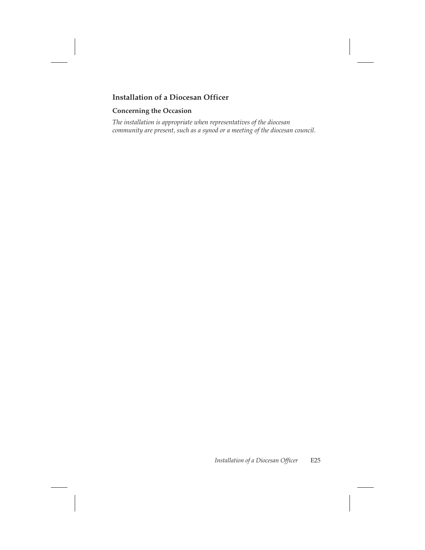### **Installation of a Diocesan Officer**

#### **Concerning the Occasion**

*The installation is appropriate when representatives of the diocesan community are present, such as a synod or a meeting of the diocesan council.*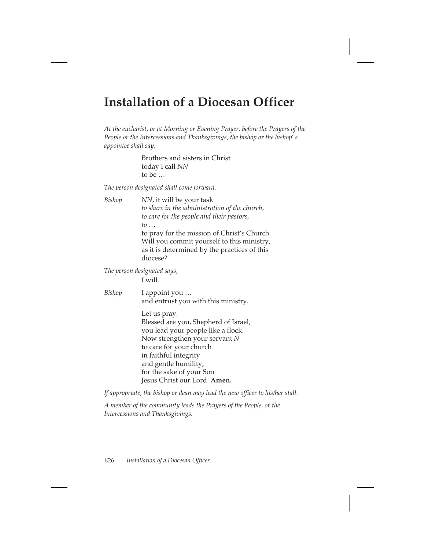# **Installation of a Diocesan Officer**

*At the eucharist, or at Morning or Evening Prayer, before the Prayers of the People or the Intercessions and Thanksgivings, the bishop or the bishop' s appointee shall say,*

> Brothers and sisters in Christ today I call *NN* to be …

*The person designated shall come forward.*

| Bishop | NN, it will be your task                                                                                                                              |
|--------|-------------------------------------------------------------------------------------------------------------------------------------------------------|
|        | to share in the administration of the church,                                                                                                         |
|        | to care for the people and their pastors,                                                                                                             |
|        | $to \ldots$                                                                                                                                           |
|        | to pray for the mission of Christ's Church.<br>Will you commit yourself to this ministry,<br>as it is determined by the practices of this<br>diocese? |
|        | The person designated says,                                                                                                                           |
|        | I will.                                                                                                                                               |
| Bishop | I appoint you<br>and entrust you with this ministry.                                                                                                  |

Let us pray. Blessed are you, Shepherd of Israel, you lead your people like a flock. Now strengthen your servant *N* to care for your church in faithful integrity and gentle humility, for the sake of your Son Jesus Christ our Lord. **Amen.**

*If appropriate, the bishop or dean may lead the new officer to his/her stall.*

*A member of the community leads the Prayers of the People, or the Intercessions and Thanksgivings.*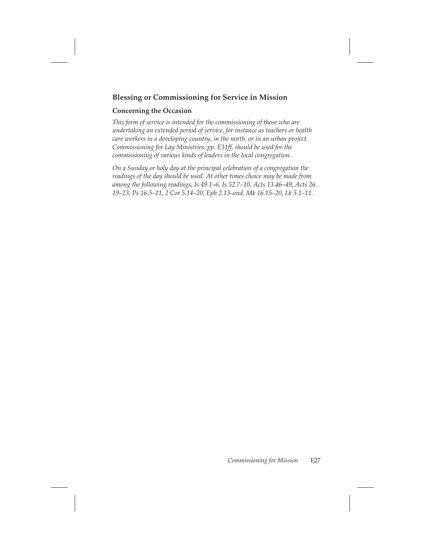# **Blessing or Commissioning for Service in Mission**

## **Concerning the Occasion**

*This form of service is intended for the commissioning of those who are undertaking an extended period of service, for instance as teachers or health care workers in a developing country, in the north, or in an urban project. Commissioning for Lay Ministries, pp. E31ff, should be used for the commissioning of various kinds of leaders in the local congregation.*

*On a Sunday or holy day at the principal celebration of a congregation the readings of the day should be used. At other times choice may be made from among the following readings, Is 49.1–6, Is 52.7–10, Acts 13.46–49, Acts 26. 19–23, Ps 16.5–11, 2 Cor 5.14–20, Eph 2.13–end, Mk 16.15–20, Lk 5.1–11.*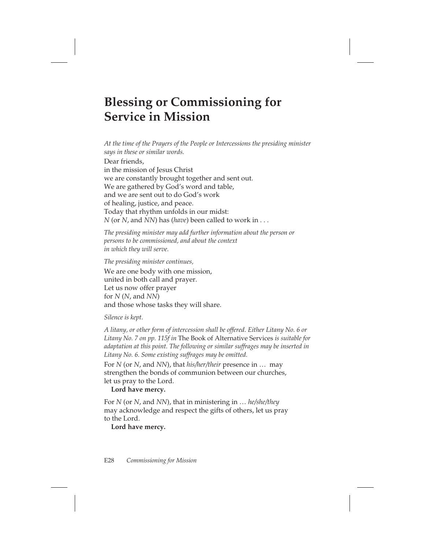# **Blessing or Commissioning for Service in Mission**

*At the time of the Prayers of the People or Intercessions the presiding minister says in these or similar words.*

Dear friends, in the mission of Jesus Christ we are constantly brought together and sent out. We are gathered by God's word and table, and we are sent out to do God's work of healing, justice, and peace. Today that rhythm unfolds in our midst: *N* (or *N*, and *NN*) has (*have*) been called to work in . . .

*The presiding minister may add further information about the person or persons to be commissioned, and about the context in which they will serve.*

*The presiding minister continues,* We are one body with one mission, united in both call and prayer. Let us now offer prayer for *N* (*N*, and *NN*) and those whose tasks they will share.

*Silence is kept.*

*A litany, or other form of intercession shall be offered. Either Litany No. 6 or Litany No. 7 on pp. 115f in* The Book of Alternative Services *is suitable for adaptation at this point. The following or similar suffrages may be inserted in Litany No. 6. Some existing suffrages may be omitted.*

For *N* (or *N*, and *NN*), that *his/her/their* presence in … may strengthen the bonds of communion between our churches, let us pray to the Lord.

## **Lord have mercy.**

For *N* (or *N*, and *NN*), that in ministering in … *he/she/they* may acknowledge and respect the gifts of others, let us pray to the Lord.

**Lord have mercy.**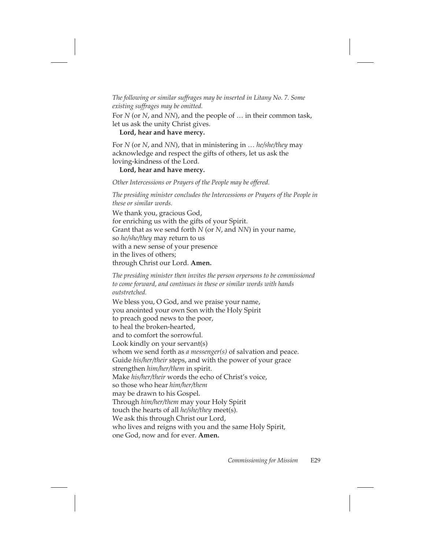*The following or similar suffrages may be inserted in Litany No. 7. Some existing suffrages may be omitted.*

For *N* (or *N*, and *NN*), and the people of … in their common task, let us ask the unity Christ gives.

## **Lord, hear and have mercy.**

For *N* (or *N*, and *NN*), that in ministering in … *he/she/they* may acknowledge and respect the gifts of others, let us ask the loving-kindness of the Lord.

## **Lord, hear and have mercy.**

*Other Intercessions or Prayers of the People may be offered.*

*The presiding minister concludes the Intercessions or Prayers of the People in these or similar words.*

We thank you, gracious God, for enriching us with the gifts of your Spirit. Grant that as we send forth *N* (or *N*, and *NN*) in your name, so *he/she/they* may return to us with a new sense of your presence in the lives of others; through Christ our Lord. **Amen.**

*The presiding minister then invites the person orpersons to be commissioned to come forward, and continues in these or similar words with hands outstretched.*

We bless you, O God, and we praise your name, you anointed your own Son with the Holy Spirit to preach good news to the poor, to heal the broken-hearted, and to comfort the sorrowful. Look kindly on your servant(s) whom we send forth as *a messenger(s)* of salvation and peace. Guide *his/her/their* steps, and with the power of your grace strengthen *him/her/them* in spirit. Make *his/her/their* words the echo of Christ's voice, so those who hear *him/her/them* may be drawn to his Gospel. Through *him/her/them* may your Holy Spirit touch the hearts of all *he/she/they* meet(s). We ask this through Christ our Lord, who lives and reigns with you and the same Holy Spirit, one God, now and for ever. **Amen.**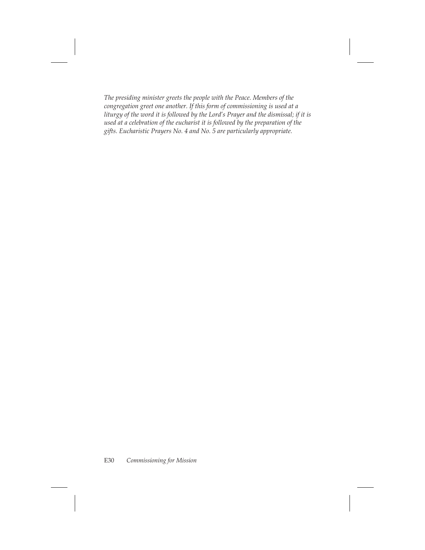*The presiding minister greets the people with the Peace. Members of the congregation greet one another. If this form of commissioning is used at a liturgy of the word it is followed by the Lord's Prayer and the dismissal; if it is used at a celebration of the eucharist it is followed by the preparation of the gifts. Eucharistic Prayers No. 4 and No. 5 are particularly appropriate.*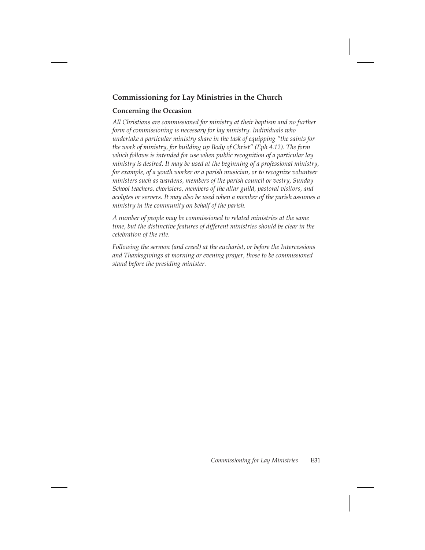# **Commissioning for Lay Ministries in the Church**

## **Concerning the Occasion**

*All Christians are commissioned for ministry at their baptism and no further form of commissioning is necessary for lay ministry. Individuals who undertake a particular ministry share in the task of equipping "the saints for the work of ministry, for building up Body of Christ" (Eph 4.12). The form which follows is intended for use when public recognition of a particular lay ministry is desired. It may be used at the beginning of a professional ministry, for example, of a youth worker or a parish musician, or to recognize volunteer ministers such as wardens, members of the parish council or vestry, Sunday School teachers, choristers, members of the altar guild, pastoral visitors, and acolytes or servers. It may also be used when a member of the parish assumes a ministry in the community on behalf of the parish.*

*A number of people may be commissioned to related ministries at the same time, but the distinctive features of different ministries should be clear in the celebration of the rite.*

*Following the sermon (and creed) at the eucharist, or before the Intercessions and Thanksgivings at morning or evening prayer, those to be commissioned stand before the presiding minister.*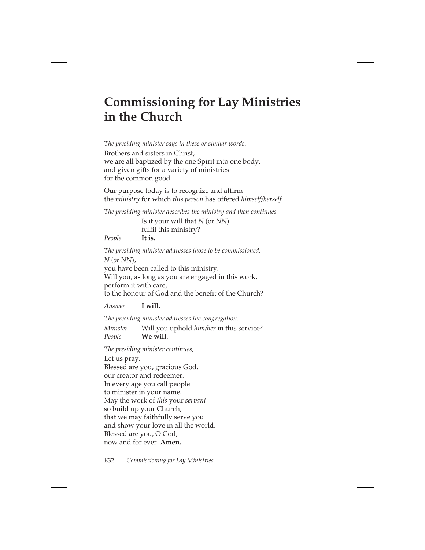# **Commissioning for Lay Ministries in the Church**

*The presiding minister says in these or similar words.*

Brothers and sisters in Christ, we are all baptized by the one Spirit into one body, and given gifts for a variety of ministries for the common good.

Our purpose today is to recognize and affirm the *ministry* for which *this person* has offered *himself/herself*.

*The presiding minister describes the ministry and then continues* Is it your will that *N* (or *NN*) fulfil this ministry? *People* **It is.**

*The presiding minister addresses those to be commissioned.*

*N* (*or NN*),

you have been called to this ministry.

Will you, as long as you are engaged in this work, perform it with care,

to the honour of God and the benefit of the Church?

*Answer* **I will.**

*The presiding minister addresses the congregation.*

*Minister* Will you uphold *him/her* in this service? *People* **We will.**

*The presiding minister continues,*

Let us pray. Blessed are you, gracious God, our creator and redeemer. In every age you call people to minister in your name. May the work of *this* your *servant* so build up your Church, that we may faithfully serve you and show your love in all the world. Blessed are you, O God, now and for ever. **Amen.**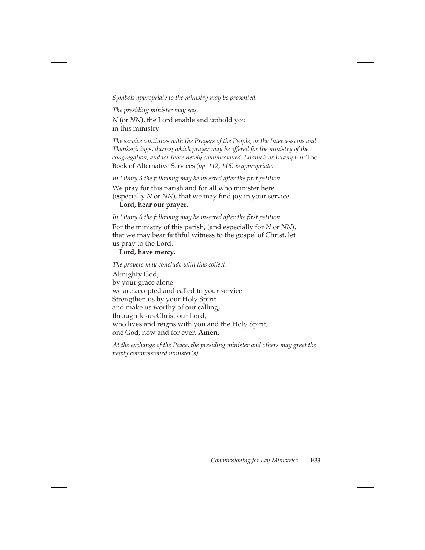*Symbols appropriate to the ministry may be presented.*

*The presiding minister may say,*

*N* (or *NN*), the Lord enable and uphold you in this ministry.

*The service continues with the Prayers of the People, or the Intercessions and Thanksgivings, during which prayer may be offered for the ministry of the congregation, and for those newly commissioned. Litany 3 or Litany 6 in* The Book of Alternative Services *(pp. 112, 116) is appropriate.*

*In Litany 3 the following may be inserted after the first petition.* We pray for this parish and for all who minister here (especially *N* or *NN*), that we may find joy in your service.

### **Lord, hear our prayer.**

*In Litany 6 the following may be inserted after the first petition.*

For the ministry of this parish, (and especially for *N* or *NN*), that we may bear faithful witness to the gospel of Christ, let us pray to the Lord.

## **Lord, have mercy.**

*The prayers may conclude with this collect.* Almighty God, by your grace alone we are accepted and called to your service. Strengthen us by your Holy Spirit and make us worthy of our calling; through Jesus Christ our Lord, who lives and reigns with you and the Holy Spirit, one God, now and for ever. **Amen.**

*At the exchange of the Peace, the presiding minister and others may greet the newly commissioned minister(s).*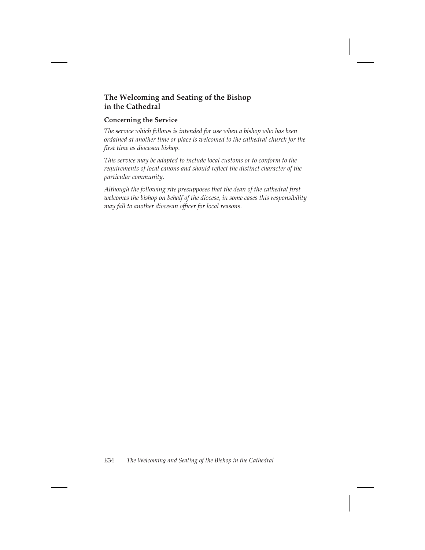## **The Welcoming and Seating of the Bishop in the Cathedral**

## **Concerning the Service**

*The service which follows is intended for use when a bishop who has been ordained at another time or place is welcomed to the cathedral church for the first time as diocesan bishop.*

*This service may be adapted to include local customs or to conform to the requirements of local canons and should reflect the distinct character of the particular community.*

*Although the following rite presupposes that the dean of the cathedral first welcomes the bishop on behalf of the diocese, in some cases this responsibility may fall to another diocesan officer for local reasons.*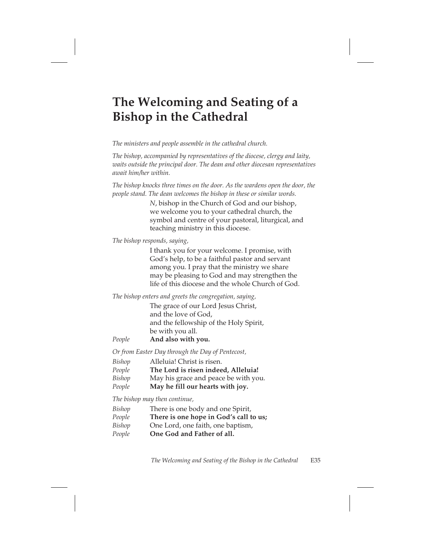# **The Welcoming and Seating of a Bishop in the Cathedral**

*The ministers and people assemble in the cathedral church.*

*The bishop, accompanied by representatives of the diocese, clergy and laity, waits outside the principal door. The dean and other diocesan representatives await him/her within.*

*The bishop knocks three times on the door. As the wardens open the door, the people stand. The dean welcomes the bishop in these or similar words.*

> *N*, bishop in the Church of God and our bishop, we welcome you to your cathedral church, the symbol and centre of your pastoral, liturgical, and teaching ministry in this diocese.

*The bishop responds, saying,*

I thank you for your welcome. I promise, with God's help, to be a faithful pastor and servant among you. I pray that the ministry we share may be pleasing to God and may strengthen the life of this diocese and the whole Church of God.

*The bishop enters and greets the congregation, saying,*

The grace of our Lord Jesus Christ, and the love of God, and the fellowship of the Holy Spirit, be with you all.

*People* **And also with you.**

*Or from Easter Day through the Day of Pentecost,*

| Bishop | Alleluia! Christ is risen.           |
|--------|--------------------------------------|
| People | The Lord is risen indeed, Alleluia!  |
| Bishop | May his grace and peace be with you. |
| People | May he fill our hearts with joy.     |

*The bishop may then continue,*

| Bishop | There is one body and one Spirit, |
|--------|-----------------------------------|
|--------|-----------------------------------|

- *People* **There is one hope in God's call to us;**
- *Bishop* One Lord, one faith, one baptism,
- *People* **One God and Father of all.**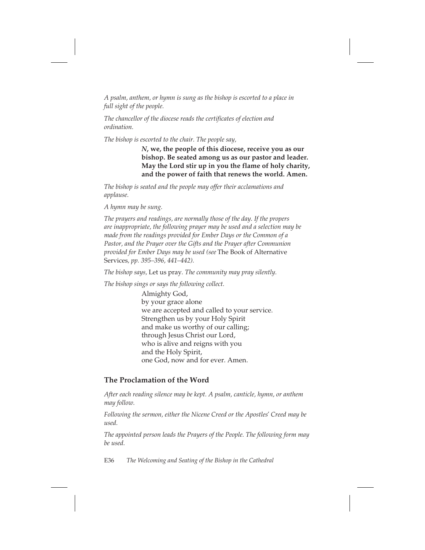*A psalm, anthem, or hymn is sung as the bishop is escorted to a place in full sight of the people.*

*The chancellor of the diocese reads the certificates of election and ordination.*

*The bishop is escorted to the chair. The people say,*

*N***, we, the people of this diocese, receive you as our bishop. Be seated among us as our pastor and leader. May the Lord stir up in you the flame of holy charity, and the power of faith that renews the world. Amen.**

*The bishop is seated and the people may offer their acclamations and applause.*

*A hymn may be sung.*

*The prayers and readings, are normally those of the day. If the propers are inappropriate, the following prayer may be used and a selection may be made from the readings provided for Ember Days or the Common of a Pastor, and the Prayer over the Gifts and the Prayer after Communion provided for Ember Days may be used (see* The Book of Alternative Services*, pp. 395–396, 441–442).*

*The bishop says,* Let us pray*. The community may pray silently.*

*The bishop sings or says the following collect.*

Almighty God, by your grace alone we are accepted and called to your service. Strengthen us by your Holy Spirit and make us worthy of our calling; through Jesus Christ our Lord, who is alive and reigns with you and the Holy Spirit, one God, now and for ever. Amen.

# **The Proclamation of the Word**

*After each reading silence may be kept. A psalm, canticle, hymn, or anthem may follow.*

*Following the sermon, either the Nicene Creed or the Apostles' Creed may be used.*

*The appointed person leads the Prayers of the People. The following form may be used.*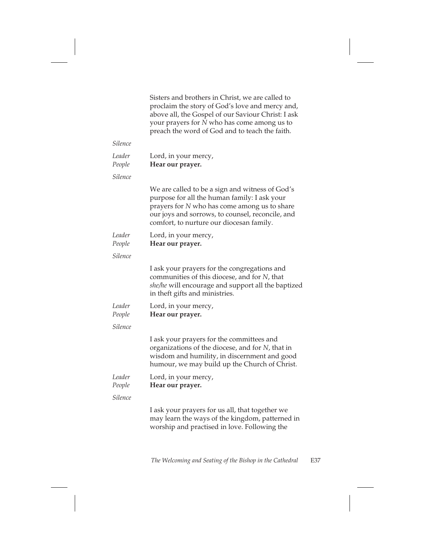|                  | Sisters and brothers in Christ, we are called to<br>proclaim the story of God's love and mercy and,<br>above all, the Gospel of our Saviour Christ: I ask<br>your prayers for N who has come among us to<br>preach the word of God and to teach the faith. |
|------------------|------------------------------------------------------------------------------------------------------------------------------------------------------------------------------------------------------------------------------------------------------------|
| Silence          |                                                                                                                                                                                                                                                            |
| Leader<br>People | Lord, in your mercy,<br>Hear our prayer.                                                                                                                                                                                                                   |
| Silence          |                                                                                                                                                                                                                                                            |
|                  | We are called to be a sign and witness of God's<br>purpose for all the human family: I ask your<br>prayers for N who has come among us to share<br>our joys and sorrows, to counsel, reconcile, and<br>comfort, to nurture our diocesan family.            |
| Leader<br>People | Lord, in your mercy,<br>Hear our prayer.                                                                                                                                                                                                                   |
| Silence          |                                                                                                                                                                                                                                                            |
|                  | I ask your prayers for the congregations and<br>communities of this diocese, and for N, that<br>she/he will encourage and support all the baptized<br>in theft gifts and ministries.                                                                       |
| Leader<br>People | Lord, in your mercy,<br>Hear our prayer.                                                                                                                                                                                                                   |
| Silence          |                                                                                                                                                                                                                                                            |
|                  | I ask your prayers for the committees and<br>organizations of the diocese, and for N, that in<br>wisdom and humility, in discernment and good<br>humour, we may build up the Church of Christ.                                                             |
| Leader<br>People | Lord, in your mercy,<br>Hear our prayer.                                                                                                                                                                                                                   |
| Silence          |                                                                                                                                                                                                                                                            |
|                  | I ask your prayers for us all, that together we<br>may learn the ways of the kingdom, patterned in<br>worship and practised in love. Following the                                                                                                         |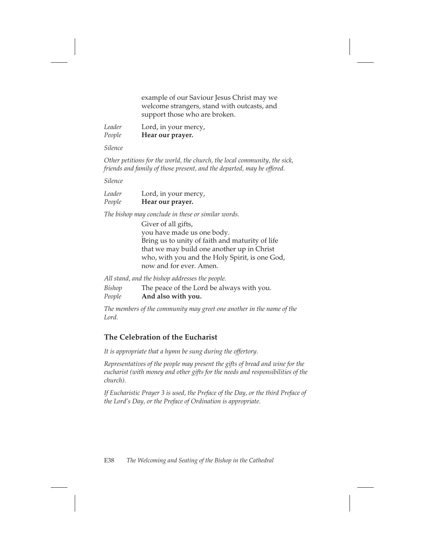example of our Saviour Jesus Christ may we welcome strangers, stand with outcasts, and support those who are broken.

*Leader* Lord, in your mercy, *People* **Hear our prayer.**

*Silence*

*Other petitions for the world, the church, the local community, the sick, friends and family of those present, and the departed, may be offered.*

*Silence*

| Leader | Lord, in your mercy, |
|--------|----------------------|
| People | Hear our prayer.     |

*The bishop may conclude in these or similar words.*

Giver of all gifts, you have made us one body. Bring us to unity of faith and maturity of life that we may build one another up in Christ who, with you and the Holy Spirit, is one God, now and for ever. Amen.

*All stand, and the bishop addresses the people.*

| Bishop | The peace of the Lord be always with you. |
|--------|-------------------------------------------|
| People | And also with you.                        |

*The members of the community may greet one another in the name of the Lord.*

# **The Celebration of the Eucharist**

*It is appropriate that a hymn be sung during the offertory.*

*Representatives of the people may present the gifts of bread and wine for the eucharist (with money and other gifts for the needs and responsibilities of the church).*

*If Eucharistic Prayer 3 is used, the Preface of the Day, or the third Preface of the Lord's Day, or the Preface of Ordination is appropriate.*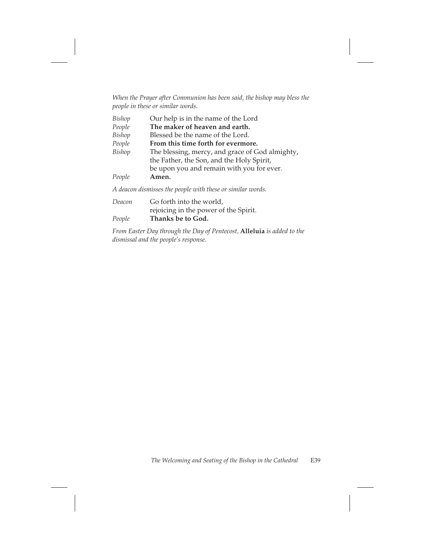*When the Prayer after Communion has been said, the bishop may bless the people in these or similar words.*

| Bishop | Our help is in the name of the Lord             |
|--------|-------------------------------------------------|
| People | The maker of heaven and earth.                  |
| Bishop | Blessed be the name of the Lord.                |
| People | From this time forth for evermore.              |
| Bishop | The blessing, mercy, and grace of God almighty, |
|        | the Father, the Son, and the Holy Spirit,       |
|        | be upon you and remain with you for ever.       |
| People | Amen.                                           |

*A deacon dismisses the people with these or similar words.*

| Deacon | Go forth into the world,              |
|--------|---------------------------------------|
|        | rejoicing in the power of the Spirit. |
| People | Thanks be to God.                     |

*From Easter Day through the Day of Pentecost,* **Alleluia** *is added to the dismissal and the people's response.*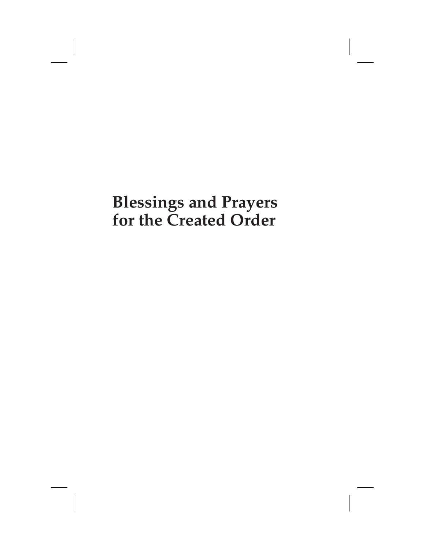# **Blessings and Prayers for the Created Order**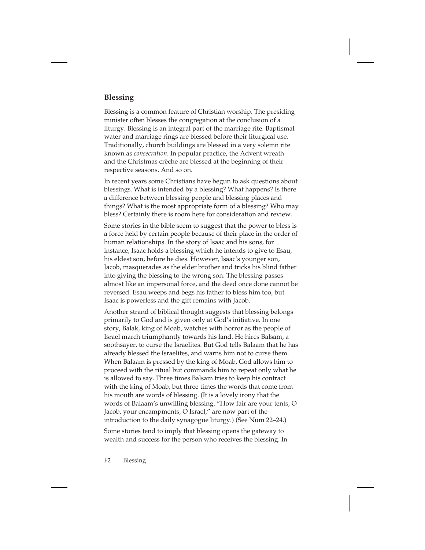# **Blessing**

Blessing is a common feature of Christian worship. The presiding minister often blesses the congregation at the conclusion of a liturgy. Blessing is an integral part of the marriage rite. Baptismal water and marriage rings are blessed before their liturgical use. Traditionally, church buildings are blessed in a very solemn rite known as *consecration*. In popular practice, the Advent wreath and the Christmas crèche are blessed at the beginning of their respective seasons. And so on.

In recent years some Christians have begun to ask questions about blessings. What is intended by a blessing? What happens? Is there a difference between blessing people and blessing places and things? What is the most appropriate form of a blessing? Who may bless? Certainly there is room here for consideration and review.

Some stories in the bible seem to suggest that the power to bless is a force held by certain people because of their place in the order of human relationships. In the story of Isaac and his sons, for instance, Isaac holds a blessing which he intends to give to Esau, his eldest son, before he dies. However, Isaac's younger son, Jacob, masquerades as the elder brother and tricks his blind father into giving the blessing to the wrong son. The blessing passes almost like an impersonal force, and the deed once done cannot be reversed. Esau weeps and begs his father to bless him too, but Isaac is powerless and the gift remains with Jacob.<sup>1</sup>

Another strand of biblical thought suggests that blessing belongs primarily to God and is given only at God's initiative. In one story, Balak, king of Moab, watches with horror as the people of Israel march triumphantly towards his land. He hires Balsam, a soothsayer, to curse the Israelites. But God tells Balaam that he has already blessed the Israelites, and warns him not to curse them. When Balaam is pressed by the king of Moab, God allows him to proceed with the ritual but commands him to repeat only what he is allowed to say. Three times Balsam tries to keep his contract with the king of Moab, but three times the words that come from his mouth are words of blessing. (It is a lovely irony that the words of Balaam's unwilling blessing, "How fair are your tents, O Jacob, your encampments, O Israel," are now part of the introduction to the daily synagogue liturgy.) (See Num 22–24.)

Some stories tend to imply that blessing opens the gateway to wealth and success for the person who receives the blessing. In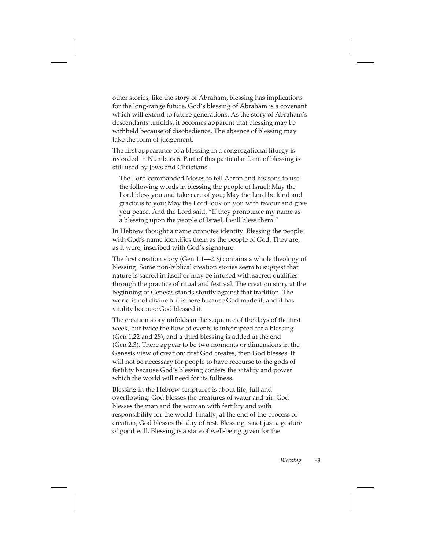other stories, like the story of Abraham, blessing has implications for the long-range future. God's blessing of Abraham is a covenant which will extend to future generations. As the story of Abraham's descendants unfolds, it becomes apparent that blessing may be withheld because of disobedience. The absence of blessing may take the form of judgement.

The first appearance of a blessing in a congregational liturgy is recorded in Numbers 6. Part of this particular form of blessing is still used by Jews and Christians.

The Lord commanded Moses to tell Aaron and his sons to use the following words in blessing the people of Israel: May the Lord bless you and take care of you; May the Lord be kind and gracious to you; May the Lord look on you with favour and give you peace. And the Lord said, "If they pronounce my name as a blessing upon the people of Israel, I will bless them."

In Hebrew thought a name connotes identity. Blessing the people with God's name identifies them as the people of God. They are, as it were, inscribed with God's signature.

The first creation story (Gen 1.1—2.3) contains a whole theology of blessing. Some non-biblical creation stories seem to suggest that nature is sacred in itself or may be infused with sacred qualifies through the practice of ritual and festival. The creation story at the beginning of Genesis stands stoutly against that tradition. The world is not divine but is here because God made it, and it has vitality because God blessed it.

The creation story unfolds in the sequence of the days of the first week, but twice the flow of events is interrupted for a blessing (Gen 1.22 and 28), and a third blessing is added at the end (Gen 2.3). There appear to be two moments or dimensions in the Genesis view of creation: first God creates, then God blesses. It will not be necessary for people to have recourse to the gods of fertility because God's blessing confers the vitality and power which the world will need for its fullness.

Blessing in the Hebrew scriptures is about life, full and overflowing. God blesses the creatures of water and air. God blesses the man and the woman with fertility and with responsibility for the world. Finally, at the end of the process of creation, God blesses the day of rest. Blessing is not just a gesture of good will. Blessing is a state of well-being given for the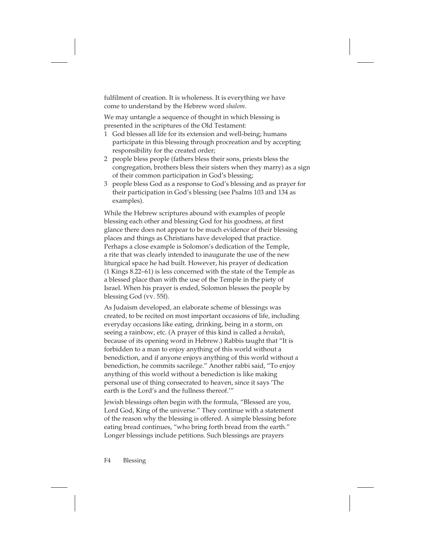fulfilment of creation. It is wholeness. It is everything we have come to understand by the Hebrew word *shalom*.

We may untangle a sequence of thought in which blessing is presented in the scriptures of the Old Testament:

- 1 God blesses all life for its extension and well-being; humans participate in this blessing through procreation and by accepting responsibility for the created order;
- 2 people bless people (fathers bless their sons, priests bless the congregation, brothers bless their sisters when they marry) as a sign of their common participation in God's blessing;
- 3 people bless God as a response to God's blessing and as prayer for their participation in God's blessing (see Psalms 103 and 134 as examples).

While the Hebrew scriptures abound with examples of people blessing each other and blessing God for his goodness, at first glance there does not appear to be much evidence of their blessing places and things as Christians have developed that practice. Perhaps a close example is Solomon's dedication of the Temple, a rite that was clearly intended to inaugurate the use of the new liturgical space he had built. However, his prayer of dedication (1 Kings 8.22–61) is less concerned with the state of the Temple as a blessed place than with the use of the Temple in the piety of Israel. When his prayer is ended, Solomon blesses the people by blessing God (vv. 55f).

As Judaism developed, an elaborate scheme of blessings was created, to be recited on most important occasions of life, including everyday occasions like eating, drinking, being in a storm, on seeing a rainbow, etc. (A prayer of this kind is called a *berakah*, because of its opening word in Hebrew.) Rabbis taught that "It is forbidden to a man to enjoy anything of this world without a benediction, and if anyone enjoys anything of this world without a benediction, he commits sacrilege." Another rabbi said, "To enjoy anything of this world without a benediction is like making personal use of thing consecrated to heaven, since it says 'The earth is the Lord's and the fullness thereof.'"

Jewish blessings often begin with the formula, "Blessed are you, Lord God, King of the universe." They continue with a statement of the reason why the blessing is offered. A simple blessing before eating bread continues, "who bring forth bread from the earth." Longer blessings include petitions. Such blessings are prayers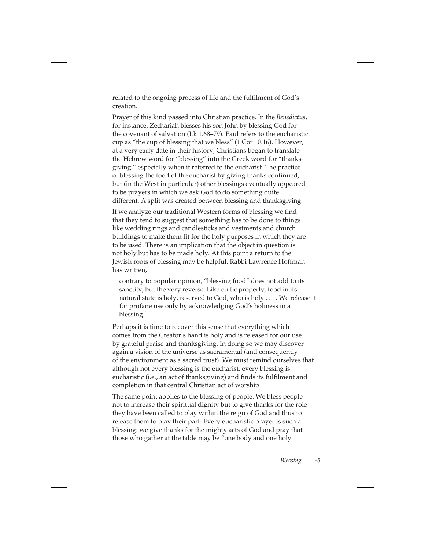related to the ongoing process of life and the fulfilment of God's creation.

Prayer of this kind passed into Christian practice. In the *Benedictus*, for instance, Zechariah blesses his son John by blessing God for the covenant of salvation (Lk 1.68–79). Paul refers to the eucharistic cup as "the cup of blessing that we bless" (1 Cor 10.16). However, at a very early date in their history, Christians began to translate the Hebrew word for "blessing" into the Greek word for "thanksgiving," especially when it referred to the eucharist. The practice of blessing the food of the eucharist by giving thanks continued, but (in the West in particular) other blessings eventually appeared to be prayers in which we ask God to do something quite different. A split was created between blessing and thanksgiving.

If we analyze our traditional Western forms of blessing we find that they tend to suggest that something has to be done to things like wedding rings and candlesticks and vestments and church buildings to make them fit for the holy purposes in which they are to be used. There is an implication that the object in question is not holy but has to be made holy. At this point a return to the Jewish roots of blessing may be helpful. Rabbi Lawrence Hoffman has written,

contrary to popular opinion, "blessing food" does not add to its sanctity, but the very reverse. Like cultic property, food in its natural state is holy, reserved to God, who is holy . . . . We release it for profane use only by acknowledging God's holiness in a blessing.<sup>2</sup>

Perhaps it is time to recover this sense that everything which comes from the Creator's hand is holy and is released for our use by grateful praise and thanksgiving. In doing so we may discover again a vision of the universe as sacramental (and consequently of the environment as a sacred trust). We must remind ourselves that although not every blessing is the eucharist, every blessing is eucharistic (i.e., an act of thanksgiving) and finds its fulfilment and completion in that central Christian act of worship.

The same point applies to the blessing of people. We bless people not to increase their spiritual dignity but to give thanks for the role they have been called to play within the reign of God and thus to release them to play their part. Every eucharistic prayer is such a blessing: we give thanks for the mighty acts of God and pray that those who gather at the table may be "one body and one holy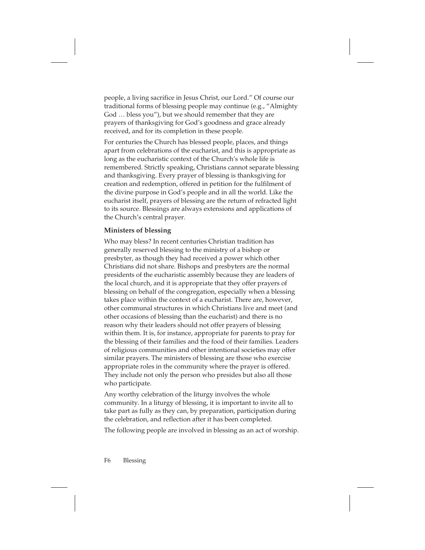people, a living sacrifice in Jesus Christ, our Lord." Of course our traditional forms of blessing people may continue (e.g., "Almighty God … bless you"), but we should remember that they are prayers of thanksgiving for God's goodness and grace already received, and for its completion in these people.

For centuries the Church has blessed people, places, and things apart from celebrations of the eucharist, and this is appropriate as long as the eucharistic context of the Church's whole life is remembered. Strictly speaking, Christians cannot separate blessing and thanksgiving. Every prayer of blessing is thanksgiving for creation and redemption, offered in petition for the fulfilment of the divine purpose in God's people and in all the world. Like the eucharist itself, prayers of blessing are the return of refracted light to its source. Blessings are always extensions and applications of the Church's central prayer.

## **Ministers of blessing**

Who may bless? In recent centuries Christian tradition has generally reserved blessing to the ministry of a bishop or presbyter, as though they had received a power which other Christians did not share. Bishops and presbyters are the normal presidents of the eucharistic assembly because they are leaders of the local church, and it is appropriate that they offer prayers of blessing on behalf of the congregation, especially when a blessing takes place within the context of a eucharist. There are, however, other communal structures in which Christians live and meet (and other occasions of blessing than the eucharist) and there is no reason why their leaders should not offer prayers of blessing within them. It is, for instance, appropriate for parents to pray for the blessing of their families and the food of their families. Leaders of religious communities and other intentional societies may offer similar prayers. The ministers of blessing are those who exercise appropriate roles in the community where the prayer is offered. They include not only the person who presides but also all those who participate.

Any worthy celebration of the liturgy involves the whole community. In a liturgy of blessing, it is important to invite all to take part as fully as they can, by preparation, participation during the celebration, and reflection after it has been completed.

The following people are involved in blessing as an act of worship.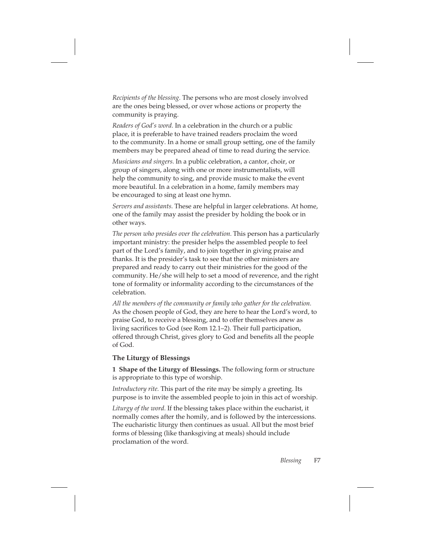*Recipients of the blessing.* The persons who are most closely involved are the ones being blessed, or over whose actions or property the community is praying.

*Readers of God's word.* In a celebration in the church or a public place, it is preferable to have trained readers proclaim the word to the community. In a home or small group setting, one of the family members may be prepared ahead of time to read during the service.

*Musicians and singers.* In a public celebration, a cantor, choir, or group of singers, along with one or more instrumentalists, will help the community to sing, and provide music to make the event more beautiful. In a celebration in a home, family members may be encouraged to sing at least one hymn.

*Servers and assistants.* These are helpful in larger celebrations. At home, one of the family may assist the presider by holding the book or in other ways.

*The person who presides over the celebration.* This person has a particularly important ministry: the presider helps the assembled people to feel part of the Lord's family, and to join together in giving praise and thanks. It is the presider's task to see that the other ministers are prepared and ready to carry out their ministries for the good of the community. He/she will help to set a mood of reverence, and the right tone of formality or informality according to the circumstances of the celebration.

*All the members of the community or family who gather for the celebration.* As the chosen people of God, they are here to hear the Lord's word, to praise God, to receive a blessing, and to offer themselves anew as living sacrifices to God (see Rom 12.1–2). Their full participation, offered through Christ, gives glory to God and benefits all the people of God.

## **The Liturgy of Blessings**

**1 Shape of the Liturgy of Blessings.** The following form or structure is appropriate to this type of worship.

*Introductory rite.* This part of the rite may be simply a greeting. Its purpose is to invite the assembled people to join in this act of worship.

*Liturgy of the word.* If the blessing takes place within the eucharist, it normally comes after the homily, and is followed by the intercessions. The eucharistic liturgy then continues as usual. All but the most brief forms of blessing (like thanksgiving at meals) should include proclamation of the word.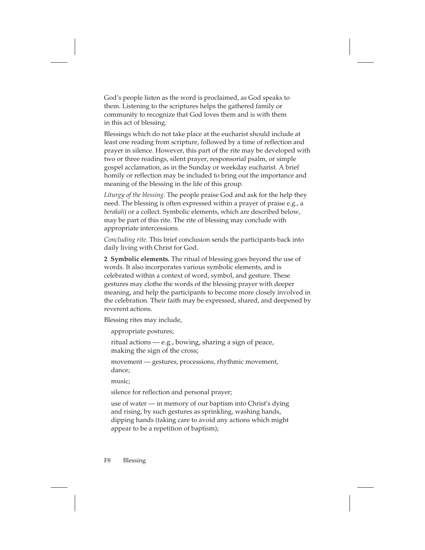God's people listen as the word is proclaimed, as God speaks to them. Listening to the scriptures helps the gathered family or community to recognize that God loves them and is with them in this act of blessing.

Blessings which do not take place at the eucharist should include at least one reading from scripture, followed by a time of reflection and prayer in silence. However, this part of the rite may be developed with two or three readings, silent prayer, responsorial psalm, or simple gospel acclamation, as in the Sunday or weekday eucharist. A brief homily or reflection may be included to bring out the importance and meaning of the blessing in the life of this group.

*Liturgy of the blessing.* The people praise God and ask for the help they need. The blessing is often expressed within a prayer of praise e.g., a *berakah*) or a collect. Symbolic elements, which are described below, may be part of this rite. The rite of blessing may conclude with appropriate intercessions.

*Concluding rite.* This brief conclusion sends the participants back into daily living with Christ for God.

**2 Symbolic elements.** The ritual of blessing goes beyond the use of words. It also incorporates various symbolic elements, and is celebrated within a context of word, symbol, and gesture. These gestures may clothe the words of the blessing prayer with deeper meaning, and help the participants to become more closely involved in the celebration. Their faith may be expressed, shared, and deepened by reverent actions.

Blessing rites may include,

appropriate postures;

ritual actions — e.g., bowing, sharing a sign of peace, making the sign of the cross;

movement — gestures, processions, rhythmic movement, dance;

music;

silence for reflection and personal prayer;

use of water — in memory of our baptism into Christ's dying and rising, by such gestures as sprinkling, washing hands, dipping hands (taking care to avoid any actions which might appear to be a repetition of baptism);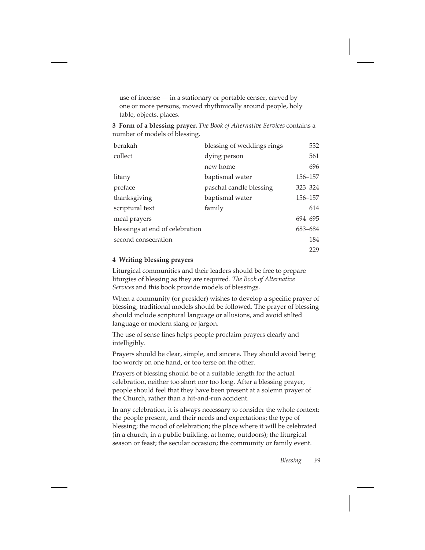use of incense — in a stationary or portable censer, carved by one or more persons, moved rhythmically around people, holy table, objects, places.

**3 Form of a blessing prayer.** *The Book of Alternative Services* contains a number of models of blessing.

| berakah                         | blessing of weddings rings | 532     |
|---------------------------------|----------------------------|---------|
| collect                         | dying person               | 561     |
|                                 | new home                   | 696     |
| litany                          | baptismal water            | 156-157 |
| preface                         | paschal candle blessing    | 323-324 |
| thanksgiving                    | baptismal water            | 156-157 |
| scriptural text                 | family                     | 614     |
| meal prayers                    |                            | 694-695 |
| blessings at end of celebration |                            | 683-684 |
| second consecration             |                            | 184     |
|                                 |                            | 229     |

### **4 Writing blessing prayers**

Liturgical communities and their leaders should be free to prepare liturgies of blessing as they are required. *The Book of Alternative Services* and this book provide models of blessings.

When a community (or presider) wishes to develop a specific prayer of blessing, traditional models should be followed. The prayer of blessing should include scriptural language or allusions, and avoid stilted language or modern slang or jargon.

The use of sense lines helps people proclaim prayers clearly and intelligibly.

Prayers should be clear, simple, and sincere. They should avoid being too wordy on one hand, or too terse on the other.

Prayers of blessing should be of a suitable length for the actual celebration, neither too short nor too long. After a blessing prayer, people should feel that they have been present at a solemn prayer of the Church, rather than a hit-and-run accident.

In any celebration, it is always necessary to consider the whole context: the people present, and their needs and expectations; the type of blessing; the mood of celebration; the place where it will be celebrated (in a church, in a public building, at home, outdoors); the liturgical season or feast; the secular occasion; the community or family event.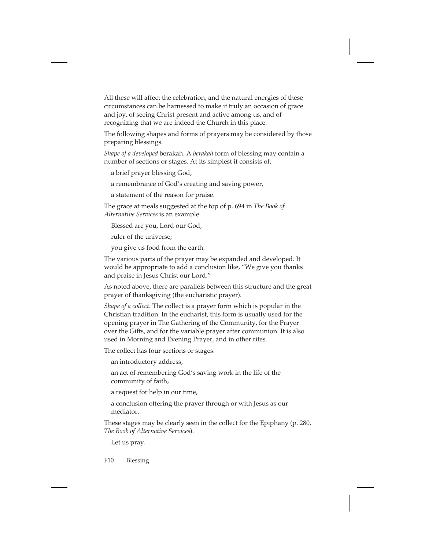All these will affect the celebration, and the natural energies of these circumstances can be harnessed to make it truly an occasion of grace and joy, of seeing Christ present and active among us, and of recognizing that we are indeed the Church in this place.

The following shapes and forms of prayers may be considered by those preparing blessings.

*Shape of a developed* berakah. A *berakah* form of blessing may contain a number of sections or stages. At its simplest it consists of,

a brief prayer blessing God,

a remembrance of God's creating and saving power,

a statement of the reason for praise.

The grace at meals suggested at the top of p. 694 in *The Book of Alternative Services* is an example.

Blessed are you, Lord our God,

ruler of the universe;

you give us food from the earth.

The various parts of the prayer may be expanded and developed. It would be appropriate to add a conclusion like, "We give you thanks and praise in Jesus Christ our Lord."

As noted above, there are parallels between this structure and the great prayer of thanksgiving (the eucharistic prayer).

*Shape of a collect.* The collect is a prayer form which is popular in the Christian tradition. In the eucharist, this form is usually used for the opening prayer in The Gathering of the Community, for the Prayer over the Gifts, and for the variable prayer after communion. It is also used in Morning and Evening Prayer, and in other rites.

The collect has four sections or stages:

an introductory address,

an act of remembering God's saving work in the life of the community of faith,

a request for help in our time,

a conclusion offering the prayer through or with Jesus as our mediator.

These stages may be clearly seen in the collect for the Epiphany (p. 280, *The Book of Alternative Services*).

Let us pray.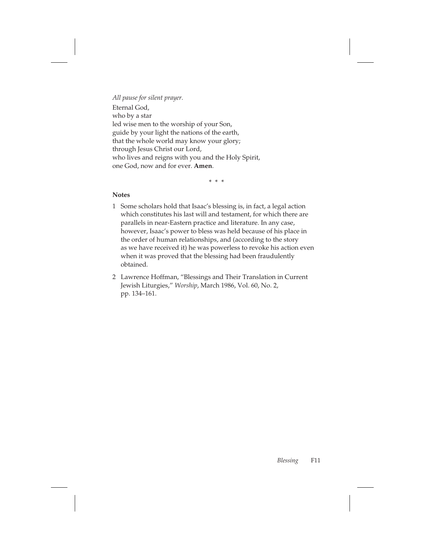*All pause for silent prayer.* Eternal God, who by a star led wise men to the worship of your Son, guide by your light the nations of the earth, that the whole world may know your glory; through Jesus Christ our Lord, who lives and reigns with you and the Holy Spirit, one God, now and for ever. **Amen**.

\*\*\*

#### **Notes**

- 1 Some scholars hold that Isaac's blessing is, in fact, a legal action which constitutes his last will and testament, for which there are parallels in near-Eastern practice and literature. In any case, however, Isaac's power to bless was held because of his place in the order of human relationships, and (according to the story as we have received it) he was powerless to revoke his action even when it was proved that the blessing had been fraudulently obtained.
- 2 Lawrence Hoffman, "Blessings and Their Translation in Current Jewish Liturgies," *Worship*, March 1986, Vol. 60, No. 2, pp. 134–161.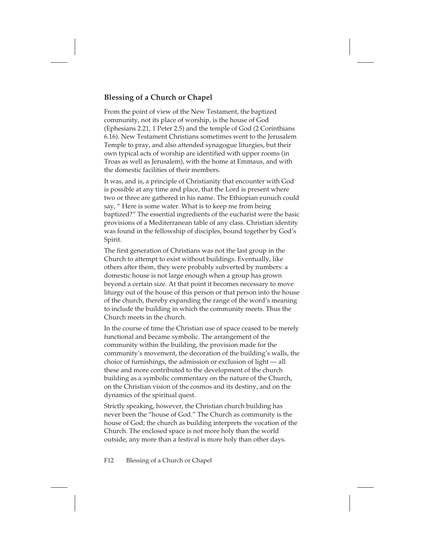# **Blessing of a Church or Chapel**

From the point of view of the New Testament, the baptized community, not its place of worship, is the house of God (Ephesians 2.21, 1 Peter 2.5) and the temple of God (2 Corinthians 6.16). New Testament Christians sometimes went to the Jerusalem Temple to pray, and also attended synagogue liturgies, but their own typical acts of worship are identified with upper rooms (in Troas as well as Jerusalem), with the home at Emmaus, and with the domestic facilities of their members.

It was, and is, a principle of Christianity that encounter with God is possible at any time and place, that the Lord is present where two or three are gathered in his name. The Ethiopian eunuch could say, " Here is some water. What is to keep me from being baptized?" The essential ingredients of the eucharist were the basic provisions of a Mediterranean table of any class. Christian identity was found in the fellowship of disciples, bound together by God's Spirit.

The first generation of Christians was not the last group in the Church to attempt to exist without buildings. Eventually, like others after them, they were probably subverted by numbers: a domestic house is not large enough when a group has grown beyond a certain size. At that point it becomes necessary to move liturgy out of the house of this person or that person into the house of the church, thereby expanding the range of the word's meaning to include the building in which the community meets. Thus the Church meets in the church.

In the course of time the Christian use of space ceased to be merely functional and became symbolic. The arrangement of the community within the building, the provision made for the community's movement, the decoration of the building's walls, the choice of furnishings, the admission or exclusion of light — all these and more contributed to the development of the church building as a symbolic commentary on the nature of the Church, on the Christian vision of the cosmos and its destiny, and on the dynamics of the spiritual quest.

Strictly speaking, however, the Christian church building has never been the "house of God." The Church as community is the house of God; the church as building interprets the vocation of the Church. The enclosed space is not more holy than the world outside, any more than a festival is more holy than other days.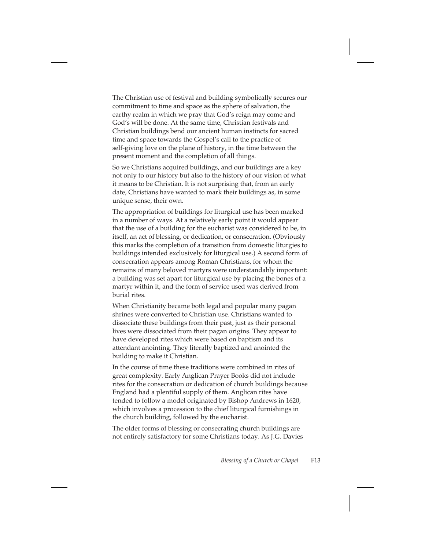The Christian use of festival and building symbolically secures our commitment to time and space as the sphere of salvation, the earthy realm in which we pray that God's reign may come and God's will be done. At the same time, Christian festivals and Christian buildings bend our ancient human instincts for sacred time and space towards the Gospel's call to the practice of self-giving love on the plane of history, in the time between the present moment and the completion of all things.

So we Christians acquired buildings, and our buildings are a key not only to our history but also to the history of our vision of what it means to be Christian. It is not surprising that, from an early date, Christians have wanted to mark their buildings as, in some unique sense, their own.

The appropriation of buildings for liturgical use has been marked in a number of ways. At a relatively early point it would appear that the use of a building for the eucharist was considered to be, in itself, an act of blessing, or dedication, or consecration. (Obviously this marks the completion of a transition from domestic liturgies to buildings intended exclusively for liturgical use.) A second form of consecration appears among Roman Christians, for whom the remains of many beloved martyrs were understandably important: a building was set apart for liturgical use by placing the bones of a martyr within it, and the form of service used was derived from burial rites.

When Christianity became both legal and popular many pagan shrines were converted to Christian use. Christians wanted to dissociate these buildings from their past, just as their personal lives were dissociated from their pagan origins. They appear to have developed rites which were based on baptism and its attendant anointing. They literally baptized and anointed the building to make it Christian.

In the course of time these traditions were combined in rites of great complexity. Early Anglican Prayer Books did not include rites for the consecration or dedication of church buildings because England had a plentiful supply of them. Anglican rites have tended to follow a model originated by Bishop Andrews in 1620, which involves a procession to the chief liturgical furnishings in the church building, followed by the eucharist.

The older forms of blessing or consecrating church buildings are not entirely satisfactory for some Christians today. As J.G. Davies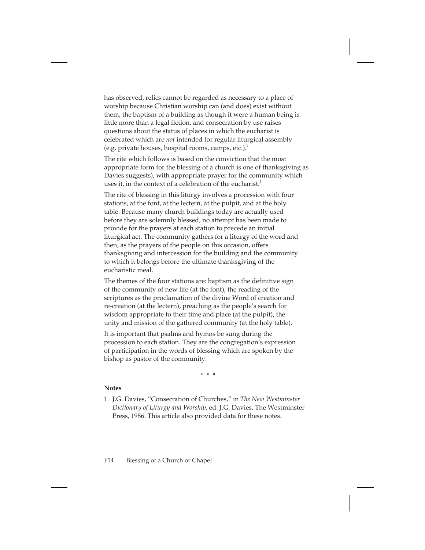has observed, relics cannot be regarded as necessary to a place of worship because Christian worship can (and does) exist without them, the baptism of a building as though it were a human being is little more than a legal fiction, and consecration by use raises questions about the status of places in which the eucharist is celebrated which are *not* intended for regular liturgical assembly (e.g. private houses, hospital rooms, camps, etc.).<sup>1</sup>

The rite which follows is based on the conviction that the most appropriate form for the blessing of a church is one of thanksgiving as Davies suggests), with appropriate prayer for the community which uses it, in the context of a celebration of the eucharist. $2$ 

The rite of blessing in this liturgy involves a procession with four stations, at the font, at the lectern, at the pulpit, and at the holy table. Because many church buildings today are actually used before they are solemnly blessed, no attempt has been made to provide for the prayers at each station to precede an initial liturgical act. The community gathers for a liturgy of the word and then, as the prayers of the people on this occasion, offers thanksgiving and intercession for the building and the community to which it belongs before the ultimate thanksgiving of the eucharistic meal.

The themes of the four stations are: baptism as the definitive sign of the community of new life (at the font), the reading of the scriptures as the proclamation of the divine Word of creation and re-creation (at the lectern), preaching as the people's search for wisdom appropriate to their time and place (at the pulpit), the unity and mission of the gathered community (at the holy table).

It is important that psalms and hymns be sung during the procession to each station. They are the congregation's expression of participation in the words of blessing which are spoken by the bishop as pastor of the community.

\*\*\*

#### **Notes**

1 J.G. Davies, "Consecration of Churches," in *The New Westminster Dictionary of Liturgy and Worship*, ed. J.G. Davies, The Westminster Press, 1986. This article also provided data for these notes.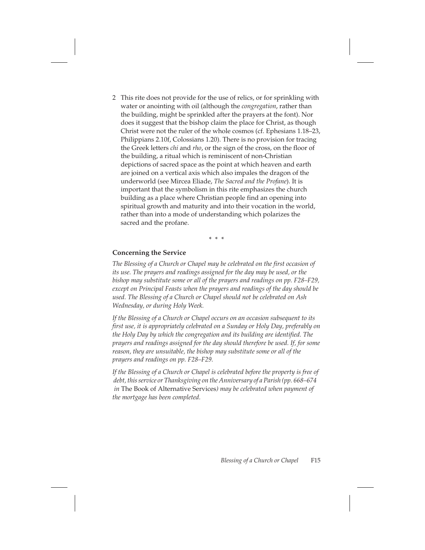2 This rite does not provide for the use of relics, or for sprinkling with water or anointing with oil (although the *congregation*, rather than the building, might be sprinkled after the prayers at the font). Nor does it suggest that the bishop claim the place for Christ, as though Christ were not the ruler of the whole cosmos (cf. Ephesians 1.18–23, Philippians 2.10f, Colossians 1.20). There is no provision for tracing the Greek letters *chi* and *rho*, or the sign of the cross, on the floor of the building, a ritual which is reminiscent of non-Christian depictions of sacred space as the point at which heaven and earth are joined on a vertical axis which also impales the dragon of the underworld (see Mircea Eliade, *The Sacred and the Profane*). It is important that the symbolism in this rite emphasizes the church building as a place where Christian people find an opening into spiritual growth and maturity and into their vocation in the world, rather than into a mode of understanding which polarizes the sacred and the profane.

\*\*\*

#### **Concerning the Service**

*The Blessing of a Church or Chapel may be celebrated on the first occasion of its use. The prayers and readings assigned for the day may be used, or the bishop may substitute some or all of the prayers and readings on pp. F28–F29, except on Principal Feasts when the prayers and readings of the day should be used. The Blessing of a Church or Chapel should not be celebrated on Ash Wednesday, or during Holy Week.*

*If the Blessing of a Church or Chapel occurs on an occasion subsequent to its first use, it is appropriately celebrated on a Sunday or Holy Day, preferably on the Holy Day by which the congregation and its building are identified. The prayers and readings assigned for the day should therefore be used. If, for some reason, they are unsuitable, the bishop may substitute some or all of the prayers and readings on pp. F28–F29.*

*If the Blessing of a Church or Chapel is celebrated before the property is free of debt, this service or Thanksgiving on the Anniversary of a Parish (pp. 668–674 in* The Book of Alternative Services*) may be celebrated when payment of the mortgage has been completed.*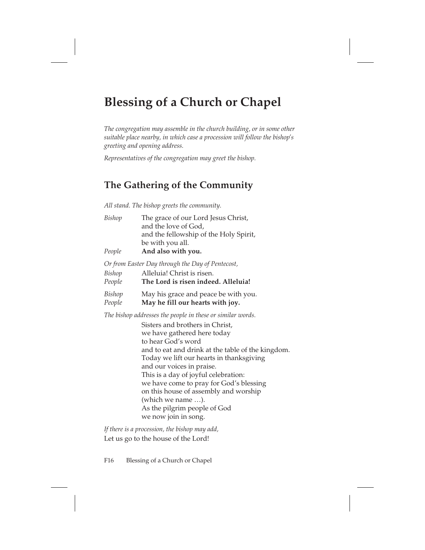# **Blessing of a Church or Chapel**

*The congregation may assemble in the church building, or in some other suitable place nearby, in which case a procession will follow the bishop's greeting and opening address.*

*Representatives of the congregation may greet the bishop.*

# **The Gathering of the Community**

*All stand. The bishop greets the community.*

*Bishop* The grace of our Lord Jesus Christ, and the love of God, and the fellowship of the Holy Spirit, be with you all. *People* **And also with you.**

|        | Or from Easter Day through the Day of Pentecost, |
|--------|--------------------------------------------------|
| Bishop | Alleluia! Christ is risen.                       |
| People | The Lord is risen indeed. Alleluia!              |
| Bishop | May his grace and peace be with you.             |
| People | May he fill our hearts with joy.                 |

*The bishop addresses the people in these or similar words.*

Sisters and brothers in Christ, we have gathered here today to hear God's word and to eat and drink at the table of the kingdom. Today we lift our hearts in thanksgiving and our voices in praise. This is a day of joyful celebration: we have come to pray for God's blessing on this house of assembly and worship (which we name …). As the pilgrim people of God we now join in song.

*If there is a procession, the bishop may add,* Let us go to the house of the Lord!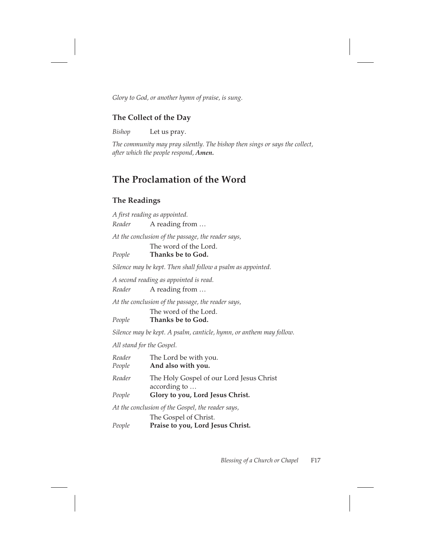*Glory to God, or another hymn of praise, is sung.*

# **The Collect of the Day**

*Bishop* Let us pray.

*The community may pray silently. The bishop then sings or says the collect, after which the people respond, Amen.*

# **The Proclamation of the Word**

# **The Readings**

*A first reading as appointed. Reader* A reading from … *At the conclusion of the passage, the reader says,* The word of the Lord. *People* **Thanks be to God.** *Silence may be kept. Then shall follow a psalm as appointed. A second reading as appointed is read. Reader* A reading from … *At the conclusion of the passage, the reader says,* The word of the Lord. *People* **Thanks be to God.** *Silence may be kept. A psalm, canticle, hymn, or anthem may follow. All stand for the Gospel. Reader* The Lord be with you. *People* **And also with you.** *Reader* The Holy Gospel of our Lord Jesus Christ according to … *People* **Glory to you, Lord Jesus Christ.** *At the conclusion of the Gospel, the reader says,* The Gospel of Christ. *People* **Praise to you, Lord Jesus Christ.**

*Blessing of a Church or Chapel* F17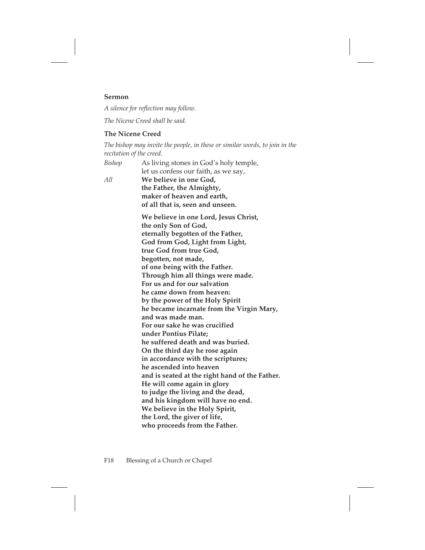### **Sermon**

*A silence for reflection may follow.*

*The Nicene Creed shall be said.*

## **The Nicene Creed**

*The bishop may invite the people, in these or similar words, to join in the recitation of the creed.*

*Bishop* As living stones in God's holy temple, let us confess our faith, as we say, *All* **We believe in one God, the Father, the Almighty, maker of heaven and earth, of all that is, seen and unseen. We believe in one Lord, Jesus Christ, the only Son of God, eternally begotten of the Father, God from God, Light from Light, true God from true God, begotten, not made, of one being with the Father. Through him all things were made. For us and for our salvation he came down from heaven: by the power of the Holy Spirit he became incarnate from the Virgin Mary, and was made man. For our sake he was crucified under Pontius Pilate; he suffered death and was buried. On the third day he rose again in accordance with the scriptures; he ascended into heaven and is seated at the right hand of the Father. He will come again in glory to judge the living and the dead, and his kingdom will have no end. We believe in the Holy Spirit, the Lord, the giver of life, who proceeds from the Father.**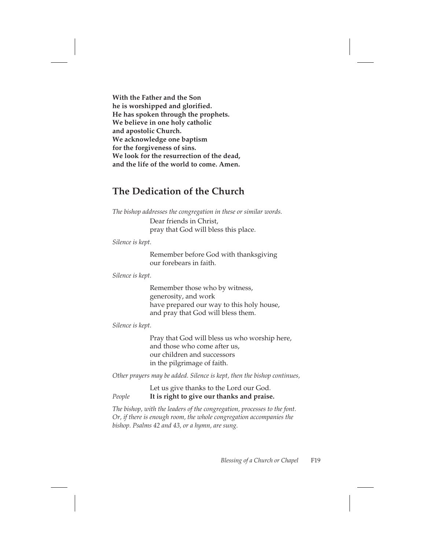**With the Father and the Son he is worshipped and glorified. He has spoken through the prophets. We believe in one holy catholic and apostolic Church. We acknowledge one baptism for the forgiveness of sins. We look for the resurrection of the dead, and the life of the world to come. Amen.**

# **The Dedication of the Church**

*The bishop addresses the congregation in these or similar words.* Dear friends in Christ, pray that God will bless this place.

*Silence is kept.*

Remember before God with thanksgiving our forebears in faith.

*Silence is kept.*

Remember those who by witness, generosity, and work have prepared our way to this holy house, and pray that God will bless them.

*Silence is kept.*

Pray that God will bless us who worship here, and those who come after us, our children and successors in the pilgrimage of faith.

*Other prayers may be added. Silence is kept, then the bishop continues,*

## Let us give thanks to the Lord our God. *People* **It is right to give our thanks and praise.**

*The bishop, with the leaders of the congregation, processes to the font. Or, if there is enough room, the whole congregation accompanies the bishop. Psalms 42 and 43, or a hymn, are sung.*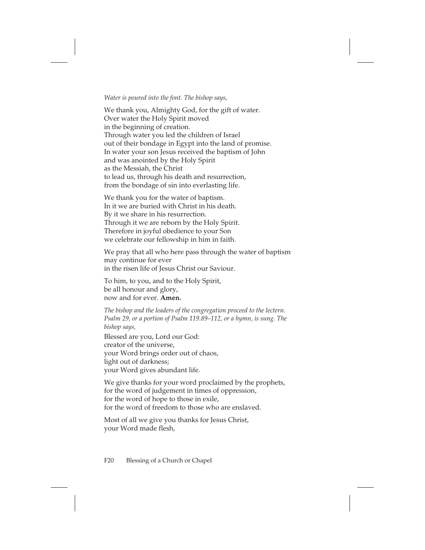*Water is poured into the font. The bishop says,*

We thank you, Almighty God, for the gift of water. Over water the Holy Spirit moved in the beginning of creation. Through water you led the children of Israel out of their bondage in Egypt into the land of promise. In water your son Jesus received the baptism of John and was anointed by the Holy Spirit as the Messiah, the Christ to lead us, through his death and resurrection, from the bondage of sin into everlasting life.

We thank you for the water of baptism. In it we are buried with Christ in his death. By it we share in his resurrection. Through it we are reborn by the Holy Spirit. Therefore in joyful obedience to your Son we celebrate our fellowship in him in faith.

We pray that all who here pass through the water of baptism may continue for ever in the risen life of Jesus Christ our Saviour.

To him, to you, and to the Holy Spirit, be all honour and glory, now and for ever. **Amen.**

*The bishop and the leaders of the congregation proceed to the lectern. Psalm 29, or a portion of Psalm 119.89–112, or a hymn, is sung. The bishop says,*

Blessed are you, Lord our God: creator of the universe, your Word brings order out of chaos, light out of darkness; your Word gives abundant life.

We give thanks for your word proclaimed by the prophets, for the word of judgement in times of oppression, for the word of hope to those in exile, for the word of freedom to those who are enslaved.

Most of all we give you thanks for Jesus Christ, your Word made flesh,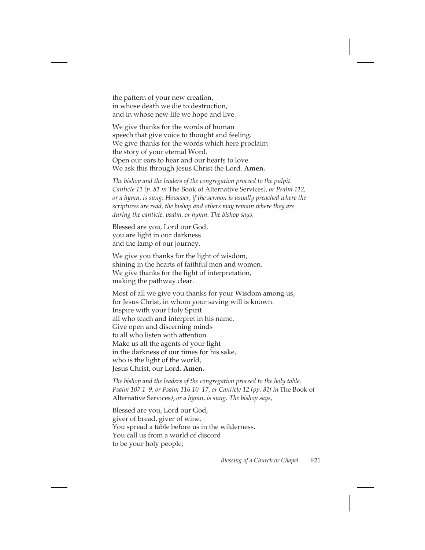the pattern of your new creation, in whose death we die to destruction, and in whose new life we hope and live.

We give thanks for the words of human speech that give voice to thought and feeling. We give thanks for the words which here proclaim the story of your eternal Word. Open our ears to hear and our hearts to love. We ask this through Jesus Christ the Lord. **Amen.**

*The bishop and the leaders of the congregation proceed to the pulpit. Canticle 11 (p. 81 in* The Book of Alternative Services*), or Psalm 112, or a hymn, is sung. However, if the sermon is usually preached where the scriptures are read, the bishop and others may remain where they are during the canticle, psalm, or hymn. The bishop says,*

Blessed are you, Lord our God, you are light in our darkness and the lamp of our journey.

We give you thanks for the light of wisdom, shining in the hearts of faithful men and women. We give thanks for the light of interpretation, making the pathway clear.

Most of all we give you thanks for your Wisdom among us, for Jesus Christ, in whom your saving will is known. Inspire with your Holy Spirit all who teach and interpret in his name. Give open and discerning minds to all who listen with attention. Make us all the agents of your light in the darkness of our times for his sake, who is the light of the world, Jesus Christ, our Lord. **Amen.**

*The bishop and the leaders of the congregation proceed to the holy table. Psalm 107.1–9, or Psalm 116.10–17, or Canticle 12 (pp. 81f in* The Book of Alternative Services*), or a hymn, is sung. The bishop says,*

Blessed are you, Lord our God, giver of bread, giver of wine. You spread a table before us in the wilderness. You call us from a world of discord to be your holy people;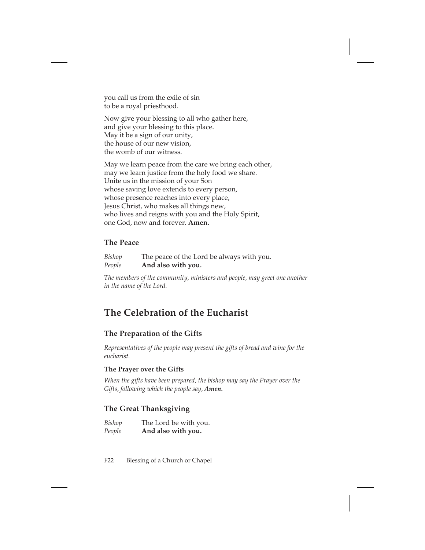you call us from the exile of sin to be a royal priesthood.

Now give your blessing to all who gather here, and give your blessing to this place. May it be a sign of our unity, the house of our new vision, the womb of our witness.

May we learn peace from the care we bring each other, may we learn justice from the holy food we share. Unite us in the mission of your Son whose saving love extends to every person, whose presence reaches into every place, Jesus Christ, who makes all things new, who lives and reigns with you and the Holy Spirit, one God, now and forever. **Amen.**

## **The Peace**

| Bishop | The peace of the Lord be always with you. |
|--------|-------------------------------------------|
| People | And also with you.                        |

*The members of the community, ministers and people, may greet one another in the name of the Lord.*

# **The Celebration of the Eucharist**

# **The Preparation of the Gifts**

*Representatives of the people may present the gifts of bread and wine for the eucharist.*

## **The Prayer over the Gifts**

*When the gifts have been prepared, the bishop may say the Prayer over the Gifts, following which the people say, Amen.*

# **The Great Thanksgiving**

*Bishop* The Lord be with you. *People* **And also with you.**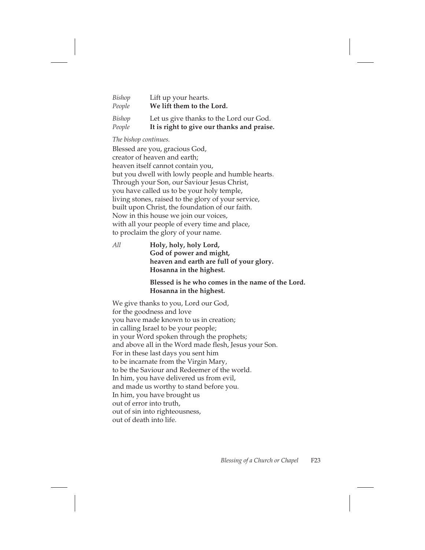| Bishop | Lift up your hearts.                       |
|--------|--------------------------------------------|
| People | We lift them to the Lord.                  |
| Bishop | Let us give thanks to the Lord our God.    |
| People | It is right to give our thanks and praise. |

*The bishop continues.*

Blessed are you, gracious God, creator of heaven and earth; heaven itself cannot contain you, but you dwell with lowly people and humble hearts. Through your Son, our Saviour Jesus Christ, you have called us to be your holy temple, living stones, raised to the glory of your service, built upon Christ, the foundation of our faith. Now in this house we join our voices, with all your people of every time and place, to proclaim the glory of your name.

*All* **Holy, holy, holy Lord, God of power and might, heaven and earth are full of your glory. Hosanna in the highest.**

> **Blessed is he who comes in the name of the Lord. Hosanna in the highest.**

We give thanks to you, Lord our God, for the goodness and love you have made known to us in creation; in calling Israel to be your people; in your Word spoken through the prophets; and above all in the Word made flesh, Jesus your Son. For in these last days you sent him to be incarnate from the Virgin Mary, to be the Saviour and Redeemer of the world. In him, you have delivered us from evil, and made us worthy to stand before you. In him, you have brought us out of error into truth, out of sin into righteousness, out of death into life.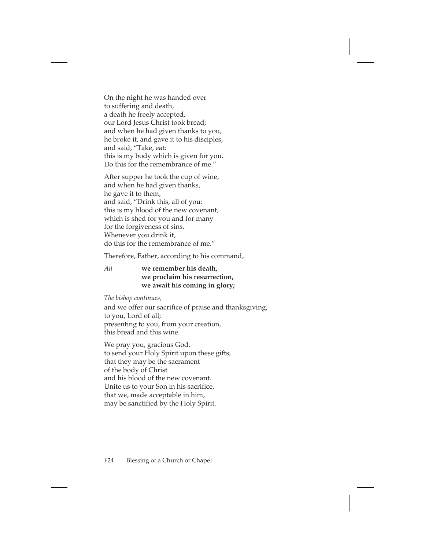On the night he was handed over to suffering and death, a death he freely accepted, our Lord Jesus Christ took bread; and when he had given thanks to you, he broke it, and gave it to his disciples, and said, "Take, eat: this is my body which is given for you. Do this for the remembrance of me."

After supper he took the cup of wine, and when he had given thanks, he gave it to them, and said, "Drink this, all of you: this is my blood of the new covenant, which is shed for you and for many for the forgiveness of sins. Whenever you drink it, do this for the remembrance of me."

Therefore, Father, according to his command,

*All* **we remember his death, we proclaim his resurrection, we await his coming in glory;**

*The bishop continues,*

and we offer our sacrifice of praise and thanksgiving, to you, Lord of all; presenting to you, from your creation, this bread and this wine.

We pray you, gracious God, to send your Holy Spirit upon these gifts, that they may be the sacrament of the body of Christ and his blood of the new covenant. Unite us to your Son in his sacrifice, that we, made acceptable in him, may be sanctified by the Holy Spirit.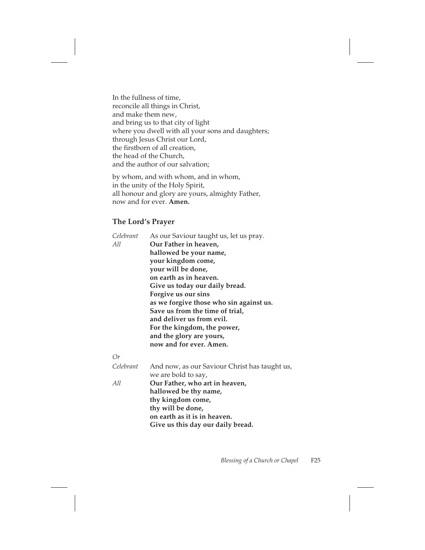In the fullness of time, reconcile all things in Christ, and make them new, and bring us to that city of light where you dwell with all your sons and daughters; through Jesus Christ our Lord, the firstborn of all creation, the head of the Church, and the author of our salvation;

by whom, and with whom, and in whom, in the unity of the Holy Spirit, all honour and glory are yours, almighty Father, now and for ever. **Amen.**

## **The Lord's Prayer**

| Celebrant | As our Saviour taught us, let us pray.        |
|-----------|-----------------------------------------------|
| All       | Our Father in heaven,                         |
|           | hallowed be your name,                        |
|           | your kingdom come,                            |
|           | your will be done,                            |
|           | on earth as in heaven.                        |
|           | Give us today our daily bread.                |
|           | Forgive us our sins                           |
|           | as we forgive those who sin against us.       |
|           | Save us from the time of trial,               |
|           | and deliver us from evil.                     |
|           | For the kingdom, the power,                   |
|           | and the glory are yours,                      |
|           | now and for ever. Amen.                       |
| Or        |                                               |
| Celebrant | And now, as our Saviour Christ has taught us, |
|           | we are bold to say,                           |
| All       | Our Father, who art in heaven,                |
|           | hallowed be thy name,                         |
|           | thy kingdom come,                             |
|           | thy will be done,                             |
|           | on earth as it is in heaven.                  |
|           | Give us this day our daily bread.             |
|           |                                               |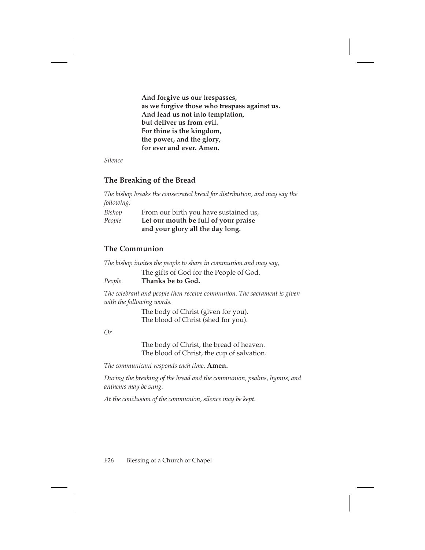**And forgive us our trespasses, as we forgive those who trespass against us. And lead us not into temptation, but deliver us from evil. For thine is the kingdom, the power, and the glory, for ever and ever. Amen.**

*Silence*

# **The Breaking of the Bread**

*The bishop breaks the consecrated bread for distribution, and may say the following:*

| Bishop | From our birth you have sustained us, |
|--------|---------------------------------------|
| People | Let our mouth be full of your praise  |
|        | and your glory all the day long.      |

# **The Communion**

*The bishop invites the people to share in communion and may say,*

The gifts of God for the People of God.

*People* **Thanks be to God.**

*The celebrant and people then receive communion. The sacrament is given with the following words.*

> The body of Christ (given for you). The blood of Christ (shed for you).

*Or*

The body of Christ, the bread of heaven. The blood of Christ, the cup of salvation.

*The communicant responds each time,* **Amen.**

*During the breaking of the bread and the communion, psalms, hymns, and anthems may be sung.*

*At the conclusion of the communion, silence may be kept.*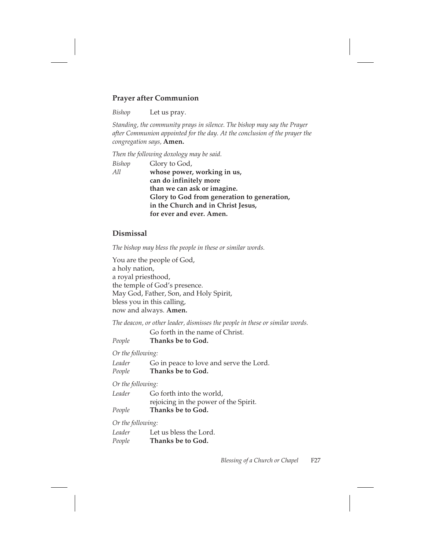# **Prayer after Communion**

*Bishop* Let us pray.

*Standing, the community prays in silence. The bishop may say the Prayer after Communion appointed for the day. At the conclusion of the prayer the congregation says,* **Amen.**

*Then the following doxology may be said.*

| Glory to God,                               |
|---------------------------------------------|
| whose power, working in us,                 |
| can do infinitely more                      |
| than we can ask or imagine.                 |
| Glory to God from generation to generation, |
| in the Church and in Christ Jesus,          |
| for ever and ever. Amen.                    |
|                                             |

## **Dismissal**

*The bishop may bless the people in these or similar words.*

You are the people of God, a holy nation, a royal priesthood, the temple of God's presence. May God, Father, Son, and Holy Spirit, bless you in this calling, now and always. **Amen.**

*The deacon, or other leader, dismisses the people in these or similar words.*

Go forth in the name of Christ.

*People* **Thanks be to God.**

*Or the following:*

| Leader | Go in peace to love and serve the Lord. |
|--------|-----------------------------------------|
| People | Thanks be to God.                       |

*Or the following:*

| Leader | Go forth into the world,              |
|--------|---------------------------------------|
|        | rejoicing in the power of the Spirit. |
| People | Thanks be to God.                     |

*Or the following:*

| Leader | Let us bless the Lord. |
|--------|------------------------|
| People | Thanks be to God.      |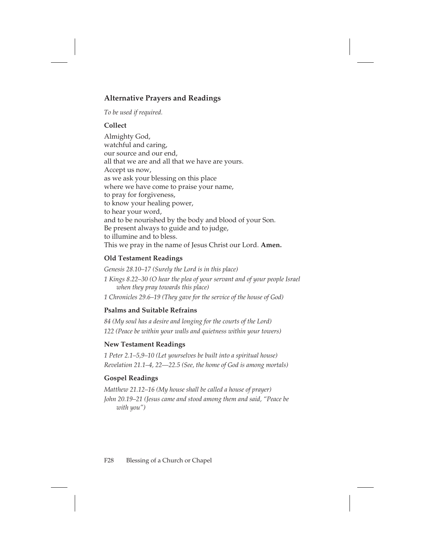# **Alternative Prayers and Readings**

*To be used if required.*

# **Collect**

Almighty God, watchful and caring, our source and our end, all that we are and all that we have are yours. Accept us now, as we ask your blessing on this place where we have come to praise your name, to pray for forgiveness, to know your healing power, to hear your word, and to be nourished by the body and blood of your Son. Be present always to guide and to judge, to illumine and to bless. This we pray in the name of Jesus Christ our Lord. **Amen.**

## **Old Testament Readings**

*Genesis 28.10–17 (Surely the Lord is in this place) 1 Kings 8.22–30 (O hear the plea of your servant and of your people Israel when they pray towards this place) 1 Chronicles 29.6–19 (They gave for the service of the house of God)*

## **Psalms and Suitable Refrains**

*84 (My soul has a desire and longing for the courts of the Lord) 122 (Peace be within your walls and quietness within your towers)*

#### **New Testament Readings**

*1 Peter 2.1–5,9–10 (Let yourselves be built into a spiritual house) Revelation 21.1–4, 22—22.5 (See, the home of God is among mortals)*

## **Gospel Readings**

*Matthew 21.12–16 (My house shall be called a house of prayer) John 20.19–21 (Jesus came and stood among them and said, "Peace be with you")*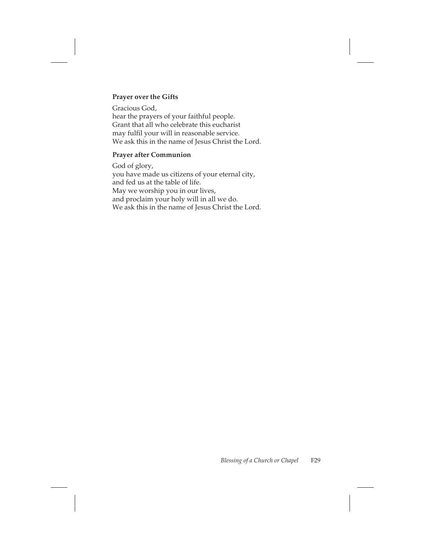#### **Prayer over the Gifts**

Gracious God, hear the prayers of your faithful people. Grant that all who celebrate this eucharist may fulfil your will in reasonable service. We ask this in the name of Jesus Christ the Lord.

#### **Prayer after Communion**

God of glory, you have made us citizens of your eternal city, and fed us at the table of life. May we worship you in our lives, and proclaim your holy will in all we do. We ask this in the name of Jesus Christ the Lord.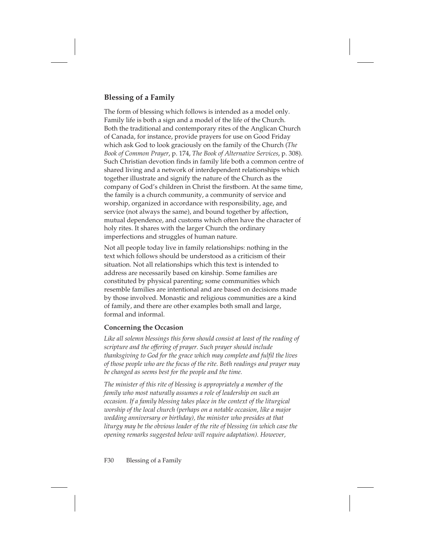# **Blessing of a Family**

The form of blessing which follows is intended as a model only. Family life is both a sign and a model of the life of the Church. Both the traditional and contemporary rites of the Anglican Church of Canada, for instance, provide prayers for use on Good Friday which ask God to look graciously on the family of the Church (*The Book of Common Prayer*, p. 174, *The Book of Alternative Services*, p. 308). Such Christian devotion finds in family life both a common centre of shared living and a network of interdependent relationships which together illustrate and signify the nature of the Church as the company of God's children in Christ the firstborn. At the same time, the family is a church community, a community of service and worship, organized in accordance with responsibility, age, and service (not always the same), and bound together by affection, mutual dependence, and customs which often have the character of holy rites. It shares with the larger Church the ordinary imperfections and struggles of human nature.

Not all people today live in family relationships: nothing in the text which follows should be understood as a criticism of their situation. Not all relationships which this text is intended to address are necessarily based on kinship. Some families are constituted by physical parenting; some communities which resemble families are intentional and are based on decisions made by those involved. Monastic and religious communities are a kind of family, and there are other examples both small and large, formal and informal.

#### **Concerning the Occasion**

*Like all solemn blessings this form should consist at least of the reading of scripture and the offering of prayer. Such prayer should include thanksgiving to God for the grace which may complete and fulfil the lives of those people who are the focus of the rite. Both readings and prayer may be changed as seems best for the people and the time.*

*The minister of this rite of blessing is appropriately a member of the family who most naturally assumes a role of leadership on such an occasion. If a family blessing takes place in the context of the liturgical worship of the local church (perhaps on a notable occasion, like a major wedding anniversary or birthday), the minister who presides at that liturgy may be the obvious leader of the rite of blessing (in which case the opening remarks suggested below will require adaptation). However,*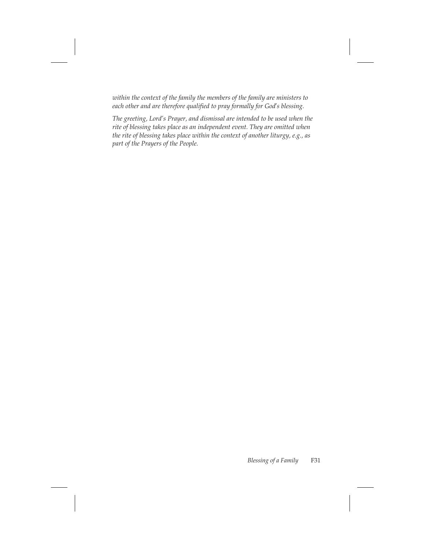*within the context of the family the members of the family are ministers to each other and are therefore qualified to pray formally for God's blessing.*

*The greeting, Lord's Prayer, and dismissal are intended to be used when the rite of blessing takes place as an independent event. They are omitted when the rite of blessing takes place within the context of another liturgy, e.g., as part of the Prayers of the People.*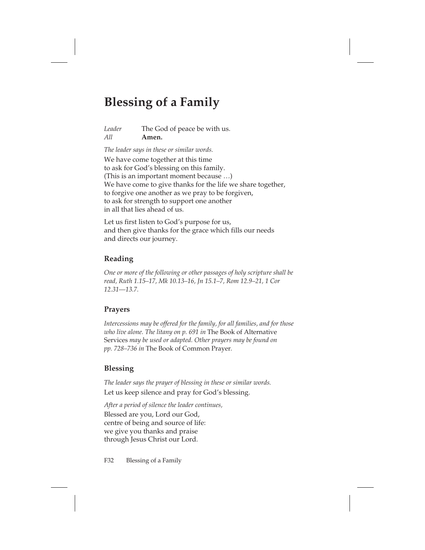# **Blessing of a Family**

*Leader* The God of peace be with us. *All* **Amen.**

*The leader says in these or similar words.* We have come together at this time to ask for God's blessing on this family. (This is an important moment because …) We have come to give thanks for the life we share together, to forgive one another as we pray to be forgiven, to ask for strength to support one another in all that lies ahead of us.

Let us first listen to God's purpose for us, and then give thanks for the grace which fills our needs and directs our journey.

# **Reading**

*One or more of the following or other passages of holy scripture shall be read, Ruth 1.15–17, Mk 10.13–16, Jn 15.1–7, Rom 12.9–21, 1 Cor 12.31—13.7.*

## **Prayers**

*Intercessions may be offered for the family, for all families, and for those who live alone. The litany on p. 691 in* The Book of Alternative Services *may be used or adapted. Other prayers may be found on pp. 728–736 in* The Book of Common Prayer*.*

# **Blessing**

*The leader says the prayer of blessing in these or similar words.* Let us keep silence and pray for God's blessing.

*After a period of silence the leader continues,* Blessed are you, Lord our God, centre of being and source of life: we give you thanks and praise through Jesus Christ our Lord.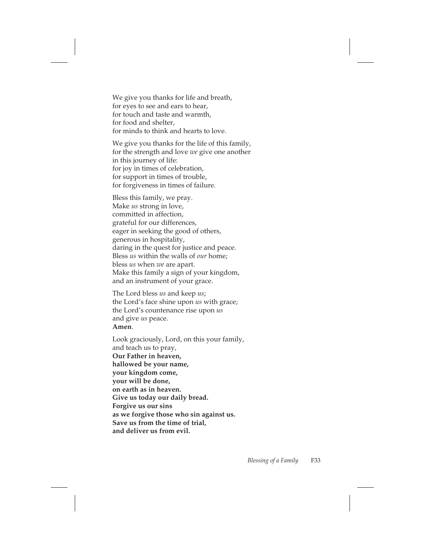We give you thanks for life and breath, for eyes to see and ears to hear, for touch and taste and warmth, for food and shelter, for minds to think and hearts to love.

We give you thanks for the life of this family, for the strength and love *we* give one another in this journey of life: for joy in times of celebration, for support in times of trouble, for forgiveness in times of failure.

Bless this family, we pray. Make *us* strong in love, committed in affection, grateful for our differences, eager in seeking the good of others, generous in hospitality, daring in the quest for justice and peace. Bless *us* within the walls of *our* home; bless *us* when *we* are apart. Make this family a sign of your kingdom, and an instrument of your grace.

The Lord bless *us* and keep *us*; the Lord's face shine upon *us* with grace; the Lord's countenance rise upon *us* and give *us* peace. **Amen**.

Look graciously, Lord, on this your family, and teach us to pray, **Our Father in heaven, hallowed be your name, your kingdom come, your will be done, on earth as in heaven. Give us today our daily bread. Forgive us our sins as we forgive those who sin against us. Save us from the time of trial, and deliver us from evil.**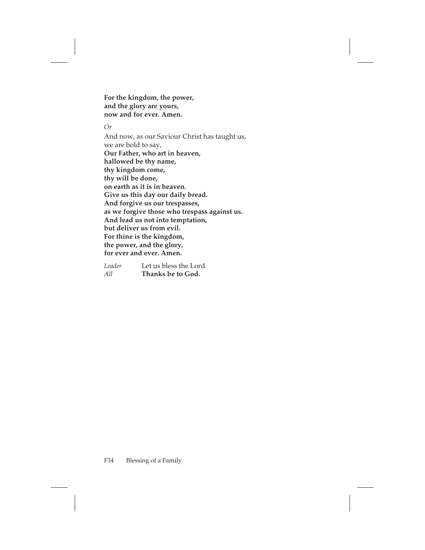**For the kingdom, the power, and the glory are yours, now and for ever. Amen.**

#### *Or*

And now, as our Saviour Christ has taught us, we are bold to say, **Our Father, who art in heaven, hallowed be thy name, thy kingdom come, thy will be done, on earth as it is in heaven. Give us this day our daily bread. And forgive us our trespasses, as we forgive those who trespass against us. And lead us not into temptation, but deliver us from evil. For thine is the kingdom, the power, and the glory, for ever and ever. Amen.**

| Leader | Let us bless the Lord. |
|--------|------------------------|
| All    | Thanks be to God.      |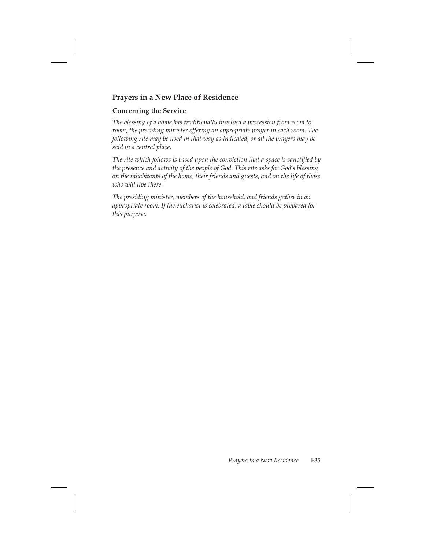## **Prayers in a New Place of Residence**

#### **Concerning the Service**

*The blessing of a home has traditionally involved a procession from room to room, the presiding minister offering an appropriate prayer in each room. The following rite may be used in that way as indicated, or all the prayers may be said in a central place.*

*The rite which follows is based upon the conviction that a space is sanctified by the presence and activity of the people of God. This rite asks for God's blessing on the inhabitants of the home, their friends and guests, and on the life of those who will live there.*

*The presiding minister, members of the household, and friends gather in an appropriate room. If the eucharist is celebrated, a table should be prepared for this purpose.*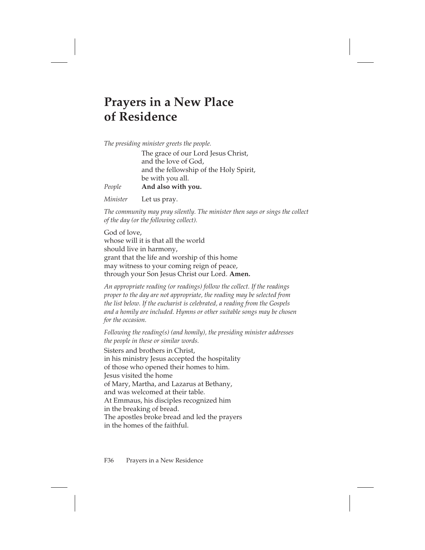# **Prayers in a New Place of Residence**

*The presiding minister greets the people.*

The grace of our Lord Jesus Christ, and the love of God, and the fellowship of the Holy Spirit, be with you all. *People* **And also with you.**

*Minister* Let us pray.

*The community may pray silently. The minister then says or sings the collect of the day (or the following collect).*

God of love, whose will it is that all the world should live in harmony, grant that the life and worship of this home may witness to your coming reign of peace, through your Son Jesus Christ our Lord. **Amen.**

*An appropriate reading (or readings) follow the collect. If the readings proper to the day are not appropriate, the reading may be selected from the list below. If the eucharist is celebrated, a reading from the Gospels and a homily are included. Hymns or other suitable songs may be chosen for the occasion.*

*Following the reading(s) (and homily), the presiding minister addresses the people in these or similar words.* Sisters and brothers in Christ, in his ministry Jesus accepted the hospitality of those who opened their homes to him. Jesus visited the home of Mary, Martha, and Lazarus at Bethany, and was welcomed at their table. At Emmaus, his disciples recognized him in the breaking of bread. The apostles broke bread and led the prayers in the homes of the faithful.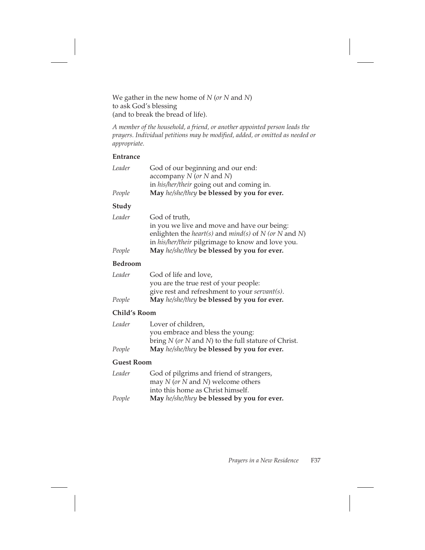We gather in the new home of *N* (*or N* and *N*) to ask God's blessing (and to break the bread of life).

*A member of the household, a friend, or another appointed person leads the prayers. Individual petitions may be modified, added, or omitted as needed or appropriate.*

#### **Entrance**

| Leader | God of our beginning and our end:<br>accompany $N$ (or $N$ and $N$ )                                                                                                                       |
|--------|--------------------------------------------------------------------------------------------------------------------------------------------------------------------------------------------|
|        | in his/her/their going out and coming in.<br>May he/she/they be blessed by you for ever.                                                                                                   |
| People |                                                                                                                                                                                            |
| Study  |                                                                                                                                                                                            |
| Leader | God of truth,<br>in you we live and move and have our being:<br>enlighten the <i>heart</i> (s) and $mind(s)$ of $N$ (or $N$ and $N$ )<br>in his/her/their pilgrimage to know and love you. |
| People | May he/she/they be blessed by you for ever.                                                                                                                                                |

#### **Bedroom**

| Leader | God of life and love,                         |
|--------|-----------------------------------------------|
|        | you are the true rest of your people:         |
|        | give rest and refreshment to your servant(s). |
| People | May he/she/they be blessed by you for ever.   |

#### **Child's Room**

| Leader | Lover of children.                                         |
|--------|------------------------------------------------------------|
|        | you embrace and bless the young:                           |
|        | bring $N$ (or $N$ and $N$ ) to the full stature of Christ. |
| People | May he/she/they be blessed by you for ever.                |

#### **Guest Room**

| Leader | God of pilgrims and friend of strangers,         |
|--------|--------------------------------------------------|
|        | may $N$ ( <i>or</i> $N$ and $N$ ) welcome others |
|        | into this home as Christ himself.                |
| People | May he/she/they be blessed by you for ever.      |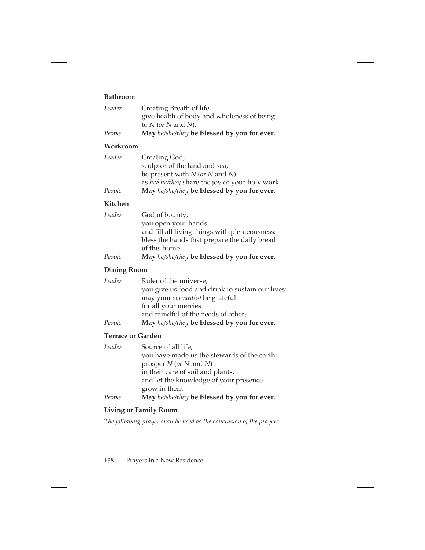#### **Bathroom**

| Leader | Creating Breath of life,                    |
|--------|---------------------------------------------|
|        | give health of body and wholeness of being  |
|        | to $N$ (or $N$ and $N$ ).                   |
| People | May he/she/they be blessed by you for ever. |

### **Workroom**

| Leader | Creating God,                                          |
|--------|--------------------------------------------------------|
|        | sculptor of the land and sea,                          |
|        | be present with $N$ (or $N$ and $N$ )                  |
|        | as <i>he/she/they</i> share the joy of your holy work. |
| People | May he/she/they be blessed by you for ever.            |

#### **Kitchen**

| Leader | God of bounty,                                 |
|--------|------------------------------------------------|
|        | you open your hands                            |
|        | and fill all living things with plenteousness: |
|        | bless the hands that prepare the daily bread   |
|        | of this home.                                  |
| People | May he/she/they be blessed by you for ever.    |

#### **Dining Room**

| Ruler of the universe,                           |
|--------------------------------------------------|
| you give us food and drink to sustain our lives: |
| may your <i>servant</i> (s) be grateful          |
| for all your mercies                             |
| and mindful of the needs of others.              |
| May he/she/they be blessed by you for ever.      |
|                                                  |

#### **Terrace or Garden**

| Leader | Source of all life,                         |
|--------|---------------------------------------------|
|        | you have made us the stewards of the earth: |
|        | prosper $N$ (or $N$ and $N$ )               |
|        | in their care of soil and plants,           |
|        | and let the knowledge of your presence      |
|        | grow in them.                               |
| People | May he/she/they be blessed by you for ever. |

#### **Living or Family Room**

*The following prayer shall be used as the conclusion of the prayers.*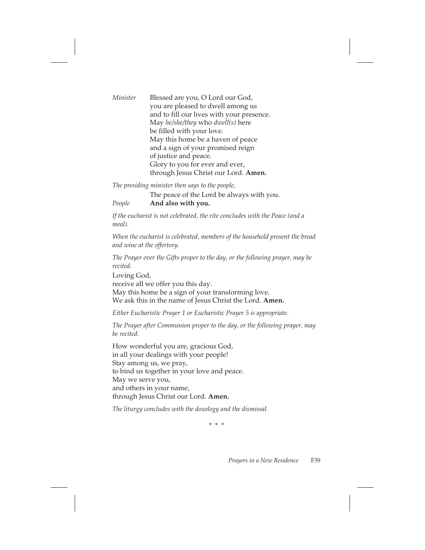*Minister* Blessed are you, O Lord our God, you are pleased to dwell among us and to fill our lives with your presence. May *he/she/they* who *dwell(s)* here be filled with your love. May this home be a haven of peace and a sign of your promised reign of justice and peace. Glory to you for ever and ever, through Jesus Christ our Lord. **Amen.**

*The presiding minister then says to the people,*

The peace of the Lord be always with you.

*People* **And also with you.**

*If the eucharist is not celebrated, the rite concludes with the Peace (and a meal).*

*When the eucharist is celebrated, members of the household present the bread and wine at the offertory.*

*The Prayer over the Gifts proper to the day, or the following prayer, may be recited.*

Loving God,

receive all we offer you this day.

May this home be a sign of your transforming love. We ask this in the name of Jesus Christ the Lord. **Amen.**

*Either Eucharistic Prayer 1 or Eucharistic Prayer 5 is appropriate.*

*The Prayer after Communion proper to the day, or the following prayer, may be recited.*

How wonderful you are, gracious God, in all your dealings with your people! Stay among us, we pray, to bind us together in your love and peace. May we serve you, and others in your name, through Jesus Christ our Lord. **Amen.**

*The liturgy concludes with the doxology and the dismissal.*

\*\*\*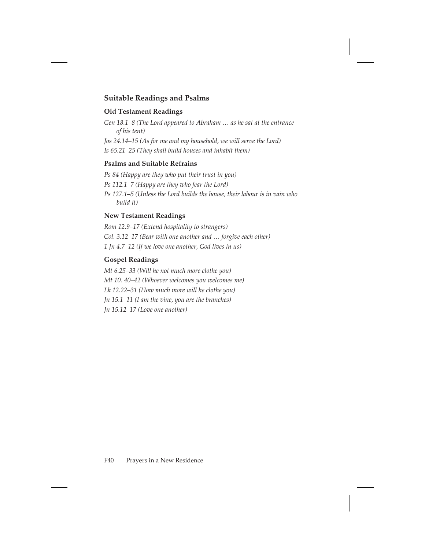## **Suitable Readings and Psalms**

#### **Old Testament Readings**

*Gen 18.1–8 (The Lord appeared to Abraham … as he sat at the entrance of his tent) Jos 24.14–15 (As for me and my household, we will serve the Lord) Is 65.21–25 (They shall build houses and inhabit them)*

#### **Psalms and Suitable Refrains**

*Ps 84 (Happy are they who put their trust in you) Ps 112.1–7 (Happy are they who fear the Lord) Ps 127.1–5 (Unless the Lord builds the house, their labour is in vain who build it)*

#### **New Testament Readings**

*Rom 12.9–17 (Extend hospitality to strangers) Col. 3.12–17 (Bear with one another and … forgive each other) 1 Jn 4.7–12 (If we love one another, God lives in us)*

#### **Gospel Readings**

*Mt 6.25–33 (Will he not much more clothe you) Mt 10. 40–42 (Whoever welcomes you welcomes me) Lk 12.22–31 (How much more will he clothe you) Jn 15.1–11 (I am the vine, you are the branches) Jn 15.12–17 (Love one another)*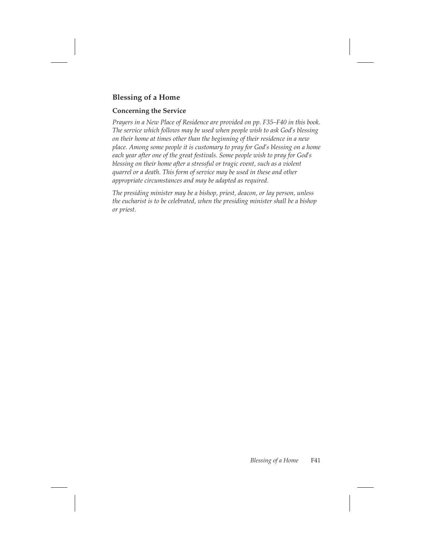## **Blessing of a Home**

#### **Concerning the Service**

*Prayers in a New Place of Residence are provided on pp. F35–F40 in this book. The service which follows may be used when people wish to ask God's blessing on their home at times other than the beginning of their residence in a new place. Among some people it is customary to pray for God's blessing on a home each year after one of the great festivals. Some people wish to pray for God's blessing on their home after a stressful or tragic event, such as a violent quarrel or a death. This form of service may be used in these and other appropriate circumstances and may be adapted as required.*

*The presiding minister may be a bishop, priest, deacon, or lay person, unless the eucharist is to be celebrated, when the presiding minister shall be a bishop or priest.*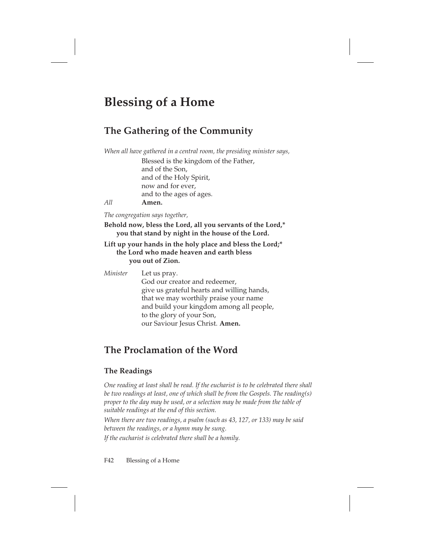# **Blessing of a Home**

# **The Gathering of the Community**

*When all have gathered in a central room, the presiding minister says,* Blessed is the kingdom of the Father, and of the Son, and of the Holy Spirit, now and for ever, and to the ages of ages. *All* **Amen.**

*The congregation says together,*

- **Behold now, bless the Lord, all you servants of the Lord,\* you that stand by night in the house of the Lord.**
- **Lift up your hands in the holy place and bless the Lord;\* the Lord who made heaven and earth bless you out of Zion.**

*Minister* Let us pray. God our creator and redeemer, give us grateful hearts and willing hands, that we may worthily praise your name and build your kingdom among all people, to the glory of your Son, our Saviour Jesus Christ. **Amen.**

# **The Proclamation of the Word**

# **The Readings**

*One reading at least shall be read. If the eucharist is to be celebrated there shall be two readings at least, one of which shall be from the Gospels. The reading(s) proper to the day may be used, or a selection may be made from the table of suitable readings at the end of this section.*

*When there are two readings, a psalm (such as 43, 127, or 133) may be said between the readings, or a hymn may be sung. If the eucharist is celebrated there shall be a homily.*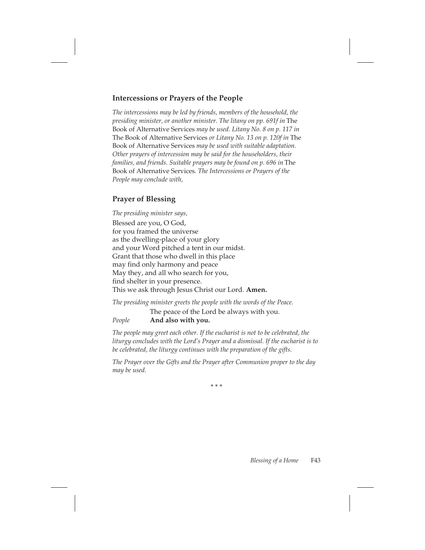## **Intercessions or Prayers of the People**

*The intercessions may be led by friends, members of the household, the presiding minister, or another minister. The litany on pp. 691f in* The Book of Alternative Services *may be used. Litany No. 8 on p. 117 in* The Book of Alternative Services *or Litany No. 13 on p. 120f in* The Book of Alternative Services *may be used with suitable adaptation. Other prayers of intercession may be said for the householders, their families, and friends. Suitable prayers may be found on p. 696 in* The Book of Alternative Services*. The Intercessions or Prayers of the People may conclude with,*

#### **Prayer of Blessing**

*The presiding minister says,* Blessed are you, O God, for you framed the universe as the dwelling-place of your glory and your Word pitched a tent in our midst. Grant that those who dwell in this place may find only harmony and peace May they, and all who search for you, find shelter in your presence. This we ask through Jesus Christ our Lord. **Amen.**

*The presiding minister greets the people with the words of the Peace.*

The peace of the Lord be always with you.

*People* **And also with you.**

*The people may greet each other. If the eucharist is not to be celebrated, the liturgy concludes with the Lord's Prayer and a dismissal. If the eucharist is to be celebrated, the liturgy continues with the preparation of the gifts.*

*The Prayer over the Gifts and the Prayer after Communion proper to the day may be used.*

\* \* \*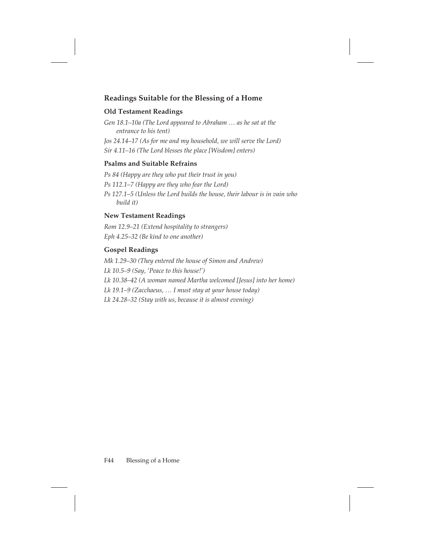# **Readings Suitable for the Blessing of a Home**

#### **Old Testament Readings**

*Gen 18.1–10a (The Lord appeared to Abraham … as he sat at the entrance to his tent) Jos 24.14–17 (As for me and my household, we will serve the Lord) Sir 4.11–16 (The Lord blesses the place [Wisdom] enters)*

#### **Psalms and Suitable Refrains**

*Ps 84 (Happy are they who put their trust in you) Ps 112.1–7 (Happy are they who fear the Lord) Ps 127.1–5 (Unless the Lord builds the house, their labour is in vain who build it)*

#### **New Testament Readings**

*Rom 12.9–21 (Extend hospitality to strangers) Eph 4.25–32 (Be kind to one another)*

### **Gospel Readings**

*Mk 1.29–30 (They entered the house of Simon and Andrew) Lk 10.5–9 (Say, 'Peace to this house!') Lk 10.38–42 (A woman named Martha welcomed [Jesus] into her home) Lk 19.1–9 (Zacchaeus, … I must stay at your house today) Lk 24.28–32 (Stay with us, because it is almost evening)*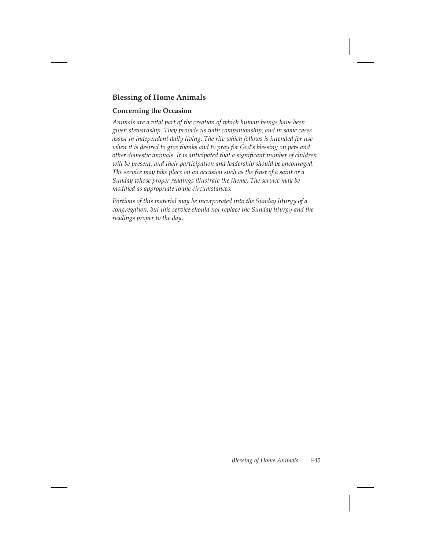### **Blessing of Home Animals**

#### **Concerning the Occasion**

*Animals are a vital part of the creation of which human beings have been given stewardship. They provide us with companionship, and in some cases assist in independent daily living. The rite which follows is intended for use when it is desired to give thanks and to pray for God's blessing on pets and other domestic animals. It is anticipated that a significant number of children will be present, and their participation and leadership should be encouraged. The service may take place on an occasion such as the feast of a saint or a Sunday whose proper readings illustrate the theme. The service may be modified as appropriate to the circumstances.*

*Portions of this material may be incorporated into the Sunday liturgy of a congregation, but this service should not replace the Sunday liturgy and the readings proper to the day.*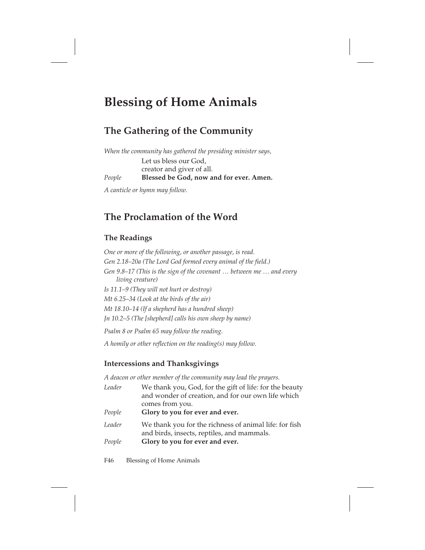# **Blessing of Home Animals**

# **The Gathering of the Community**

*When the community has gathered the presiding minister says,* Let us bless our God, creator and giver of all. *People* **Blessed be God, now and for ever. Amen.**

*A canticle or hymn may follow.*

# **The Proclamation of the Word**

## **The Readings**

*One or more of the following, or another passage, is read. Gen 2.18–20a (The Lord God formed every animal of the field.) Gen 9.8–17 (This is the sign of the covenant … between me … and every living creature) Is 11.1–9 (They will not hurt or destroy) Mt 6.25–34 (Look at the birds of the air) Mt 18.10–14 (If a shepherd has a hundred sheep) Jn 10.2–5 (The [shepherd] calls his own sheep by name) Psalm 8 or Psalm 65 may follow the reading. A homily or other reflection on the reading(s) may follow.*

#### **Intercessions and Thanksgivings**

*A deacon or other member of the community may lead the prayers. Leader* We thank you, God, for the gift of life: for the beauty and wonder of creation, and for our own life which comes from you. *People* **Glory to you for ever and ever.** *Leader* We thank you for the richness of animal life: for fish and birds, insects, reptiles, and mammals. *People* **Glory to you for ever and ever.**

F46 Blessing of Home Animals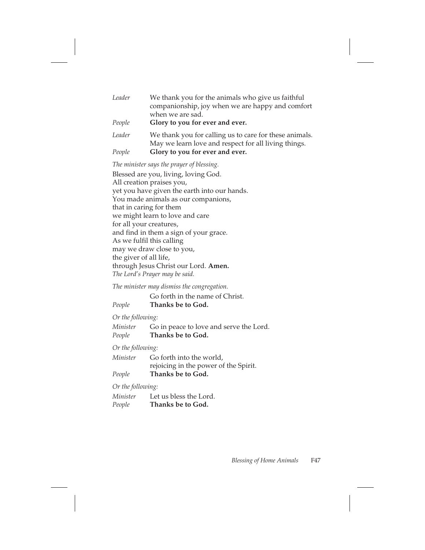| Leader | We thank you for the animals who give us faithful<br>companionship, joy when we are happy and comfort<br>when we are sad. |
|--------|---------------------------------------------------------------------------------------------------------------------------|
| People | Glory to you for ever and ever.                                                                                           |
| Leader | We thank you for calling us to care for these animals.<br>May we learn love and respect for all living things.            |
| People | Glory to you for ever and ever.                                                                                           |

*The minister says the prayer of blessing.*

Blessed are you, living, loving God. All creation praises you, yet you have given the earth into our hands. You made animals as our companions, that in caring for them we might learn to love and care for all your creatures, and find in them a sign of your grace. As we fulfil this calling may we draw close to you, the giver of all life, through Jesus Christ our Lord. **Amen.** *The Lord's Prayer may be said.*

*The minister may dismiss the congregation.*

Go forth in the name of Christ.

| People | Thanks be to God. |  |
|--------|-------------------|--|
|        |                   |  |

*Or the following:*

| Minister | Go in peace to love and serve the Lord. |
|----------|-----------------------------------------|
| People   | Thanks be to God.                       |

*Or the following:*

| Minister | Go forth into the world,              |
|----------|---------------------------------------|
|          | rejoicing in the power of the Spirit. |
| People   | Thanks be to God.                     |

*Or the following:*

| Minister | Let us bless the Lord. |
|----------|------------------------|
| People   | Thanks be to God.      |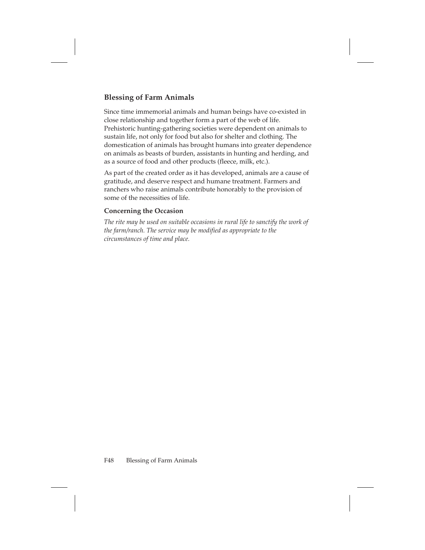# **Blessing of Farm Animals**

Since time immemorial animals and human beings have co-existed in close relationship and together form a part of the web of life. Prehistoric hunting-gathering societies were dependent on animals to sustain life, not only for food but also for shelter and clothing. The domestication of animals has brought humans into greater dependence on animals as beasts of burden, assistants in hunting and herding, and as a source of food and other products (fleece, milk, etc.).

As part of the created order as it has developed, animals are a cause of gratitude, and deserve respect and humane treatment. Farmers and ranchers who raise animals contribute honorably to the provision of some of the necessities of life.

#### **Concerning the Occasion**

*The rite may be used on suitable occasions in rural life to sanctify the work of the farm/ranch. The service may be modified as appropriate to the circumstances of time and place.*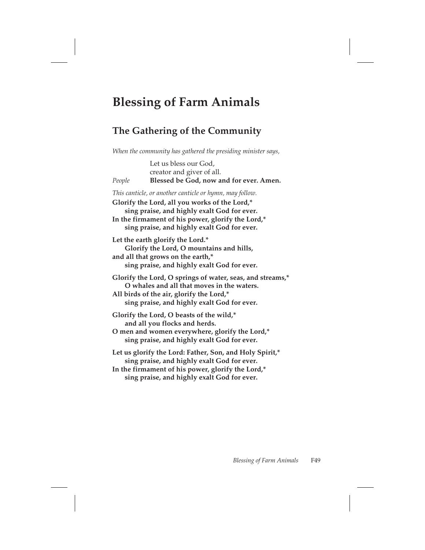# **Blessing of Farm Animals**

# **The Gathering of the Community**

*When the community has gathered the presiding minister says,*

| People | Let us bless our God,<br>creator and giver of all.<br>Blessed be God, now and for ever. Amen.                                                                                                              |
|--------|------------------------------------------------------------------------------------------------------------------------------------------------------------------------------------------------------------|
|        | This canticle, or another canticle or hymn, may follow.                                                                                                                                                    |
|        | Glorify the Lord, all you works of the Lord,*<br>sing praise, and highly exalt God for ever.<br>In the firmament of his power, glorify the Lord,*<br>sing praise, and highly exalt God for ever.           |
|        | Let the earth glorify the Lord.*<br>Glorify the Lord, O mountains and hills,<br>and all that grows on the earth,*<br>sing praise, and highly exalt God for ever.                                           |
|        | Glorify the Lord, O springs of water, seas, and streams,*<br>O whales and all that moves in the waters.<br>All birds of the air, glorify the Lord,*<br>sing praise, and highly exalt God for ever.         |
|        | Glorify the Lord, O beasts of the wild,*<br>and all you flocks and herds.<br>O men and women everywhere, glorify the Lord,*<br>sing praise, and highly exalt God for ever.                                 |
|        | Let us glorify the Lord: Father, Son, and Holy Spirit,*<br>sing praise, and highly exalt God for ever.<br>In the firmament of his power, glorify the Lord,*<br>sing praise, and highly exalt God for ever. |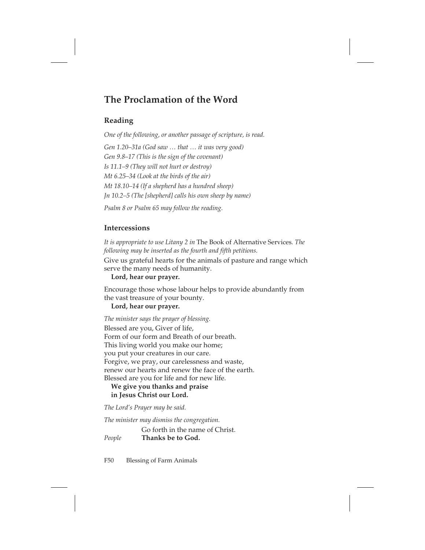# **The Proclamation of the Word**

# **Reading**

*One of the following, or another passage of scripture, is read. Gen 1.20–31a (God saw … that … it was very good) Gen 9.8–17 (This is the sign of the covenant) Is 11.1–9 (They will not hurt or destroy) Mt 6.25–34 (Look at the birds of the air) Mt 18.10–14 (If a shepherd has a hundred sheep) Jn 10.2–5 (The [shepherd] calls his own sheep by name) Psalm 8 or Psalm 65 may follow the reading.*

# **Intercessions**

*It is appropriate to use Litany 2 in* The Book of Alternative Services*. The following may be inserted as the fourth and fifth petitions.*

Give us grateful hearts for the animals of pasture and range which serve the many needs of humanity.

#### **Lord, hear our prayer.**

Encourage those whose labour helps to provide abundantly from the vast treasure of your bounty.

#### **Lord, hear our prayer.**

*The minister says the prayer of blessing.*

Blessed are you, Giver of life, Form of our form and Breath of our breath. This living world you make our home; you put your creatures in our care. Forgive, we pray, our carelessness and waste, renew our hearts and renew the face of the earth. Blessed are you for life and for new life.

#### **We give you thanks and praise in Jesus Christ our Lord.**

*The Lord's Prayer may be said.*

*The minister may dismiss the congregation.*

Go forth in the name of Christ.

*People* **Thanks be to God.**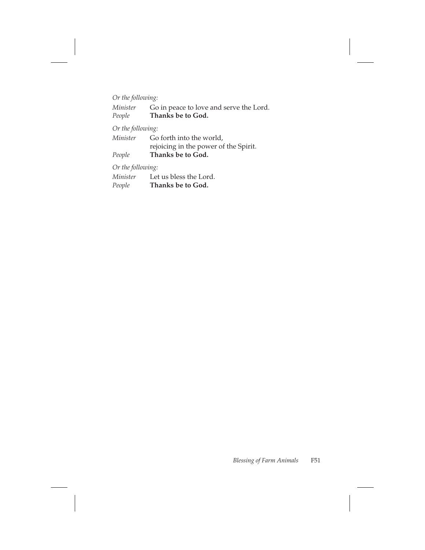*Or the following:*

| Minister | Go in peace to love and serve the Lord. |
|----------|-----------------------------------------|
| People   | Thanks be to God.                       |

*Or the following:*

| Minister | Go forth into the world,              |
|----------|---------------------------------------|
|          | rejoicing in the power of the Spirit. |
| People   | Thanks be to God.                     |

*Or the following:*

| Minister | Let us bless the Lord. |
|----------|------------------------|
| People   | Thanks be to God.      |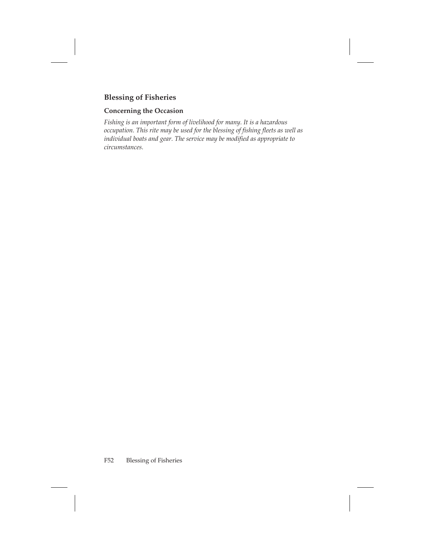# **Blessing of Fisheries**

#### **Concerning the Occasion**

*Fishing is an important form of livelihood for many. It is a hazardous occupation. This rite may be used for the blessing of fishing fleets as well as individual boats and gear. The service may be modified as appropriate to circumstances.*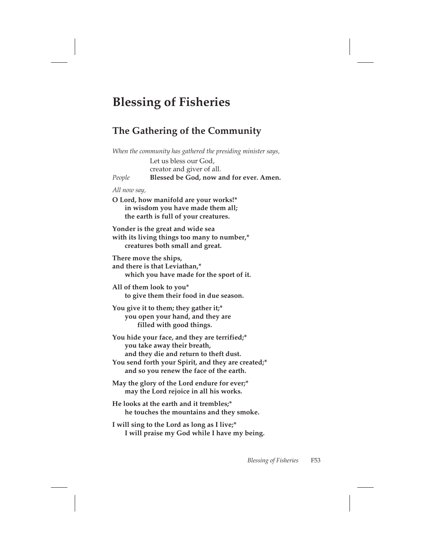# **Blessing of Fisheries**

# **The Gathering of the Community**

|              | When the community has gathered the presiding minister says,                                                                                                                                                           |
|--------------|------------------------------------------------------------------------------------------------------------------------------------------------------------------------------------------------------------------------|
|              | Let us bless our God,                                                                                                                                                                                                  |
| People       | creator and giver of all.<br>Blessed be God, now and for ever. Amen.                                                                                                                                                   |
| All now say, |                                                                                                                                                                                                                        |
|              | O Lord, how manifold are your works!*<br>in wisdom you have made them all;<br>the earth is full of your creatures.                                                                                                     |
|              | Yonder is the great and wide sea<br>with its living things too many to number,*<br>creatures both small and great.                                                                                                     |
|              | There move the ships,<br>and there is that Leviathan,*<br>which you have made for the sport of it.                                                                                                                     |
|              | All of them look to you*<br>to give them their food in due season.                                                                                                                                                     |
|              | You give it to them; they gather it;*<br>you open your hand, and they are<br>filled with good things.                                                                                                                  |
|              | You hide your face, and they are terrified;*<br>you take away their breath,<br>and they die and return to theft dust.<br>You send forth your Spirit, and they are created;*<br>and so you renew the face of the earth. |
|              | May the glory of the Lord endure for ever;*<br>may the Lord rejoice in all his works.                                                                                                                                  |
|              | He looks at the earth and it trembles;*<br>he touches the mountains and they smoke.                                                                                                                                    |
|              | I will sing to the Lord as long as I live;*<br>I will praise my God while I have my being.                                                                                                                             |
|              |                                                                                                                                                                                                                        |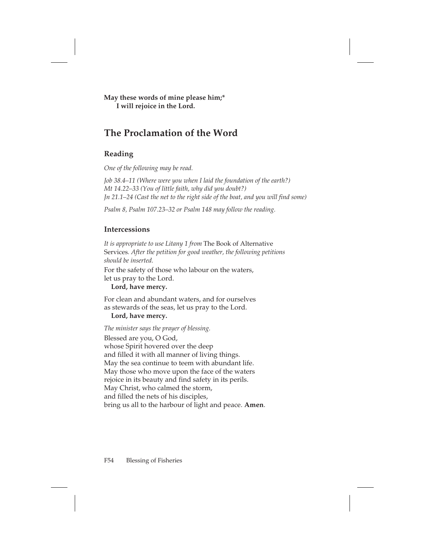**May these words of mine please him;\* I will rejoice in the Lord.**

# **The Proclamation of the Word**

# **Reading**

*One of the following may be read.*

*Job 38.4–11 (Where were you when I laid the foundation of the earth?) Mt 14.22–33 (You of little faith, why did you doubt?) Jn 21.1–24 (Cast the net to the right side of the boat, and you will find some)*

*Psalm 8, Psalm 107.23–32 or Psalm 148 may follow the reading.*

# **Intercessions**

*It is appropriate to use Litany 1 from* The Book of Alternative Services*. After the petition for good weather, the following petitions should be inserted.*

For the safety of those who labour on the waters, let us pray to the Lord.

#### **Lord, have mercy.**

For clean and abundant waters, and for ourselves as stewards of the seas, let us pray to the Lord.

#### **Lord, have mercy.**

*The minister says the prayer of blessing.* Blessed are you, O God, whose Spirit hovered over the deep and filled it with all manner of living things. May the sea continue to teem with abundant life. May those who move upon the face of the waters rejoice in its beauty and find safety in its perils. May Christ, who calmed the storm, and filled the nets of his disciples, bring us all to the harbour of light and peace. **Amen**.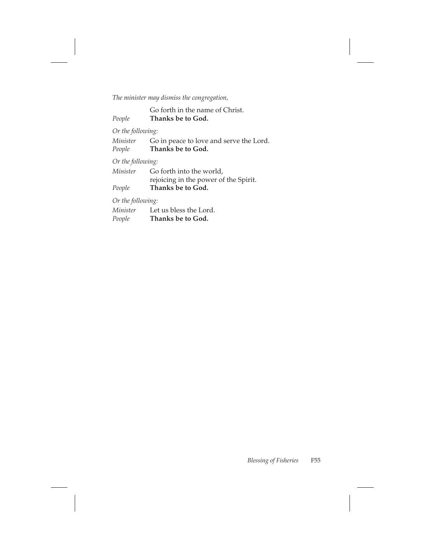*The minister may dismiss the congregation,*

|        | Go forth in the name of Christ. |
|--------|---------------------------------|
| People | Thanks be to God.               |

*Or the following:*

| Minister | Go in peace to love and serve the Lord. |
|----------|-----------------------------------------|
| People   | Thanks be to God.                       |

*Or the following:*

| Minister | Go forth into the world,              |
|----------|---------------------------------------|
|          | rejoicing in the power of the Spirit. |
| People   | Thanks be to God.                     |

*Or the following:*

| Minister | Let us bless the Lord. |
|----------|------------------------|
| People   | Thanks be to God.      |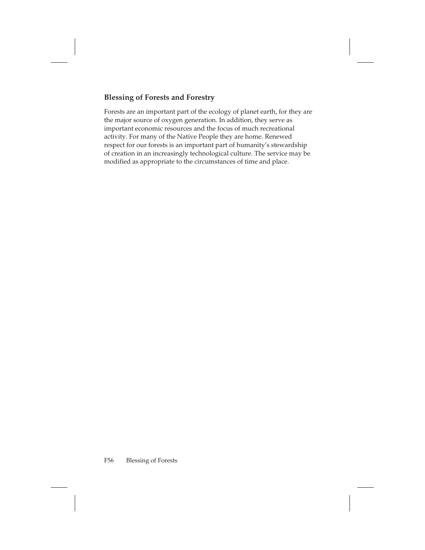# **Blessing of Forests and Forestry**

Forests are an important part of the ecology of planet earth, for they are the major source of oxygen generation. In addition, they serve as important economic resources and the focus of much recreational activity. For many of the Native People they are home. Renewed respect for our forests is an important part of humanity's stewardship of creation in an increasingly technological culture. The service may be modified as appropriate to the circumstances of time and place.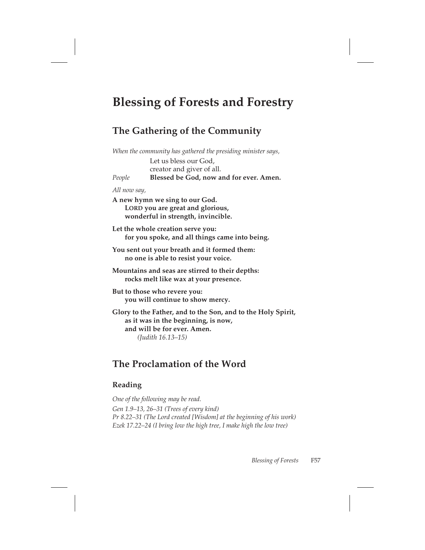# **Blessing of Forests and Forestry**

# **The Gathering of the Community**

|              | When the community has gathered the presiding minister says,                                                                                            |
|--------------|---------------------------------------------------------------------------------------------------------------------------------------------------------|
| People       | Let us bless our God,<br>creator and giver of all.<br>Blessed be God, now and for ever. Amen.                                                           |
| All now say, |                                                                                                                                                         |
|              | A new hymn we sing to our God.<br>LORD you are great and glorious,<br>wonderful in strength, invincible.                                                |
|              | Let the whole creation serve you:<br>for you spoke, and all things came into being.                                                                     |
|              | You sent out your breath and it formed them:<br>no one is able to resist your voice.                                                                    |
|              | Mountains and seas are stirred to their depths:<br>rocks melt like wax at your presence.                                                                |
|              | But to those who revere you:<br>you will continue to show mercy.                                                                                        |
|              | Glory to the Father, and to the Son, and to the Holy Spirit,<br>as it was in the beginning, is now,<br>and will be for ever. Amen.<br>(Judith 16.13–15) |

# **The Proclamation of the Word**

#### **Reading**

*One of the following may be read. Gen 1.9–13, 26–31 (Trees of every kind) Pr 8.22–31 (The Lord created [Wisdom] at the beginning of his work) Ezek 17.22–24 (I bring low the high tree, I make high the low tree)*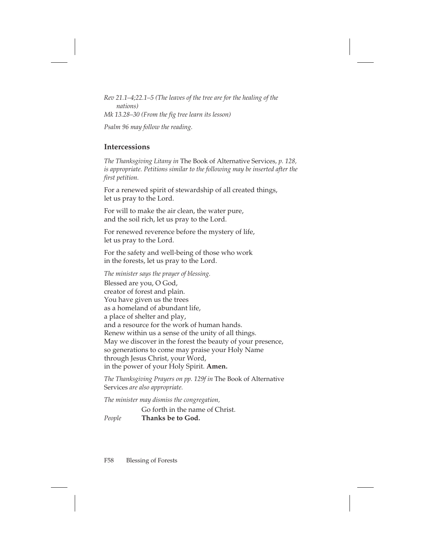*Rev 21.1–4;22.1–5 (The leaves of the tree are for the healing of the nations) Mk 13.28–30 (From the fig tree learn its lesson)*

*Psalm 96 may follow the reading.*

# **Intercessions**

*The Thanksgiving Litany in* The Book of Alternative Services*, p. 128, is appropriate. Petitions similar to the following may be inserted after the first petition.*

For a renewed spirit of stewardship of all created things, let us pray to the Lord.

For will to make the air clean, the water pure, and the soil rich, let us pray to the Lord.

For renewed reverence before the mystery of life, let us pray to the Lord.

For the safety and well-being of those who work in the forests, let us pray to the Lord.

*The minister says the prayer of blessing.*

Blessed are you, O God, creator of forest and plain. You have given us the trees as a homeland of abundant life, a place of shelter and play, and a resource for the work of human hands. Renew within us a sense of the unity of all things. May we discover in the forest the beauty of your presence, so generations to come may praise your Holy Name through Jesus Christ, your Word, in the power of your Holy Spirit. **Amen.**

*The Thanksgiving Prayers on pp. 129f in* The Book of Alternative Services *are also appropriate.*

*The minister may dismiss the congregation,*

Go forth in the name of Christ. *People* **Thanks be to God.**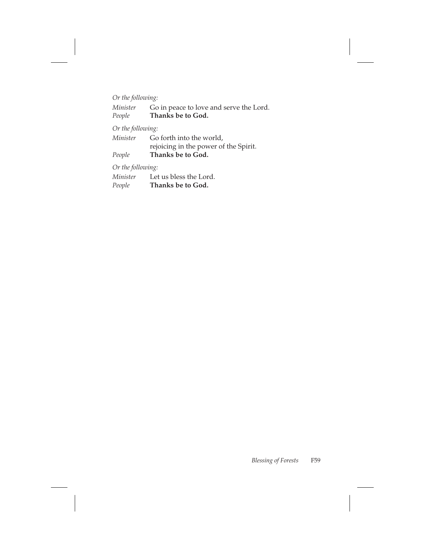*Or the following:*

| Minister | Go in peace to love and serve the Lord. |
|----------|-----------------------------------------|
| People   | Thanks be to God.                       |

*Or the following:*

| Minister | Go forth into the world,              |
|----------|---------------------------------------|
|          | rejoicing in the power of the Spirit. |
| People   | Thanks be to God.                     |

*Or the following:*

| Minister | Let us bless the Lord. |
|----------|------------------------|
| People   | Thanks be to God.      |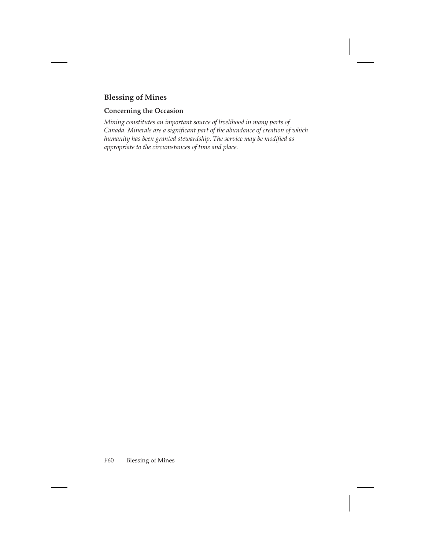### **Blessing of Mines**

#### **Concerning the Occasion**

*Mining constitutes an important source of livelihood in many parts of Canada. Minerals are a significant part of the abundance of creation of which humanity has been granted stewardship. The service may be modified as appropriate to the circumstances of time and place.*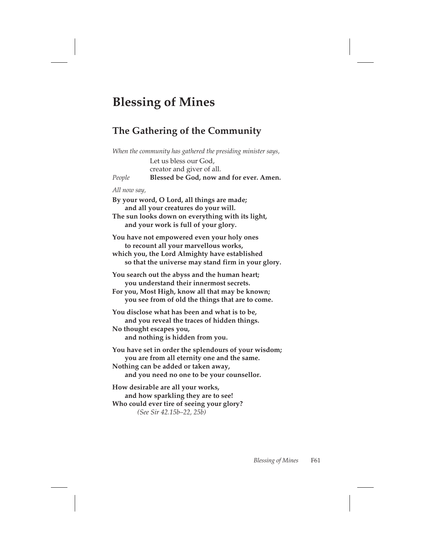# **Blessing of Mines**

# **The Gathering of the Community**

|              | When the community has gathered the presiding minister says,                                                                                                                                    |
|--------------|-------------------------------------------------------------------------------------------------------------------------------------------------------------------------------------------------|
|              | Let us bless our God,                                                                                                                                                                           |
|              | creator and giver of all.                                                                                                                                                                       |
| People       | Blessed be God, now and for ever. Amen.                                                                                                                                                         |
| All now say, |                                                                                                                                                                                                 |
|              | By your word, O Lord, all things are made;<br>and all your creatures do your will.<br>The sun looks down on everything with its light,<br>and your work is full of your glory.                  |
|              | You have not empowered even your holy ones<br>to recount all your marvellous works,<br>which you, the Lord Almighty have established<br>so that the universe may stand firm in your glory.      |
|              | You search out the abyss and the human heart;<br>you understand their innermost secrets.<br>For you, Most High, know all that may be known;<br>you see from of old the things that are to come. |
|              | You disclose what has been and what is to be,<br>and you reveal the traces of hidden things.<br>No thought escapes you,<br>and nothing is hidden from you.                                      |
|              | You have set in order the splendours of your wisdom;<br>you are from all eternity one and the same.<br>Nothing can be added or taken away,<br>and you need no one to be your counsellor.        |
|              | How desirable are all your works,<br>and how sparkling they are to see!<br>Who could ever tire of seeing your glory?<br>(See Sir 42.15b-22, 25b)                                                |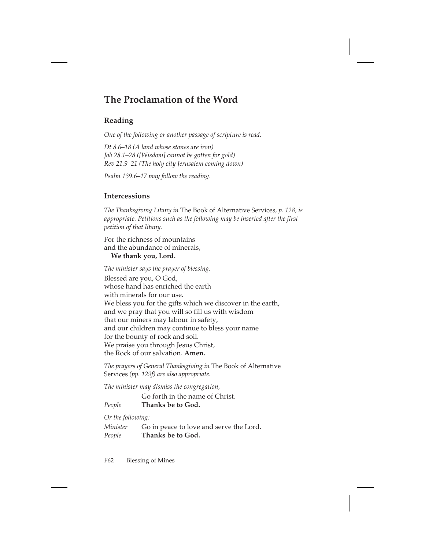# **The Proclamation of the Word**

# **Reading**

*One of the following or another passage of scripture is read.*

*Dt 8.6–18 (A land whose stones are iron) Job 28.1–28 ([Wisdom] cannot be gotten for gold) Rev 21.9–21 (The holy city Jerusalem coming down)*

*Psalm 139.6–17 may follow the reading.*

# **Intercessions**

*The Thanksgiving Litany in* The Book of Alternative Services*, p. 128, is appropriate. Petitions such as the following may be inserted after the first petition of that litany.*

For the richness of mountains and the abundance of minerals, **We thank you, Lord.**

*The minister says the prayer of blessing.*

Blessed are you, O God, whose hand has enriched the earth with minerals for our use. We bless you for the gifts which we discover in the earth, and we pray that you will so fill us with wisdom that our miners may labour in safety, and our children may continue to bless your name for the bounty of rock and soil. We praise you through Jesus Christ, the Rock of our salvation. **Amen.**

*The prayers of General Thanksgiving in* The Book of Alternative Services *(pp. 129f) are also appropriate.*

*The minister may dismiss the congregation,*

Go forth in the name of Christ. *People* **Thanks be to God.**

*Or the following:*

| Minister | Go in peace to love and serve the Lord. |
|----------|-----------------------------------------|
| People   | Thanks be to God.                       |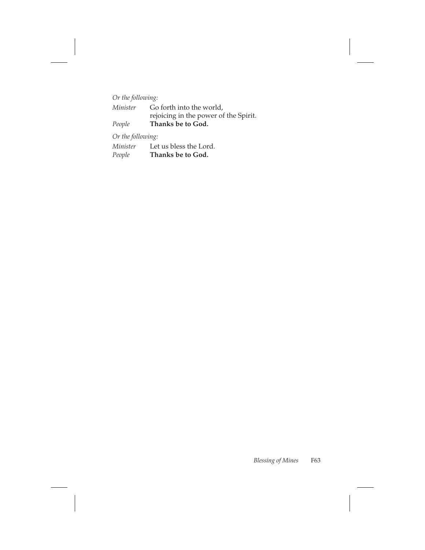### *Or the following:*

| Minister | Go forth into the world,              |
|----------|---------------------------------------|
|          | rejoicing in the power of the Spirit. |
| People   | Thanks be to God.                     |

*Or the following:*

| Minister | Let us bless the Lord. |  |
|----------|------------------------|--|
|          |                        |  |

*People* **Thanks be to God.**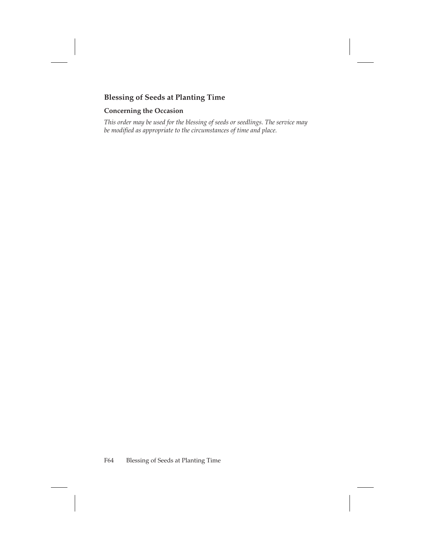# **Blessing of Seeds at Planting Time**

#### **Concerning the Occasion**

*This order may be used for the blessing of seeds or seedlings. The service may be modified as appropriate to the circumstances of time and place.*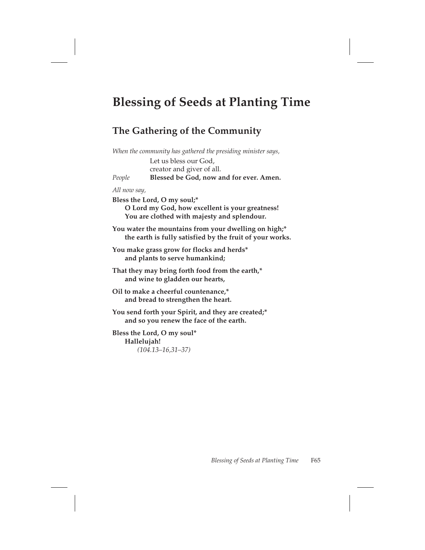# **Blessing of Seeds at Planting Time**

# **The Gathering of the Community**

|              | When the community has gathered the presiding minister says,                                                                  |
|--------------|-------------------------------------------------------------------------------------------------------------------------------|
|              | Let us bless our God,<br>creator and giver of all.                                                                            |
| People       | Blessed be God, now and for ever. Amen.                                                                                       |
| All now say, |                                                                                                                               |
|              | Bless the Lord, O my soul;*<br>O Lord my God, how excellent is your greatness!<br>You are clothed with majesty and splendour. |
|              | You water the mountains from your dwelling on high;*<br>the earth is fully satisfied by the fruit of your works.              |
|              | You make grass grow for flocks and herds*<br>and plants to serve humankind;                                                   |
|              | That they may bring forth food from the earth,*<br>and wine to gladden our hearts,                                            |
|              | Oil to make a cheerful countenance,*<br>and bread to strengthen the heart.                                                    |
|              | You send forth your Spirit, and they are created;*<br>and so you renew the face of the earth.                                 |
| Hallelujah!  | Bless the Lord, O my soul*<br>$(104.13 - 16.31 - 37)$                                                                         |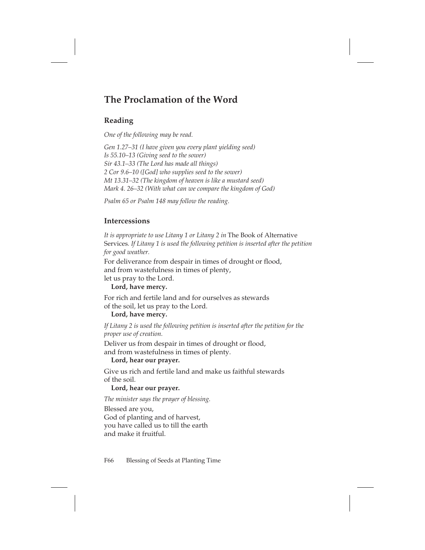# **The Proclamation of the Word**

# **Reading**

*One of the following may be read.*

*Gen 1.27–31 (I have given you every plant yielding seed) Is 55.10–13 (Giving seed to the sower) Sir 43.1–33 (The Lord has made all things) 2 Cor 9.6–10 ([God] who supplies seed to the sower) Mt 13.31–32 (The kingdom of heaven is like a mustard seed) Mark 4. 26–32 (With what can we compare the kingdom of God)*

*Psalm 65 or Psalm 148 may follow the reading.*

# **Intercessions**

*It is appropriate to use Litany 1 or Litany 2 in* The Book of Alternative Services*. If Litany 1 is used the following petition is inserted after the petition for good weather.*

For deliverance from despair in times of drought or flood, and from wastefulness in times of plenty, let us pray to the Lord.

**Lord, have mercy.**

For rich and fertile land and for ourselves as stewards of the soil, let us pray to the Lord.

### **Lord, have mercy.**

*If Litany 2 is used the following petition is inserted after the petition for the proper use of creation.*

Deliver us from despair in times of drought or flood, and from wastefulness in times of plenty.

#### **Lord, hear our prayer.**

Give us rich and fertile land and make us faithful stewards of the soil.

### **Lord, hear our prayer.**

*The minister says the prayer of blessing.* Blessed are you, God of planting and of harvest,

you have called us to till the earth

and make it fruitful.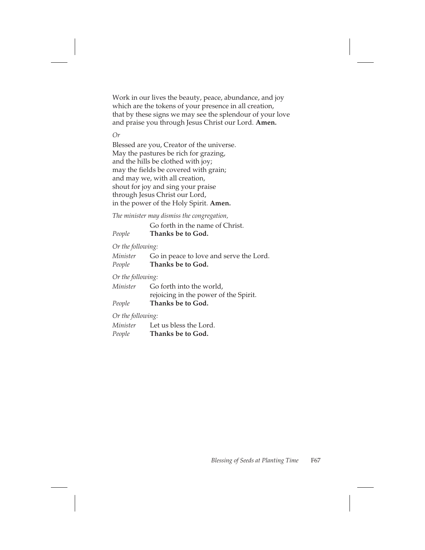Work in our lives the beauty, peace, abundance, and joy which are the tokens of your presence in all creation, that by these signs we may see the splendour of your love and praise you through Jesus Christ our Lord. **Amen.**

*Or*

Blessed are you, Creator of the universe. May the pastures be rich for grazing, and the hills be clothed with joy; may the fields be covered with grain; and may we, with all creation, shout for joy and sing your praise through Jesus Christ our Lord, in the power of the Holy Spirit. **Amen.**

*The minister may dismiss the congregation,*

Go forth in the name of Christ.

| People | Thanks be to God. |  |
|--------|-------------------|--|
|        |                   |  |

*Or the following:*

| Minister | Go in peace to love and serve the Lord. |
|----------|-----------------------------------------|
| People   | Thanks be to God.                       |

*Or the following:*

| Minister | Go forth into the world,              |
|----------|---------------------------------------|
|          | rejoicing in the power of the Spirit. |
| People   | Thanks be to God.                     |

*Or the following:*

| Minister | Let us bless the Lord. |
|----------|------------------------|
| People   | Thanks be to God.      |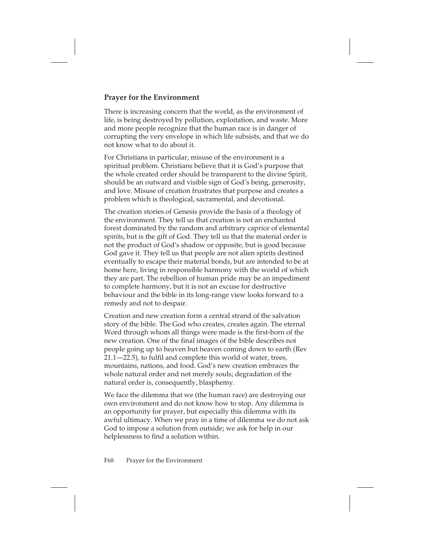### **Prayer for the Environment**

There is increasing concern that the world, as the environment of life, is being destroyed by pollution, exploitation, and waste. More and more people recognize that the human race is in danger of corrupting the very envelope in which life subsists, and that we do not know what to do about it.

For Christians in particular, misuse of the environment is a spiritual problem. Christians believe that it is God's purpose that the whole created order should be transparent to the divine Spirit, should be an outward and visible sign of God's being, generosity, and love. Misuse of creation frustrates that purpose and creates a problem which is theological, sacramental, and devotional.

The creation stories of Genesis provide the basis of a theology of the environment. They tell us that creation is not an enchanted forest dominated by the random and arbitrary caprice of elemental spirits, but is the gift of God. They tell us that the material order is not the product of God's shadow or opposite, but is good because God gave it. They tell us that people are not alien spirits destined eventually to escape their material bonds, but are intended to be at home here, living in responsible harmony with the world of which they are part. The rebellion of human pride may be an impediment to complete harmony, but it is not an excuse for destructive behaviour and the bible in its long-range view looks forward to a remedy and not to despair.

Creation and new creation form a central strand of the salvation story of the bible. The God who creates, creates again. The eternal Word through whom all things were made is the first-born of the new creation. One of the final images of the bible describes not people going up to heaven but heaven coming down to earth (Rev 21.1—22.5), to fulfil and complete this world of water, trees, mountains, nations, and food. God's new creation embraces the whole natural order and not merely souls; degradation of the natural order is, consequently, blasphemy.

We face the dilemma that we (the human race) are destroying our own environment and do not know how to stop. Any dilemma is an opportunity for prayer, but especially this dilemma with its awful ultimacy. When we pray in a time of dilemma we do not ask God to impose a solution from outside; we ask for help in our helplessness to find a solution within.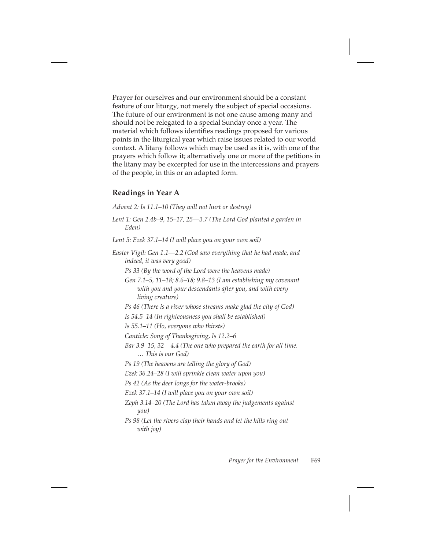Prayer for ourselves and our environment should be a constant feature of our liturgy, not merely the subject of special occasions. The future of our environment is not one cause among many and should not be relegated to a special Sunday once a year. The material which follows identifies readings proposed for various points in the liturgical year which raise issues related to our world context. A litany follows which may be used as it is, with one of the prayers which follow it; alternatively one or more of the petitions in the litany may be excerpted for use in the intercessions and prayers of the people, in this or an adapted form.

### **Readings in Year A**

- *Advent 2: Is 11.1–10 (They will not hurt or destroy)*
- *Lent 1: Gen 2.4b–9, 15–17, 25—3.7 (The Lord God planted a garden in Eden)*
- *Lent 5: Ezek 37.1–14 (I will place you on your own soil)*
- *Easter Vigil: Gen 1.1—2.2 (God saw everything that he had made, and indeed, it was very good)*
	- *Ps 33 (By the word of the Lord were the heavens made)*
	- *Gen 7.1–5, 11–18; 8.6–18; 9.8–13 (I am establishing my covenant with you and your descendants after you, and with every living creature)*
	- *Ps 46 (There is a river whose streams make glad the city of God)*
	- *Is 54.5–14 (In righteousness you shall be established)*
	- *Is 55.1–11 (Ho, everyone who thirsts)*
	- *Canticle: Song of Thanksgiving, Is 12.2–6*
	- *Bar 3.9–15, 32—4.4 (The one who prepared the earth for all time. … This is our God)*
	- *Ps 19 (The heavens are telling the glory of God)*
	- *Ezek 36.24–28 (I will sprinkle clean water upon you)*
	- *Ps 42 (As the deer longs for the water-brooks)*
	- *Ezek 37.1–14 (I will place you on your own soil)*
	- *Zeph 3.14–20 (The Lord has taken away the judgements against you)*
	- *Ps 98 (Let the rivers clap their hands and let the hills ring out with joy)*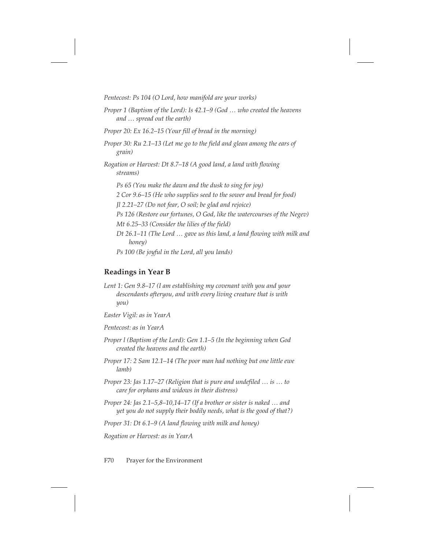*Pentecost: Ps 104 (O Lord, how manifold are your works)*

- *Proper 1 (Baptism of the Lord): Is 42.1–9 (God … who created the heavens and … spread out the earth)*
- *Proper 20: Ex 16.2–15 (Your fill of bread in the morning)*
- *Proper 30: Ru 2.1–13 (Let me go to the field and glean among the ears of grain)*
- *Rogation or Harvest: Dt 8.7–18 (A good land, a land with flowing streams)*
	- *Ps 65 (You make the dawn and the dusk to sing for joy) 2 Cor 9.6–15 (He who supplies seed to the sower and bread for food) Jl 2.21–27 (Do not fear, O soil; be glad and rejoice) Ps 126 (Restore our fortunes, O God, like the watercourses of the Negev) Mt 6.25–33 (Consider the lilies of the field) Dt 26.1–11 (The Lord … gave us this land, a land flowing with milk and honey) Ps 100 (Be joyful in the Lord, all you lands)*

#### **Readings in Year B**

- *Lent 1: Gen 9.8–17 (I am establishing my covenant with you and your descendants afteryou, and with every living creature that is with you)*
- *Easter Vigil: as in YearA*
- *Pentecost: as in YearA*
- *Proper l (Baptism of the Lord): Gen 1.1–5 (In the beginning when God created the heavens and the earth)*
- *Proper 17: 2 Sam 12.1–14 (The poor man had nothing but one little ewe lamb)*
- *Proper 23: Jas 1.17–27 (Religion that is pure and undefiled … is … to care for orphans and widows in their distress)*
- *Proper 24: Jas 2.1–5,8–10,14–17 (If a brother or sister is naked … and yet you do not supply their bodily needs, what is the good of that?)*

*Proper 31: Dt 6.1–9 (A land flowing with milk and honey)*

*Rogation or Harvest: as in YearA*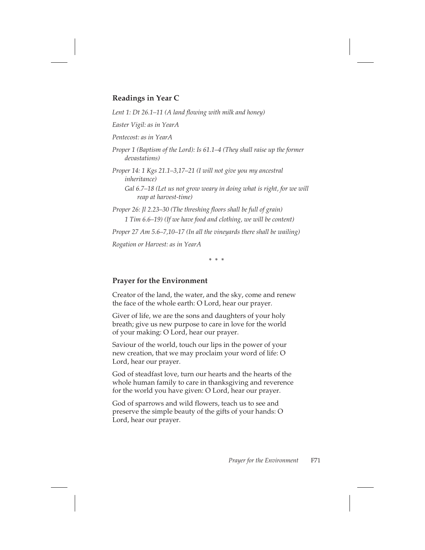### **Readings in Year C**

*Lent 1: Dt 26.1–11 (A land flowing with milk and honey)*

*Easter Vigil: as in YearA*

*Pentecost: as in YearA*

*Proper 1 (Baptism of the Lord): Is 61.1–4 (They shall raise up the former devastations)*

*Proper 14: 1 Kgs 21.1–3,17–21 (I will not give you my ancestral inheritance)*

*Gal 6.7–18 (Let us not grow weary in doing what is right, for we will reap at harvest-time)*

- *Proper 26: Jl 2.23–30 (The threshing floors shall be full of grain) 1 Tim 6.6–19) (If we have food and clothing, we will be content)*
- *Proper 27 Am 5.6–7,10–17 (In all the vineyards there shall be wailing)*

*Rogation or Harvest: as in YearA*

\*\*\*

### **Prayer for the Environment**

Creator of the land, the water, and the sky, come and renew the face of the whole earth: O Lord, hear our prayer.

Giver of life, we are the sons and daughters of your holy breath; give us new purpose to care in love for the world of your making: O Lord, hear our prayer.

Saviour of the world, touch our lips in the power of your new creation, that we may proclaim your word of life: O Lord, hear our prayer.

God of steadfast love, turn our hearts and the hearts of the whole human family to care in thanksgiving and reverence for the world you have given: O Lord, hear our prayer.

God of sparrows and wild flowers, teach us to see and preserve the simple beauty of the gifts of your hands: O Lord, hear our prayer.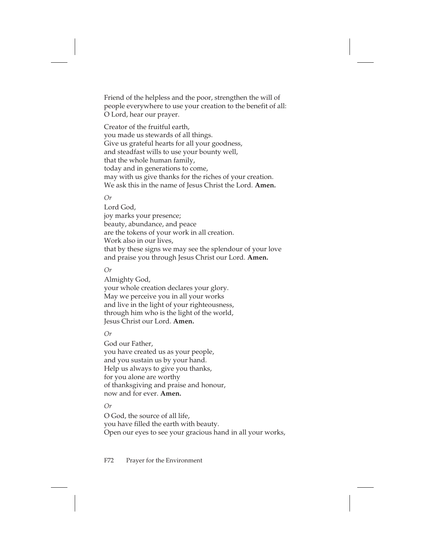Friend of the helpless and the poor, strengthen the will of people everywhere to use your creation to the benefit of all: O Lord, hear our prayer.

Creator of the fruitful earth, you made us stewards of all things. Give us grateful hearts for all your goodness, and steadfast wills to use your bounty well, that the whole human family, today and in generations to come, may with us give thanks for the riches of your creation. We ask this in the name of Jesus Christ the Lord. **Amen.**

*Or*

Lord God,

joy marks your presence;

beauty, abundance, and peace

are the tokens of your work in all creation.

Work also in our lives,

that by these signs we may see the splendour of your love and praise you through Jesus Christ our Lord. **Amen.**

*Or*

Almighty God,

your whole creation declares your glory. May we perceive you in all your works and live in the light of your righteousness, through him who is the light of the world, Jesus Christ our Lord. **Amen.**

*Or*

God our Father, you have created us as your people, and you sustain us by your hand. Help us always to give you thanks, for you alone are worthy of thanksgiving and praise and honour, now and for ever. **Amen.**

*Or*

O God, the source of all life, you have filled the earth with beauty. Open our eyes to see your gracious hand in all your works,